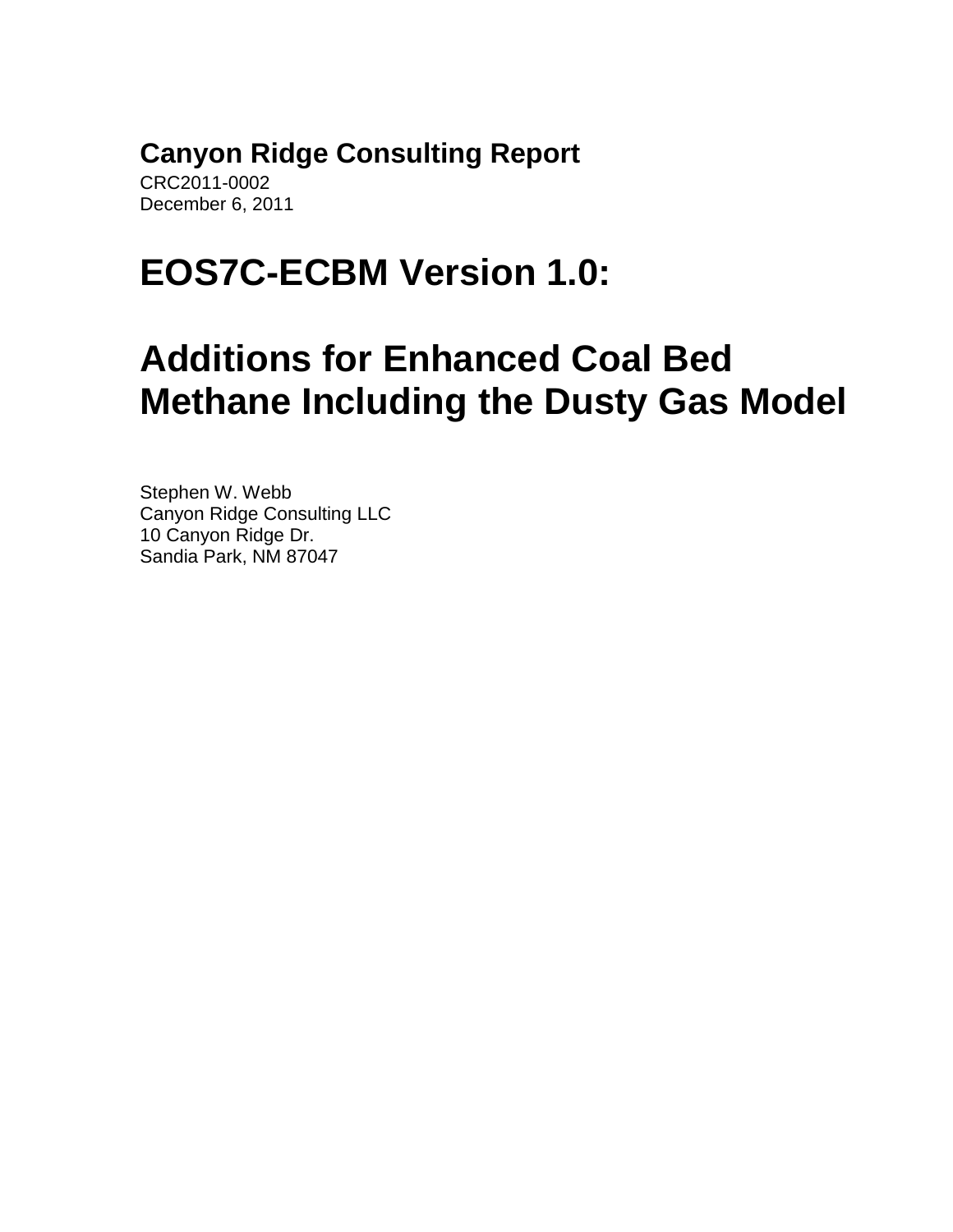**Canyon Ridge Consulting Report** 

CRC2011-0002 December 6, 2011

# **EOS7C-ECBM Version 1.0:**

# **Additions for Enhanced Coal Bed Methane Including the Dusty Gas Model**

Stephen W. Webb Canyon Ridge Consulting LLC 10 Canyon Ridge Dr. Sandia Park, NM 87047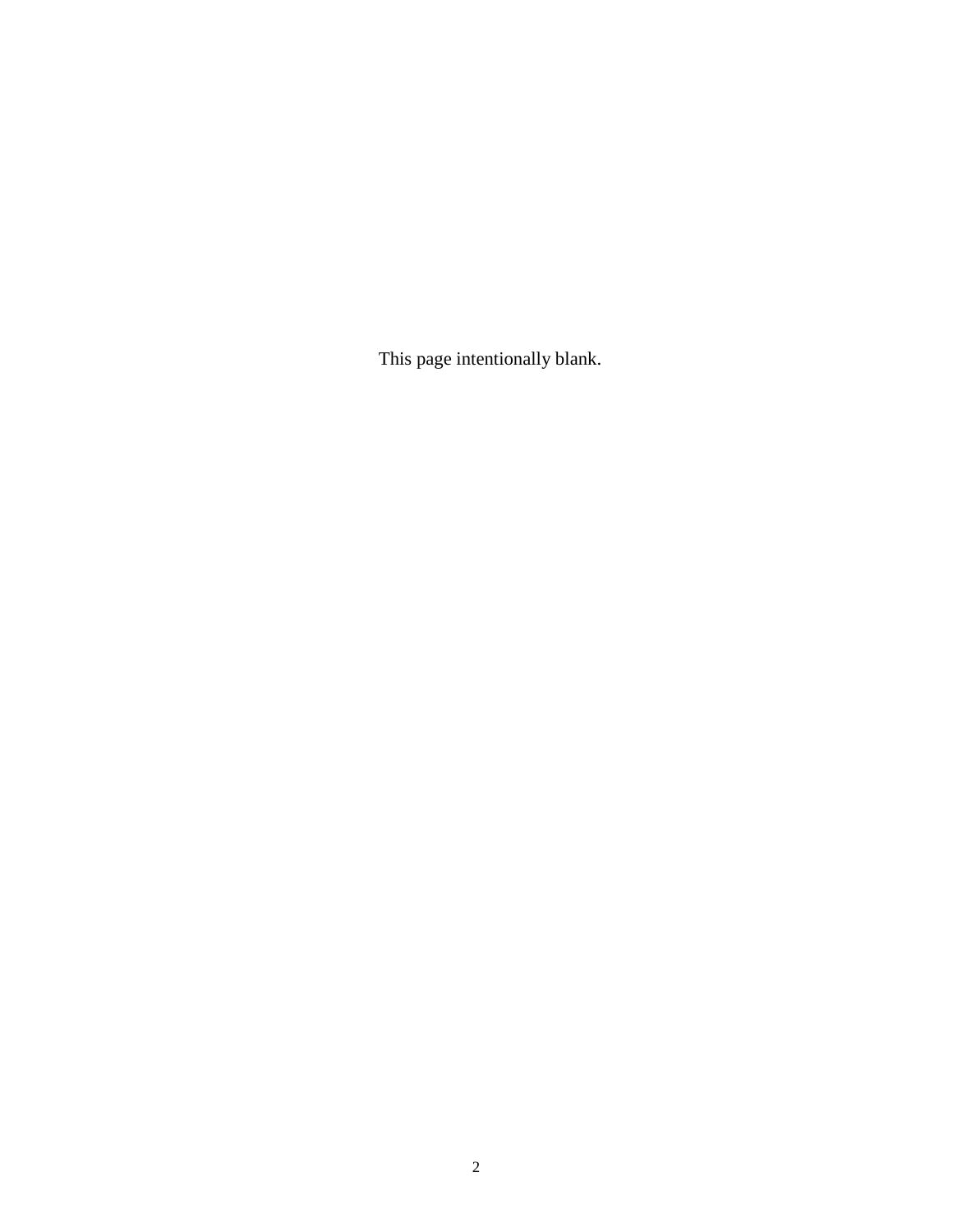This page intentionally blank.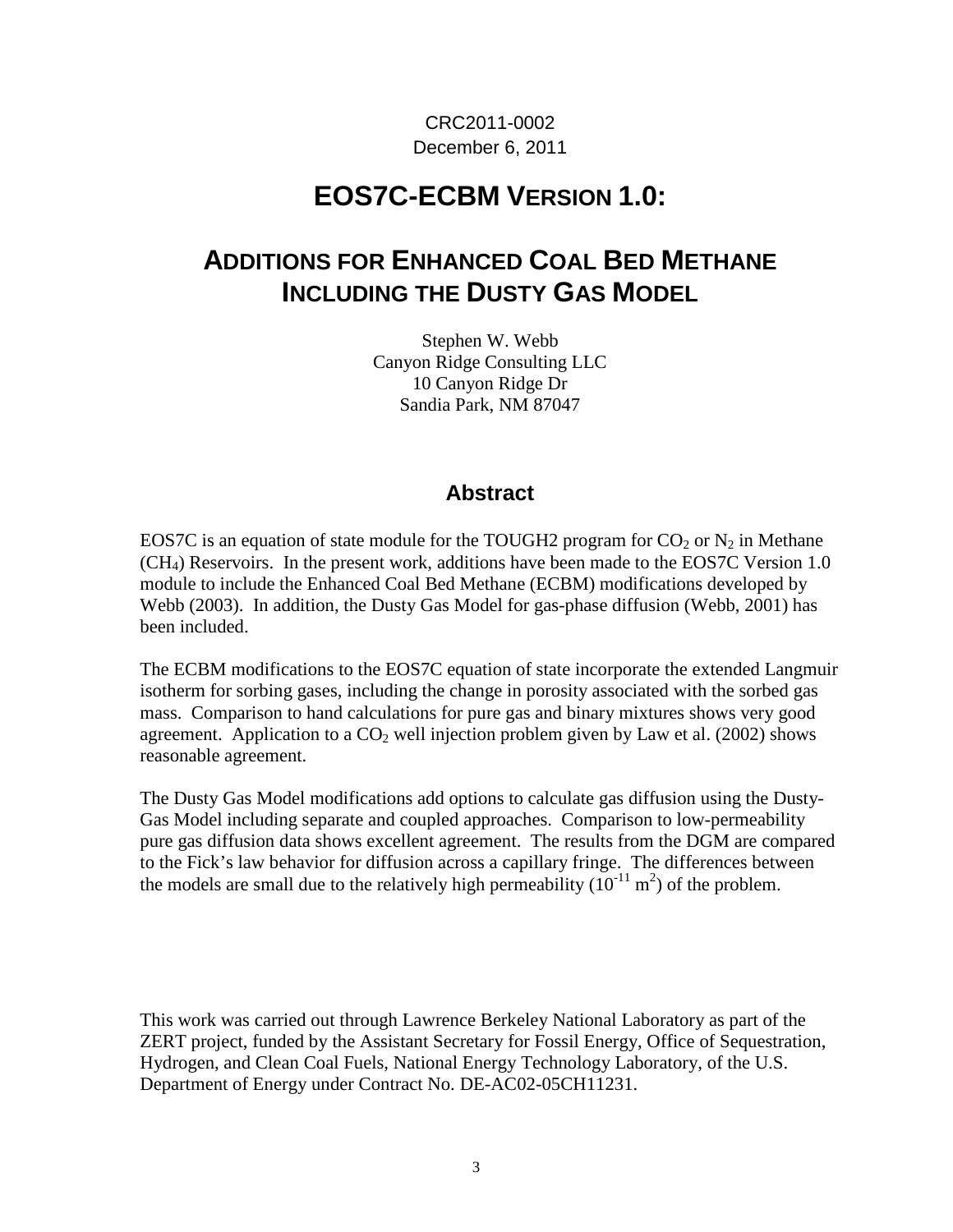### CRC2011-0002 December 6, 2011

## **EOS7C-ECBM VERSION 1.0:**

## **ADDITIONS FOR ENHANCED COAL BED METHANE INCLUDING THE DUSTY GAS MODEL**

Stephen W. Webb Canyon Ridge Consulting LLC 10 Canyon Ridge Dr Sandia Park, NM 87047

## **Abstract**

EOS7C is an equation of state module for the TOUGH2 program for  $CO<sub>2</sub>$  or  $N<sub>2</sub>$  in Methane  $(CH<sub>4</sub>)$  Reservoirs. In the present work, additions have been made to the EOS7C Version 1.0 module to include the Enhanced Coal Bed Methane (ECBM) modifications developed by Webb (2003). In addition, the Dusty Gas Model for gas-phase diffusion (Webb, 2001) has been included.

The ECBM modifications to the EOS7C equation of state incorporate the extended Langmuir isotherm for sorbing gases, including the change in porosity associated with the sorbed gas mass. Comparison to hand calculations for pure gas and binary mixtures shows very good agreement. Application to a  $CO<sub>2</sub>$  well injection problem given by Law et al. (2002) shows reasonable agreement.

The Dusty Gas Model modifications add options to calculate gas diffusion using the Dusty-Gas Model including separate and coupled approaches. Comparison to low-permeability pure gas diffusion data shows excellent agreement. The results from the DGM are compared to the Fick's law behavior for diffusion across a capillary fringe. The differences between the models are small due to the relatively high permeability  $(10^{-11} \text{ m}^2)$  of the problem.

This work was carried out through Lawrence Berkeley National Laboratory as part of the ZERT project, funded by the Assistant Secretary for Fossil Energy, Office of Sequestration, Hydrogen, and Clean Coal Fuels, National Energy Technology Laboratory, of the U.S. Department of Energy under Contract No. DE-AC02-05CH11231.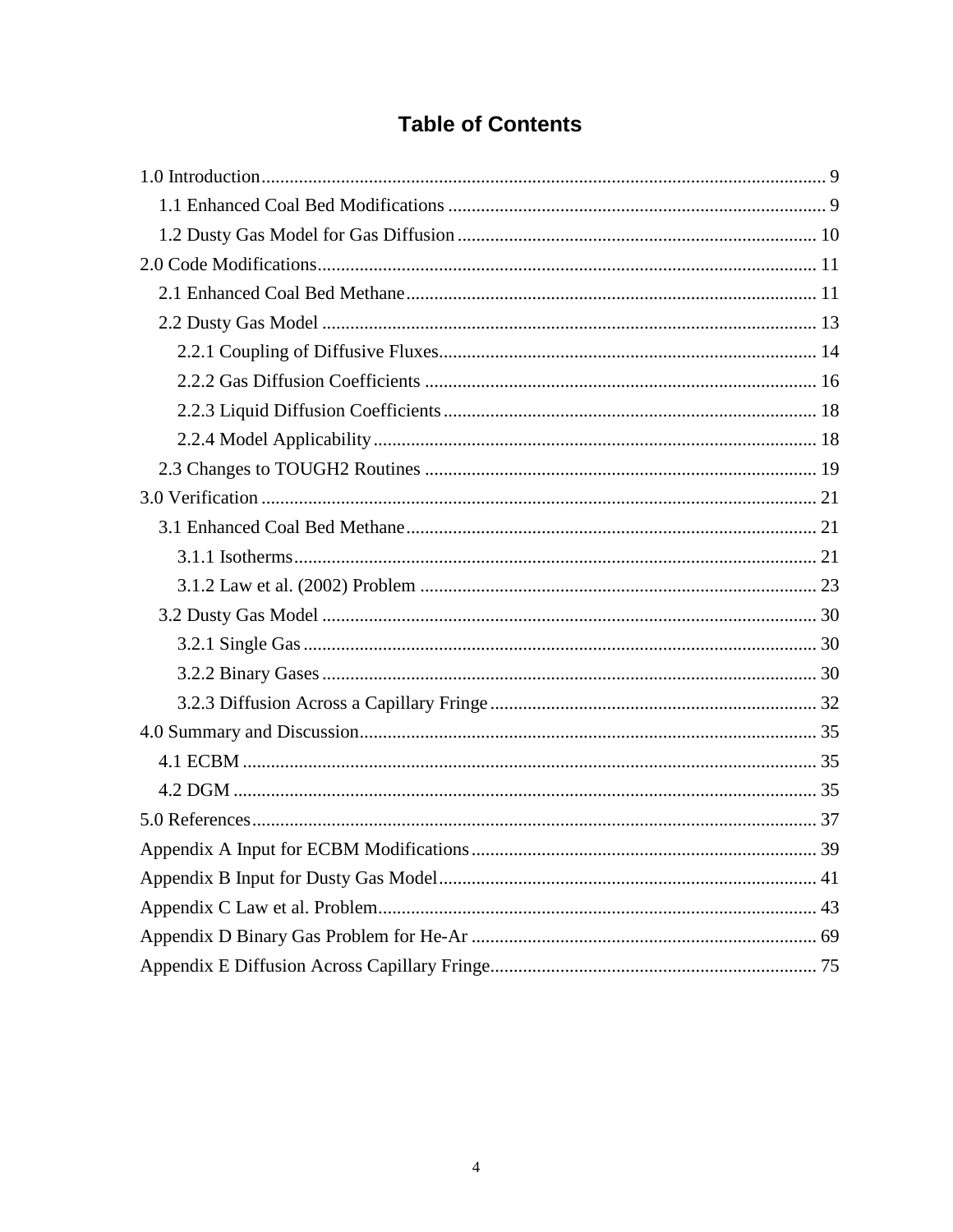## **Table of Contents**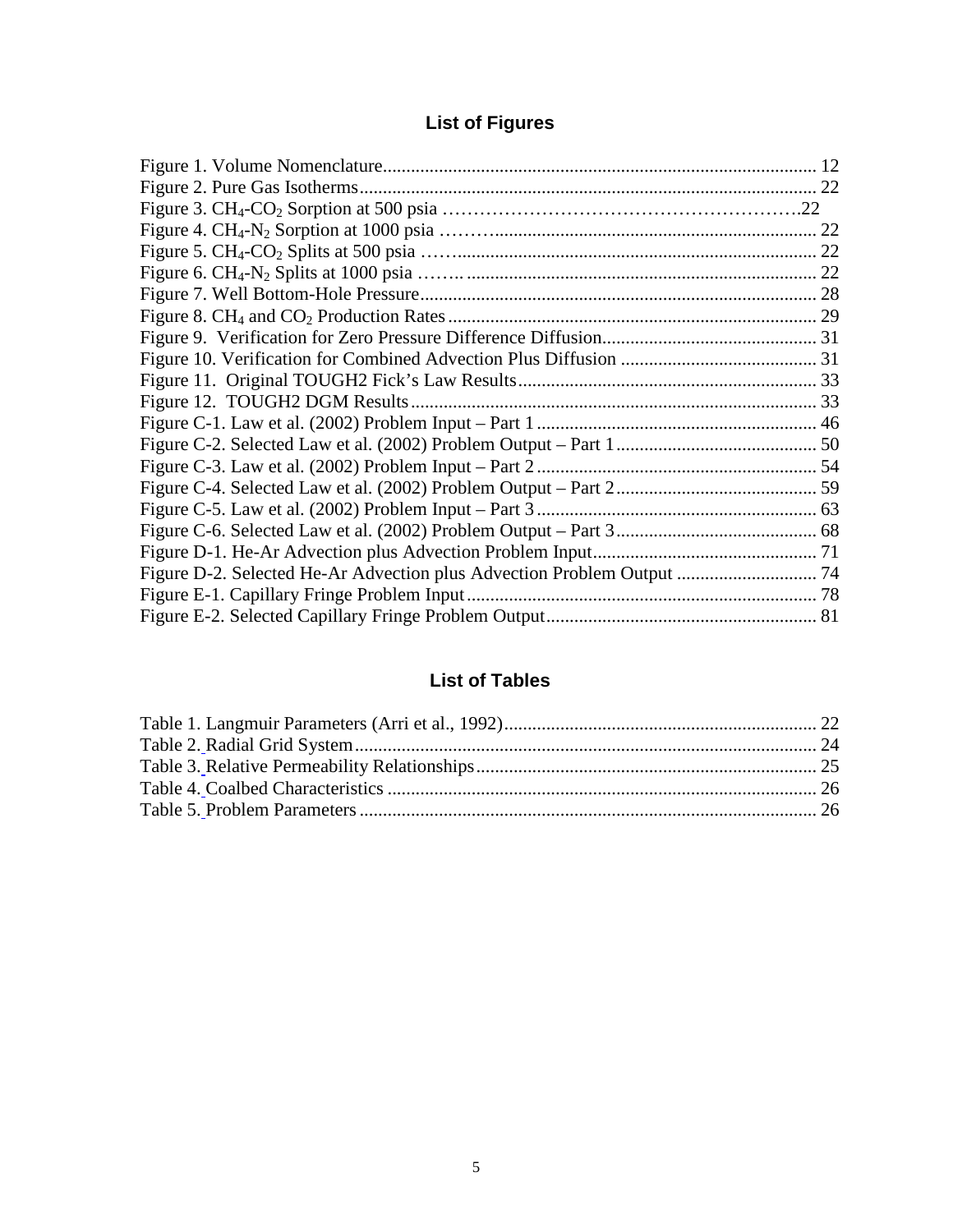## **List of Figures**

| 22 |
|----|
|    |
|    |
|    |
|    |
|    |
|    |
|    |
|    |
|    |
|    |
|    |
|    |
|    |
|    |
|    |
|    |
|    |
|    |
|    |

## **List of Tables**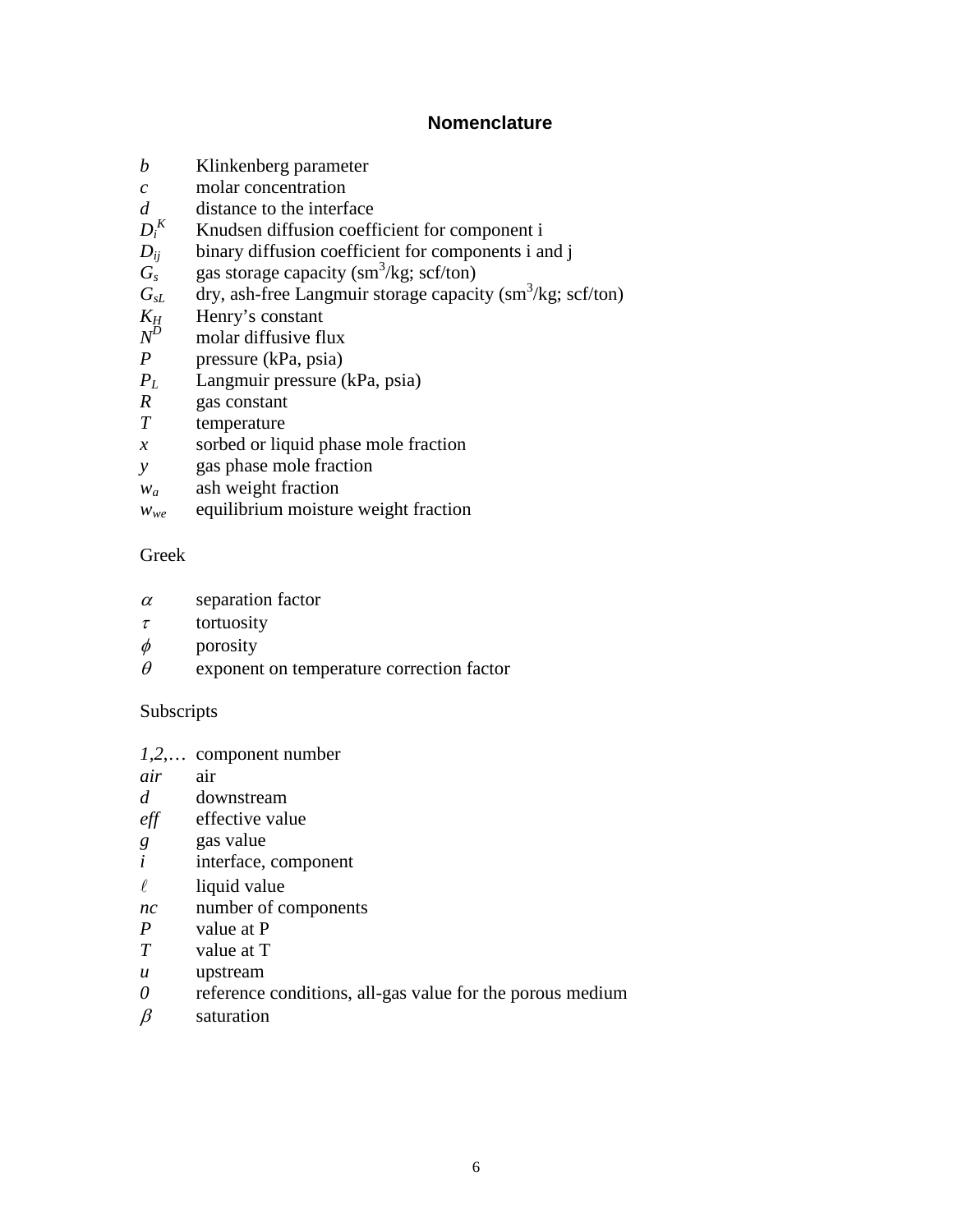#### **Nomenclature**

- *b* Klinkenberg parameter
- *c* molar concentration
- *d* distance to the interface
- $D_i^K$ *<sup>K</sup>* Knudsen diffusion coefficient for component i
- $D_{ii}$  binary diffusion coefficient for components i and j
- $G_s^{\prime}$  gas storage capacity (sm<sup>3</sup>/kg; scf/ton)
- $G_{sL}$  dry, ash-free Langmuir storage capacity (sm<sup>3</sup>/kg; scf/ton)
- $K_H$  Henry's constant<br>*N*<sup>D</sup> molar diffusive fl
- $N^D$  molar diffusive flux<br>*P* pressure (kPa, psia)
- pressure (kPa, psia)
- *PL* Langmuir pressure (kPa, psia)
- *R* gas constant
- *T* temperature
- *x* sorbed or liquid phase mole fraction
- *y* gas phase mole fraction
- *wa* ash weight fraction
- *wwe* equilibrium moisture weight fraction

#### Greek

- $\alpha$  separation factor
- $\tau$  tortuosity
- $\phi$  porosity
- $\theta$  exponent on temperature correction factor

#### Subscripts

- *1,2*,… component number
- *air* air
- *d* downstream
- *eff* effective value
- *g* gas value
- *i* interface, component
- $\ell$  liquid value
- *nc* number of components
- *P* value at P
- *T* value at T
- *u* upstream
- *0* reference conditions, all-gas value for the porous medium
- $\beta$  saturation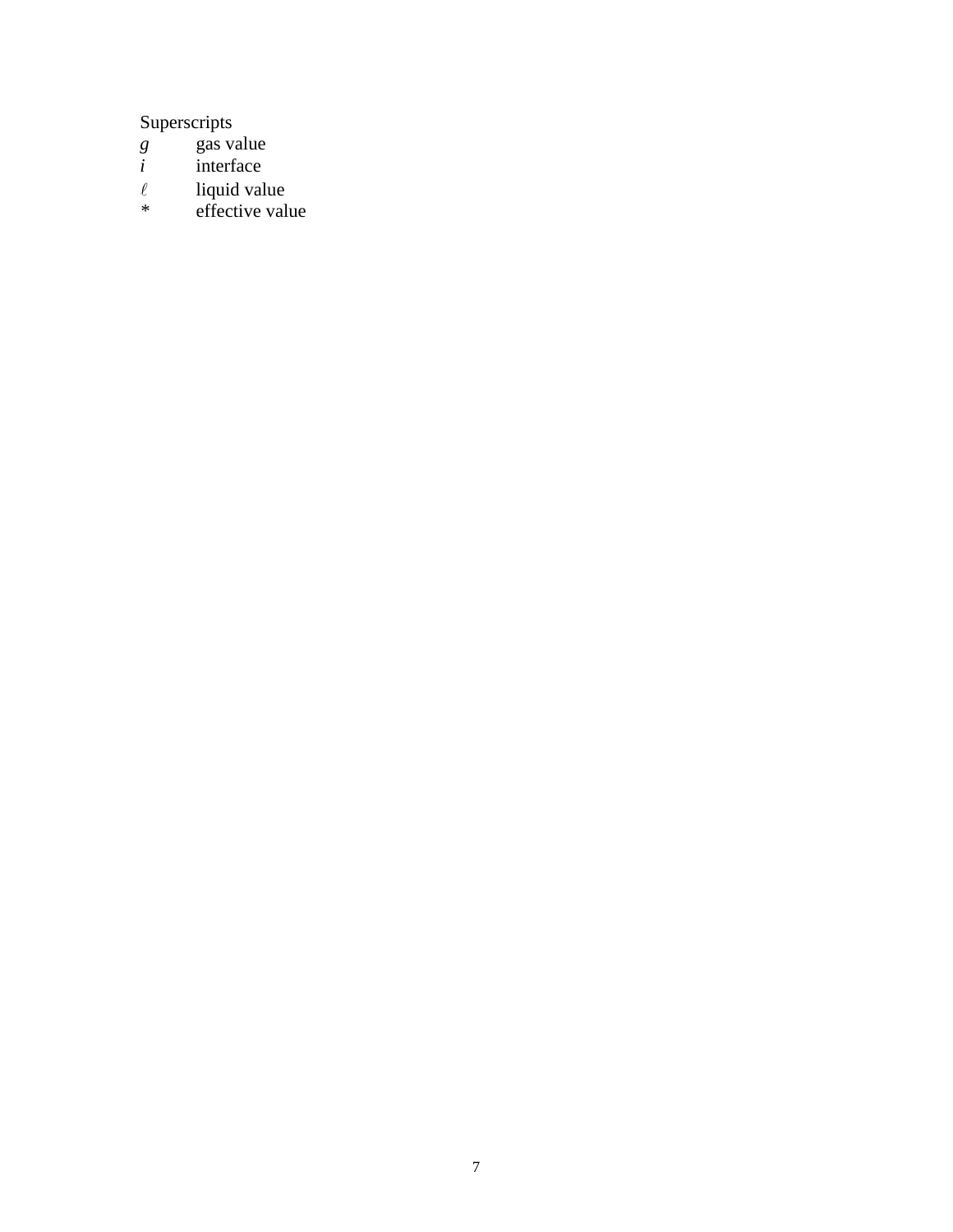#### Superscripts

- *g* gas value
- *i* interface
- $\ell$  liquid value
- *\** effective value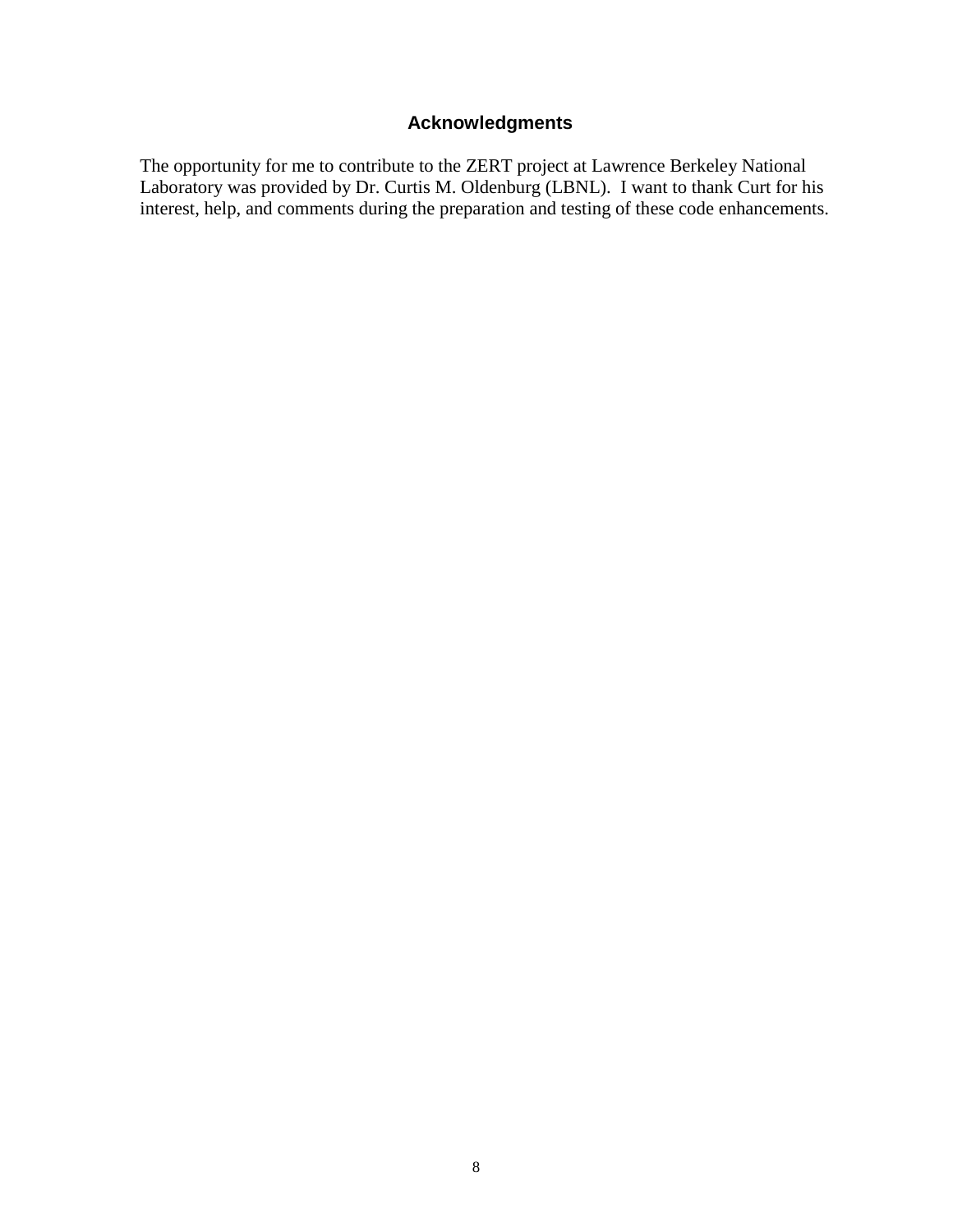## **Acknowledgments**

The opportunity for me to contribute to the ZERT project at Lawrence Berkeley National Laboratory was provided by Dr. Curtis M. Oldenburg (LBNL). I want to thank Curt for his interest, help, and comments during the preparation and testing of these code enhancements.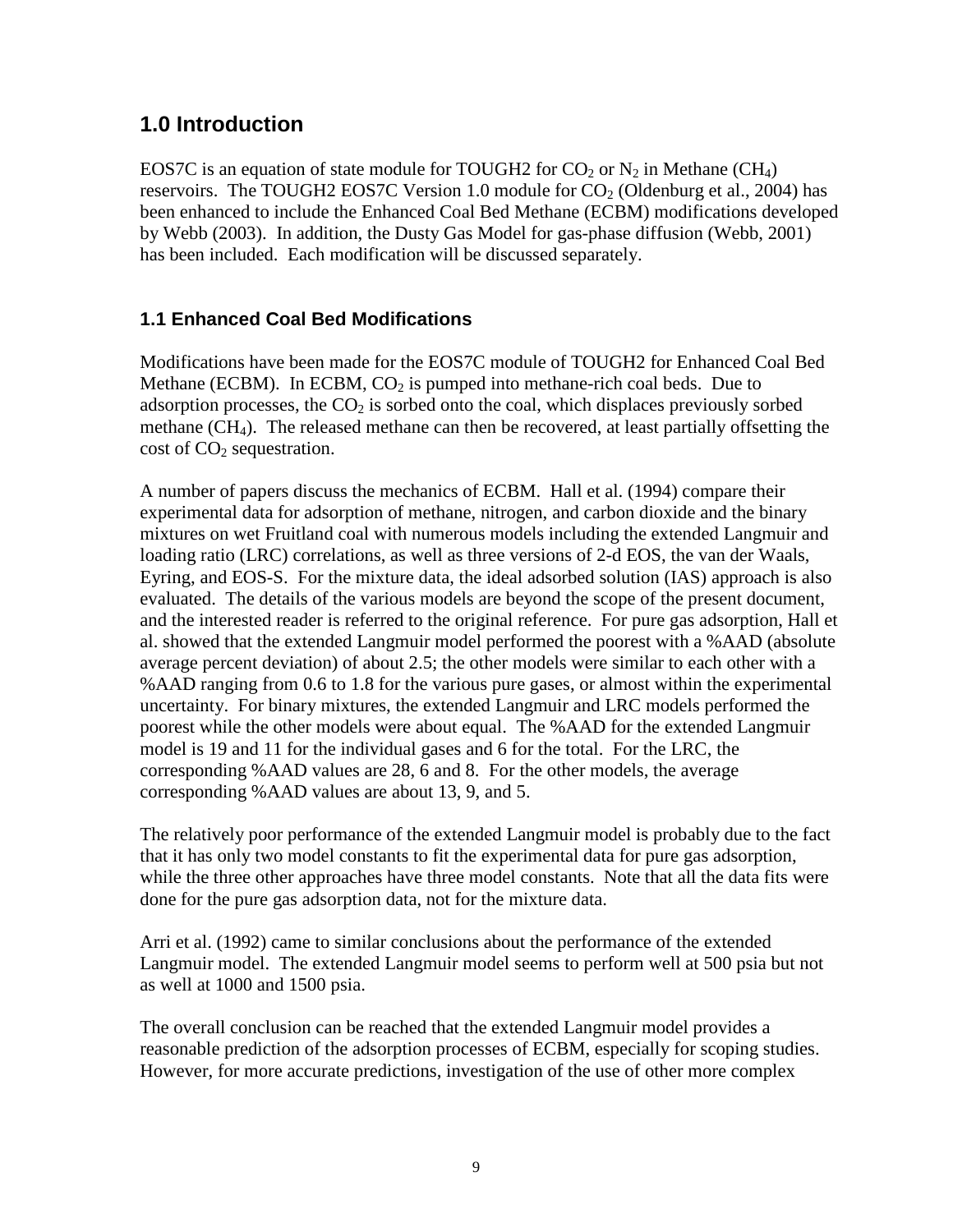## <span id="page-8-0"></span>**1.0 Introduction**

EOS7C is an equation of state module for TOUGH2 for  $CO_2$  or  $N_2$  in Methane (CH<sub>4</sub>) reservoirs. The TOUGH2 EOS7C Version 1.0 module for  $CO<sub>2</sub>$  (Oldenburg et al., 2004) has been enhanced to include the Enhanced Coal Bed Methane (ECBM) modifications developed by Webb (2003). In addition, the Dusty Gas Model for gas-phase diffusion (Webb, 2001) has been included. Each modification will be discussed separately.

## <span id="page-8-1"></span>**1.1 Enhanced Coal Bed Modifications**

Modifications have been made for the EOS7C module of TOUGH2 for Enhanced Coal Bed Methane (ECBM). In ECBM,  $CO<sub>2</sub>$  is pumped into methane-rich coal beds. Due to adsorption processes, the  $CO<sub>2</sub>$  is sorbed onto the coal, which displaces previously sorbed methane (CH4). The released methane can then be recovered, at least partially offsetting the cost of  $CO<sub>2</sub>$  sequestration.

A number of papers discuss the mechanics of ECBM. Hall et al. (1994) compare their experimental data for adsorption of methane, nitrogen, and carbon dioxide and the binary mixtures on wet Fruitland coal with numerous models including the extended Langmuir and loading ratio (LRC) correlations, as well as three versions of 2-d EOS, the van der Waals, Eyring, and EOS-S. For the mixture data, the ideal adsorbed solution (IAS) approach is also evaluated. The details of the various models are beyond the scope of the present document, and the interested reader is referred to the original reference. For pure gas adsorption, Hall et al. showed that the extended Langmuir model performed the poorest with a %AAD (absolute average percent deviation) of about 2.5; the other models were similar to each other with a %AAD ranging from 0.6 to 1.8 for the various pure gases, or almost within the experimental uncertainty. For binary mixtures, the extended Langmuir and LRC models performed the poorest while the other models were about equal. The %AAD for the extended Langmuir model is 19 and 11 for the individual gases and 6 for the total. For the LRC, the corresponding %AAD values are 28, 6 and 8. For the other models, the average corresponding %AAD values are about 13, 9, and 5.

The relatively poor performance of the extended Langmuir model is probably due to the fact that it has only two model constants to fit the experimental data for pure gas adsorption, while the three other approaches have three model constants. Note that all the data fits were done for the pure gas adsorption data, not for the mixture data.

Arri et al. (1992) came to similar conclusions about the performance of the extended Langmuir model. The extended Langmuir model seems to perform well at 500 psia but not as well at 1000 and 1500 psia.

The overall conclusion can be reached that the extended Langmuir model provides a reasonable prediction of the adsorption processes of ECBM, especially for scoping studies. However, for more accurate predictions, investigation of the use of other more complex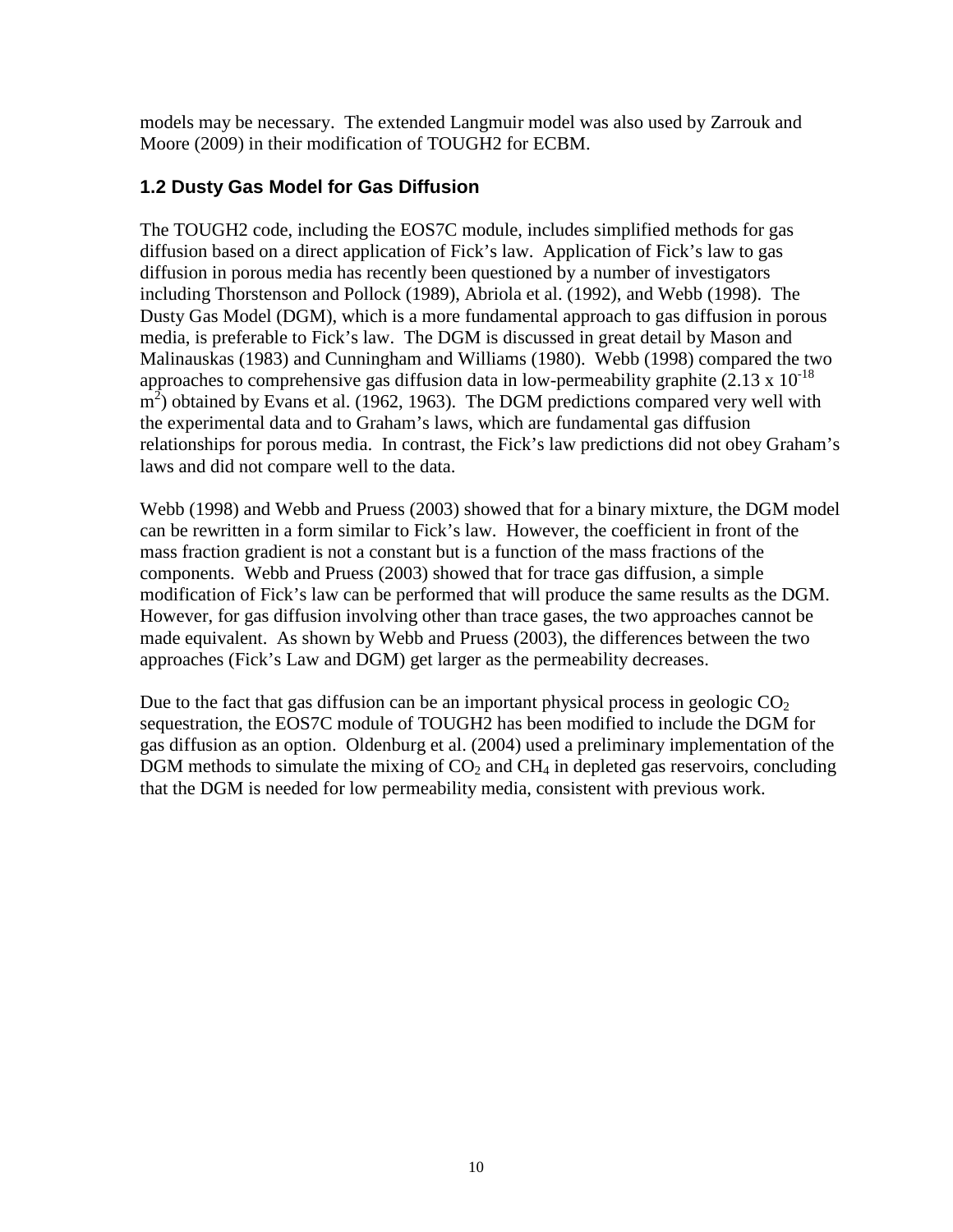models may be necessary. The extended Langmuir model was also used by Zarrouk and Moore (2009) in their modification of TOUGH2 for ECBM.

### <span id="page-9-0"></span>**1.2 Dusty Gas Model for Gas Diffusion**

The TOUGH2 code, including the EOS7C module, includes simplified methods for gas diffusion based on a direct application of Fick's law. Application of Fick's law to gas diffusion in porous media has recently been questioned by a number of investigators including Thorstenson and Pollock (1989), Abriola et al. (1992), and Webb (1998). The Dusty Gas Model (DGM), which is a more fundamental approach to gas diffusion in porous media, is preferable to Fick's law. The DGM is discussed in great detail by Mason and Malinauskas (1983) and Cunningham and Williams (1980). Webb (1998) compared the two approaches to comprehensive gas diffusion data in low-permeability graphite (2.13 x  $10^{-18}$ )  $\overline{m}^2$ ) obtained by Evans et al. (1962, 1963). The DGM predictions compared very well with the experimental data and to Graham's laws, which are fundamental gas diffusion relationships for porous media. In contrast, the Fick's law predictions did not obey Graham's laws and did not compare well to the data.

Webb (1998) and Webb and Pruess (2003) showed that for a binary mixture, the DGM model can be rewritten in a form similar to Fick's law. However, the coefficient in front of the mass fraction gradient is not a constant but is a function of the mass fractions of the components. Webb and Pruess (2003) showed that for trace gas diffusion, a simple modification of Fick's law can be performed that will produce the same results as the DGM. However, for gas diffusion involving other than trace gases, the two approaches cannot be made equivalent. As shown by Webb and Pruess (2003), the differences between the two approaches (Fick's Law and DGM) get larger as the permeability decreases.

Due to the fact that gas diffusion can be an important physical process in geologic  $CO<sub>2</sub>$ sequestration, the EOS7C module of TOUGH2 has been modified to include the DGM for gas diffusion as an option. Oldenburg et al. (2004) used a preliminary implementation of the DGM methods to simulate the mixing of  $CO<sub>2</sub>$  and  $CH<sub>4</sub>$  in depleted gas reservoirs, concluding that the DGM is needed for low permeability media, consistent with previous work.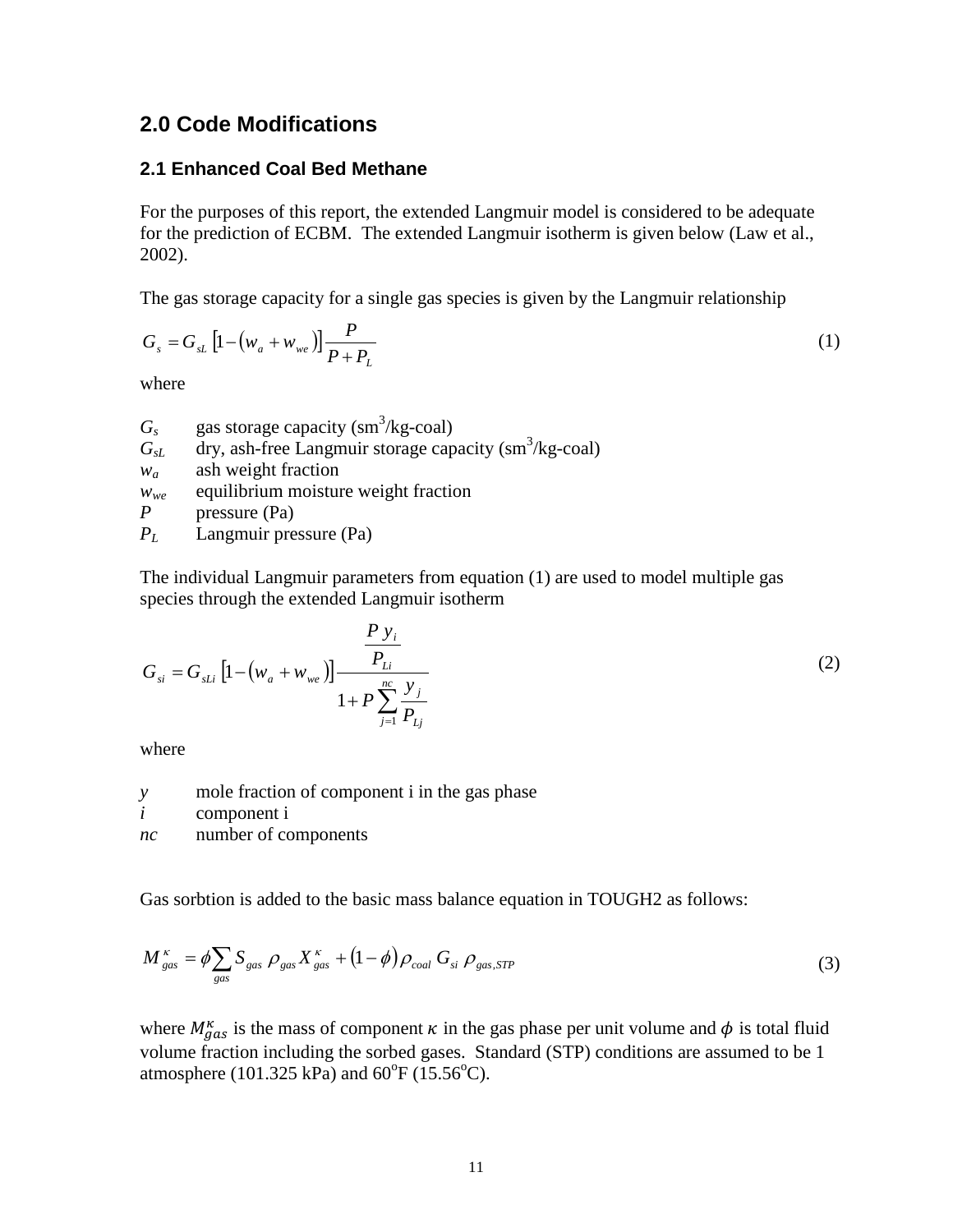## <span id="page-10-0"></span>**2.0 Code Modifications**

#### <span id="page-10-1"></span>**2.1 Enhanced Coal Bed Methane**

For the purposes of this report, the extended Langmuir model is considered to be adequate for the prediction of ECBM. The extended Langmuir isotherm is given below (Law et al., 2002).

The gas storage capacity for a single gas species is given by the Langmuir relationship

$$
G_s = G_{sL} \left[ 1 - \left( w_a + w_{we} \right) \right] \frac{P}{P + P_L} \tag{1}
$$

where

- $G_s$  gas storage capacity (sm<sup>3</sup>/kg-coal)
- $G_{sL}$  dry, ash-free Langmuir storage capacity (sm<sup>3</sup>/kg-coal)
- *wa* ash weight fraction
- *wwe* equilibrium moisture weight fraction
- *P* pressure (Pa)
- *PL* Langmuir pressure (Pa)

The individual Langmuir parameters from equation (1) are used to model multiple gas species through the extended Langmuir isotherm

$$
G_{si} = G_{sLi} \left[ 1 - \left( w_a + w_{we} \right) \right] \frac{P_{y_i}}{1 + P \sum_{j=1}^{n} \frac{y_j}{P_{Lj}}} \tag{2}
$$

where

*y* mole fraction of component i in the gas phase

*i* component i

*nc* number of components

Gas sorbtion is added to the basic mass balance equation in TOUGH2 as follows:

$$
M_{gas}^{\kappa} = \phi \sum_{gas} S_{gas} \rho_{gas} X_{gas}^{\kappa} + (1 - \phi) \rho_{coal} G_{si} \rho_{gas,STP}
$$
 (3)

where  $M_{gas}^{\kappa}$  is the mass of component  $\kappa$  in the gas phase per unit volume and  $\phi$  is total fluid volume fraction including the sorbed gases. Standard (STP) conditions are assumed to be 1 atmosphere (101.325 kPa) and  $60^{\circ}F(15.56^{\circ}C)$ .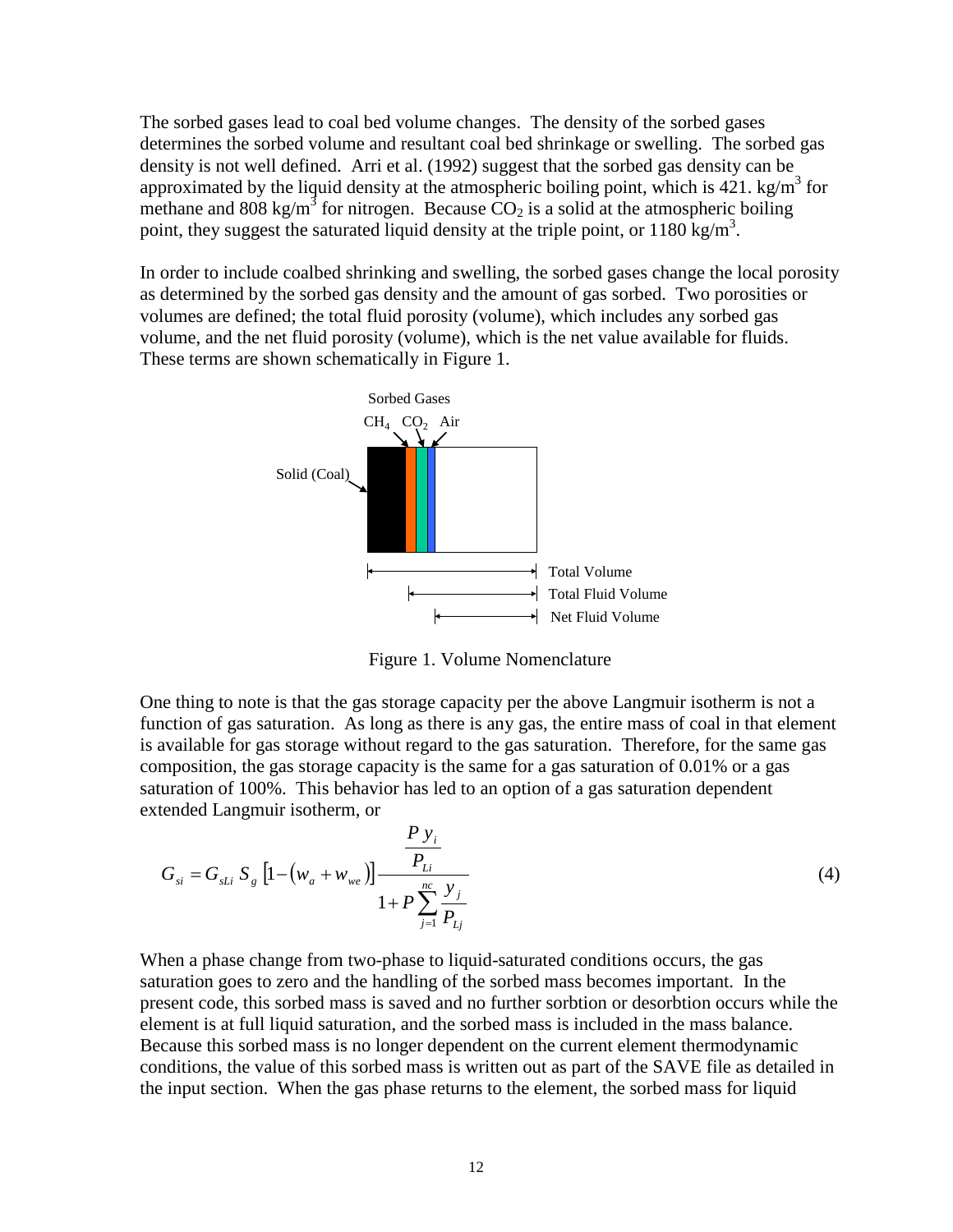The sorbed gases lead to coal bed volume changes. The density of the sorbed gases determines the sorbed volume and resultant coal bed shrinkage or swelling. The sorbed gas density is not well defined. Arri et al. (1992) suggest that the sorbed gas density can be approximated by the liquid density at the atmospheric boiling point, which is  $421$ . kg/m<sup>3</sup> for methane and 808 kg/m<sup>3</sup> for nitrogen. Because  $CO_2$  is a solid at the atmospheric boiling point, they suggest the saturated liquid density at the triple point, or  $1180 \text{ kg/m}^3$ .

In order to include coalbed shrinking and swelling, the sorbed gases change the local porosity as determined by the sorbed gas density and the amount of gas sorbed. Two porosities or volumes are defined; the total fluid porosity (volume), which includes any sorbed gas volume, and the net fluid porosity (volume), which is the net value available for fluids. These terms are shown schematically in Figure 1.



Figure 1. Volume Nomenclature

One thing to note is that the gas storage capacity per the above Langmuir isotherm is not a function of gas saturation. As long as there is any gas, the entire mass of coal in that element is available for gas storage without regard to the gas saturation. Therefore, for the same gas composition, the gas storage capacity is the same for a gas saturation of 0.01% or a gas saturation of 100%. This behavior has led to an option of a gas saturation dependent extended Langmuir isotherm, or

$$
G_{si} = G_{sLi} S_g \left[ 1 - \left( w_a + w_{we} \right) \right] \frac{P_{y_i}}{P_{Li}} + P \sum_{j=1}^{mc} \frac{y_j}{P_{Lj}}
$$
(4)

When a phase change from two-phase to liquid-saturated conditions occurs, the gas saturation goes to zero and the handling of the sorbed mass becomes important. In the present code, this sorbed mass is saved and no further sorbtion or desorbtion occurs while the element is at full liquid saturation, and the sorbed mass is included in the mass balance. Because this sorbed mass is no longer dependent on the current element thermodynamic conditions, the value of this sorbed mass is written out as part of the SAVE file as detailed in the input section. When the gas phase returns to the element, the sorbed mass for liquid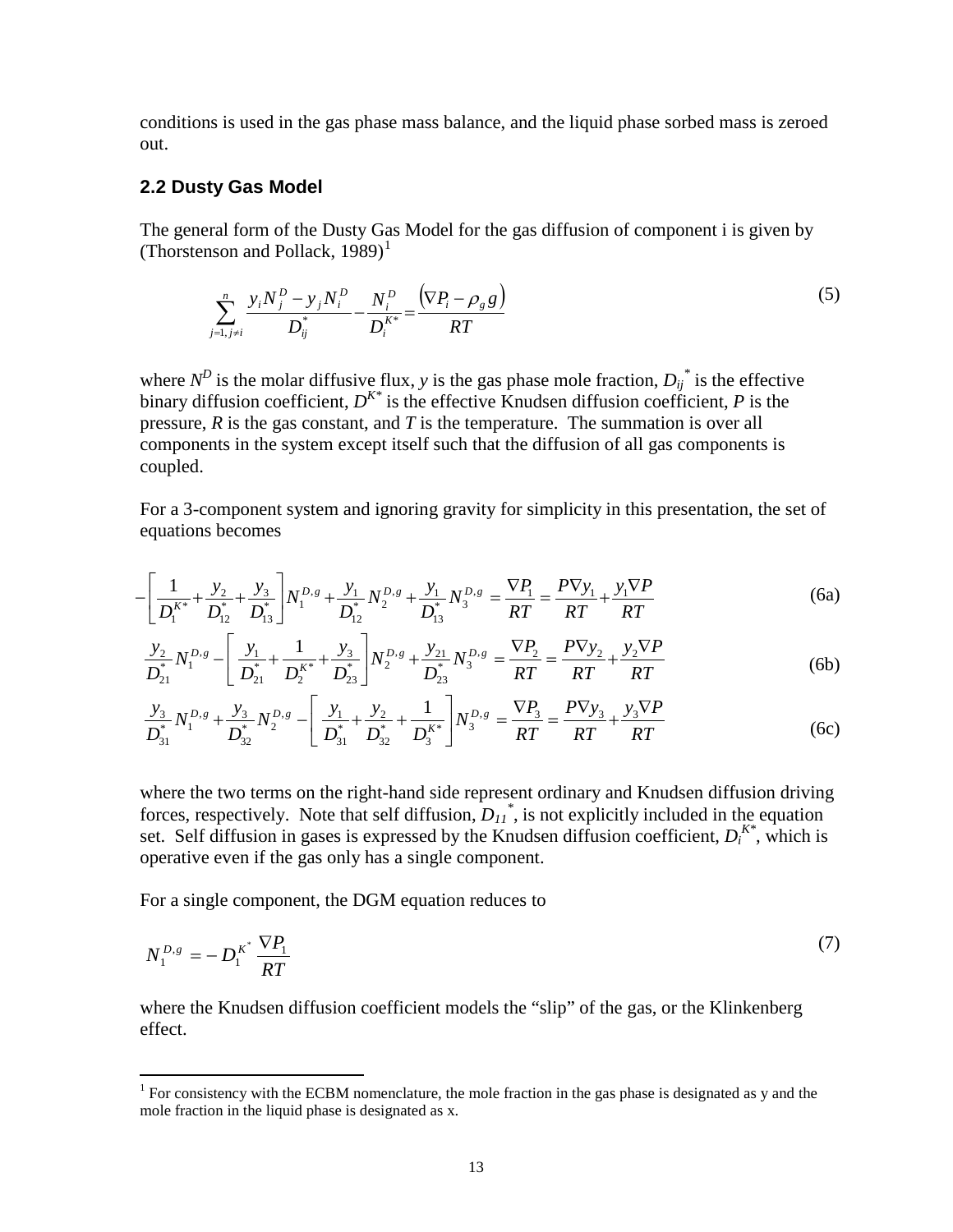conditions is used in the gas phase mass balance, and the liquid phase sorbed mass is zeroed out.

#### <span id="page-12-0"></span>**2.2 Dusty Gas Model**

The general form of the Dusty Gas Model for the gas diffusion of component i is given by (Thorstenson and Pollack,  $1989$  $1989$ )<sup>1</sup>

$$
\sum_{j=1,\,j\neq i}^{n} \frac{y_i N_j^D - y_j N_i^D}{D_{ij}^*} - \frac{N_i^D}{D_i^{K^*}} = \frac{(\nabla P_i - \rho_g g)}{RT}
$$
\n<sup>(5)</sup>

where  $N^D$  is the molar diffusive flux, *y* is the gas phase mole fraction,  $D_{ij}^*$  is the effective binary diffusion coefficient,  $D^{K^*}$  is the effective Knudsen diffusion coefficient, *P* is the pressure, *R* is the gas constant, and *T* is the temperature. The summation is over all components in the system except itself such that the diffusion of all gas components is coupled.

For a 3-component system and ignoring gravity for simplicity in this presentation, the set of equations becomes

$$
-\left[\frac{1}{D_1^{K^*}} + \frac{y_2}{D_{12}^*} + \frac{y_3}{D_{13}^*}\right]N_1^{D,g} + \frac{y_1}{D_{12}^*}N_2^{D,g} + \frac{y_1}{D_{13}^*}N_3^{D,g} = \frac{\nabla P_1}{RT} = \frac{P\nabla y_1}{RT} + \frac{y_1\nabla P}{RT}
$$
(6a)

$$
\frac{y_2}{D_{21}^*} N_1^{D,g} - \left[ \frac{y_1}{D_{21}^*} + \frac{1}{D_2^{K^*}} + \frac{y_3}{D_{23}^*} \right] N_2^{D,g} + \frac{y_{21}}{D_{23}^*} N_3^{D,g} = \frac{\nabla P_2}{RT} = \frac{P \nabla y_2}{RT} + \frac{y_2 \nabla P}{RT}
$$
(6b)

$$
\frac{y_3}{D_{31}^*}N_1^{D,g} + \frac{y_3}{D_{32}^*}N_2^{D,g} - \left[\frac{y_1}{D_{31}^*} + \frac{y_2}{D_{32}^*} + \frac{1}{D_3^{K^*}}\right]N_3^{D,g} = \frac{\nabla P_3}{RT} = \frac{P\nabla y_3}{RT} + \frac{y_3 \nabla P}{RT}
$$
(6c)

where the two terms on the right-hand side represent ordinary and Knudsen diffusion driving forces, respectively. Note that self diffusion,  $D_{II}^*$ , is not explicitly included in the equation set. Self diffusion in gases is expressed by the Knudsen diffusion coefficient,  $D_i^{K^*}$ , which is operative even if the gas only has a single component.

For a single component, the DGM equation reduces to

$$
N_1^{D,g} = -D_1^{K^*} \frac{\nabla P_1}{RT}
$$
 (7)

where the Knudsen diffusion coefficient models the "slip" of the gas, or the Klinkenberg effect.

<span id="page-12-1"></span> $1$  For consistency with the ECBM nomenclature, the mole fraction in the gas phase is designated as y and the mole fraction in the liquid phase is designated as x.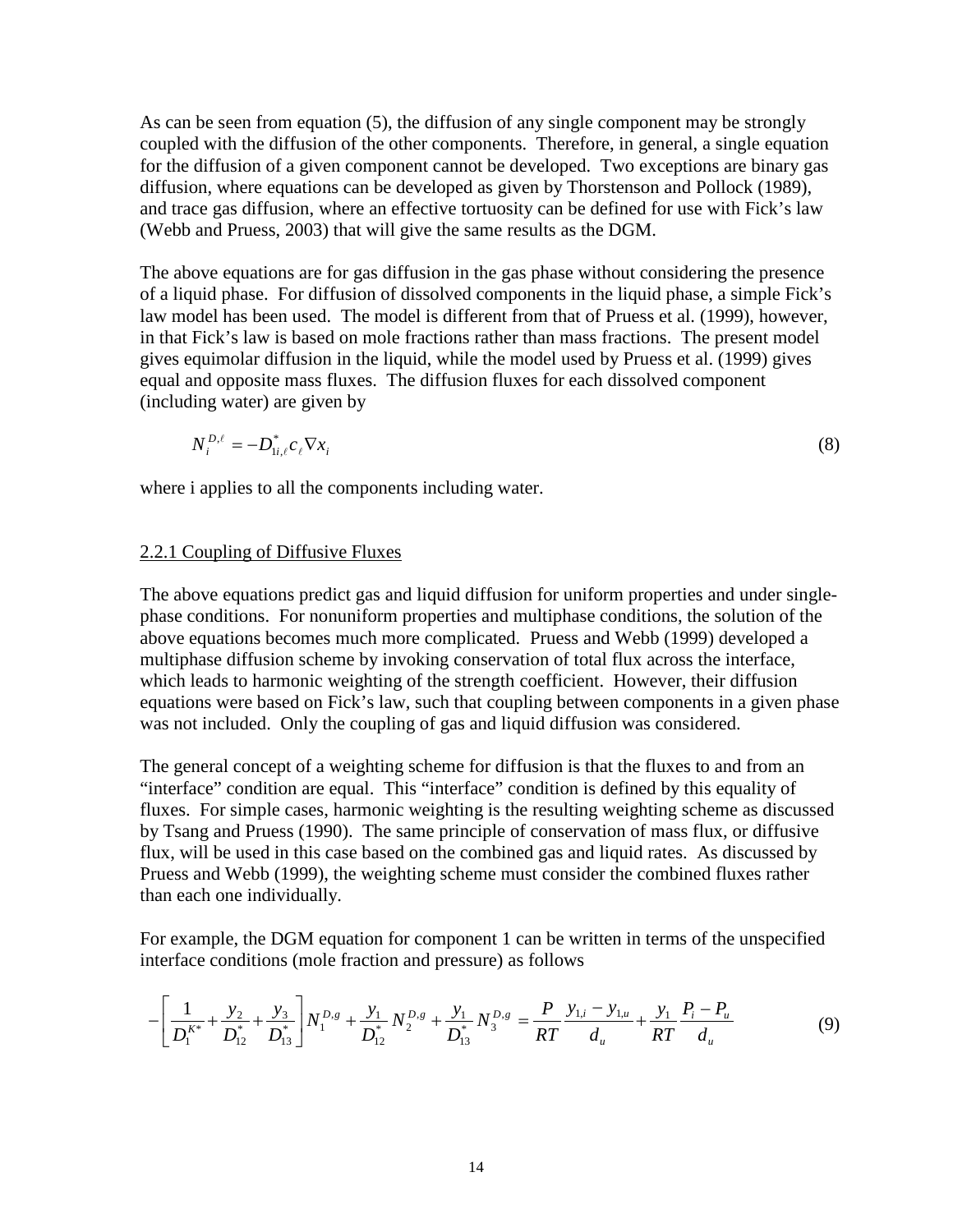As can be seen from equation (5), the diffusion of any single component may be strongly coupled with the diffusion of the other components. Therefore, in general, a single equation for the diffusion of a given component cannot be developed. Two exceptions are binary gas diffusion, where equations can be developed as given by Thorstenson and Pollock (1989), and trace gas diffusion, where an effective tortuosity can be defined for use with Fick's law (Webb and Pruess, 2003) that will give the same results as the DGM.

The above equations are for gas diffusion in the gas phase without considering the presence of a liquid phase. For diffusion of dissolved components in the liquid phase, a simple Fick's law model has been used. The model is different from that of Pruess et al. (1999), however, in that Fick's law is based on mole fractions rather than mass fractions. The present model gives equimolar diffusion in the liquid, while the model used by Pruess et al. (1999) gives equal and opposite mass fluxes. The diffusion fluxes for each dissolved component (including water) are given by

$$
N_i^{D,\ell} = -D_{1i,\ell}^* c_\ell \nabla x_i \tag{8}
$$

where i applies to all the components including water.

#### <span id="page-13-0"></span>2.2.1 Coupling of Diffusive Fluxes

The above equations predict gas and liquid diffusion for uniform properties and under singlephase conditions. For nonuniform properties and multiphase conditions, the solution of the above equations becomes much more complicated. Pruess and Webb (1999) developed a multiphase diffusion scheme by invoking conservation of total flux across the interface, which leads to harmonic weighting of the strength coefficient. However, their diffusion equations were based on Fick's law, such that coupling between components in a given phase was not included. Only the coupling of gas and liquid diffusion was considered.

The general concept of a weighting scheme for diffusion is that the fluxes to and from an "interface" condition are equal. This "interface" condition is defined by this equality of fluxes. For simple cases, harmonic weighting is the resulting weighting scheme as discussed by Tsang and Pruess (1990). The same principle of conservation of mass flux, or diffusive flux, will be used in this case based on the combined gas and liquid rates. As discussed by Pruess and Webb (1999), the weighting scheme must consider the combined fluxes rather than each one individually.

For example, the DGM equation for component 1 can be written in terms of the unspecified interface conditions (mole fraction and pressure) as follows

$$
-\left[\frac{1}{D_1^{K^*}}+\frac{y_2}{D_{12}^*}+\frac{y_3}{D_{13}^*}\right]N_1^{D,g}+\frac{y_1}{D_{12}^*}N_2^{D,g}+\frac{y_1}{D_{13}^*}N_3^{D,g}=\frac{P}{RT}\frac{y_{1,i}-y_{1,u}}{d_u}+\frac{y_1}{RT}\frac{P_i-P_u}{d_u}
$$
(9)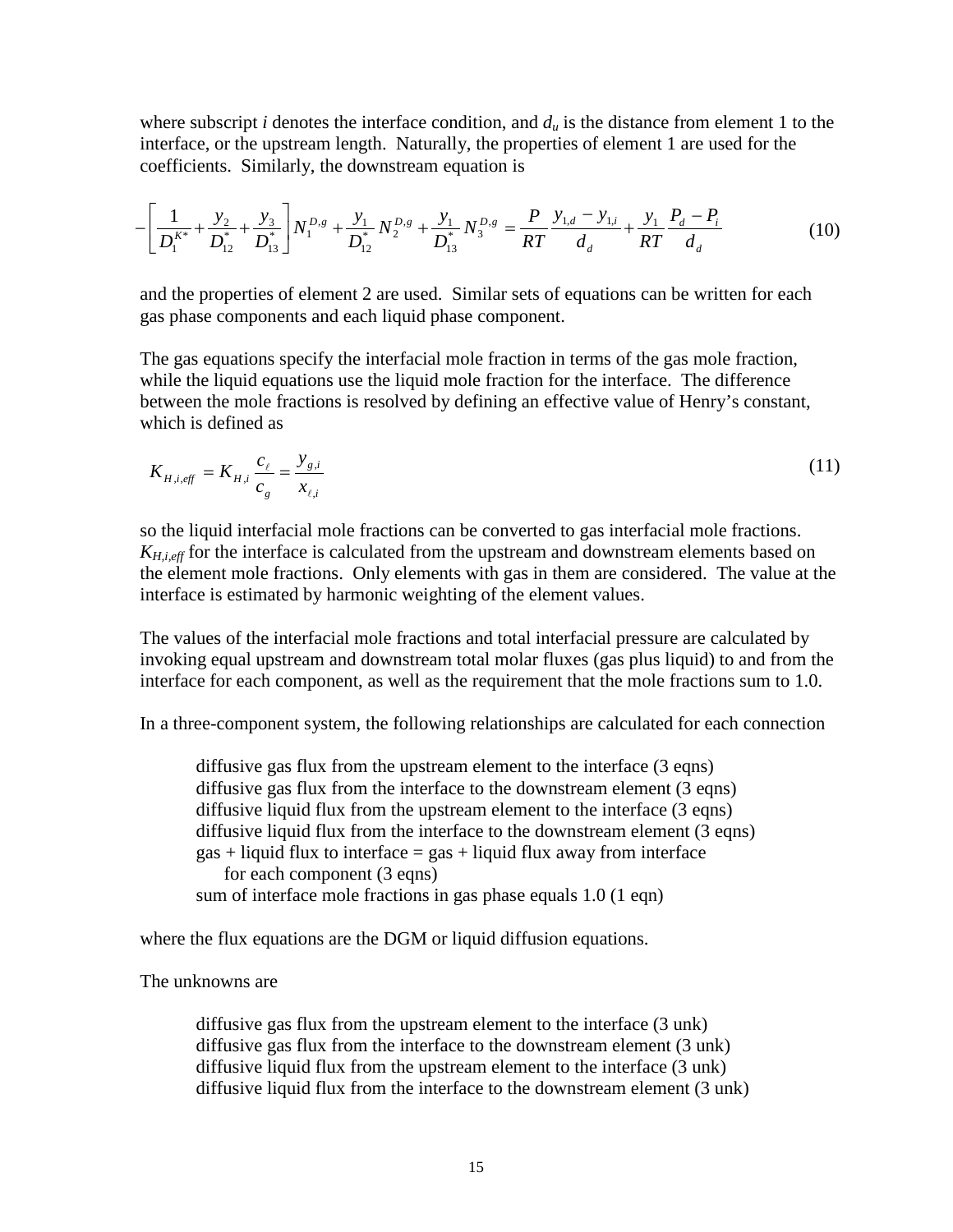where subscript *i* denotes the interface condition, and  $d_u$  is the distance from element 1 to the interface, or the upstream length. Naturally, the properties of element 1 are used for the coefficients. Similarly, the downstream equation is

$$
-\left[\frac{1}{D_1^{K^*}} + \frac{y_2}{D_{12}^*} + \frac{y_3}{D_{13}^*}\right]N_1^{D,g} + \frac{y_1}{D_{12}^*}N_2^{D,g} + \frac{y_1}{D_{13}^*}N_3^{D,g} = \frac{P}{RT}\frac{y_{1,d} - y_{1,i}}{d_d} + \frac{y_1}{RT}\frac{P_d - P_i}{d_d}
$$
(10)

and the properties of element 2 are used. Similar sets of equations can be written for each gas phase components and each liquid phase component.

The gas equations specify the interfacial mole fraction in terms of the gas mole fraction, while the liquid equations use the liquid mole fraction for the interface. The difference between the mole fractions is resolved by defining an effective value of Henry's constant, which is defined as

$$
K_{H,i,eff} = K_{H,i} \frac{c_{\ell}}{c_g} = \frac{y_{g,i}}{x_{\ell,i}}
$$
(11)

so the liquid interfacial mole fractions can be converted to gas interfacial mole fractions.  $K_{H,i,eff}$  for the interface is calculated from the upstream and downstream elements based on the element mole fractions. Only elements with gas in them are considered. The value at the interface is estimated by harmonic weighting of the element values.

The values of the interfacial mole fractions and total interfacial pressure are calculated by invoking equal upstream and downstream total molar fluxes (gas plus liquid) to and from the interface for each component, as well as the requirement that the mole fractions sum to 1.0.

In a three-component system, the following relationships are calculated for each connection

diffusive gas flux from the upstream element to the interface (3 eqns) diffusive gas flux from the interface to the downstream element (3 eqns) diffusive liquid flux from the upstream element to the interface (3 eqns) diffusive liquid flux from the interface to the downstream element (3 eqns)  $gas + liquid flux to interface = gas + liquid flux away from interface$  for each component (3 eqns) sum of interface mole fractions in gas phase equals 1.0 (1 eqn)

where the flux equations are the DGM or liquid diffusion equations.

The unknowns are

diffusive gas flux from the upstream element to the interface (3 unk) diffusive gas flux from the interface to the downstream element (3 unk) diffusive liquid flux from the upstream element to the interface (3 unk) diffusive liquid flux from the interface to the downstream element (3 unk)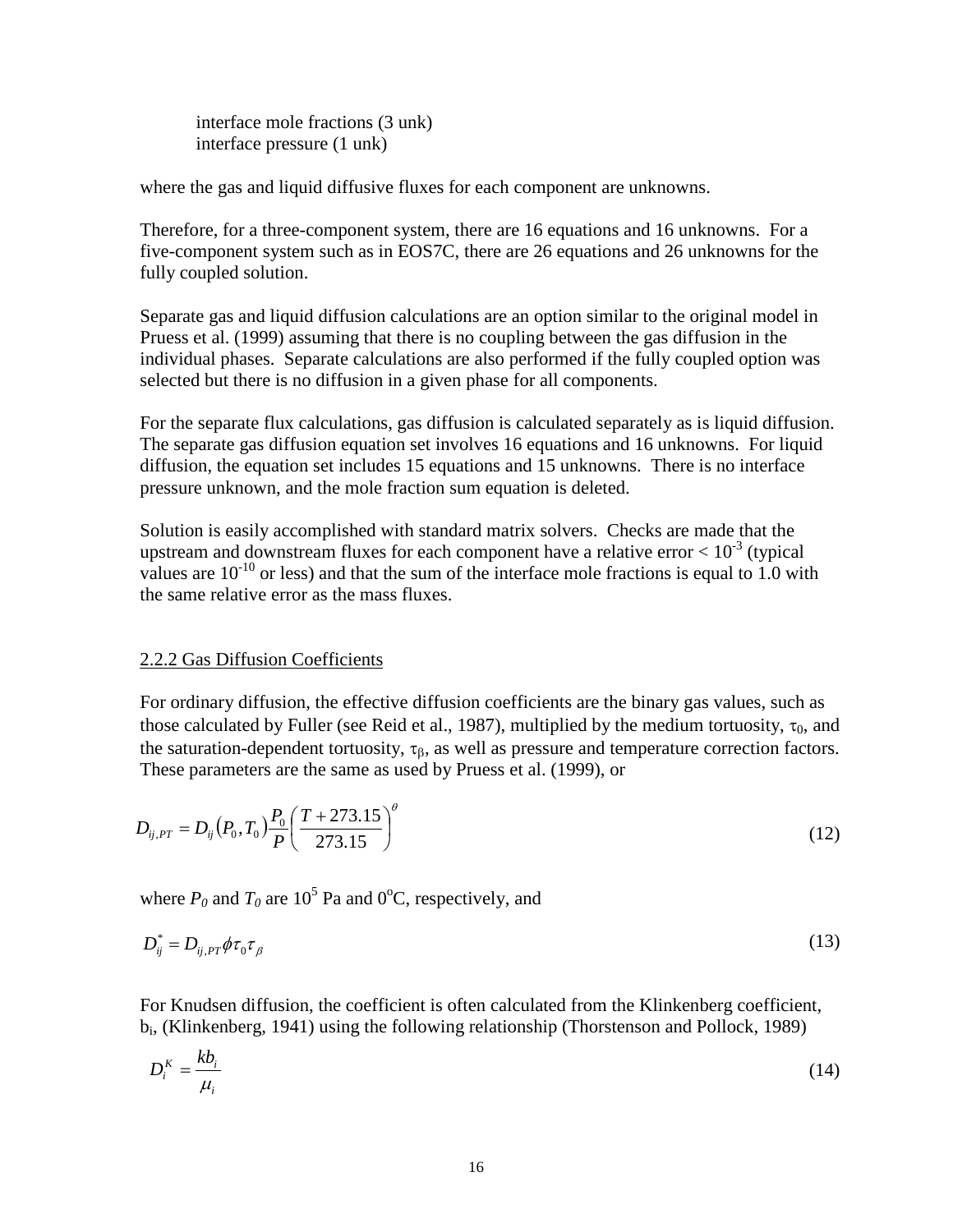interface mole fractions (3 unk) interface pressure (1 unk)

where the gas and liquid diffusive fluxes for each component are unknowns.

Therefore, for a three-component system, there are 16 equations and 16 unknowns. For a five-component system such as in EOS7C, there are 26 equations and 26 unknowns for the fully coupled solution.

Separate gas and liquid diffusion calculations are an option similar to the original model in Pruess et al. (1999) assuming that there is no coupling between the gas diffusion in the individual phases. Separate calculations are also performed if the fully coupled option was selected but there is no diffusion in a given phase for all components.

For the separate flux calculations, gas diffusion is calculated separately as is liquid diffusion. The separate gas diffusion equation set involves 16 equations and 16 unknowns. For liquid diffusion, the equation set includes 15 equations and 15 unknowns. There is no interface pressure unknown, and the mole fraction sum equation is deleted.

Solution is easily accomplished with standard matrix solvers. Checks are made that the upstream and downstream fluxes for each component have a relative error  $< 10^{-3}$  (typical values are  $10^{-10}$  or less) and that the sum of the interface mole fractions is equal to 1.0 with the same relative error as the mass fluxes.

#### <span id="page-15-0"></span>2.2.2 Gas Diffusion Coefficients

For ordinary diffusion, the effective diffusion coefficients are the binary gas values, such as those calculated by Fuller (see Reid et al., 1987), multiplied by the medium tortuosity,  $\tau_0$ , and the saturation-dependent tortuosity,  $\tau_{\beta}$ , as well as pressure and temperature correction factors. These parameters are the same as used by Pruess et al. (1999), or

$$
D_{ij,PT} = D_{ij}(P_0, T_0) \frac{P_0}{P} \left(\frac{T + 273.15}{273.15}\right)^{\theta} \tag{12}
$$

where  $P_0$  and  $T_0$  are 10<sup>5</sup> Pa and 0<sup>o</sup>C, respectively, and

$$
D_{ij}^* = D_{ij,PT} \phi \tau_0 \tau_\beta \tag{13}
$$

For Knudsen diffusion, the coefficient is often calculated from the Klinkenberg coefficient, bi, (Klinkenberg, 1941) using the following relationship (Thorstenson and Pollock, 1989)

$$
D_i^K = \frac{k b_i}{\mu_i} \tag{14}
$$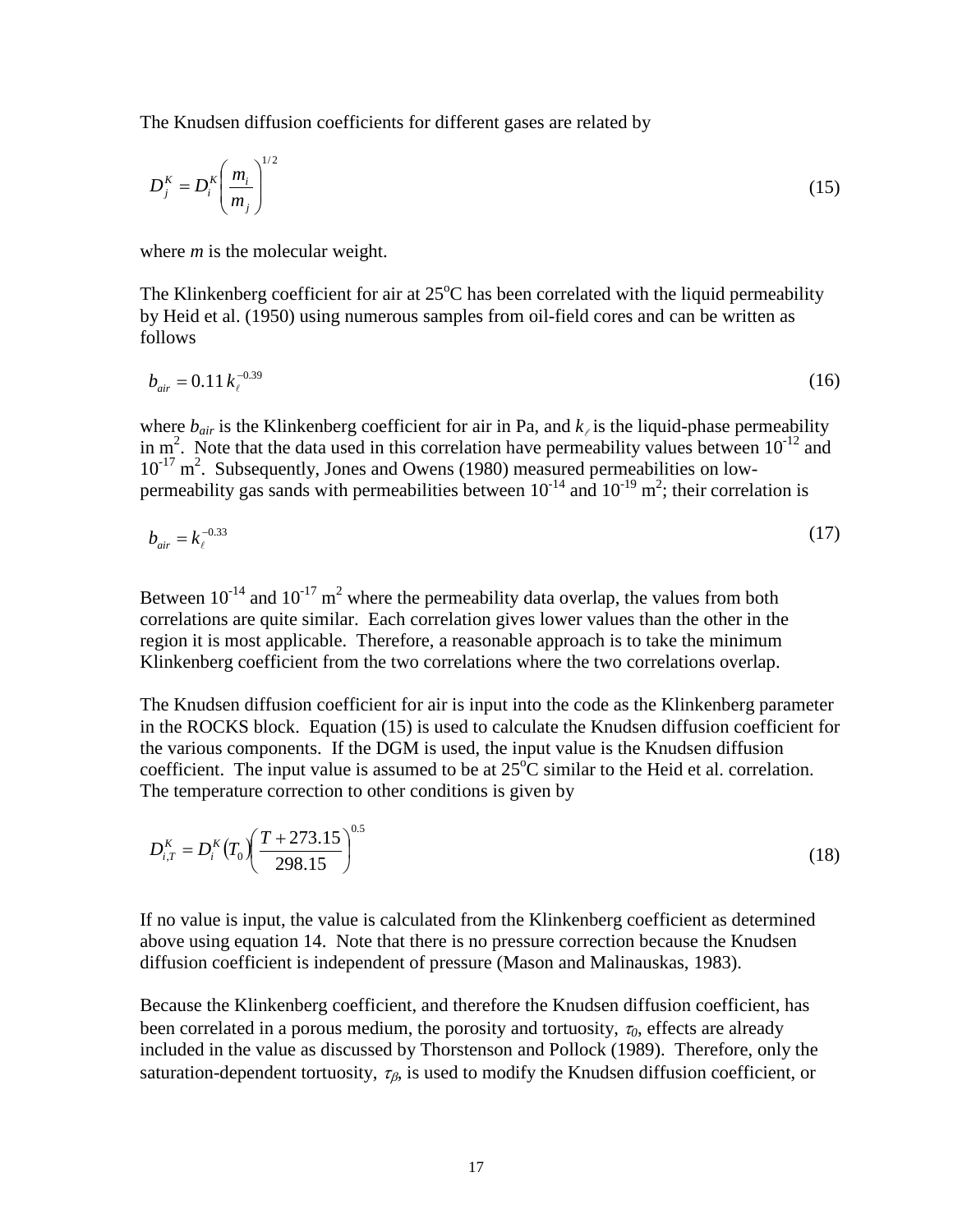The Knudsen diffusion coefficients for different gases are related by

$$
D_j^K = D_i^K \left(\frac{m_i}{m_j}\right)^{1/2} \tag{15}
$$

where *m* is the molecular weight.

The Klinkenberg coefficient for air at  $25^{\circ}$ C has been correlated with the liquid permeability by Heid et al. (1950) using numerous samples from oil-field cores and can be written as follows

$$
b_{\text{air}} = 0.11 \, k_{\ell}^{-0.39} \tag{16}
$$

where  $b_{air}$  is the Klinkenberg coefficient for air in Pa, and  $k_i$  is the liquid-phase permeability in  $m^2$ . Note that the data used in this correlation have permeability values between  $10^{-12}$  and 10<sup>-17</sup> m<sup>2</sup>. Subsequently, Jones and Owens (1980) measured permeabilities on lowpermeability gas sands with permeabilities between  $10^{-14}$  and  $10^{-19}$  m<sup>2</sup>; their correlation is

$$
b_{\text{air}} = k_{\ell}^{-0.33} \tag{17}
$$

Between  $10^{-14}$  and  $10^{-17}$  m<sup>2</sup> where the permeability data overlap, the values from both correlations are quite similar. Each correlation gives lower values than the other in the region it is most applicable. Therefore, a reasonable approach is to take the minimum Klinkenberg coefficient from the two correlations where the two correlations overlap.

The Knudsen diffusion coefficient for air is input into the code as the Klinkenberg parameter in the ROCKS block. Equation (15) is used to calculate the Knudsen diffusion coefficient for the various components. If the DGM is used, the input value is the Knudsen diffusion coefficient. The input value is assumed to be at  $25^{\circ}$ C similar to the Heid et al. correlation. The temperature correction to other conditions is given by

$$
D_{i,T}^K = D_i^K \left( T_0 \left( \frac{T + 273.15}{298.15} \right)^{0.5} \right) \tag{18}
$$

If no value is input, the value is calculated from the Klinkenberg coefficient as determined above using equation 14. Note that there is no pressure correction because the Knudsen diffusion coefficient is independent of pressure (Mason and Malinauskas, 1983).

Because the Klinkenberg coefficient, and therefore the Knudsen diffusion coefficient, has been correlated in a porous medium, the porosity and tortuosity,  $\tau_0$ , effects are already included in the value as discussed by Thorstenson and Pollock (1989). Therefore, only the saturation-dependent tortuosity,  $\tau_{\beta}$ , is used to modify the Knudsen diffusion coefficient, or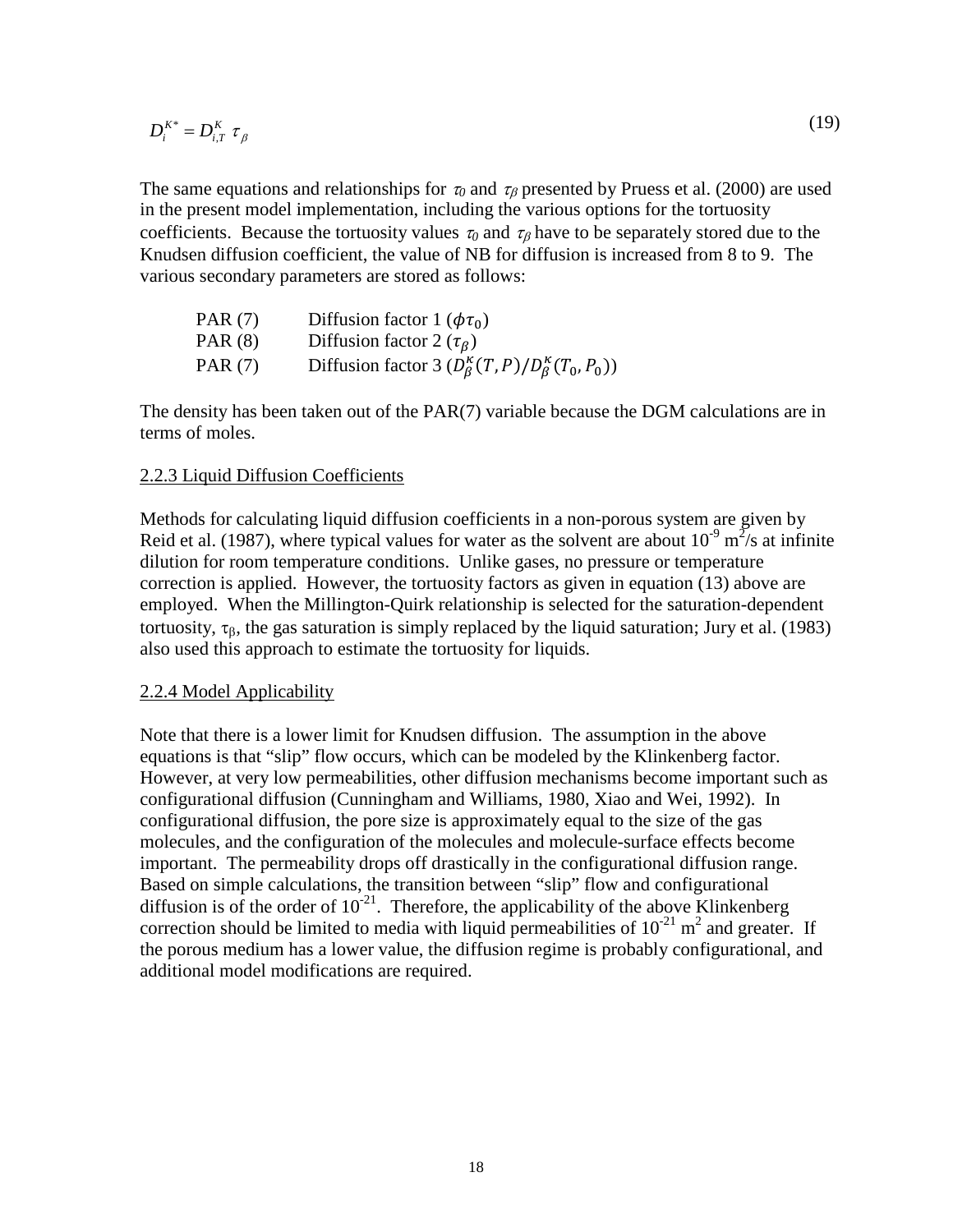$$
D_i^{K^*} = D_{i,T}^K \tau_{\beta} \tag{19}
$$

The same equations and relationships for  $\tau_0$  and  $\tau_\beta$  presented by Pruess et al. (2000) are used in the present model implementation, including the various options for the tortuosity coefficients. Because the tortuosity values  $\tau_0$  and  $\tau_\beta$  have to be separately stored due to the Knudsen diffusion coefficient, the value of NB for diffusion is increased from 8 to 9. The various secondary parameters are stored as follows:

| PAR (7) | Diffusion factor 1 ( $\phi \tau_0$ )                               |
|---------|--------------------------------------------------------------------|
| PAR (8) | Diffusion factor 2 $(\tau_{\beta})$                                |
| PAR (7) | Diffusion factor 3 $(D_{\beta}^{k}(T, P)/D_{\beta}^{k}(T_0, P_0))$ |

The density has been taken out of the PAR(7) variable because the DGM calculations are in terms of moles.

#### <span id="page-17-0"></span>2.2.3 Liquid Diffusion Coefficients

Methods for calculating liquid diffusion coefficients in a non-porous system are given by Reid et al. (1987), where typical values for water as the solvent are about  $10^{-9}$  m<sup>2</sup>/s at infinite dilution for room temperature conditions. Unlike gases, no pressure or temperature correction is applied. However, the tortuosity factors as given in equation (13) above are employed. When the Millington-Quirk relationship is selected for the saturation-dependent tortuosity,  $\tau_{\beta}$ , the gas saturation is simply replaced by the liquid saturation; Jury et al. (1983) also used this approach to estimate the tortuosity for liquids.

#### <span id="page-17-1"></span>2.2.4 Model Applicability

Note that there is a lower limit for Knudsen diffusion. The assumption in the above equations is that "slip" flow occurs, which can be modeled by the Klinkenberg factor. However, at very low permeabilities, other diffusion mechanisms become important such as configurational diffusion (Cunningham and Williams, 1980, Xiao and Wei, 1992). In configurational diffusion, the pore size is approximately equal to the size of the gas molecules, and the configuration of the molecules and molecule-surface effects become important. The permeability drops off drastically in the configurational diffusion range. Based on simple calculations, the transition between "slip" flow and configurational diffusion is of the order of  $10^{-21}$ . Therefore, the applicability of the above Klinkenberg correction should be limited to media with liquid permeabilities of  $10^{-21}$  m<sup>2</sup> and greater. If the porous medium has a lower value, the diffusion regime is probably configurational, and additional model modifications are required.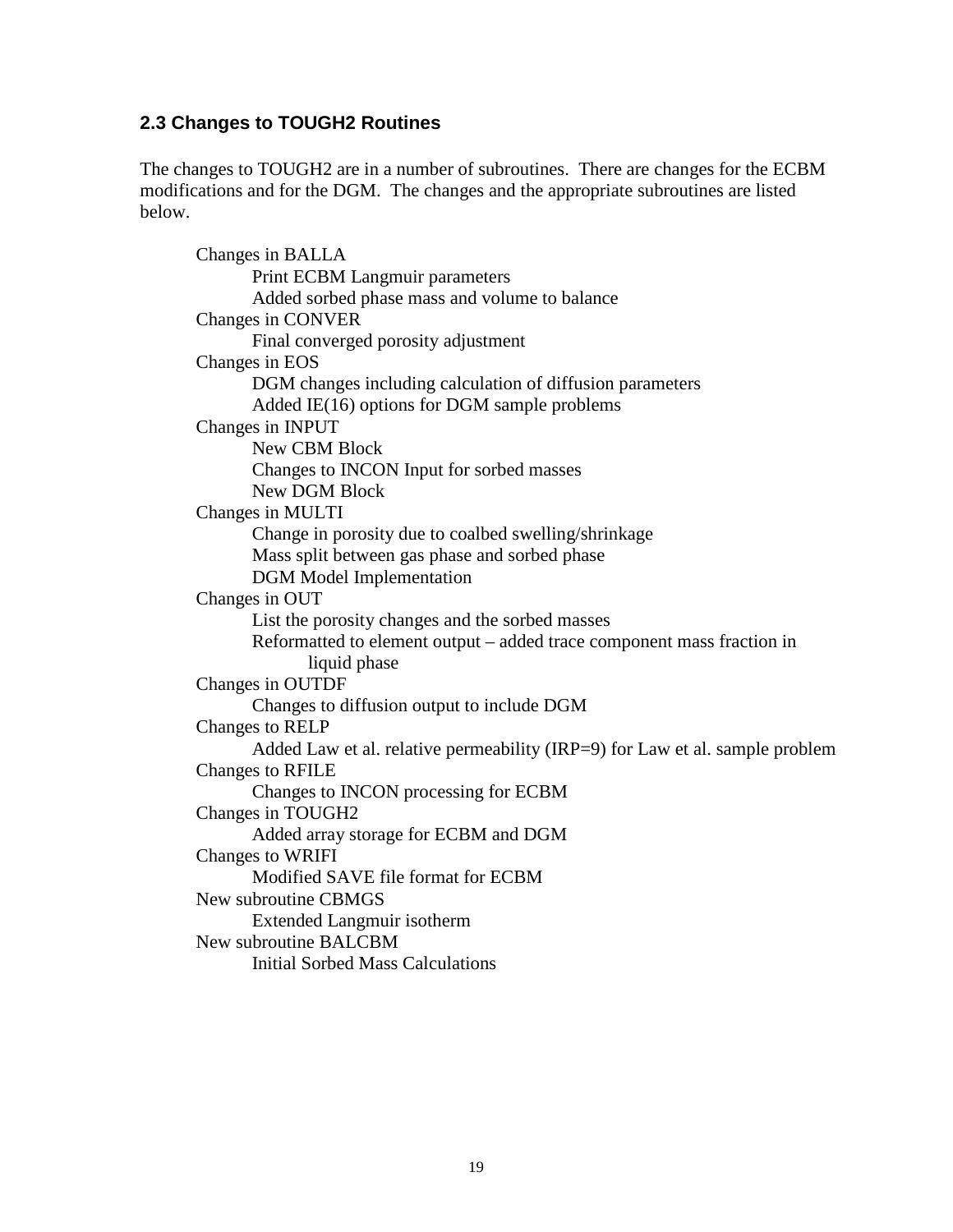### <span id="page-18-0"></span>**2.3 Changes to TOUGH2 Routines**

The changes to TOUGH2 are in a number of subroutines. There are changes for the ECBM modifications and for the DGM. The changes and the appropriate subroutines are listed below.

Changes in BALLA Print ECBM Langmuir parameters Added sorbed phase mass and volume to balance Changes in CONVER Final converged porosity adjustment Changes in EOS DGM changes including calculation of diffusion parameters Added IE(16) options for DGM sample problems Changes in INPUT New CBM Block Changes to INCON Input for sorbed masses New DGM Block Changes in MULTI Change in porosity due to coalbed swelling/shrinkage Mass split between gas phase and sorbed phase DGM Model Implementation Changes in OUT List the porosity changes and the sorbed masses Reformatted to element output – added trace component mass fraction in liquid phase Changes in OUTDF Changes to diffusion output to include DGM Changes to RELP Added Law et al. relative permeability (IRP=9) for Law et al. sample problem Changes to RFILE Changes to INCON processing for ECBM Changes in TOUGH2 Added array storage for ECBM and DGM Changes to WRIFI Modified SAVE file format for ECBM New subroutine CBMGS Extended Langmuir isotherm New subroutine BALCBM Initial Sorbed Mass Calculations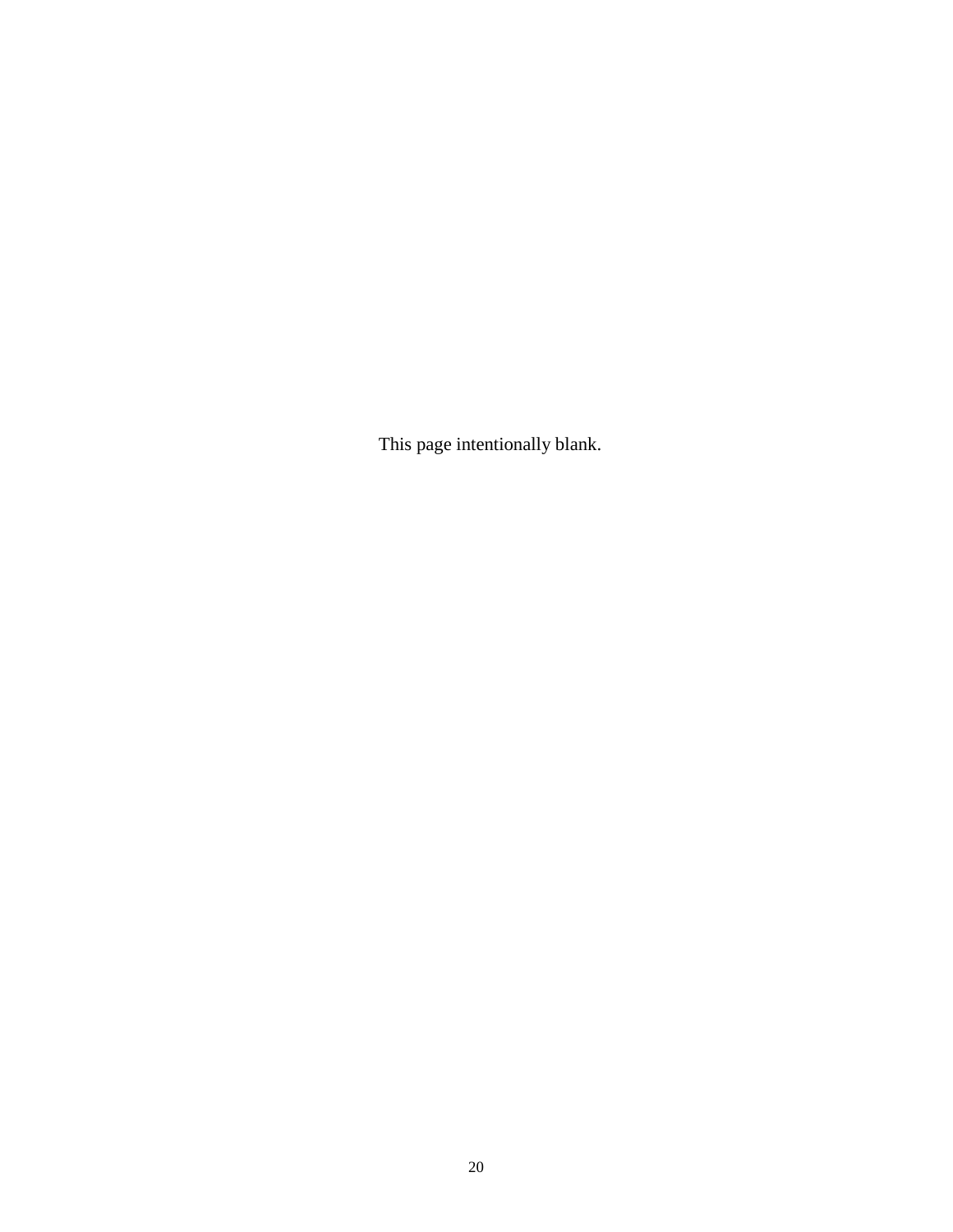This page intentionally blank.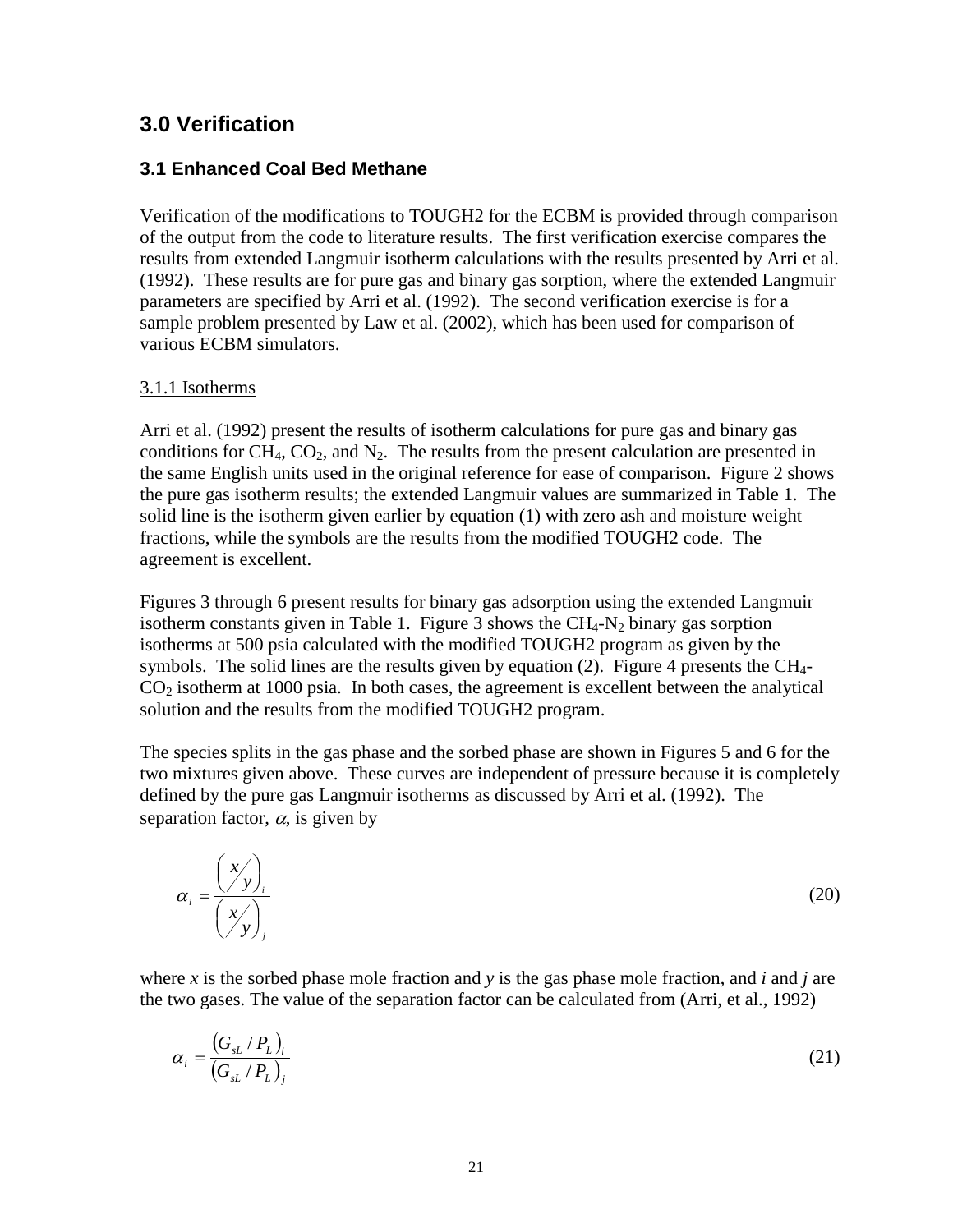## <span id="page-20-0"></span>**3.0 Verification**

#### <span id="page-20-1"></span>**3.1 Enhanced Coal Bed Methane**

Verification of the modifications to TOUGH2 for the ECBM is provided through comparison of the output from the code to literature results. The first verification exercise compares the results from extended Langmuir isotherm calculations with the results presented by Arri et al. (1992). These results are for pure gas and binary gas sorption, where the extended Langmuir parameters are specified by Arri et al. (1992). The second verification exercise is for a sample problem presented by Law et al. (2002), which has been used for comparison of various ECBM simulators.

#### <span id="page-20-2"></span>3.1.1 Isotherms

Arri et al. (1992) present the results of isotherm calculations for pure gas and binary gas conditions for  $CH_4$ ,  $CO_2$ , and  $N_2$ . The results from the present calculation are presented in the same English units used in the original reference for ease of comparison. Figure 2 shows the pure gas isotherm results; the extended Langmuir values are summarized in Table 1. The solid line is the isotherm given earlier by equation (1) with zero ash and moisture weight fractions, while the symbols are the results from the modified TOUGH2 code. The agreement is excellent.

Figures 3 through 6 present results for binary gas adsorption using the extended Langmuir isotherm constants given in Table 1. Figure 3 shows the  $CH_4$ -N<sub>2</sub> binary gas sorption isotherms at 500 psia calculated with the modified TOUGH2 program as given by the symbols. The solid lines are the results given by equation (2). Figure 4 presents the  $CH<sub>4</sub>$ - $CO<sub>2</sub>$  isotherm at 1000 psia. In both cases, the agreement is excellent between the analytical solution and the results from the modified TOUGH2 program.

The species splits in the gas phase and the sorbed phase are shown in Figures 5 and 6 for the two mixtures given above. These curves are independent of pressure because it is completely defined by the pure gas Langmuir isotherms as discussed by Arri et al. (1992). The separation factor,  $\alpha$ , is given by

$$
\alpha_i = \frac{\left(\frac{x}{y}\right)_i}{\left(\frac{x}{y}\right)_j} \tag{20}
$$

where *x* is the sorbed phase mole fraction and *y* is the gas phase mole fraction, and *i* and *j* are the two gases. The value of the separation factor can be calculated from (Arri, et al., 1992)

$$
\alpha_i = \frac{\left(G_{sL}/P_L\right)_i}{\left(G_{sL}/P_L\right)_j} \tag{21}
$$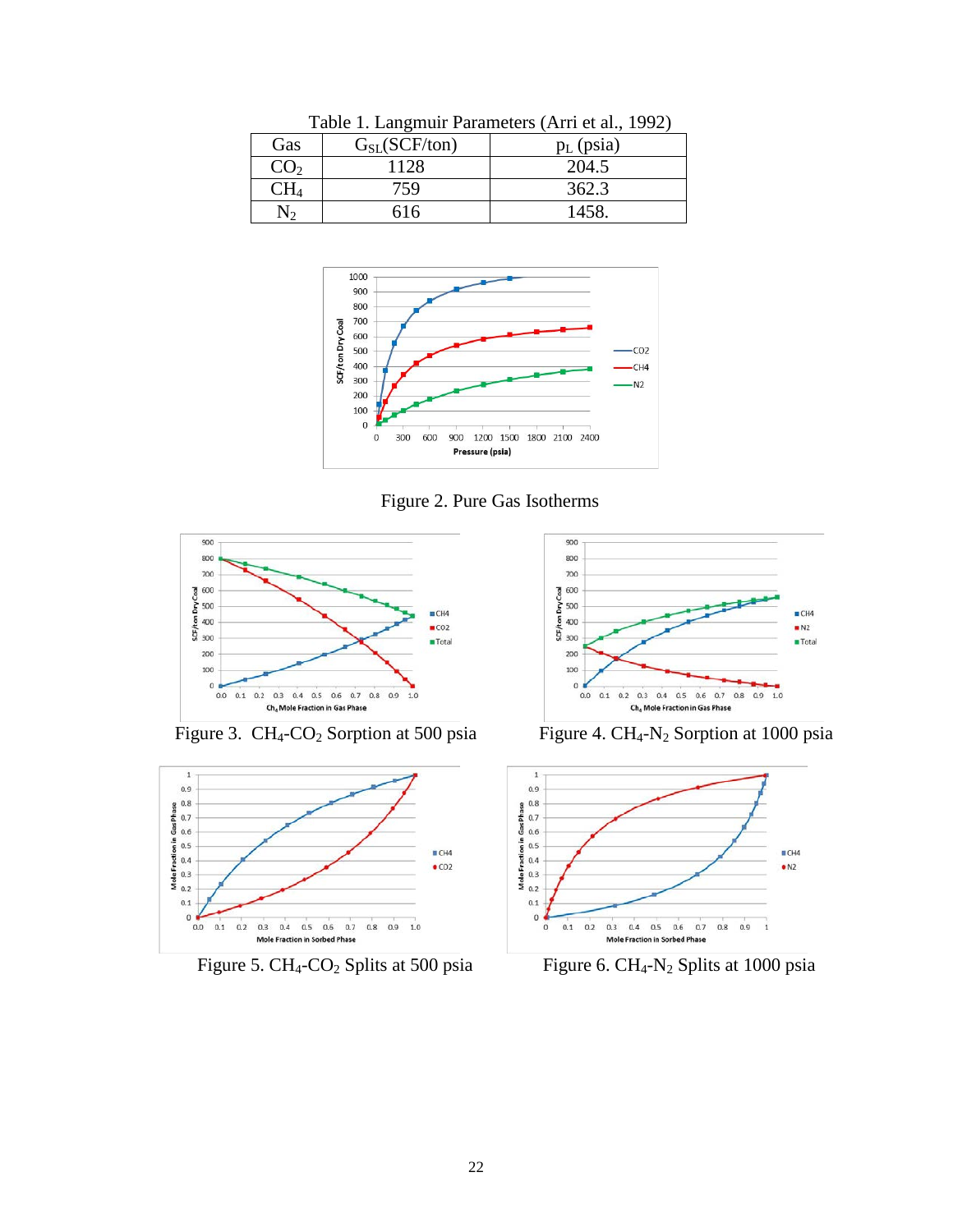<span id="page-21-0"></span>

| Gas             | $G_{SL}(SCF/ton)$ | $p_L$ (psia) |
|-----------------|-------------------|--------------|
| CO <sub>2</sub> | 1128              | 204.5        |
| CH4             | 759               | 362.3        |
|                 | 616               | 1458.        |

Table 1. Langmuir Parameters (Arri et al., 1992)



Figure 2. Pure Gas Isotherms







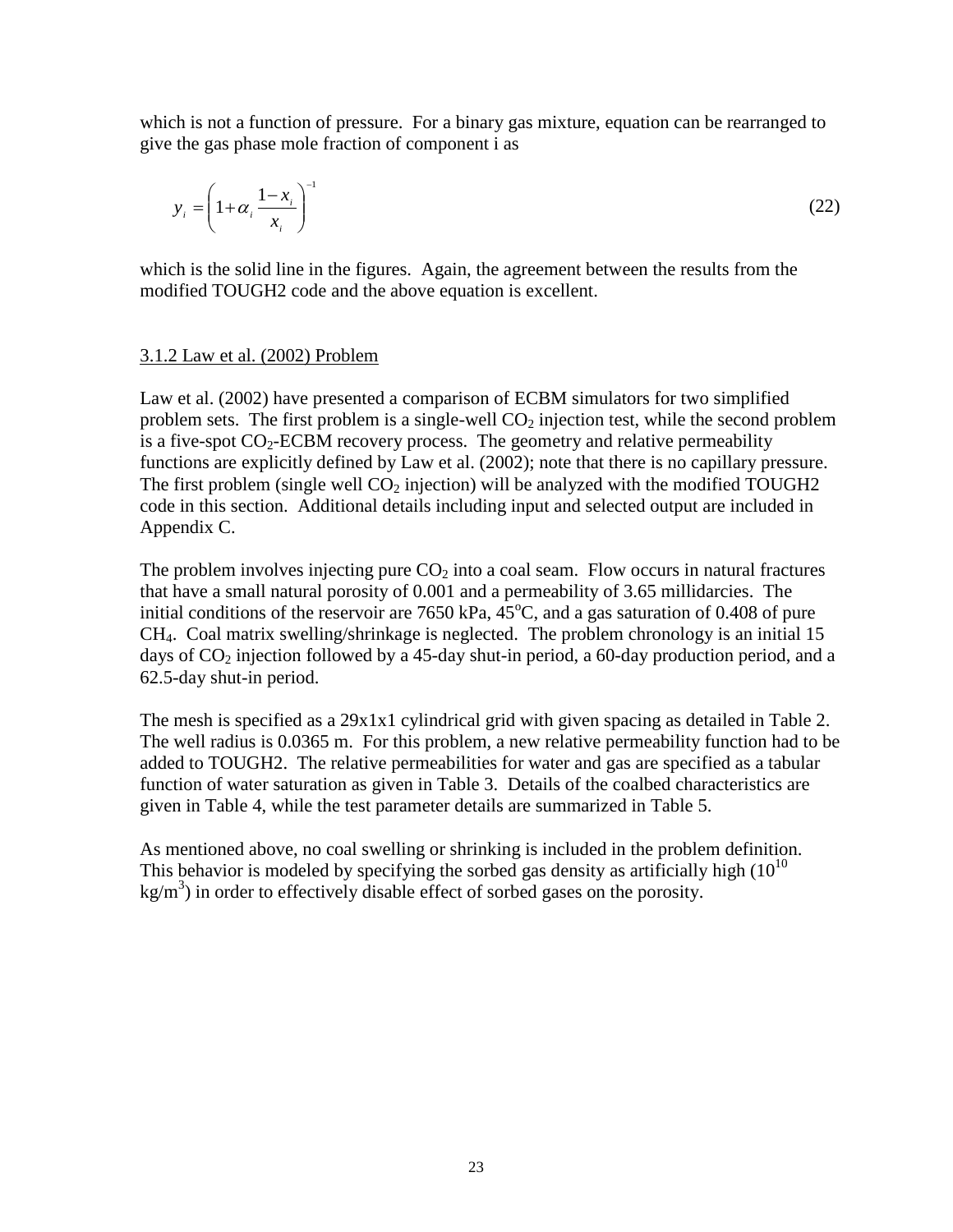which is not a function of pressure. For a binary gas mixture, equation can be rearranged to give the gas phase mole fraction of component i as

$$
y_i = \left(1 + \alpha_i \frac{1 - x_i}{x_i}\right)^{-1} \tag{22}
$$

which is the solid line in the figures. Again, the agreement between the results from the modified TOUGH2 code and the above equation is excellent.

#### <span id="page-22-0"></span>3.1.2 Law et al. (2002) Problem

Law et al. (2002) have presented a comparison of ECBM simulators for two simplified problem sets. The first problem is a single-well  $CO<sub>2</sub>$  injection test, while the second problem is a five-spot  $CO<sub>2</sub>$ -ECBM recovery process. The geometry and relative permeability functions are explicitly defined by Law et al. (2002); note that there is no capillary pressure. The first problem (single well  $CO<sub>2</sub>$  injection) will be analyzed with the modified TOUGH2 code in this section. Additional details including input and selected output are included in Appendix C.

The problem involves injecting pure  $CO<sub>2</sub>$  into a coal seam. Flow occurs in natural fractures that have a small natural porosity of 0.001 and a permeability of 3.65 millidarcies. The initial conditions of the reservoir are 7650 kPa,  $45^{\circ}$ C, and a gas saturation of 0.408 of pure CH4. Coal matrix swelling/shrinkage is neglected. The problem chronology is an initial 15 days of  $CO_2$  injection followed by a 45-day shut-in period, a 60-day production period, and a 62.5-day shut-in period.

The mesh is specified as a 29x1x1 cylindrical grid with given spacing as detailed in Table 2. The well radius is 0.0365 m. For this problem, a new relative permeability function had to be added to TOUGH2. The relative permeabilities for water and gas are specified as a tabular function of water saturation as given in Table 3. Details of the coalbed characteristics are given in Table 4, while the test parameter details are summarized in Table 5.

As mentioned above, no coal swelling or shrinking is included in the problem definition. This behavior is modeled by specifying the sorbed gas density as artificially high  $(10^{10}$ kg/m<sup>3</sup>) in order to effectively disable effect of sorbed gases on the porosity.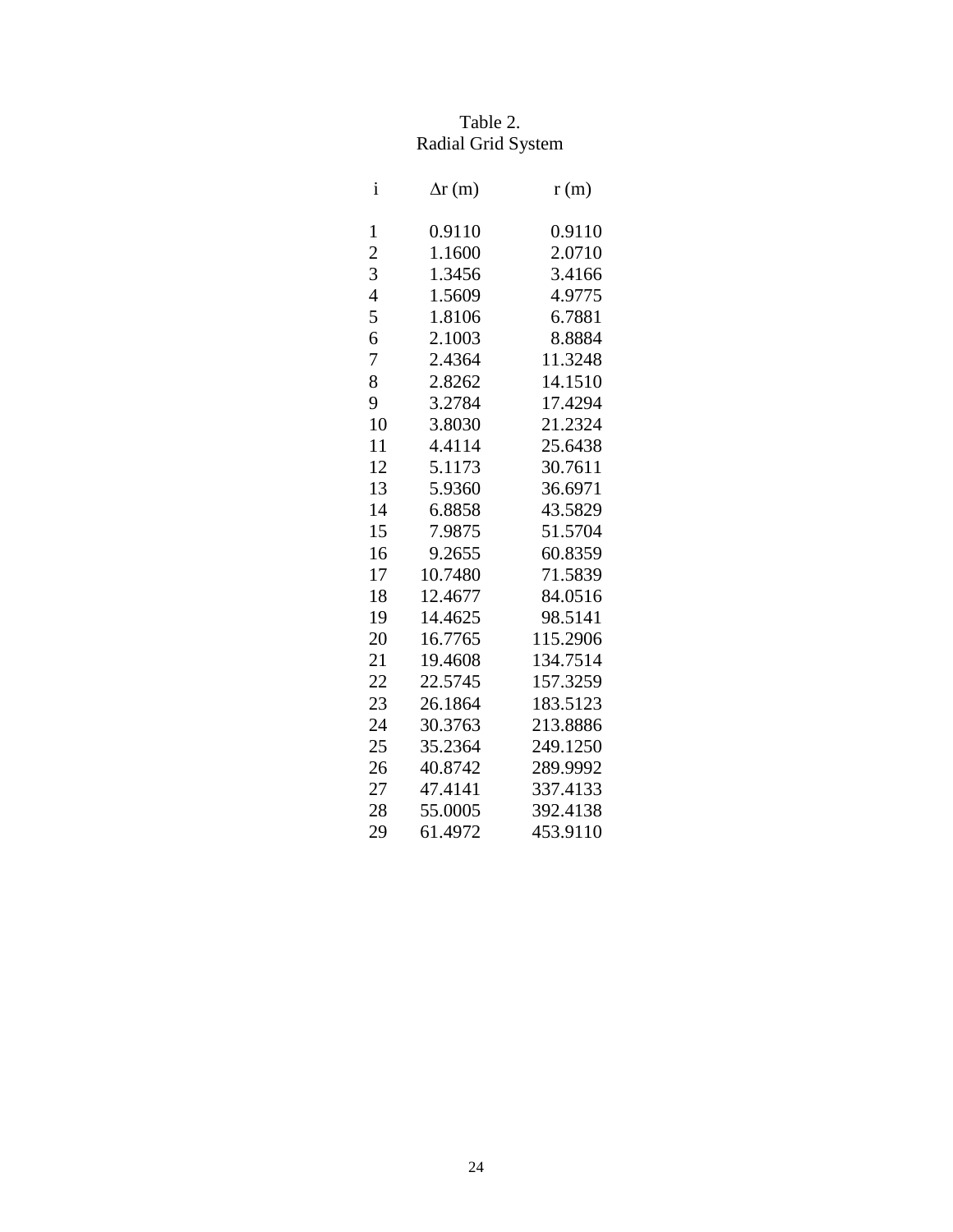## Table 2. Radial Grid System

<span id="page-23-1"></span><span id="page-23-0"></span>

| $\mathbf{i}$   | $\Delta r$ (m) | r(m)     |
|----------------|----------------|----------|
| $\mathbf{1}$   | 0.9110         | 0.9110   |
| $\overline{c}$ | 1.1600         | 2.0710   |
|                | 1.3456         | 3.4166   |
| $\frac{3}{4}$  | 1.5609         | 4.9775   |
| 5              | 1.8106         | 6.7881   |
| 6              | 2.1003         | 8.8884   |
| $\overline{7}$ | 2.4364         | 11.3248  |
| 8              | 2.8262         | 14.1510  |
| 9              | 3.2784         | 17.4294  |
| 10             | 3.8030         | 21.2324  |
| 11             | 4.4114         | 25.6438  |
| 12             | 5.1173         | 30.7611  |
| 13             | 5.9360         | 36.6971  |
| 14             | 6.8858         | 43.5829  |
| 15             | 7.9875         | 51.5704  |
| 16             | 9.2655         | 60.8359  |
| 17             | 10.7480        | 71.5839  |
| 18             | 12.4677        | 84.0516  |
| 19             | 14.4625        | 98.5141  |
| 20             | 16.7765        | 115.2906 |
| 21             | 19.4608        | 134.7514 |
| 22             | 22.5745        | 157.3259 |
| 23             | 26.1864        | 183.5123 |
| 24             | 30.3763        | 213.8886 |
| 25             | 35.2364        | 249.1250 |
| 26             | 40.8742        | 289.9992 |
| 27             | 47.4141        | 337.4133 |
| 28             | 55.0005        | 392.4138 |
| 29             | 61.4972        | 453.9110 |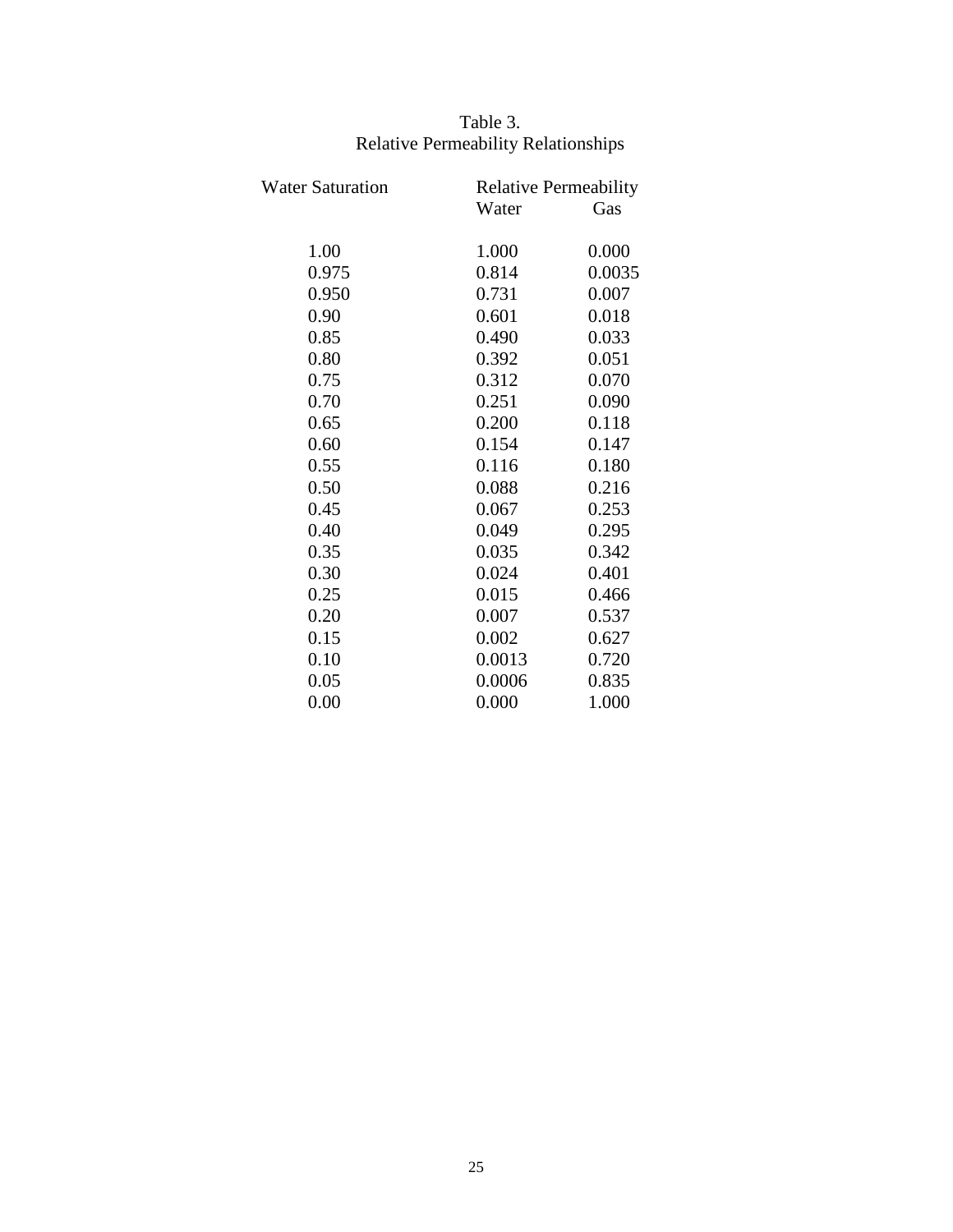<span id="page-24-1"></span><span id="page-24-0"></span>

| <b>Water Saturation</b> |        | <b>Relative Permeability</b> |  |
|-------------------------|--------|------------------------------|--|
|                         | Water  | Gas                          |  |
|                         |        |                              |  |
| 1.00                    | 1.000  | 0.000                        |  |
| 0.975                   | 0.814  | 0.0035                       |  |
| 0.950                   | 0.731  | 0.007                        |  |
| 0.90                    | 0.601  | 0.018                        |  |
| 0.85                    | 0.490  | 0.033                        |  |
| 0.80                    | 0.392  | 0.051                        |  |
| 0.75                    | 0.312  | 0.070                        |  |
| 0.70                    | 0.251  | 0.090                        |  |
| 0.65                    | 0.200  | 0.118                        |  |
| 0.60                    | 0.154  | 0.147                        |  |
| 0.55                    | 0.116  | 0.180                        |  |
| 0.50                    | 0.088  | 0.216                        |  |
| 0.45                    | 0.067  | 0.253                        |  |
| 0.40                    | 0.049  | 0.295                        |  |
| 0.35                    | 0.035  | 0.342                        |  |
| 0.30                    | 0.024  | 0.401                        |  |
| 0.25                    | 0.015  | 0.466                        |  |
| 0.20                    | 0.007  | 0.537                        |  |
| 0.15                    | 0.002  | 0.627                        |  |
| 0.10                    | 0.0013 | 0.720                        |  |
| 0.05                    | 0.0006 | 0.835                        |  |
| 0.00                    | 0.000  | 1.000                        |  |

## Table 3. Relative Permeability Relationships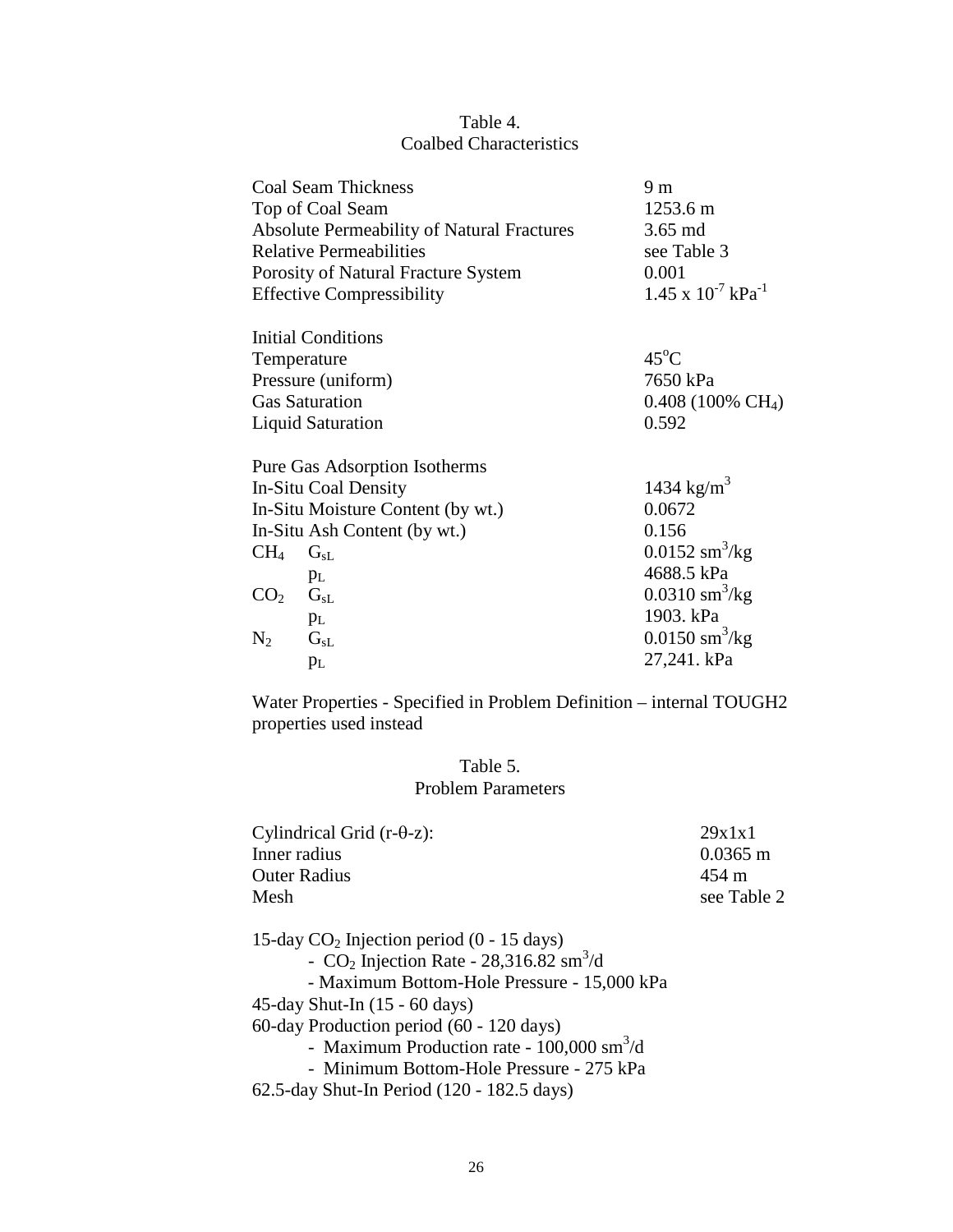#### Table 4. Coalbed Characteristics

<span id="page-25-1"></span><span id="page-25-0"></span>

|                 | <b>Coal Seam Thickness</b>                        | 9 <sub>m</sub>                         |
|-----------------|---------------------------------------------------|----------------------------------------|
|                 | Top of Coal Seam                                  | 1253.6 m                               |
|                 | <b>Absolute Permeability of Natural Fractures</b> | 3.65 md                                |
|                 | <b>Relative Permeabilities</b>                    | see Table 3                            |
|                 | Porosity of Natural Fracture System               | 0.001                                  |
|                 | <b>Effective Compressibility</b>                  | $1.45 \times 10^{-7} \text{ kPa}^{-1}$ |
|                 | <b>Initial Conditions</b>                         |                                        |
|                 | Temperature                                       | $45^{\circ}$ C                         |
|                 | Pressure (uniform)                                | 7650 kPa                               |
|                 | <b>Gas Saturation</b>                             | $0.408(100\% \text{ CH}_4)$            |
|                 | <b>Liquid Saturation</b>                          | 0.592                                  |
|                 | <b>Pure Gas Adsorption Isotherms</b>              |                                        |
|                 | In-Situ Coal Density                              | 1434 kg/m <sup>3</sup>                 |
|                 | In-Situ Moisture Content (by wt.)                 | 0.0672                                 |
|                 | In-Situ Ash Content (by wt.)                      | 0.156                                  |
| CH <sub>4</sub> | $G_{sL}$                                          | $0.0152 \text{ sm}^3/\text{kg}$        |
|                 | $p_{L}$                                           | 4688.5 kPa                             |
| CO <sub>2</sub> | $G_{\rm sL}$                                      | $0.0310 \text{ sm}^3/\text{kg}$        |
|                 | $p_{L}$                                           | 1903. kPa                              |
| $N_2$           | $G_{sL}$                                          | $0.0150 \text{ sm}^3/\text{kg}$        |
|                 | $p_L$                                             | 27,241. kPa                            |
|                 |                                                   |                                        |

<span id="page-25-2"></span>Water Properties - Specified in Problem Definition – internal TOUGH2 properties used instead

#### Table 5. Problem Parameters

<span id="page-25-3"></span>

| Cylindrical Grid $(r-\theta-z)$ : | 29x1x1             |
|-----------------------------------|--------------------|
| Inner radius                      | $0.0365 \text{ m}$ |
| <b>Outer Radius</b>               | 454 m              |
| Mesh                              | see Table 2        |

15-day CO2 Injection period (0 - 15 days) -  $CO<sub>2</sub>$  Injection Rate - 28,316.82 sm<sup>3</sup>/d - Maximum Bottom-Hole Pressure - 15,000 kPa 45-day Shut-In (15 - 60 days) 60-day Production period (60 - 120 days) - Maximum Production rate - 100,000 sm<sup>3</sup>/d - Minimum Bottom-Hole Pressure - 275 kPa 62.5-day Shut-In Period (120 - 182.5 days)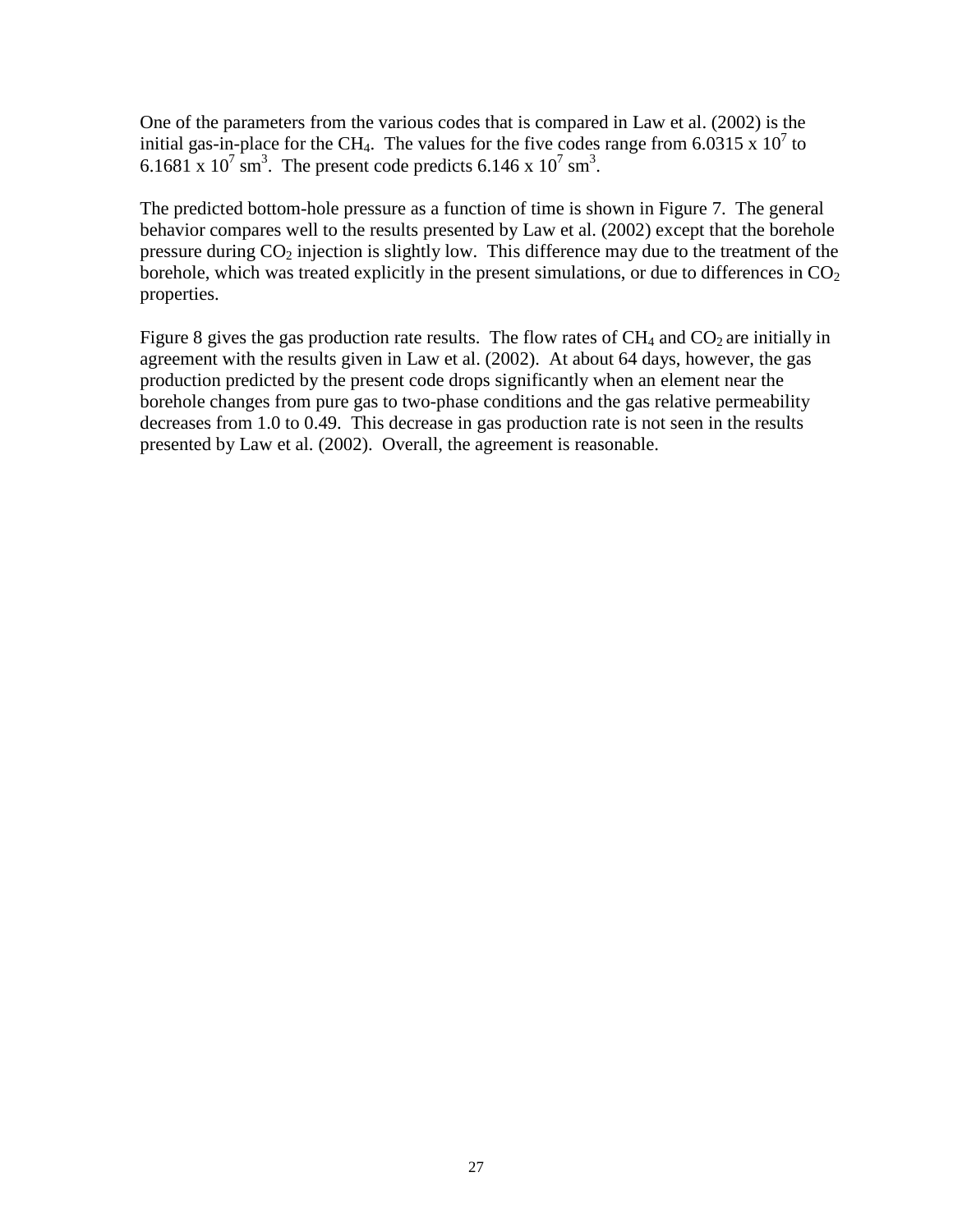One of the parameters from the various codes that is compared in Law et al. (2002) is the initial gas-in-place for the CH<sub>4</sub>. The values for the five codes range from 6.0315 x 10<sup>7</sup> to 6.1681 x  $10^7$  sm<sup>3</sup>. The present code predicts 6.146 x  $10^7$  sm<sup>3</sup>.

The predicted bottom-hole pressure as a function of time is shown in Figure 7. The general behavior compares well to the results presented by Law et al. (2002) except that the borehole pressure during  $CO<sub>2</sub>$  injection is slightly low. This difference may due to the treatment of the borehole, which was treated explicitly in the present simulations, or due to differences in  $CO<sub>2</sub>$ properties.

Figure 8 gives the gas production rate results. The flow rates of  $CH_4$  and  $CO_2$  are initially in agreement with the results given in Law et al. (2002). At about 64 days, however, the gas production predicted by the present code drops significantly when an element near the borehole changes from pure gas to two-phase conditions and the gas relative permeability decreases from 1.0 to 0.49. This decrease in gas production rate is not seen in the results presented by Law et al. (2002). Overall, the agreement is reasonable.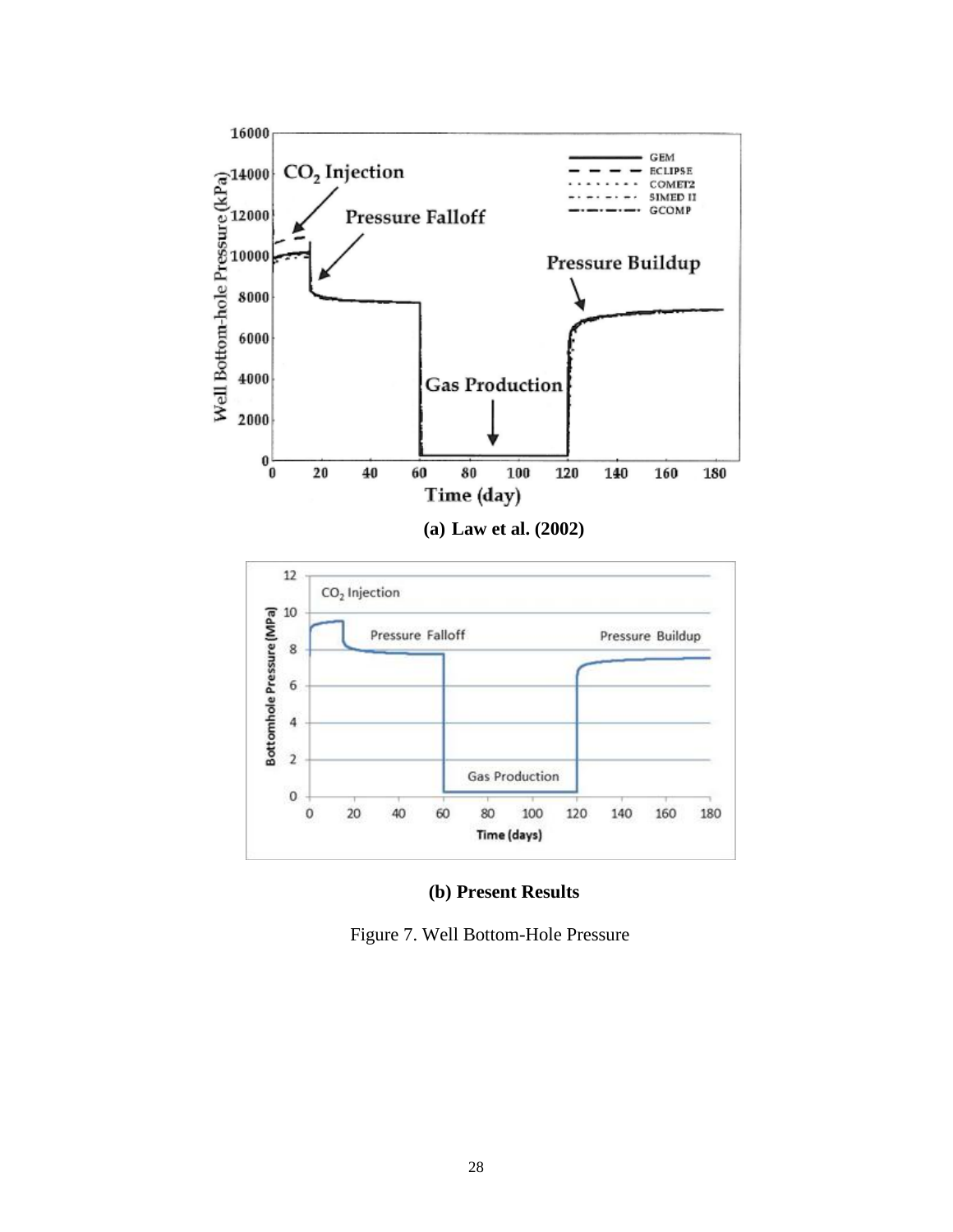

#### **(b) Present Results**

Figure 7. Well Bottom-Hole Pressure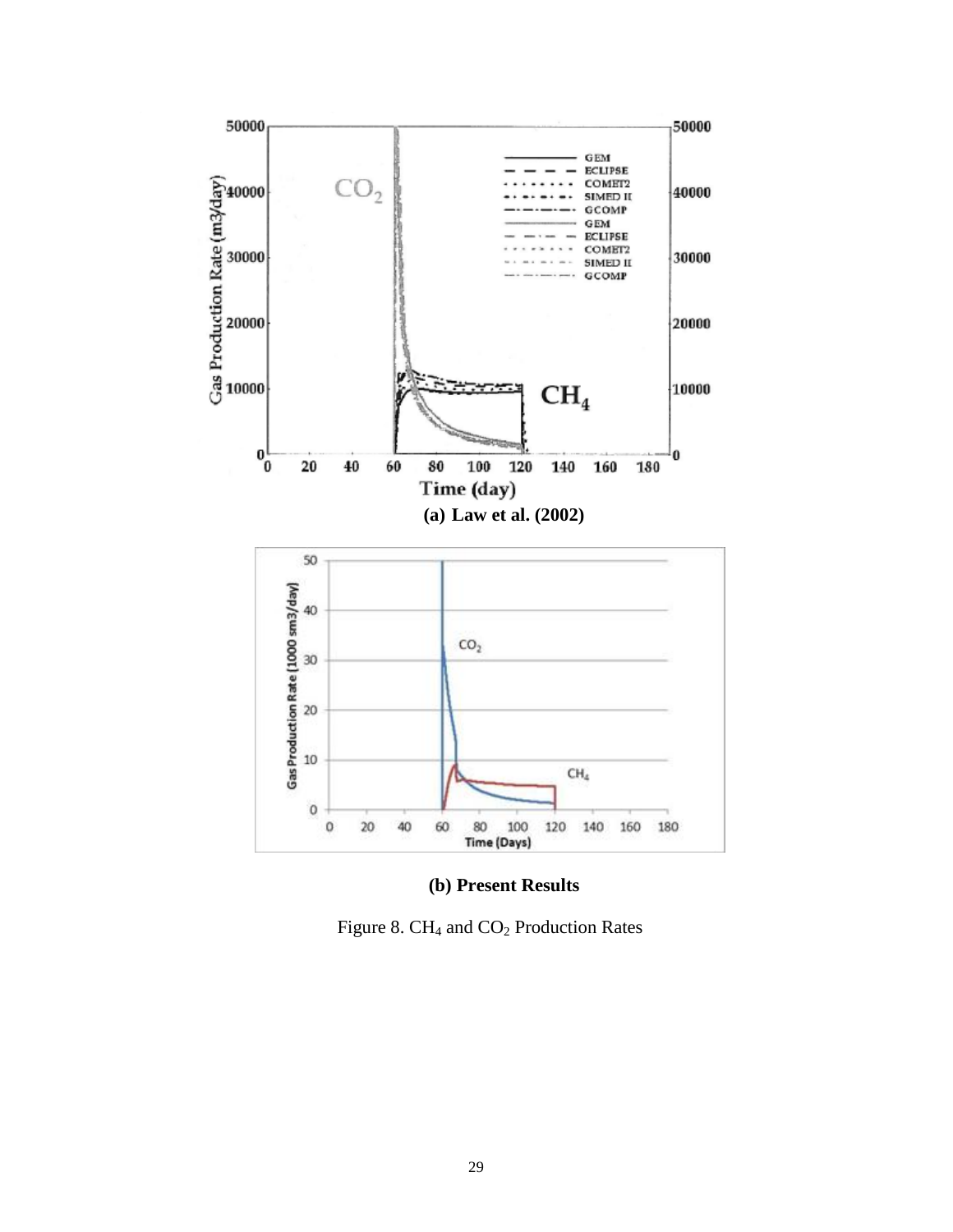

**(b) Present Results**

Figure 8. CH<sub>4</sub> and CO<sub>2</sub> Production Rates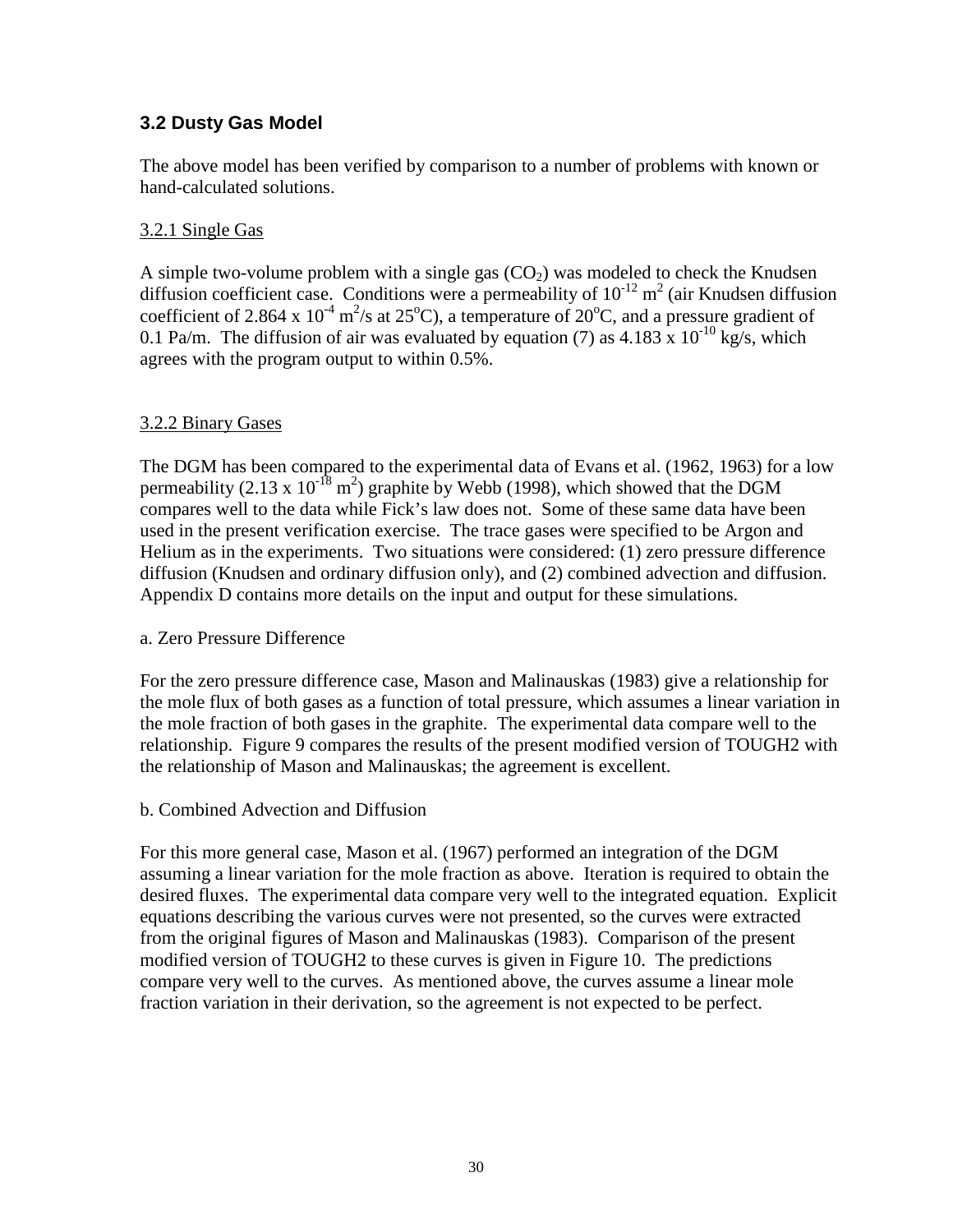### <span id="page-29-0"></span>**3.2 Dusty Gas Model**

The above model has been verified by comparison to a number of problems with known or hand-calculated solutions.

#### <span id="page-29-1"></span>3.2.1 Single Gas

A simple two-volume problem with a single gas  $(CO<sub>2</sub>)$  was modeled to check the Knudsen diffusion coefficient case. Conditions were a permeability of  $10^{-12}$  m<sup>2</sup> (air Knudsen diffusion coefficient of 2.864 x  $10^4$  m<sup>2</sup>/s at 25<sup>o</sup>C), a temperature of 20<sup>o</sup>C, and a pressure gradient of 0.1 Pa/m. The diffusion of air was evaluated by equation (7) as  $4.183 \times 10^{-10}$  kg/s, which agrees with the program output to within 0.5%.

#### <span id="page-29-2"></span>3.2.2 Binary Gases

The DGM has been compared to the experimental data of Evans et al. (1962, 1963) for a low permeability (2.13 x  $10^{-18}$  m<sup>2</sup>) graphite by Webb (1998), which showed that the DGM compares well to the data while Fick's law does not. Some of these same data have been used in the present verification exercise. The trace gases were specified to be Argon and Helium as in the experiments. Two situations were considered: (1) zero pressure difference diffusion (Knudsen and ordinary diffusion only), and (2) combined advection and diffusion. Appendix D contains more details on the input and output for these simulations.

#### a. Zero Pressure Difference

For the zero pressure difference case, Mason and Malinauskas (1983) give a relationship for the mole flux of both gases as a function of total pressure, which assumes a linear variation in the mole fraction of both gases in the graphite. The experimental data compare well to the relationship. Figure 9 compares the results of the present modified version of TOUGH2 with the relationship of Mason and Malinauskas; the agreement is excellent.

#### b. Combined Advection and Diffusion

For this more general case, Mason et al. (1967) performed an integration of the DGM assuming a linear variation for the mole fraction as above. Iteration is required to obtain the desired fluxes. The experimental data compare very well to the integrated equation. Explicit equations describing the various curves were not presented, so the curves were extracted from the original figures of Mason and Malinauskas (1983). Comparison of the present modified version of TOUGH2 to these curves is given in Figure 10. The predictions compare very well to the curves. As mentioned above, the curves assume a linear mole fraction variation in their derivation, so the agreement is not expected to be perfect.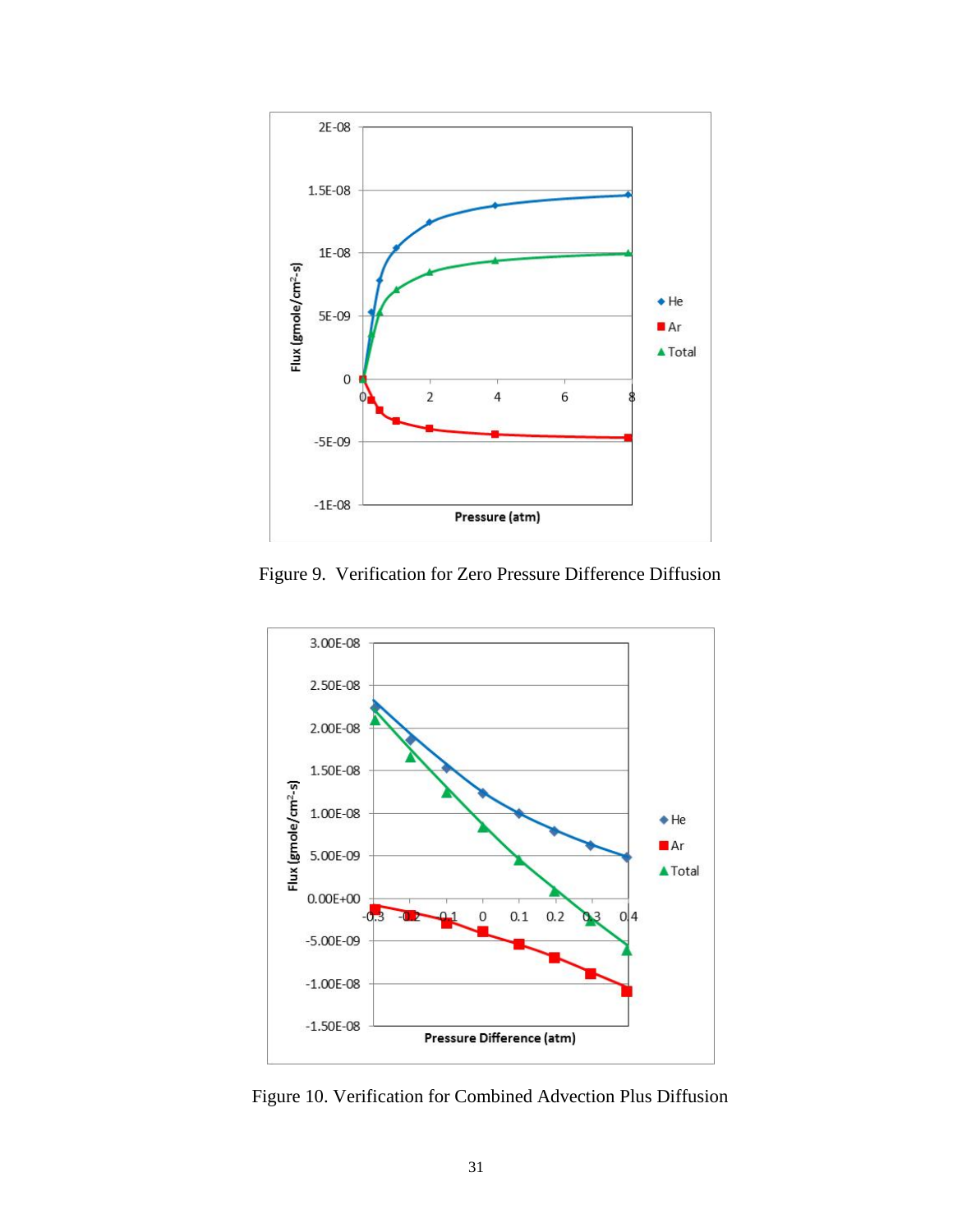

Figure 9. Verification for Zero Pressure Difference Diffusion



Figure 10. Verification for Combined Advection Plus Diffusion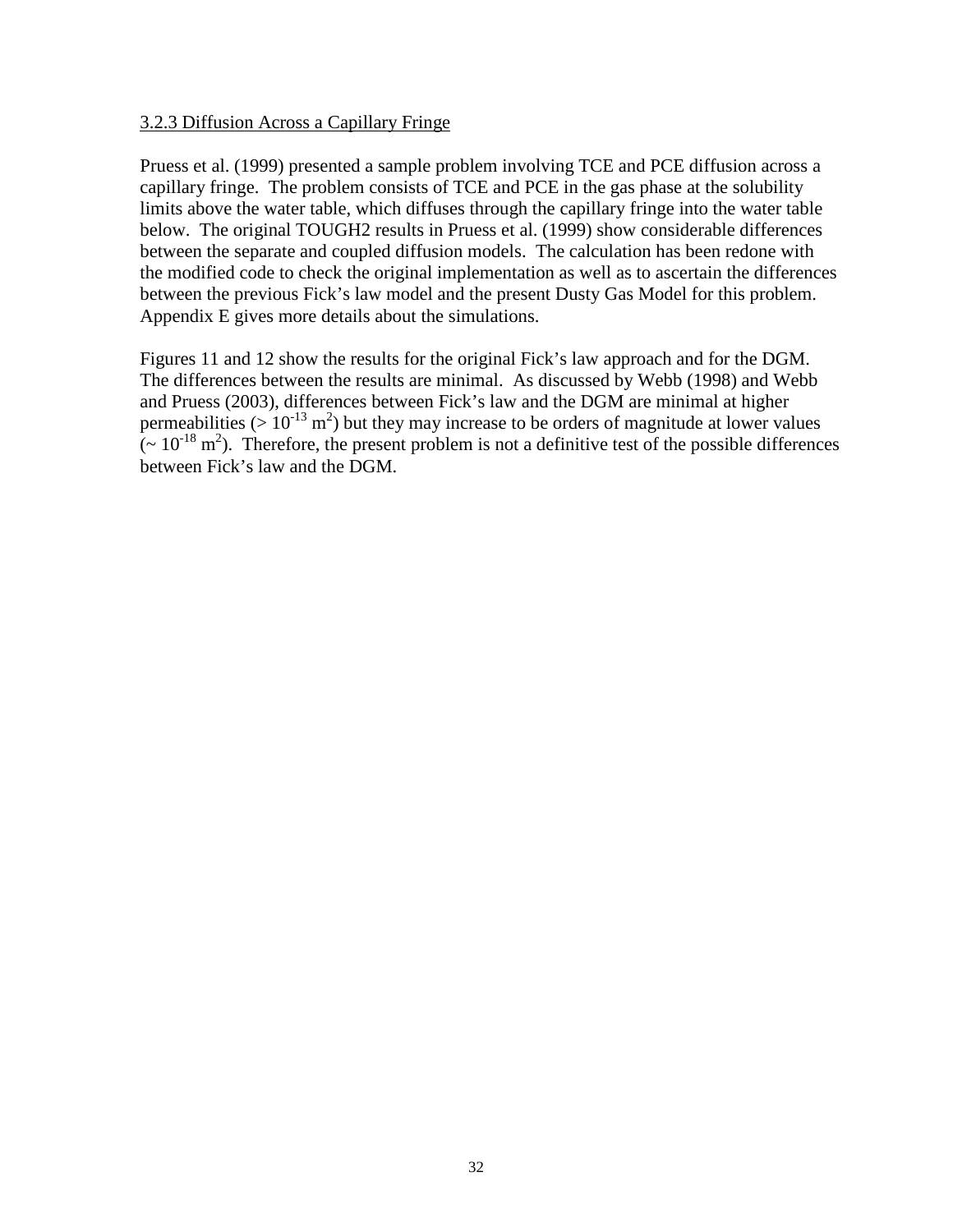#### <span id="page-31-0"></span>3.2.3 Diffusion Across a Capillary Fringe

Pruess et al. (1999) presented a sample problem involving TCE and PCE diffusion across a capillary fringe. The problem consists of TCE and PCE in the gas phase at the solubility limits above the water table, which diffuses through the capillary fringe into the water table below. The original TOUGH2 results in Pruess et al. (1999) show considerable differences between the separate and coupled diffusion models. The calculation has been redone with the modified code to check the original implementation as well as to ascertain the differences between the previous Fick's law model and the present Dusty Gas Model for this problem. Appendix E gives more details about the simulations.

Figures 11 and 12 show the results for the original Fick's law approach and for the DGM. The differences between the results are minimal. As discussed by Webb (1998) and Webb and Pruess (2003), differences between Fick's law and the DGM are minimal at higher permeabilities ( $> 10^{-13}$  m<sup>2</sup>) but they may increase to be orders of magnitude at lower values  $\left(\sim 10^{-18} \text{ m}^2\right)$ . Therefore, the present problem is not a definitive test of the possible differences between Fick's law and the DGM.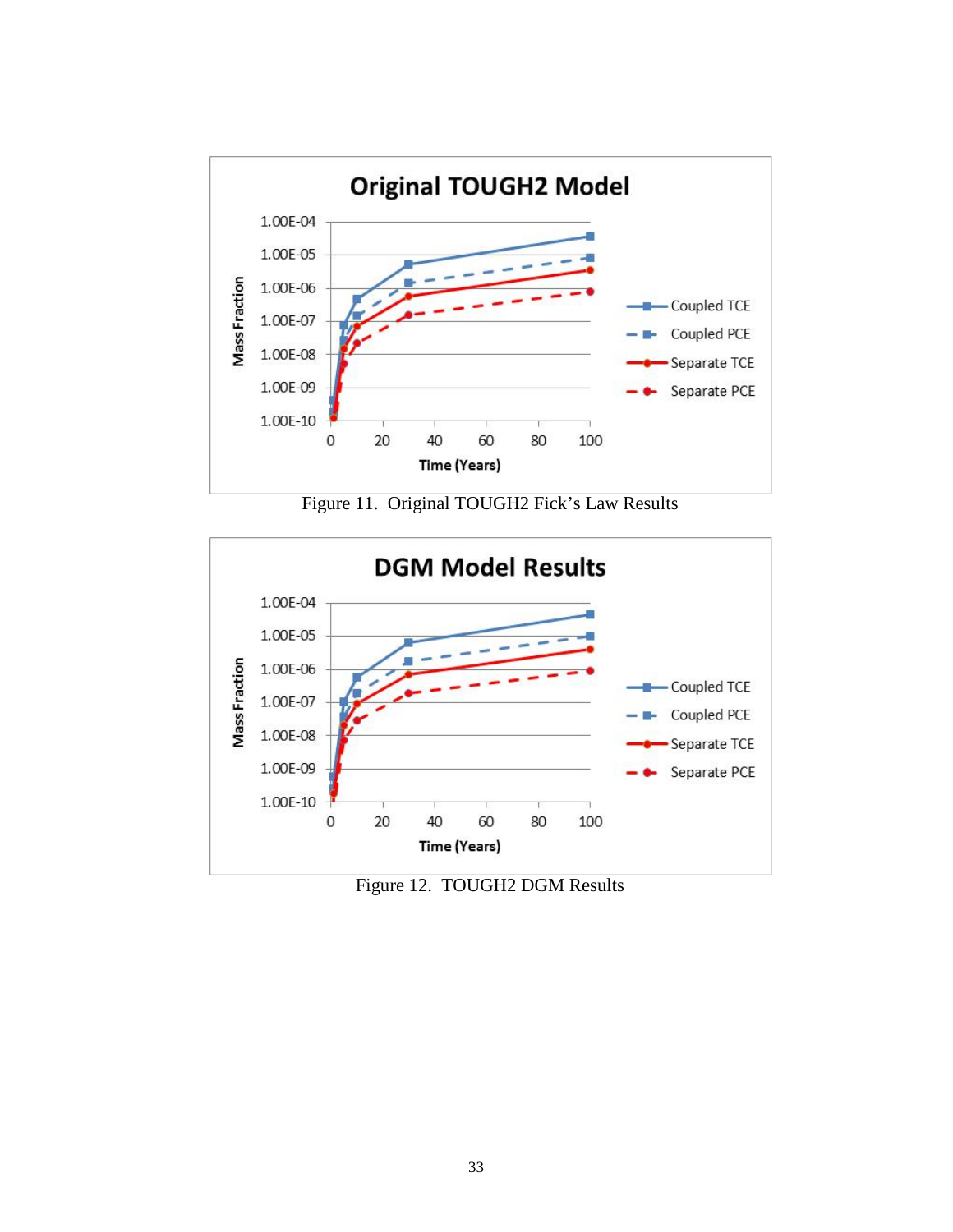





Figure 12. TOUGH2 DGM Results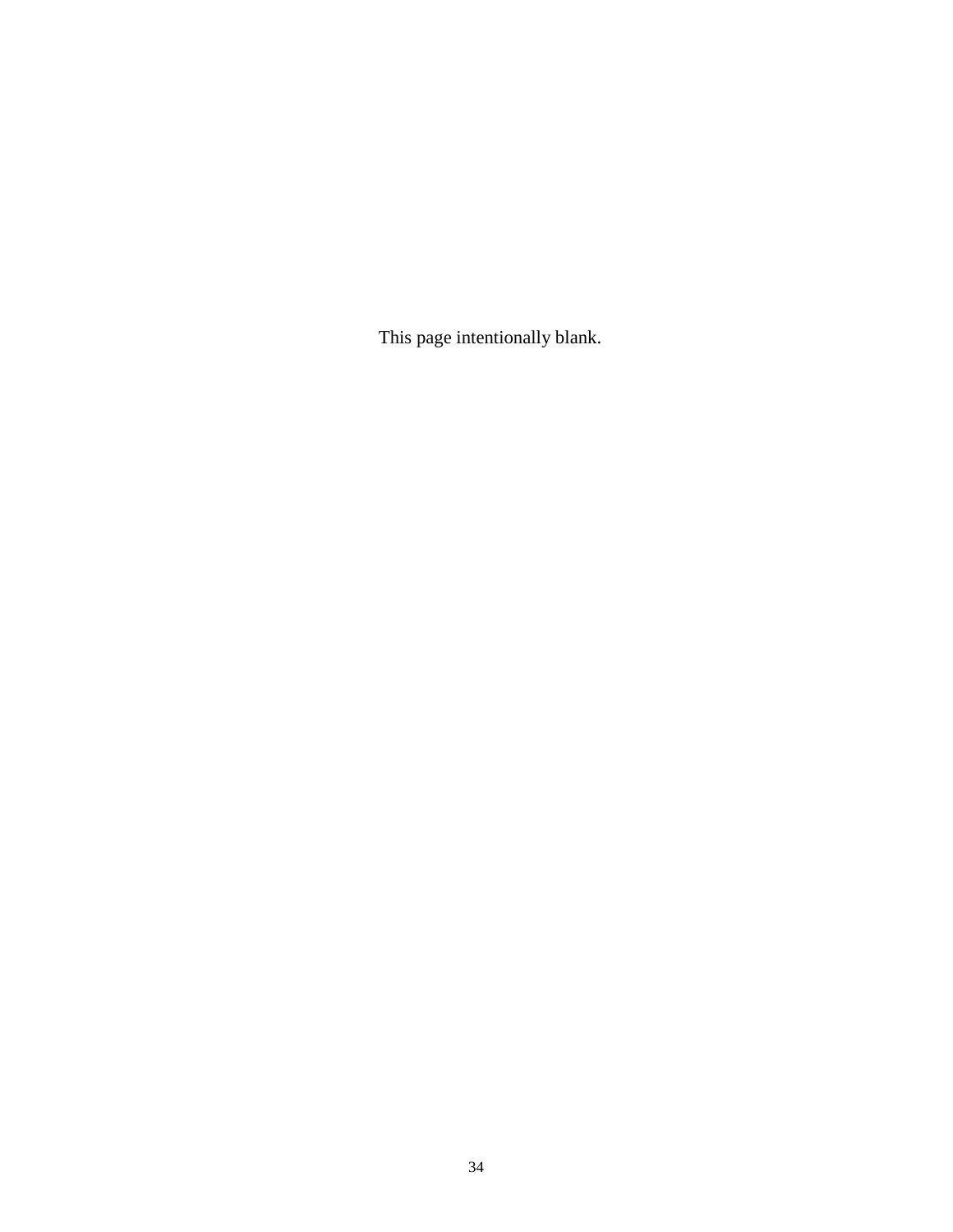This page intentionally blank.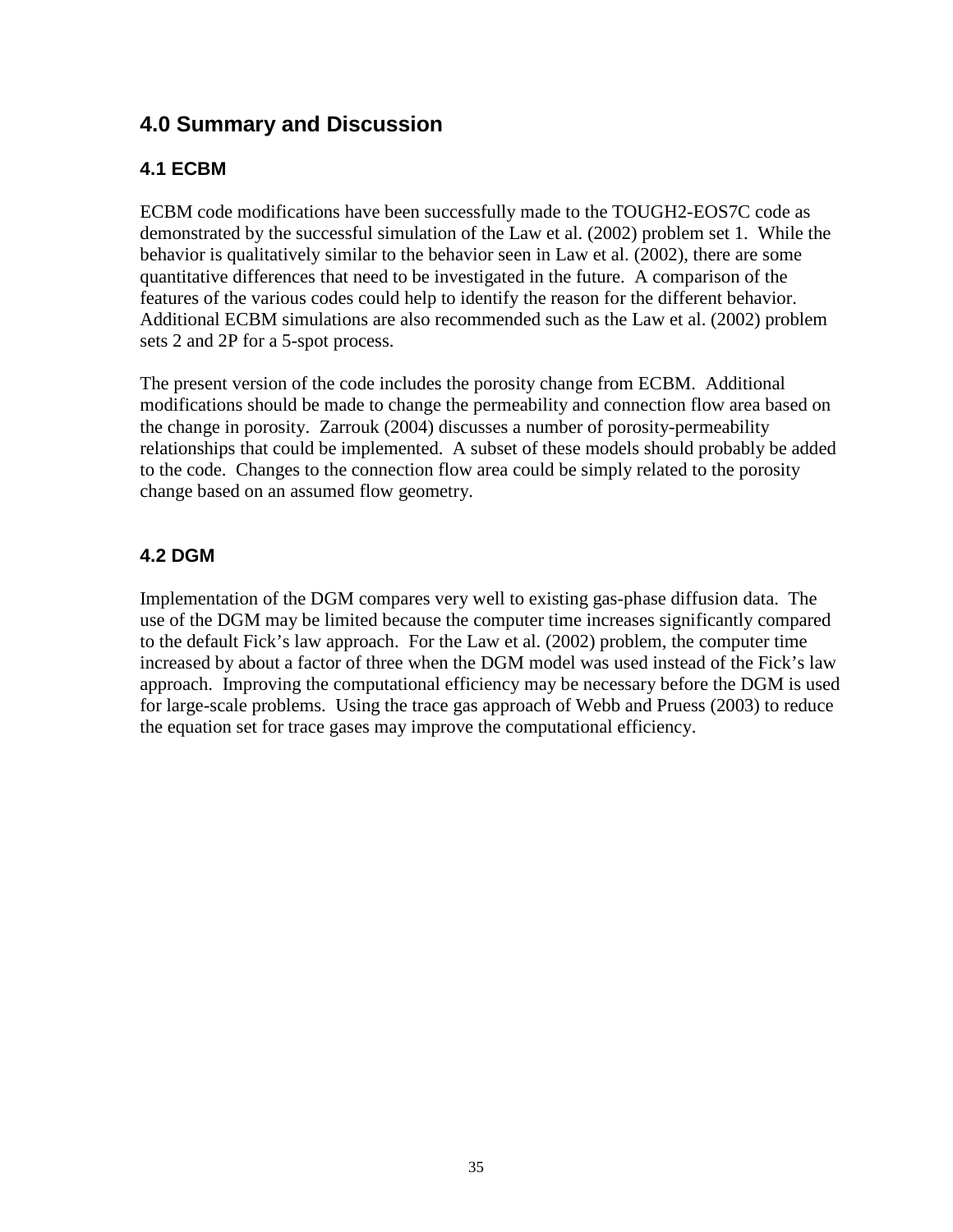## <span id="page-34-0"></span>**4.0 Summary and Discussion**

## <span id="page-34-1"></span>**4.1 ECBM**

ECBM code modifications have been successfully made to the TOUGH2-EOS7C code as demonstrated by the successful simulation of the Law et al. (2002) problem set 1. While the behavior is qualitatively similar to the behavior seen in Law et al. (2002), there are some quantitative differences that need to be investigated in the future. A comparison of the features of the various codes could help to identify the reason for the different behavior. Additional ECBM simulations are also recommended such as the Law et al. (2002) problem sets 2 and 2P for a 5-spot process.

The present version of the code includes the porosity change from ECBM. Additional modifications should be made to change the permeability and connection flow area based on the change in porosity. Zarrouk (2004) discusses a number of porosity-permeability relationships that could be implemented. A subset of these models should probably be added to the code. Changes to the connection flow area could be simply related to the porosity change based on an assumed flow geometry.

## <span id="page-34-2"></span>**4.2 DGM**

Implementation of the DGM compares very well to existing gas-phase diffusion data. The use of the DGM may be limited because the computer time increases significantly compared to the default Fick's law approach. For the Law et al. (2002) problem, the computer time increased by about a factor of three when the DGM model was used instead of the Fick's law approach. Improving the computational efficiency may be necessary before the DGM is used for large-scale problems. Using the trace gas approach of Webb and Pruess (2003) to reduce the equation set for trace gases may improve the computational efficiency.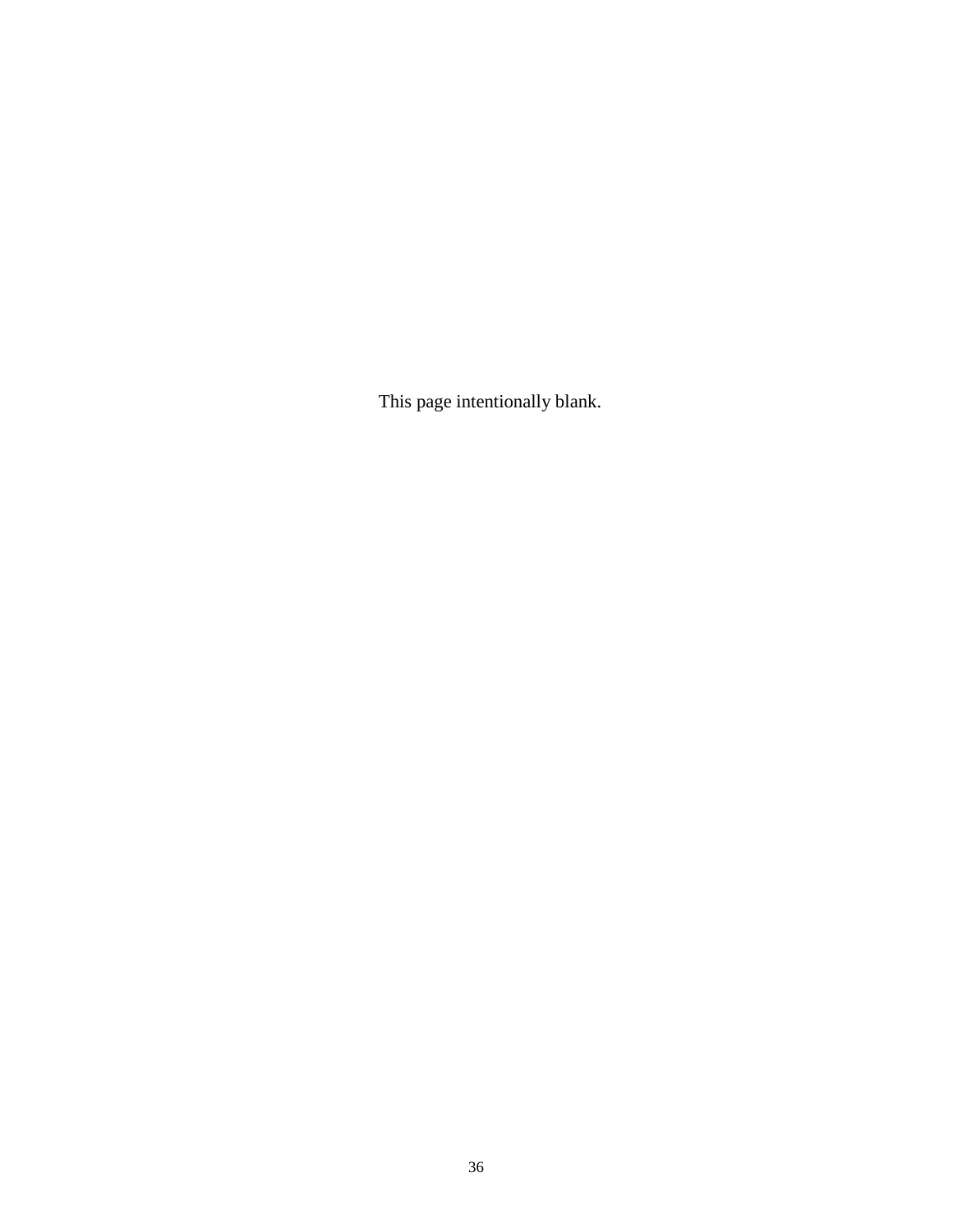This page intentionally blank.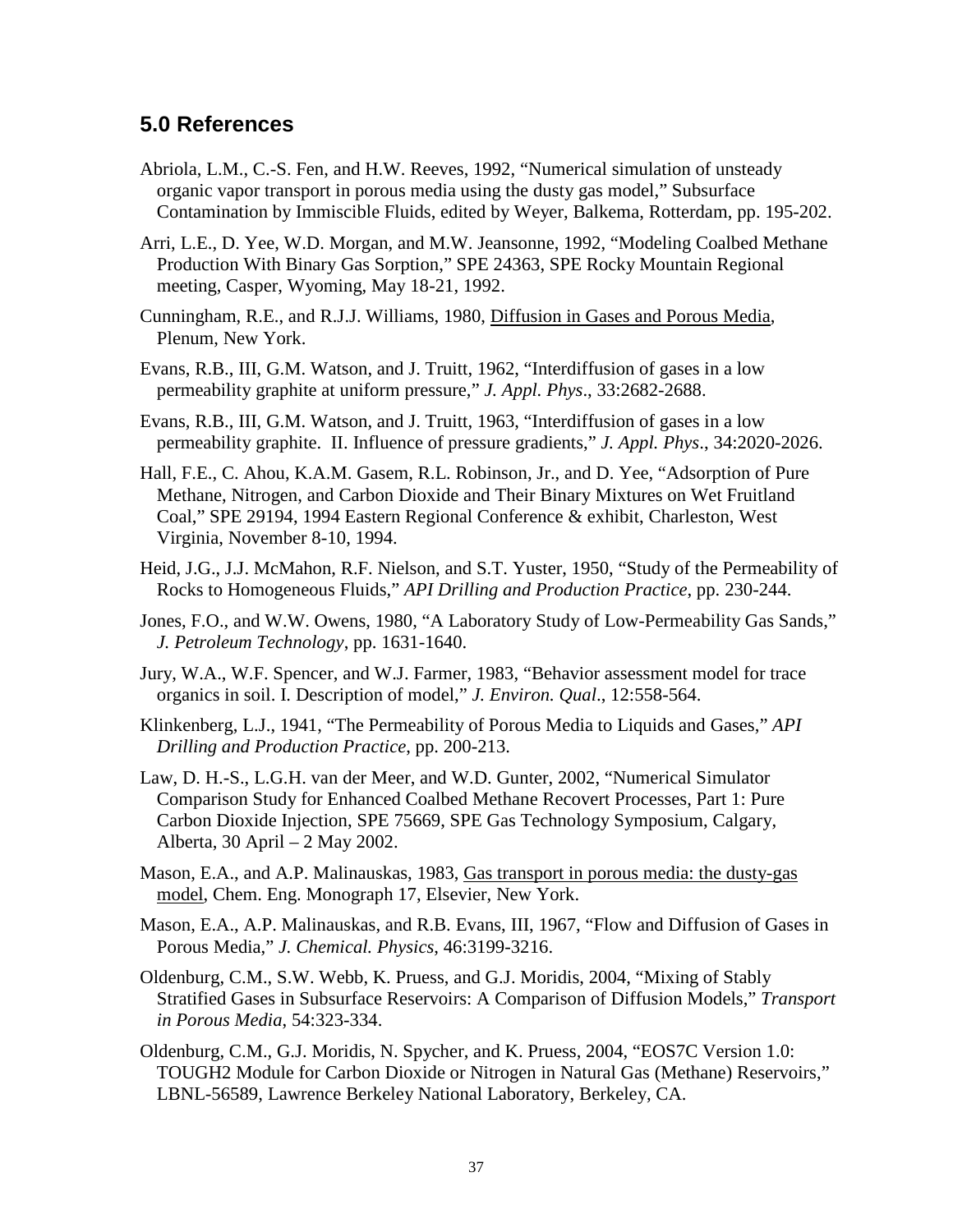## **5.0 References**

- Abriola, L.M., C.-S. Fen, and H.W. Reeves, 1992, "Numerical simulation of unsteady organic vapor transport in porous media using the dusty gas model," Subsurface Contamination by Immiscible Fluids, edited by Weyer, Balkema, Rotterdam, pp. 195-202.
- Arri, L.E., D. Yee, W.D. Morgan, and M.W. Jeansonne, 1992, "Modeling Coalbed Methane Production With Binary Gas Sorption," SPE 24363, SPE Rocky Mountain Regional meeting, Casper, Wyoming, May 18-21, 1992.
- Cunningham, R.E., and R.J.J. Williams, 1980, Diffusion in Gases and Porous Media, Plenum, New York.
- Evans, R.B., III, G.M. Watson, and J. Truitt, 1962, "Interdiffusion of gases in a low permeability graphite at uniform pressure," *J. Appl. Phys*., 33:2682-2688.
- Evans, R.B., III, G.M. Watson, and J. Truitt, 1963, "Interdiffusion of gases in a low permeability graphite. II. Influence of pressure gradients," *J. Appl. Phys*., 34:2020-2026.
- Hall, F.E., C. Ahou, K.A.M. Gasem, R.L. Robinson, Jr., and D. Yee, "Adsorption of Pure Methane, Nitrogen, and Carbon Dioxide and Their Binary Mixtures on Wet Fruitland Coal," SPE 29194, 1994 Eastern Regional Conference & exhibit, Charleston, West Virginia, November 8-10, 1994.
- Heid, J.G., J.J. McMahon, R.F. Nielson, and S.T. Yuster, 1950, "Study of the Permeability of Rocks to Homogeneous Fluids," *API Drilling and Production Practice*, pp. 230-244.
- Jones, F.O., and W.W. Owens, 1980, "A Laboratory Study of Low-Permeability Gas Sands," *J. Petroleum Technology*, pp. 1631-1640.
- Jury, W.A., W.F. Spencer, and W.J. Farmer, 1983, "Behavior assessment model for trace organics in soil. I. Description of model," *J. Environ. Qual*., 12:558-564.
- Klinkenberg, L.J., 1941, "The Permeability of Porous Media to Liquids and Gases," *API Drilling and Production Practice*, pp. 200-213.
- Law, D. H.-S., L.G.H. van der Meer, and W.D. Gunter, 2002, "Numerical Simulator Comparison Study for Enhanced Coalbed Methane Recovert Processes, Part 1: Pure Carbon Dioxide Injection, SPE 75669, SPE Gas Technology Symposium, Calgary, Alberta, 30 April – 2 May 2002.
- Mason, E.A., and A.P. Malinauskas, 1983, Gas transport in porous media: the dusty-gas model, Chem. Eng. Monograph 17, Elsevier, New York.
- Mason, E.A., A.P. Malinauskas, and R.B. Evans, III, 1967, "Flow and Diffusion of Gases in Porous Media," *J. Chemical. Physics*, 46:3199-3216.
- Oldenburg, C.M., S.W. Webb, K. Pruess, and G.J. Moridis, 2004, "Mixing of Stably Stratified Gases in Subsurface Reservoirs: A Comparison of Diffusion Models," *Transport in Porous Media*, 54:323-334.
- Oldenburg, C.M., G.J. Moridis, N. Spycher, and K. Pruess, 2004, "EOS7C Version 1.0: TOUGH2 Module for Carbon Dioxide or Nitrogen in Natural Gas (Methane) Reservoirs," LBNL-56589, Lawrence Berkeley National Laboratory, Berkeley, CA.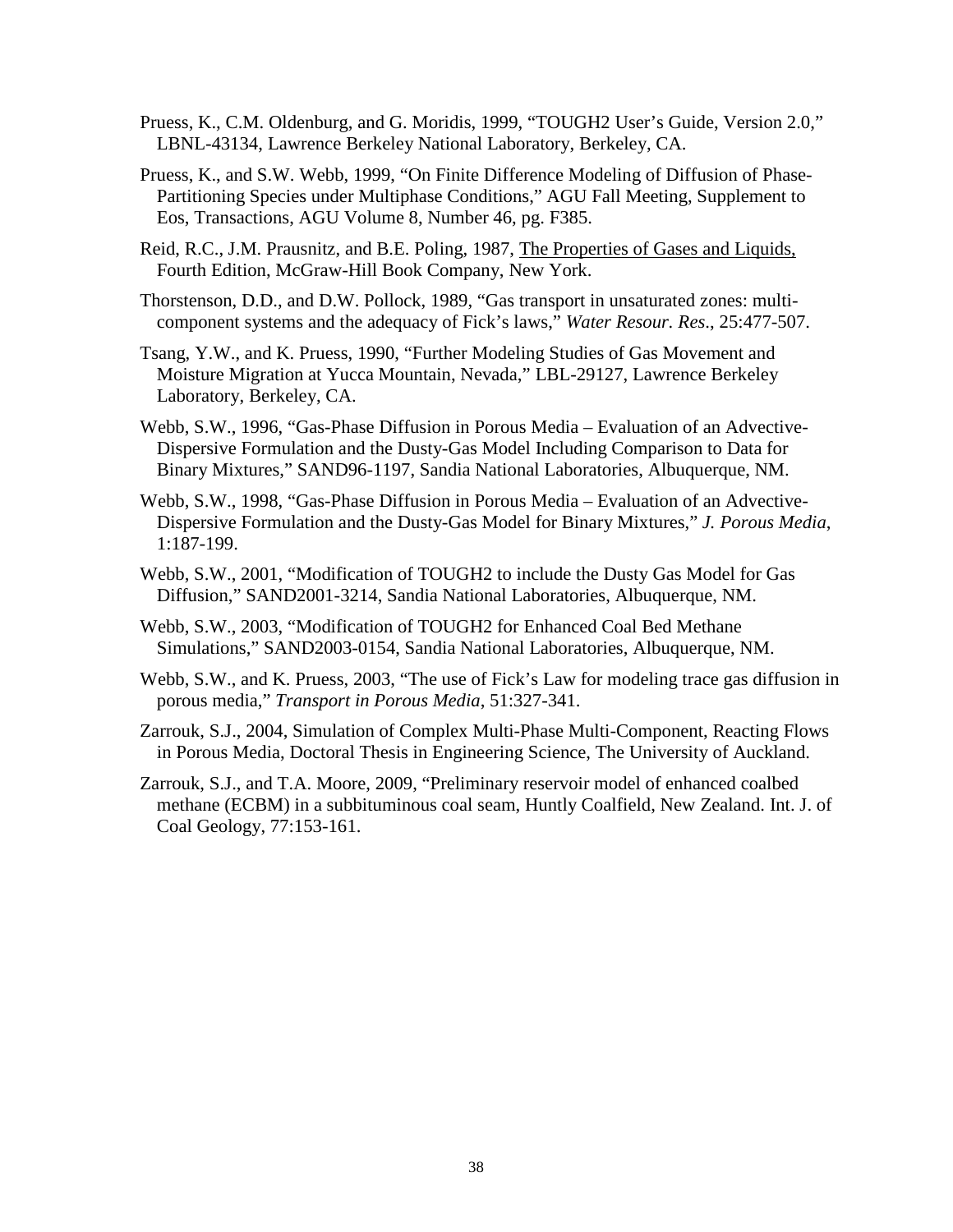- Pruess, K., C.M. Oldenburg, and G. Moridis, 1999, "TOUGH2 User's Guide, Version 2.0," LBNL-43134, Lawrence Berkeley National Laboratory, Berkeley, CA.
- Pruess, K., and S.W. Webb, 1999, "On Finite Difference Modeling of Diffusion of Phase-Partitioning Species under Multiphase Conditions," AGU Fall Meeting, Supplement to Eos, Transactions, AGU Volume 8, Number 46, pg. F385.
- Reid, R.C., J.M. Prausnitz, and B.E. Poling, 1987, The Properties of Gases and Liquids, Fourth Edition, McGraw-Hill Book Company, New York.
- Thorstenson, D.D., and D.W. Pollock, 1989, "Gas transport in unsaturated zones: multicomponent systems and the adequacy of Fick's laws," *Water Resour. Res*., 25:477-507.
- Tsang, Y.W., and K. Pruess, 1990, "Further Modeling Studies of Gas Movement and Moisture Migration at Yucca Mountain, Nevada," LBL-29127, Lawrence Berkeley Laboratory, Berkeley, CA.
- Webb, S.W., 1996, "Gas-Phase Diffusion in Porous Media Evaluation of an Advective-Dispersive Formulation and the Dusty-Gas Model Including Comparison to Data for Binary Mixtures," SAND96-1197, Sandia National Laboratories, Albuquerque, NM.
- Webb, S.W., 1998, "Gas-Phase Diffusion in Porous Media Evaluation of an Advective-Dispersive Formulation and the Dusty-Gas Model for Binary Mixtures," *J. Porous Media*, 1:187-199.
- Webb, S.W., 2001, "Modification of TOUGH2 to include the Dusty Gas Model for Gas Diffusion," SAND2001-3214, Sandia National Laboratories, Albuquerque, NM.
- Webb, S.W., 2003, "Modification of TOUGH2 for Enhanced Coal Bed Methane Simulations," SAND2003-0154, Sandia National Laboratories, Albuquerque, NM.
- Webb, S.W., and K. Pruess, 2003, "The use of Fick's Law for modeling trace gas diffusion in porous media," *Transport in Porous Media*, 51:327-341.
- Zarrouk, S.J., 2004, Simulation of Complex Multi-Phase Multi-Component, Reacting Flows in Porous Media, Doctoral Thesis in Engineering Science, The University of Auckland.
- Zarrouk, S.J., and T.A. Moore, 2009, "Preliminary reservoir model of enhanced coalbed methane (ECBM) in a subbituminous coal seam, Huntly Coalfield, New Zealand. Int. J. of Coal Geology, 77:153-161.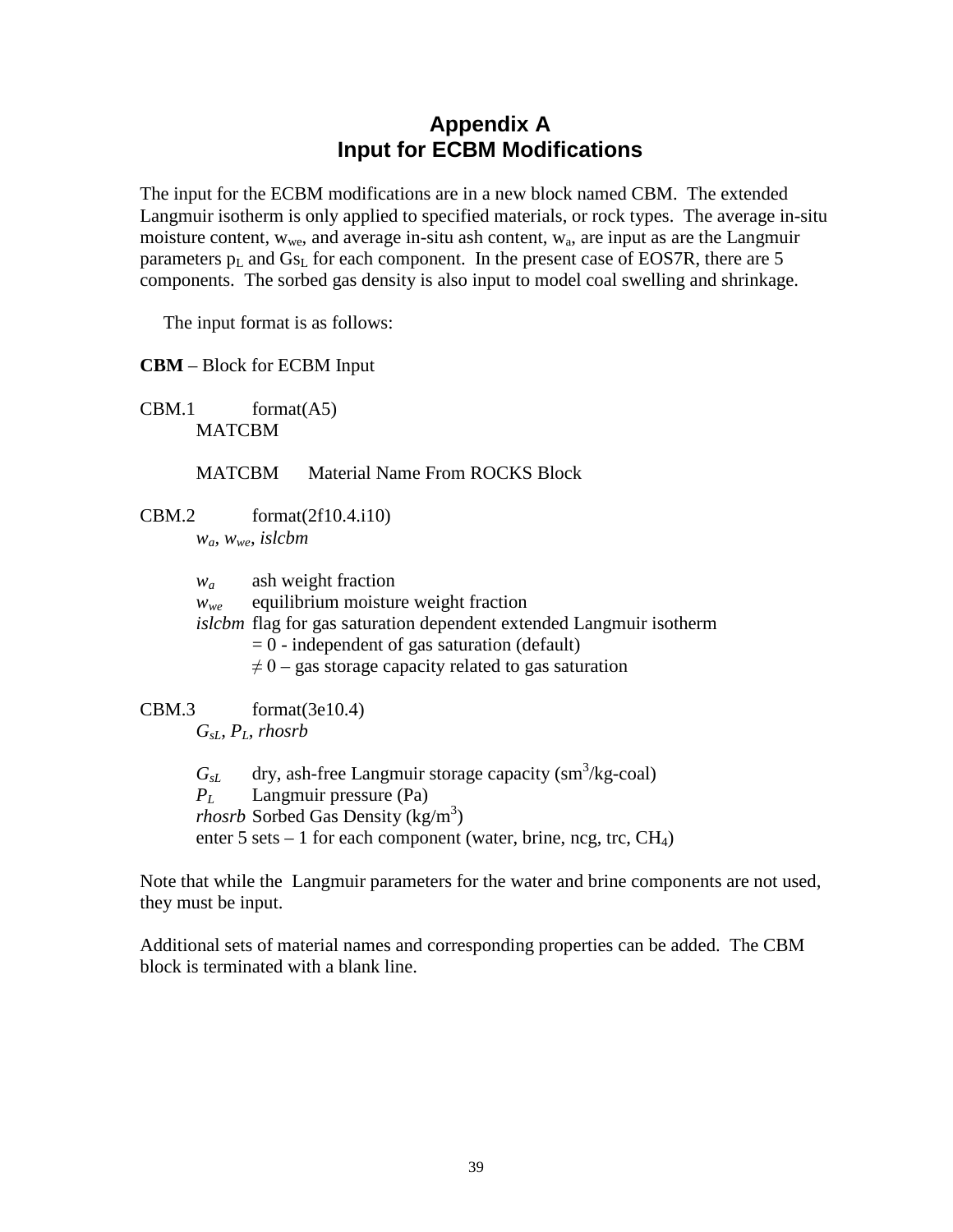# **Appendix A Input for ECBM Modifications**

The input for the ECBM modifications are in a new block named CBM. The extended Langmuir isotherm is only applied to specified materials, or rock types. The average in-situ moisture content,  $w_{we}$ , and average in-situ ash content,  $w_a$ , are input as are the Langmuir parameters  $p_L$  and  $Gs_L$  for each component. In the present case of EOS7R, there are 5 components. The sorbed gas density is also input to model coal swelling and shrinkage.

The input format is as follows:

**CBM** – Block for ECBM Input

 $CBM.1$  format $(A5)$ MATCBM

MATCBM Material Name From ROCKS Block

CBM.2 format(2f10.4.i10) *wa, wwe, islcbm*

*wa* ash weight fraction

*wwe* equilibrium moisture weight fraction

*islcbm* flag for gas saturation dependent extended Langmuir isotherm

 $= 0$  - independent of gas saturation (default)

 $\neq 0$  – gas storage capacity related to gas saturation

CBM.3 format(3e10.4)

*GsL, PL, rhosrb* 

 $G_{sL}$  dry, ash-free Langmuir storage capacity (sm<sup>3</sup>/kg-coal) *PL* Langmuir pressure (Pa) rhosrb Sorbed Gas Density (kg/m<sup>3</sup>) enter 5 sets  $-1$  for each component (water, brine, ncg, trc, CH<sub>4</sub>)

Note that while the Langmuir parameters for the water and brine components are not used, they must be input.

Additional sets of material names and corresponding properties can be added. The CBM block is terminated with a blank line.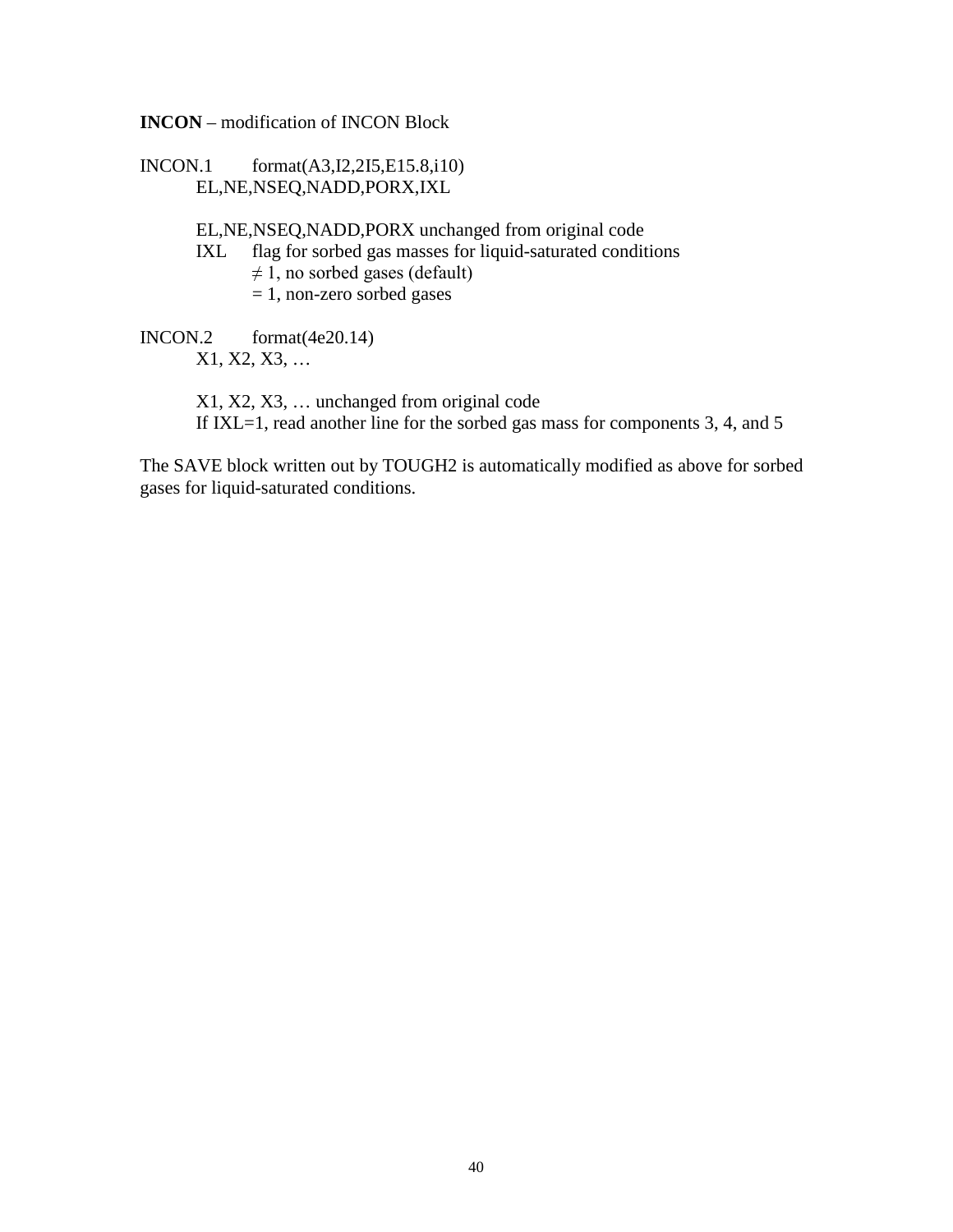**INCON** – modification of INCON Block

INCON.1 format(A3,I2,2I5,E15.8,i10) EL,NE,NSEQ,NADD,PORX,IXL

EL,NE,NSEQ,NADD,PORX unchanged from original code

IXL flag for sorbed gas masses for liquid-saturated conditions  $\neq$  1, no sorbed gases (default)

= 1, non-zero sorbed gases

INCON.2 format(4e20.14) X1, X2, X3, …

> X1, X2, X3, … unchanged from original code If IXL=1, read another line for the sorbed gas mass for components 3, 4, and 5

The SAVE block written out by TOUGH2 is automatically modified as above for sorbed gases for liquid-saturated conditions.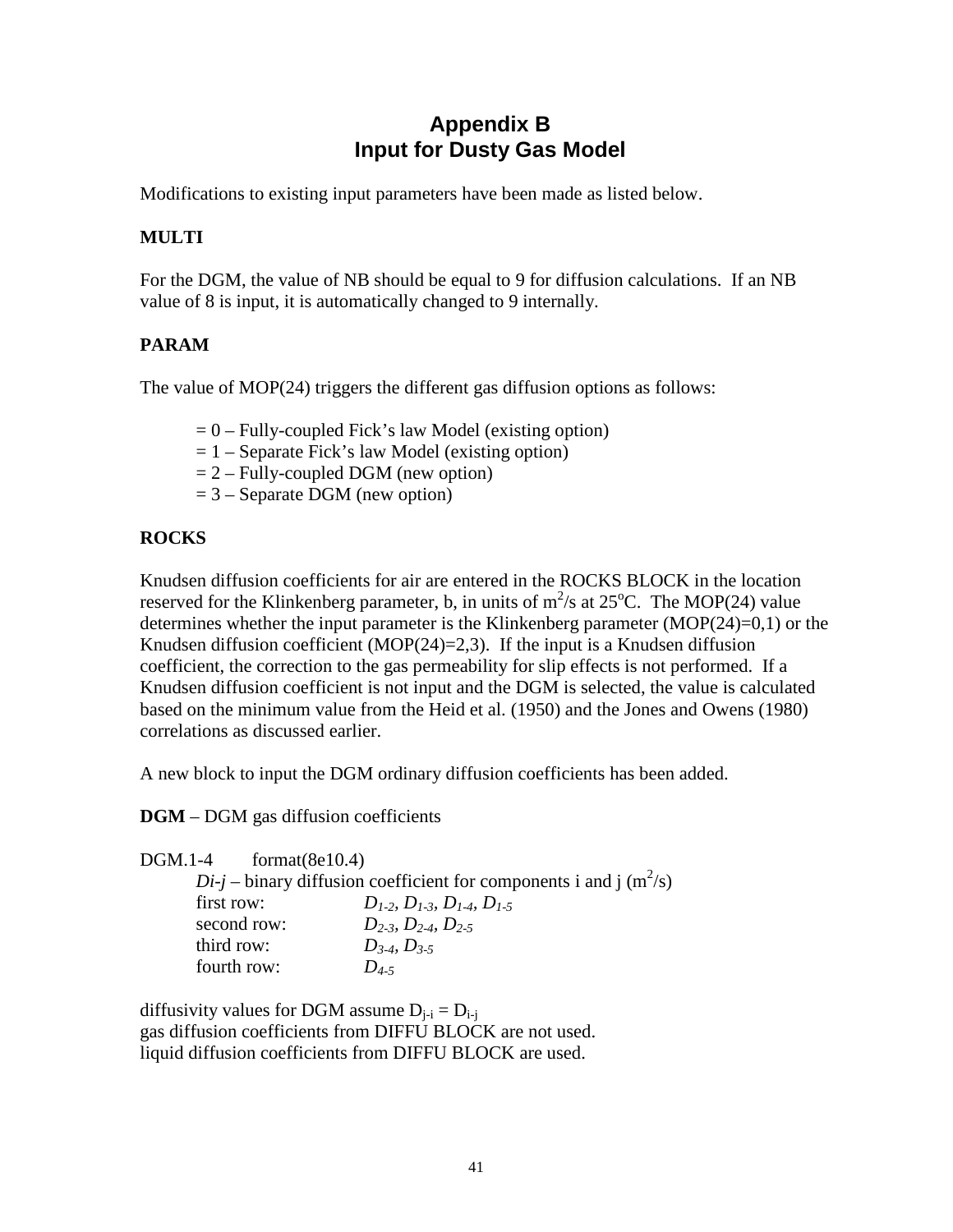# **Appendix B Input for Dusty Gas Model**

Modifications to existing input parameters have been made as listed below.

## **MULTI**

For the DGM, the value of NB should be equal to 9 for diffusion calculations. If an NB value of 8 is input, it is automatically changed to 9 internally.

## **PARAM**

The value of MOP(24) triggers the different gas diffusion options as follows:

- $= 0$  Fully-coupled Fick's law Model (existing option)
- $= 1$  Separate Fick's law Model (existing option)
- $= 2 -$  Fully-coupled DGM (new option)
- $= 3$  Separate DGM (new option)

## **ROCKS**

Knudsen diffusion coefficients for air are entered in the ROCKS BLOCK in the location reserved for the Klinkenberg parameter, b, in units of  $m^2/s$  at 25°C. The MOP(24) value determines whether the input parameter is the Klinkenberg parameter (MOP(24)=0,1) or the Knudsen diffusion coefficient (MOP(24)=2,3). If the input is a Knudsen diffusion coefficient, the correction to the gas permeability for slip effects is not performed. If a Knudsen diffusion coefficient is not input and the DGM is selected, the value is calculated based on the minimum value from the Heid et al. (1950) and the Jones and Owens (1980) correlations as discussed earlier.

A new block to input the DGM ordinary diffusion coefficients has been added.

**DGM** – DGM gas diffusion coefficients

DGM.1-4 format(8e10.4)  $Di-j$  – binary diffusion coefficient for components i and j (m<sup>2</sup>/s) first row:  $D_{1-2}$ ,  $D_{1-3}$ ,  $D_{1-4}$ ,  $D_{1-5}$ second row:  $D_{2-3}$ ,  $D_{2-4}$ ,  $D_{2-5}$ third row:  $D_{3-4}$ ,  $D_{3-5}$ fourth row: *D4-5*

diffusivity values for DGM assume  $D_{i-i} = D_{i-i}$ gas diffusion coefficients from DIFFU BLOCK are not used. liquid diffusion coefficients from DIFFU BLOCK are used.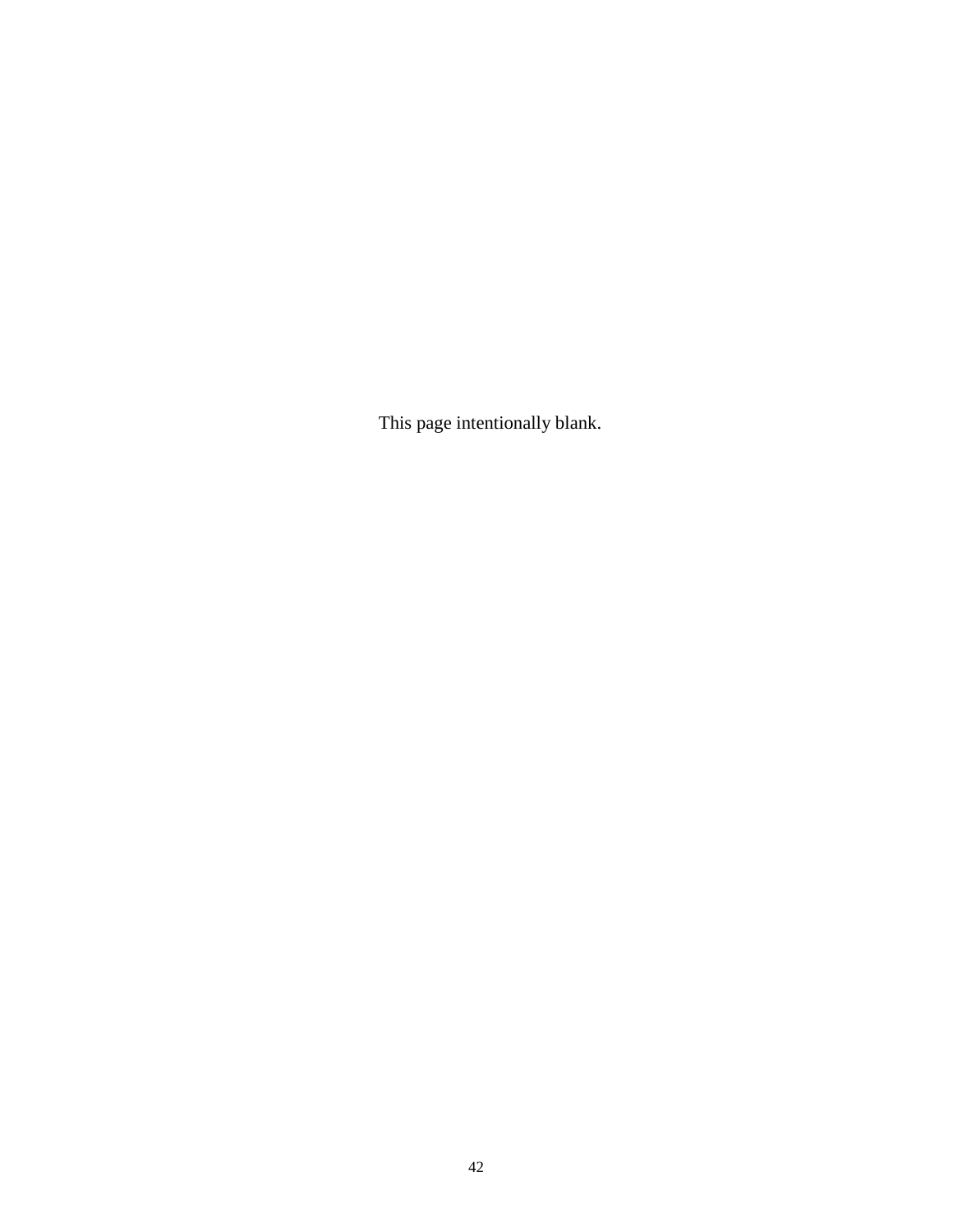This page intentionally blank.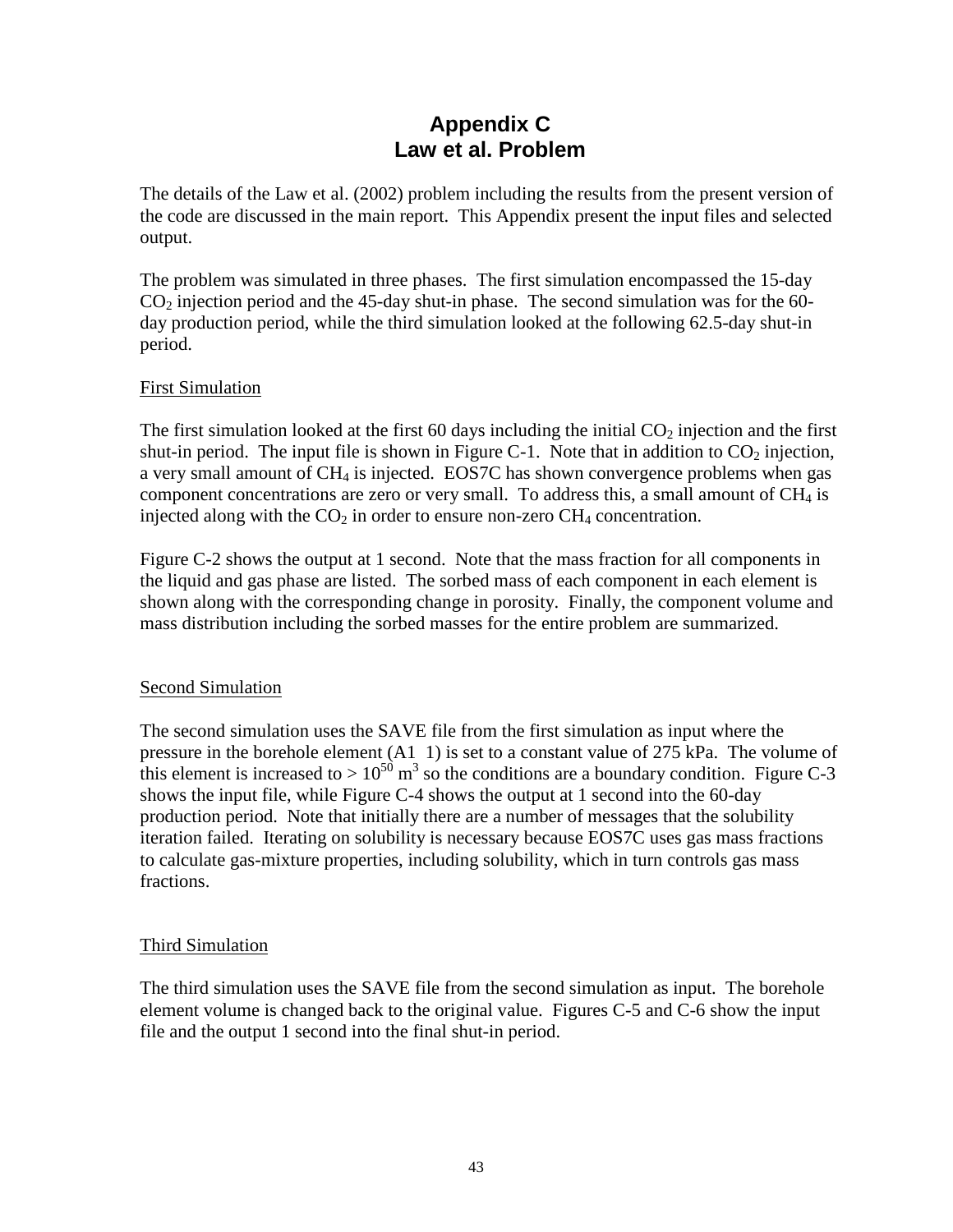# **Appendix C Law et al. Problem**

The details of the Law et al. (2002) problem including the results from the present version of the code are discussed in the main report. This Appendix present the input files and selected output.

The problem was simulated in three phases. The first simulation encompassed the 15-day  $CO<sub>2</sub>$  injection period and the 45-day shut-in phase. The second simulation was for the 60day production period, while the third simulation looked at the following 62.5-day shut-in period.

### First Simulation

The first simulation looked at the first 60 days including the initial  $CO<sub>2</sub>$  injection and the first shut-in period. The input file is shown in Figure C-1. Note that in addition to  $CO<sub>2</sub>$  injection, a very small amount of CH<sub>4</sub> is injected. EOS7C has shown convergence problems when gas component concentrations are zero or very small. To address this, a small amount of  $CH_4$  is injected along with the  $CO<sub>2</sub>$  in order to ensure non-zero  $CH<sub>4</sub>$  concentration.

Figure C-2 shows the output at 1 second. Note that the mass fraction for all components in the liquid and gas phase are listed. The sorbed mass of each component in each element is shown along with the corresponding change in porosity. Finally, the component volume and mass distribution including the sorbed masses for the entire problem are summarized.

#### **Second Simulation**

The second simulation uses the SAVE file from the first simulation as input where the pressure in the borehole element (A1 1) is set to a constant value of 275 kPa. The volume of this element is increased to  $> 10^{50}$  m<sup>3</sup> so the conditions are a boundary condition. Figure C-3 shows the input file, while Figure C-4 shows the output at 1 second into the 60-day production period. Note that initially there are a number of messages that the solubility iteration failed. Iterating on solubility is necessary because EOS7C uses gas mass fractions to calculate gas-mixture properties, including solubility, which in turn controls gas mass fractions.

#### Third Simulation

The third simulation uses the SAVE file from the second simulation as input. The borehole element volume is changed back to the original value. Figures C-5 and C-6 show the input file and the output 1 second into the final shut-in period.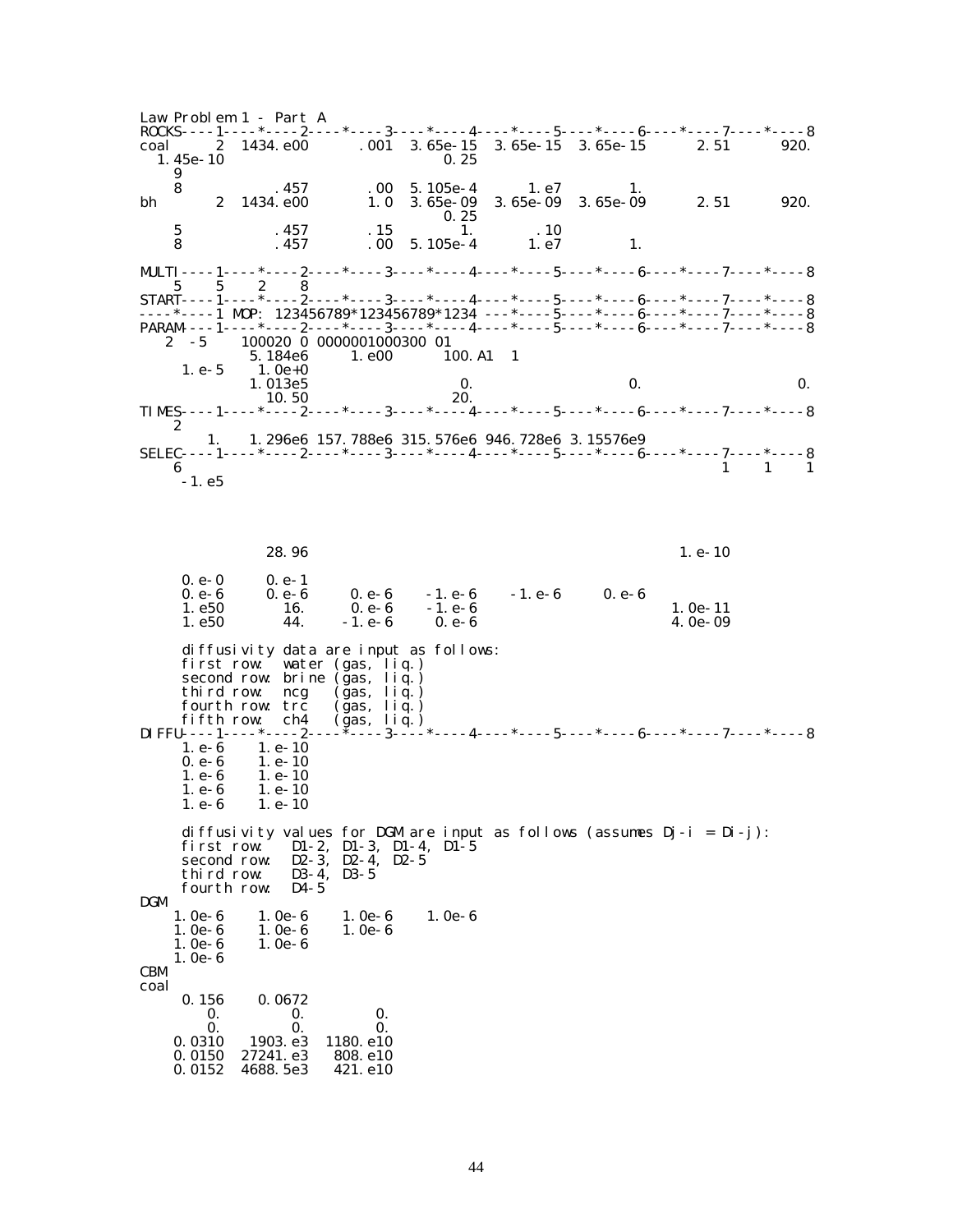Law Problem 1 - Part A  $ROCKS$ ----1----\*----2----\*----3----\*----4----\*----5----\*----6----\*----7----\*----8<br>
coal 2 1434.e00 .001 3.65e-15 3.65e-15 3.65e-15 2.51 920. coal 2 1434.e00 .001 3.65e-15 3.65e-15 3.65e-15 2.51 920.<br>
1.45e-10 0.25<br>
8 2 1434.e00 1.0 3.65e-09 3.65e-09 3.65e-09 2.51 920. bh 2 1434.e00 1.0 3.65e-09 3.65e-09 3.65e-09 2.51 920.<br>
5 .457 .15 1. .10<br>
8 .457 .00 5.105e-4 1.e7 1. MULTI----1----\*----2----\*----3----\*----4----\*----5----\*----6----\*----7----\*----8<br>5 5 2 8<br>START----1----\*----2----\*----3----\*----4----\*----5----\*----6----\*----7----\*----8 START----1----\*----2----\*----3----\*----4----\*----5----\*----6----\*----7----\*----8 ----\*----1 MOP: 123456789\*123456789\*1234 ---\*----5----\*----6----\*----7----\*----8 PARAM----1----\*----2----\*----3----\*----4----\*----5----\*----6----\*----7----\*----8 2 -5 100020 0 0000001000300 01  $5.184e6$   $1. e00$   $100. A1$  1<br>1.  $e-5$   $1.0e+0$  $1.0e+0$ <br> $1.013e5$  $1.013e5$  0. 0. 0. 0. 10.50 20. TIMES----1----\*----2----\*----3----\*----4----\*----5----\*----6----\*----7----\*----8 2 1. 1.296e6 157.788e6 315.576e6 946.728e6 3.15576e9 SELEC----1----\*----2----\*----3----\*----4----\*----5----\*----6----\*----7----\*----8<br>6 1 1 1 6 1 1 1 -1.e5

28.96 1. e-10 0. e-0 0. e-1<br>0. e-6 0. e-6 0. e-6 0. e-6 0. e-6 -1. e-6 -1. e-6 0. e-6<br>1. e50 16. 0. e-6 -1. e-6 1. e50 16. 0. e-6 -1. e-6 1. 0e-11<br>1. e50 44. -1. e-6 0. e-6 4. 0e-09 diffusivity data are input as follows:<br>first row: water (gas, liq.)<br>second row: brine (gas, liq.)<br>third row: ncg (gas, liq.)<br>fourth row: trc (gas, liq.)<br>fifth row: ch4 (gas, liq.)<br>DIFFU----1---\*----2---\*----3----\*----4--- $\begin{array}{l} \n\text{I.} = -1 \quad \text{I.} = -1 \quad \text{I.} = -2 \quad \text{I.} = -2 \quad \text{I.} = -3 \quad \text{I.} = -4 \quad \text{I.} = -5 \quad \text{I.} = -6 \quad \text{I.} = -10 \quad \text{I.} = -6 \quad \text{I.} = -10 \quad \text{I.} = -6 \quad \text{I.} = -10 \quad \text{I.} = -6 \quad \text{I.} = -10 \quad \text{I.} = -6 \quad \text{I.} = -10 \quad \text{I.} = -6 \quad \text{I.} = 1. e-10$ diffusivity values for DGM are input as follows (assumes  $Dj - i = Di - j$ ): first row: D1-2, D1-3, D1-4, D1-5 second row: D2-3, D2-4, D2-5 third row:  $D3-4$ ,  $D3-5$ <br>fourth row:  $D4-5$ fourth row: DGM 1.0e-6 1.0e-6 1.0e-6 1.0e-6 1.0e- $6$ <br>1.0e-6  $1.0e-6$  1.0e-6 CBM coal  $0.156$   $0.0672$ <br>0. 0. 0. 0. 0. 0. 0. 0. 0.0310 1903.e3 1180.e10 0.0150 27241.e3 808.e10 0.0152 4688.5e3 421.e10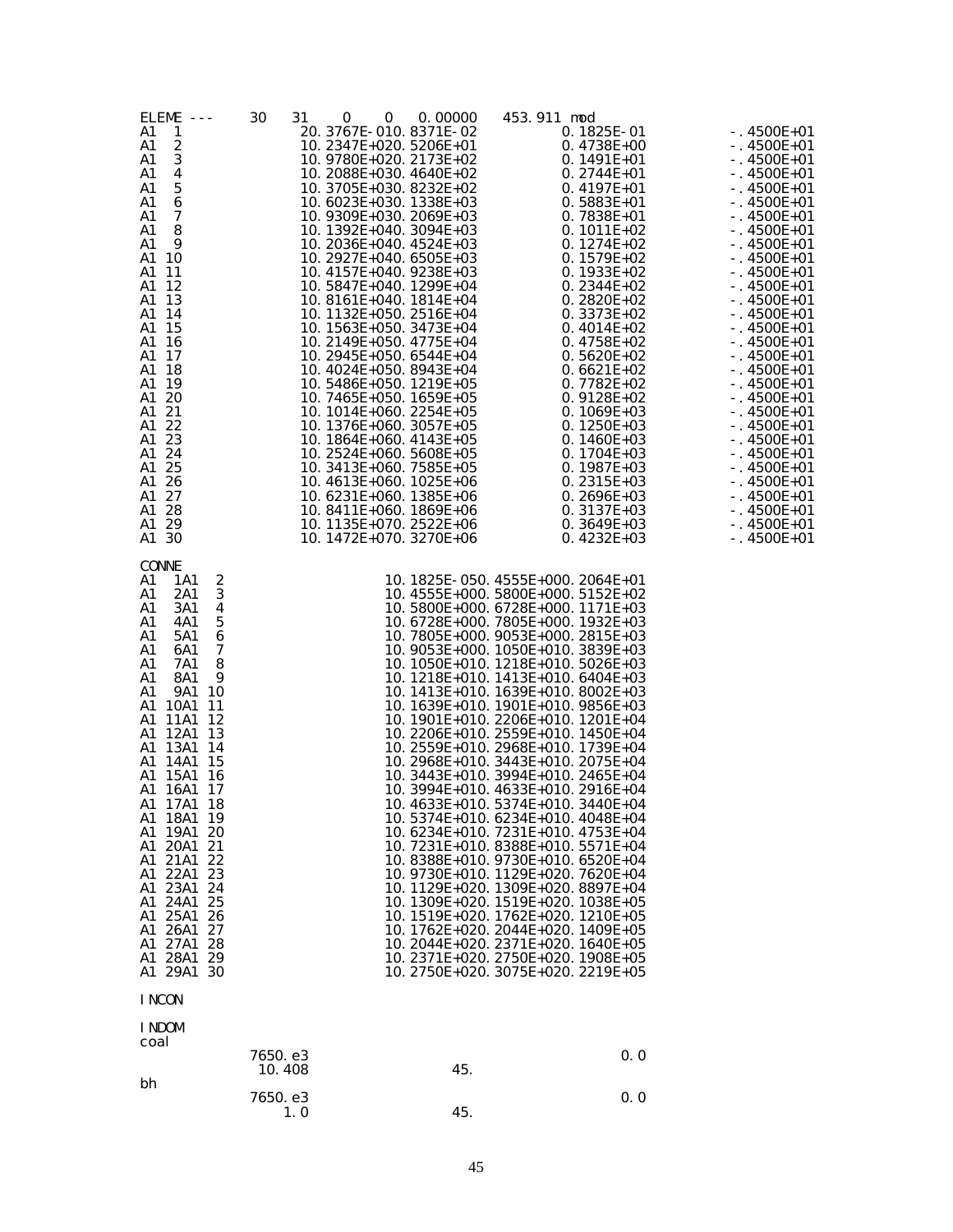| $ELEME - -$<br>1<br>A1<br>$\boldsymbol{2}$<br>A1<br>$\boldsymbol{3}$<br>A1<br>4<br>A1<br>$\mathbf 5$<br>A1<br>6<br>A1<br>$\boldsymbol{7}$<br>A1<br>8<br>A1<br>9<br>A1<br>A1 10<br>A1 11<br>A1 12<br>A1 13<br>A1 14<br>A1 15<br>A1 16<br>A1 17<br>A1 18<br>A1 19<br>A1 20<br>A1 21<br>A1 22<br>A1 23<br>A1 24<br>A1 25<br>A1 26<br>A1 27<br>A1 28<br>A1 29<br>A1 30                                                                                                    | 30<br>31           | $\bf{0}$<br>$\bf{0}$ | 0.00000<br>20. 3767E-010. 8371E-02<br>10. $2347E+020.5206E+01$<br>10. $9780E+020.2173E+02$<br>10. $2088E+030.4640E+02$<br>10. 3705E+030. 8232E+02<br>10. $6023E+030.$ 1338E+03<br>10. $9309E+030.2069E+03$<br>10. $1392E+040.3094E+03$<br>10. $2036E+040.4524E+03$<br>10. $2927E+040.6505E+03$<br>10. $4157E+040.9238E+03$<br>10.5847E+040.1299E+04<br>10. 8161E+040. 1814E+04<br>10. $1132E+050.2516E+04$<br>10. $1563E+050.$ $3473E+04$<br>10. 2149E+050. 4775E+04<br>10. $2945E+050.6544E+04$<br>10.4024E+050.8943E+04<br>10. $5486E+050.$ 1219 $E+05$<br>10. $7465E+050.1659E+05$<br>10. $1014E+060.2254E+05$<br>10. $1376E+060.3057E+05$<br>10. $1864E+060.$ $4143E+05$<br>10. $2524E+060.5608E+05$<br>10. $3413E+060.7585E+05$<br>10. $4613E+060.$ 1025E+06<br>10. $6231E+060.$ 1385 $E+06$<br>10.8411E+060.1869E+06<br>10. $1135E+070.2522E+06$<br>10. $1472E+070.$ 3270 $E+06$ | 453.911 mod                                                                                                                                                                                                                                                                                                                                                                                                                                                                                                                                                                                                                                                                                                                                                                                                                                                                                                                                                                                                                                                                                                                 |  |
|-----------------------------------------------------------------------------------------------------------------------------------------------------------------------------------------------------------------------------------------------------------------------------------------------------------------------------------------------------------------------------------------------------------------------------------------------------------------------|--------------------|----------------------|----------------------------------------------------------------------------------------------------------------------------------------------------------------------------------------------------------------------------------------------------------------------------------------------------------------------------------------------------------------------------------------------------------------------------------------------------------------------------------------------------------------------------------------------------------------------------------------------------------------------------------------------------------------------------------------------------------------------------------------------------------------------------------------------------------------------------------------------------------------------------------------|-----------------------------------------------------------------------------------------------------------------------------------------------------------------------------------------------------------------------------------------------------------------------------------------------------------------------------------------------------------------------------------------------------------------------------------------------------------------------------------------------------------------------------------------------------------------------------------------------------------------------------------------------------------------------------------------------------------------------------------------------------------------------------------------------------------------------------------------------------------------------------------------------------------------------------------------------------------------------------------------------------------------------------------------------------------------------------------------------------------------------------|--|
| <b>CONNE</b><br>1A1<br>2<br>A1<br>A1<br>2A1<br>3<br>3A1<br>4<br>A1<br>4A1<br>5<br>A1<br>5A1<br>6<br>A1<br>7<br>6A1<br>A1<br>7A1<br>8<br>A1<br>8A 1<br>A1<br>9<br>9A1 10<br>A1<br>A1 10A1 11<br>A1 11A1 12<br>A1 12A1 13<br>A1 13A1 14<br>A1 14A1 15<br>A1 15A1 16<br>A1 16A1 17<br>A1 17A1 18<br>A1 18A1 19<br>A1 19A1 20<br>A1 20A1 21<br>A1 21A1 22<br>A1 22A1 23<br>A1 23A1 24<br>A1 24A1 25<br>A1 25A1 26<br>A1 26A1 27<br>A1 27A1 28<br>A1 28A1 29<br>A1 29A1 30 |                    |                      |                                                                                                                                                                                                                                                                                                                                                                                                                                                                                                                                                                                                                                                                                                                                                                                                                                                                                        | 10. 1825E-050. 4555E+000. 2064E+01<br>10. 4555E+000. 5800E+000. 5152E+02<br>10.5800E+000.6728E+000.1171E+03<br>10. 6728E+000. 7805E+000. 1932E+03<br>10. 7805E+000. 9053E+000. 2815E+03<br>10. 9053E+000. 1050E+010. 3839E+03<br>10. 1050E+010. 1218E+010. 5026E+03<br>10. 1218E+010. 1413E+010. 6404E+03<br>10. 1413E+010. 1639E+010. 8002E+03<br>10. 1639E+010. 1901E+010. 9856E+03<br>10. 1901E+010. 2206E+010. 1201E+04<br>10. 2206E+010. 2559E+010. 1450E+04<br>10. 2559E+010. 2968E+010. 1739E+04<br>10. 2968E+010. 3443E+010. 2075E+04<br>10. 3443E+010. 3994E+010. 2465E+04<br>10. 3994E+010. 4633E+010. 2916E+04<br>10.4633E+010.5374E+010.3440E+04<br>10. 5374E+010. 6234E+010. 4048E+04<br>10. 6234E+010. 7231E+010. 4753E+04<br>10.7231E+010.8388E+010.5571E+04<br>10. 8388E+010. 9730E+010. 6520E+04<br>10.9730E+010.1129E+020.7620E+04<br>10.1129E+020.1309E+020.8897E+04<br>10. 1309E+020. 1519E+020. 1038E+05<br>10. 1519E+020. 1762E+020. 1210E+05<br>10. 1762E+020. 2044E+020. 1409E+05<br>10. 2044E+020. 2371E+020. 1640E+05<br>10. 2371E+020. 2750E+020. 1908E+05<br>10. 2750E+020. 3075E+020. 2219E+05 |  |
| <b>INCON</b>                                                                                                                                                                                                                                                                                                                                                                                                                                                          |                    |                      |                                                                                                                                                                                                                                                                                                                                                                                                                                                                                                                                                                                                                                                                                                                                                                                                                                                                                        |                                                                                                                                                                                                                                                                                                                                                                                                                                                                                                                                                                                                                                                                                                                                                                                                                                                                                                                                                                                                                                                                                                                             |  |
| <b>INDOM</b>                                                                                                                                                                                                                                                                                                                                                                                                                                                          |                    |                      |                                                                                                                                                                                                                                                                                                                                                                                                                                                                                                                                                                                                                                                                                                                                                                                                                                                                                        |                                                                                                                                                                                                                                                                                                                                                                                                                                                                                                                                                                                                                                                                                                                                                                                                                                                                                                                                                                                                                                                                                                                             |  |
| coal                                                                                                                                                                                                                                                                                                                                                                                                                                                                  | 7650. e3           |                      | 45.                                                                                                                                                                                                                                                                                                                                                                                                                                                                                                                                                                                                                                                                                                                                                                                                                                                                                    | 0.0                                                                                                                                                                                                                                                                                                                                                                                                                                                                                                                                                                                                                                                                                                                                                                                                                                                                                                                                                                                                                                                                                                                         |  |
| bh                                                                                                                                                                                                                                                                                                                                                                                                                                                                    | 10.408<br>7650. e3 |                      |                                                                                                                                                                                                                                                                                                                                                                                                                                                                                                                                                                                                                                                                                                                                                                                                                                                                                        | 0.0                                                                                                                                                                                                                                                                                                                                                                                                                                                                                                                                                                                                                                                                                                                                                                                                                                                                                                                                                                                                                                                                                                                         |  |
|                                                                                                                                                                                                                                                                                                                                                                                                                                                                       | 1.0                |                      | 45.                                                                                                                                                                                                                                                                                                                                                                                                                                                                                                                                                                                                                                                                                                                                                                                                                                                                                    |                                                                                                                                                                                                                                                                                                                                                                                                                                                                                                                                                                                                                                                                                                                                                                                                                                                                                                                                                                                                                                                                                                                             |  |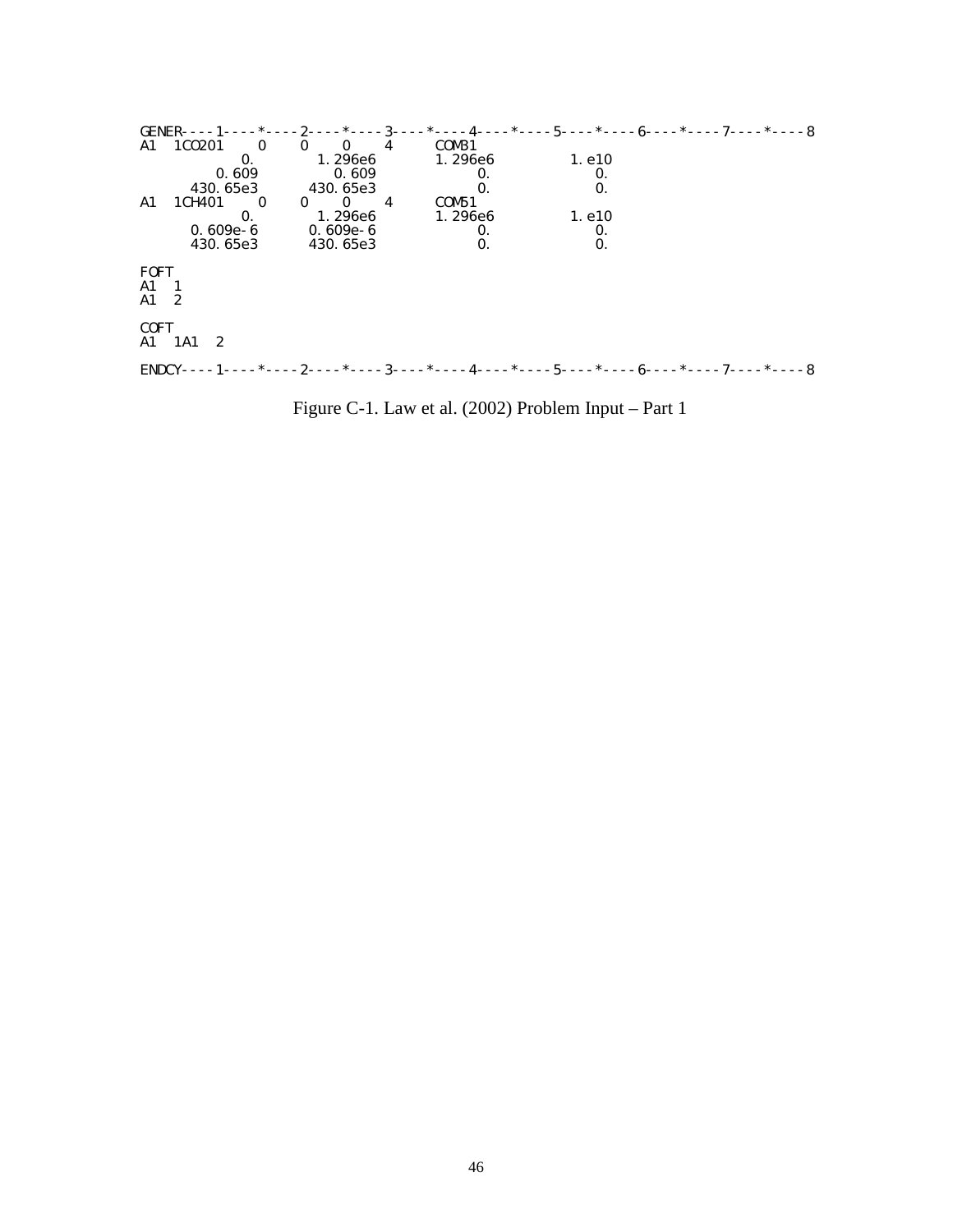|      |                |          |          |              |   |                   |        | GENER---- 1----*---- 2----*---- 3---- *---- 4---- *---- 5---- *---- 6---- *---- 7---- *---- 8   |
|------|----------------|----------|----------|--------------|---|-------------------|--------|-------------------------------------------------------------------------------------------------|
| A1.  | 1C0201         | $\Omega$ | $\Omega$ | 0            | 4 | COM <sub>31</sub> |        |                                                                                                 |
|      |                | 0.       |          | 1.296e6      |   | 1.296e6           | 1. e10 |                                                                                                 |
|      | 0.609          |          |          | 0.609        |   | 0.                | 0.     |                                                                                                 |
|      | 430, 65e3      |          |          | 430, 65e3    |   | $\Omega$          | 0.     |                                                                                                 |
| A 1  | 1CH401         | $\bf{0}$ | 0        | $\mathbf{0}$ | 4 | <b>COM51</b>      |        |                                                                                                 |
|      |                | 0.       |          | 1.296e6      |   | 1.296e6           | 1. e10 |                                                                                                 |
|      | $0.609e-6$     |          |          | $0.609e-6$   |   | 0.                | 0.     |                                                                                                 |
|      | 430, 65e3      |          |          | 430.65e3     |   | 0.                | 0.     |                                                                                                 |
| FOFT |                |          |          |              |   |                   |        |                                                                                                 |
| A1   |                |          |          |              |   |                   |        |                                                                                                 |
| A1 — | $\overline{2}$ |          |          |              |   |                   |        |                                                                                                 |
| COFT |                |          |          |              |   |                   |        |                                                                                                 |
|      | A1 1A1<br>-2   |          |          |              |   |                   |        |                                                                                                 |
|      |                |          |          |              |   |                   |        | ENDCY---- 1---- *---- 2---- *---- 3---- *---- 4---- *---- 5---- *---- 6---- *---- 7---- *---- 8 |

Figure C-1. Law et al. (2002) Problem Input – Part 1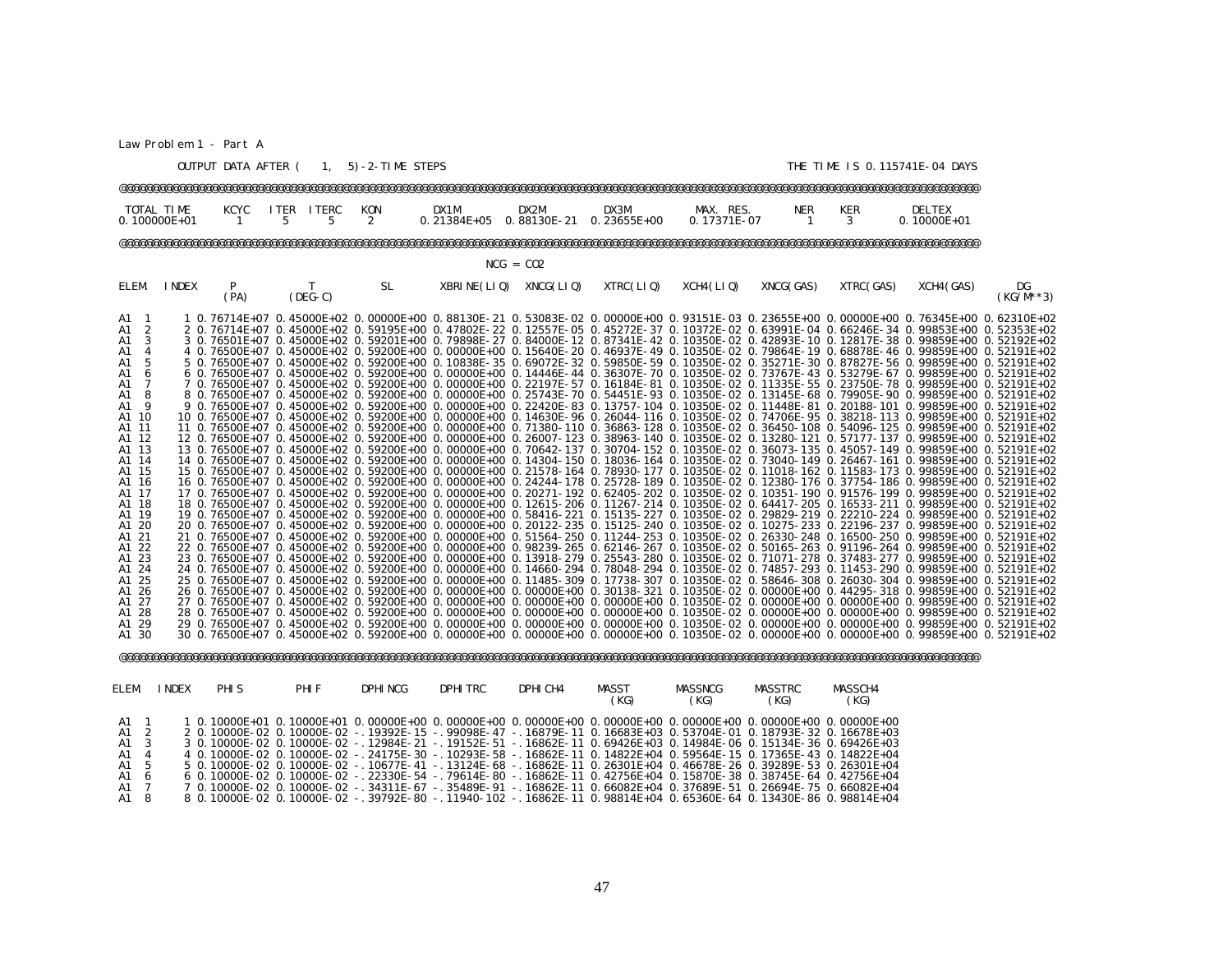| OUTPUT DATA AFTER (<br>$1.$ 5) - 2- TIME STEPS<br>THE TIME IS 0. 115741E-04 DAYS                                                                                                                                                                                                                                               |                                                                                                                                                                                                                                                                                                                                                                                                                                                                                                                                                                                                                                                                                                                                                                                                                                                                                                                                                                                                                                                                                                                                                                                                                                                                                                                                                                                                                                                                                                                                                                                                                                                                                                                                                                                                                                                                                                                                                                                                                                                                                                                                                                                                                                                                                                                                                                                                                                                                                                                                                                                                                                                                                                                                                                                                                                                                                                                                                                                                                                                                                                                                                                                                                                                                                                                                                                                                                                                                                                                                                                                                                                                                                                                                                                                                                                                                                                                                                                                                                                                                                                                                                                                                                                                                                               |                       |                       |                           |                       |                          |                            |                 |                                |                      |  |  |  |  |
|--------------------------------------------------------------------------------------------------------------------------------------------------------------------------------------------------------------------------------------------------------------------------------------------------------------------------------|-----------------------------------------------------------------------------------------------------------------------------------------------------------------------------------------------------------------------------------------------------------------------------------------------------------------------------------------------------------------------------------------------------------------------------------------------------------------------------------------------------------------------------------------------------------------------------------------------------------------------------------------------------------------------------------------------------------------------------------------------------------------------------------------------------------------------------------------------------------------------------------------------------------------------------------------------------------------------------------------------------------------------------------------------------------------------------------------------------------------------------------------------------------------------------------------------------------------------------------------------------------------------------------------------------------------------------------------------------------------------------------------------------------------------------------------------------------------------------------------------------------------------------------------------------------------------------------------------------------------------------------------------------------------------------------------------------------------------------------------------------------------------------------------------------------------------------------------------------------------------------------------------------------------------------------------------------------------------------------------------------------------------------------------------------------------------------------------------------------------------------------------------------------------------------------------------------------------------------------------------------------------------------------------------------------------------------------------------------------------------------------------------------------------------------------------------------------------------------------------------------------------------------------------------------------------------------------------------------------------------------------------------------------------------------------------------------------------------------------------------------------------------------------------------------------------------------------------------------------------------------------------------------------------------------------------------------------------------------------------------------------------------------------------------------------------------------------------------------------------------------------------------------------------------------------------------------------------------------------------------------------------------------------------------------------------------------------------------------------------------------------------------------------------------------------------------------------------------------------------------------------------------------------------------------------------------------------------------------------------------------------------------------------------------------------------------------------------------------------------------------------------------------------------------------------------------------------------------------------------------------------------------------------------------------------------------------------------------------------------------------------------------------------------------------------------------------------------------------------------------------------------------------------------------------------------------------------------------------------------------------------------------------------------------|-----------------------|-----------------------|---------------------------|-----------------------|--------------------------|----------------------------|-----------------|--------------------------------|----------------------|--|--|--|--|
|                                                                                                                                                                                                                                                                                                                                |                                                                                                                                                                                                                                                                                                                                                                                                                                                                                                                                                                                                                                                                                                                                                                                                                                                                                                                                                                                                                                                                                                                                                                                                                                                                                                                                                                                                                                                                                                                                                                                                                                                                                                                                                                                                                                                                                                                                                                                                                                                                                                                                                                                                                                                                                                                                                                                                                                                                                                                                                                                                                                                                                                                                                                                                                                                                                                                                                                                                                                                                                                                                                                                                                                                                                                                                                                                                                                                                                                                                                                                                                                                                                                                                                                                                                                                                                                                                                                                                                                                                                                                                                                                                                                                                                               |                       |                       |                           |                       |                          |                            |                 |                                |                      |  |  |  |  |
| TOTAL TIME<br><b>KCYC</b><br>$0.100000E+01$<br>-1                                                                                                                                                                                                                                                                              | <b>I TER</b><br><b>I TERC</b><br>5<br>5                                                                                                                                                                                                                                                                                                                                                                                                                                                                                                                                                                                                                                                                                                                                                                                                                                                                                                                                                                                                                                                                                                                                                                                                                                                                                                                                                                                                                                                                                                                                                                                                                                                                                                                                                                                                                                                                                                                                                                                                                                                                                                                                                                                                                                                                                                                                                                                                                                                                                                                                                                                                                                                                                                                                                                                                                                                                                                                                                                                                                                                                                                                                                                                                                                                                                                                                                                                                                                                                                                                                                                                                                                                                                                                                                                                                                                                                                                                                                                                                                                                                                                                                                                                                                                                       | KON<br>$\overline{2}$ | DX1M<br>$0.21384E+05$ | DX2M<br>0.88130E-21       | DX3M<br>$0.23655E+00$ | MAX. RES.<br>0.17371E-07 | <b>NER</b><br>$\mathbf{1}$ | <b>KER</b><br>3 | <b>DELTEX</b><br>$0.10000E+01$ |                      |  |  |  |  |
|                                                                                                                                                                                                                                                                                                                                |                                                                                                                                                                                                                                                                                                                                                                                                                                                                                                                                                                                                                                                                                                                                                                                                                                                                                                                                                                                                                                                                                                                                                                                                                                                                                                                                                                                                                                                                                                                                                                                                                                                                                                                                                                                                                                                                                                                                                                                                                                                                                                                                                                                                                                                                                                                                                                                                                                                                                                                                                                                                                                                                                                                                                                                                                                                                                                                                                                                                                                                                                                                                                                                                                                                                                                                                                                                                                                                                                                                                                                                                                                                                                                                                                                                                                                                                                                                                                                                                                                                                                                                                                                                                                                                                                               |                       |                       |                           |                       |                          |                            |                 |                                |                      |  |  |  |  |
| $NCG = CO2$                                                                                                                                                                                                                                                                                                                    |                                                                                                                                                                                                                                                                                                                                                                                                                                                                                                                                                                                                                                                                                                                                                                                                                                                                                                                                                                                                                                                                                                                                                                                                                                                                                                                                                                                                                                                                                                                                                                                                                                                                                                                                                                                                                                                                                                                                                                                                                                                                                                                                                                                                                                                                                                                                                                                                                                                                                                                                                                                                                                                                                                                                                                                                                                                                                                                                                                                                                                                                                                                                                                                                                                                                                                                                                                                                                                                                                                                                                                                                                                                                                                                                                                                                                                                                                                                                                                                                                                                                                                                                                                                                                                                                                               |                       |                       |                           |                       |                          |                            |                 |                                |                      |  |  |  |  |
| <b>I NDEX</b><br><b>ELEM</b><br>P<br>(PA)                                                                                                                                                                                                                                                                                      | T.<br>$(DEG-C)$                                                                                                                                                                                                                                                                                                                                                                                                                                                                                                                                                                                                                                                                                                                                                                                                                                                                                                                                                                                                                                                                                                                                                                                                                                                                                                                                                                                                                                                                                                                                                                                                                                                                                                                                                                                                                                                                                                                                                                                                                                                                                                                                                                                                                                                                                                                                                                                                                                                                                                                                                                                                                                                                                                                                                                                                                                                                                                                                                                                                                                                                                                                                                                                                                                                                                                                                                                                                                                                                                                                                                                                                                                                                                                                                                                                                                                                                                                                                                                                                                                                                                                                                                                                                                                                                               | <b>SL</b>             |                       | $XBRINE(LIO)$ $XNCG(LIO)$ | XTRC(LIQ)             | XCH4(LI0)                | XNCG(GAS)                  | XTRC(GAS)       | XCH4(GAS)                      | DG<br>$(KG/M^{*}*3)$ |  |  |  |  |
| A1 1<br>$\boldsymbol{2}$<br>A1<br>3<br>A1<br>$\overline{4}$<br>A1<br>5<br>A1<br>6<br>A1<br>$\mathcal{I}$<br>A1<br>8<br>A1<br>A1 9<br>A1 10<br>A1 11<br>A1 12<br>A1 13<br>A1 14<br>A1 15<br>A1 16<br>A1 17<br>A1 18<br>A1 19<br>A1 20<br>A1 21<br>A1 22<br>A1 23<br>A1 24<br>A1 25<br>A1 26<br>A1 27<br>A1 28<br>A1 29<br>A1 30 | 1 0.76714E+07 0.45000E+02 0.0000DE+00 0.88130E-21 0.53083E-02 0.0000DE+00 0.93151E-03 0.23655E+00 0.0000DE+00 0.76345E+00 0.62310E+02<br>2 0.76714E+07 0.45000E+02 0.59195E+00 0.47802E-22 0.12557E-05 0.45272E-37 0.10372E-02 0.63991E-04 0.66246E-34 0.99853E+00 0.52353E+02<br>3 0.76501E+07 0.45000E+02 0.59201E+00 0.79898E-27 0.84000E-12 0.87341E-42 0.10350E-02 0.42893E-10 0.12817E-38 0.99859E+00 0.52192E+02<br>4 0.76500E+07 0.45000E+02 0.59200E+00 0.00000E+00 0.15640E-20 0.46937E-49 0.10350E-02 0.79864E-19 0.68878E-46 0.99859E+00 0.52191E+02<br>5 0.76500E+07 0.45000E+02 0.59200E+00 0.10838E-35 0.69072E-32 0.59850E-59 0.10350E-02 0.35271E-30 0.87827E-56 0.99859E+00 0.52191E+02<br>6 0.76500E+07 0.45000E+02 0.59200E+00 0.00000E+00 0.14446E-44 0.36307E-70 0.10350E-02 0.73767E-43 0.53279E-67 0.99859E+00 0.52191E+02<br>7 0.76500E+07 0.45000E+02 0.59200E+00 0.00000E+00 0.22197E-57 0.16184E-81 0.10350E-02 0.11335E-55 0.23750E-78 0.99859E+00 0.52191E+02<br>8 0.76500E+07 0.45000E+02 0.59200E+00 0.00000E+00 0.25743E-70 0.54451E-93 0.10350E-02 0.13145E-68 0.79905E-90 0.99859E+00 0.52191E+02<br>9 0.76500E+07 0.45000E+02 0.59200E+00 0.00000E+00 0.22420E-83 0.13757-104 0.10350E-02 0.11448E-81 0.20188-101 0.99859E+00 0.52191E+02<br>10 0.76500E+07 0.45000E+02 0.59200E+00 0.00000E+00 0.14630E-96 0.26044-116 0.10350E-02 0.74706E-95 0.38218-113 0.99859E+00 0.52191E+02<br>11 0.76500E+07 0.45000E+02 0.59200E+00 0.00000E+00 0.71380-110 0.36863-128 0.10350E-02 0.36450-108 0.54096-125 0.99859E+00 0.52191E+02<br>12 0.76500E+07 0.45000E+02 0.59200E+00 0.00000E+00 0.26007-123 0.38963-140 0.10350E-02 0.13280-121 0.57177-137 0.99859E+00 0.52191E+02<br>13 0.76500E+07 0.45000E+02 0.59200E+00 0.00000E+00 0.70642-137 0.30704-152 0.10350E-02 0.36073-135 0.45057-149 0.99859E+00 0.52191E+02<br>14 0.76500E+07 0.45000E+02 0.59200E+00 0.00000E+00 0.14304-150 0.18036-164 0.10350E-02 0.73040-149 0.26467-161 0.99859E+00 0.52191E+02<br>15 0.76500E+07 0.45000E+02 0.59200E+00 0.00000E+00 0.21578-164 0.78930-177 0.10350E-02 0.11018-162 0.11583-173 0.99859E+00 0.52191E+02<br>16 0.76500E+07 0.45000E+02 0.59200E+00 0.00000E+00 0.24244-178 0.25728-189 0.10350E-02 0.12380-176 0.37754-186 0.99859E+00 0.52191E+02<br>17 0.76500E+07 0.45000E+02 0.59200E+00 0.00000E+00 0.20271-192 0.62405-202 0.10350E-02 0.10351-190 0.91576-199 0.99859E+00 0.52191E+02<br>18 0.76500E+07 0.45000E+02 0.59200E+00 0.00000E+00 0.12615-206 0.11267-214 0.10350E-02 0.64417-205 0.16533-211 0.99859E+00 0.52191E+02<br>19 0.76500E+07 0.45000E+02 0.59200E+00 0.00000E+00 0.58416-221 0.15135-227 0.10350E-02 0.29829-219 0.22210-224 0.99859E+00 0.52191E+02<br>20 0.76500E+07 0.45000E+02 0.59200E+00 0.00000E+00 0.20122-235 0.15125-240 0.10350E-02 0.10275-233 0.22196-237 0.99859E+00 0.52191E+02<br>21 0.76500E+07 0.45000E+02 0.59200E+00 0.00000E+00 0.51564-250 0.11244-253 0.10350E-02 0.26330-248 0.16500-250 0.99859E+00 0.52191E+02<br>22 0.76500E+07 0.45000E+02 0.59200E+00 0.00000E+00 0.98239-265 0.62146-267 0.10350E-02 0.50165-263 0.91196-264 0.99859E+00 0.52191E+02<br>23 0.76500E+07 0.45000E+02 0.59200E+00 0.00000E+00 0.13918-279 0.25543-280 0.10350E-02 0.71071-278 0.37483-277 0.99859E+00 0.52191E+02<br>24 0.76500E+07 0.45000E+02 0.59200E+00 0.00000E+00 0.14660-294 0.78048-294 0.10350E-02 0.74857-293 0.11453-290 0.99859E+00 0.52191E+02<br>25 0.76500E+07 0.45000E+02 0.59200E+00 0.00000E+00 0.11485-309 0.17738-307 0.10350E-02 0.58646-308 0.26030-304 0.99859E+00 0.52191E+02<br>26 0.76500E+07 0.45000E+02 0.59200E+00 0.00000E+00 0.00000E+00 0.30138-321 0.10350E-02 0.00000E+00 0.44295-318 0.99859E+00 0.52191E+02<br>27 0.76500E+07 0.45000E+02 0.59200E+00 0.00000E+00 0.00000E+00 0.00000E+00 0.10350E-02 0.00000E+00 0.0000E+00 0.99859E+00 0.52191E+02<br>$28$ 0.76500E+07 0.45000E+02 0.59200E+00 0.00000E+00 0.00000E+00 0.00000E+00 0.10350E-02 0.00000E+00 0.0000E+00 0.99859E+00 0.52191E+02<br>29 0.76500E+07 0.45000E+02 0.59200E+00 0.00000E+00 0.00000E+00 0.00000E+00 0.10350E-02 0.00000E+00 0.0000E+00 0.99859E+00 0.52191E+02<br>30 0.76500E+07 0.45000E+02 0.59200E+00 0.00000E+00 0.00000E+00 0.00000E+00 0.10350E-02 0.00000E+00 0.0000E+00 0.99859E+00 0.52191E+02 |                       |                       |                           |                       |                          |                            |                 |                                |                      |  |  |  |  |

| ELEM.        | I NDEX | PHI S | PHI F<br>DPHI NCG |  | <b>DPHITRC</b> | DPHI CH4                                                                                                                 | MASST<br>(KG) | MASSNCG<br>(KG) | MASSTRC<br>(KG) | <b>MASSCH4</b><br>(KG) |
|--------------|--------|-------|-------------------|--|----------------|--------------------------------------------------------------------------------------------------------------------------|---------------|-----------------|-----------------|------------------------|
| A1 1         |        |       |                   |  |                | $1$ 0, 10000E+01 0, 10000E+01 0, 00000E+00 0, 00000E+00 0, 00000E+00 0, 00000E+00 0, 00000E+00 0, 00000E+00 0, 00000E+00 |               |                 |                 |                        |
| A1 2         |        |       |                   |  |                | 2 0.10000E-02 0.10000E-02 - 19392E-15 - 99098E-47 - 16879E-11 0.16683E+03 0.53704E-01 0.18793E-32 0.16678E+03            |               |                 |                 |                        |
| $A1 \quad 3$ |        |       |                   |  |                | 3 0.10000E-02 0.10000E-02 - 12984E-21 - 19152E-51 - 16862E-11 0.69426E+03 0.14984E-06 0.15134E-36 0.69426E+03            |               |                 |                 |                        |
| A1 4         |        |       |                   |  |                | 4 0.10000E-02 0.10000E-02 - 24175E-30 - 10293E-58 - 16862E-11 0.14822E+04 0.59564E-15 0.17365E-43 0.14822E+04            |               |                 |                 |                        |
| A1 5         |        |       |                   |  |                | 5 0.10000E-02 0.10000E-02 - 10677E-41 - 13124E-68 - 16862E-11 0.26301E+04 0.46678E-26 0.39289E-53 0.26301E+04            |               |                 |                 |                        |
| $A1 \quad 6$ |        |       |                   |  |                | 6 0.10000E-02 0.10000E-02 - 22330E-54 - 79614E-80 - 16862E-11 0.42756E+04 0.15870E-38 0.38745E-64 0.42756E+04            |               |                 |                 |                        |
| A1 7         |        |       |                   |  |                | 7 0.10000E-02 0.10000E-02 - 34311E-67 - 35489E-91 - 16862E-11 0.66082E+04 0.37689E-51 0.26694E-75 0.66082E+04            |               |                 |                 |                        |
| A1 8         |        |       |                   |  |                | 8 0.10000E-02 0.10000E-02 - 39792E-80 - 11940-102 - 16862E-11 0.98814E+04 0.65360E-64 0.13430E-86 0.98814E+04            |               |                 |                 |                        |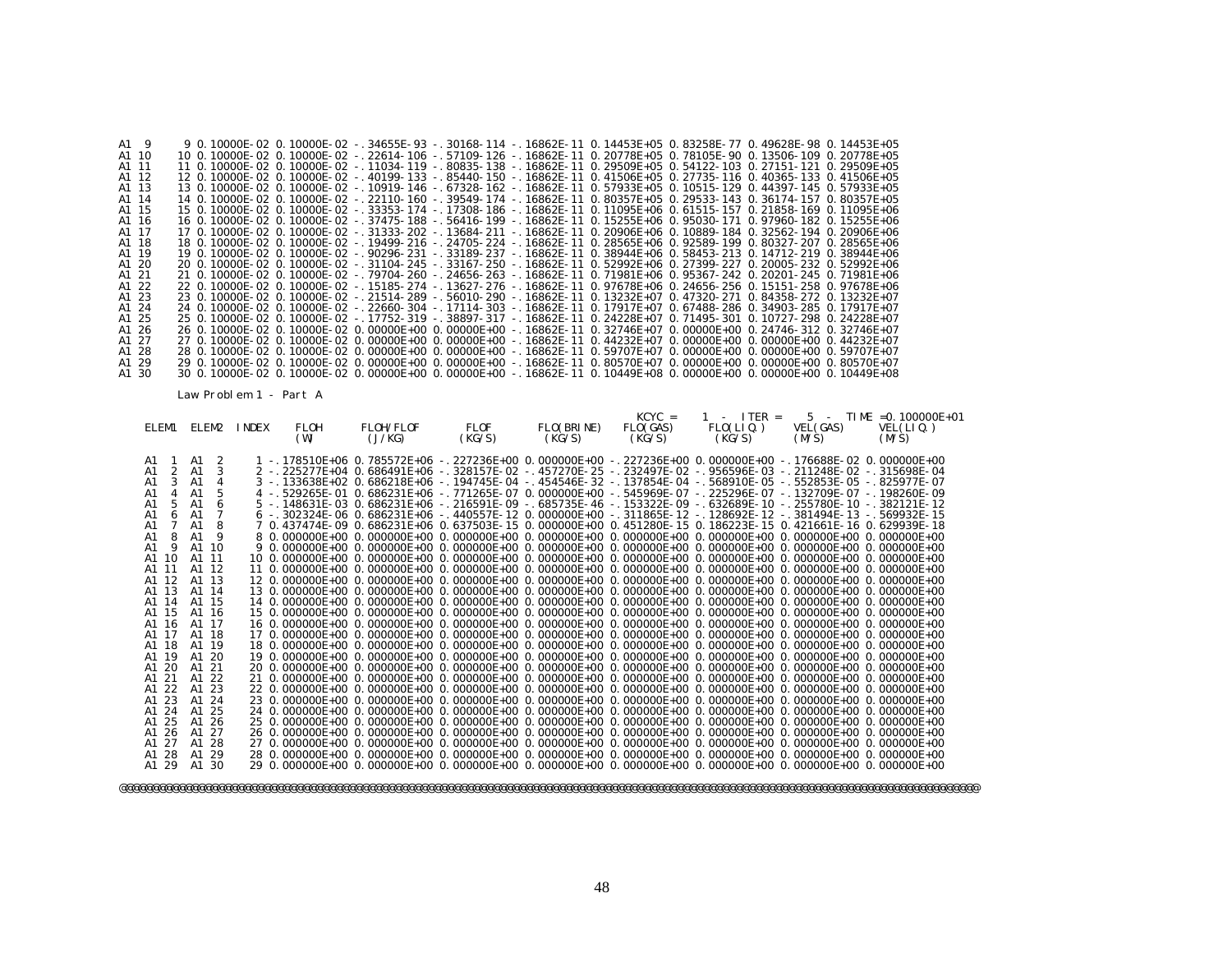| A 1               | -9                |      |  |  | 9 0.10000E-02 0.10000E-02 - 34655E-93 - 30168-114 - 16862E-11 0.14453E+05 0.83258E-77 0.49628E-98 0.14453E+05  |  |  |  |  |  |  |
|-------------------|-------------------|------|--|--|----------------------------------------------------------------------------------------------------------------|--|--|--|--|--|--|
|                   | A <sub>1</sub> 10 |      |  |  | 10 0.10000E-02 0.10000E-02 - 22614-106 - 57109-126 - 16862E-11 0.20778E+05 0.78105E-90 0.13506-109 0.20778E+05 |  |  |  |  |  |  |
| A <sub>1</sub> 11 |                   |      |  |  | 10000E-02 0.10000E-02 - 11034-119 - 80835-138 - 16862E-11 0.29509E+05 0.54122-103 0.27151-121 0.29509E+05      |  |  |  |  |  |  |
|                   | A <sub>1</sub> 12 |      |  |  | 12 0.10000E-02 0.10000E-02 - 40199-133 - 85440-150 - 16862E-11 0.41506E+05 0.27735-116 0.40365-133 0.41506E+05 |  |  |  |  |  |  |
|                   | A <sub>1</sub> 13 |      |  |  | 13 0.10000E-02 0.10000E-02 - 10919-146 - 67328-162 - 16862E-11 0.57933E+05 0.10515-129 0.44397-145 0.57933E+05 |  |  |  |  |  |  |
|                   | A <sub>1</sub> 14 |      |  |  | 10000E-02 0.10000E-02 - 22110-160 - 39549-174 - 16862E-11 0.80357E+05 0.29533-143 0.36174-157 0.80357E+05      |  |  |  |  |  |  |
|                   | A <sub>1</sub> 15 |      |  |  | 15 0 10000E-02 0 10000E-02 - 33353-174 - 17308-186 - 16862E-11 0 11095E+06 0 61515-157 0 21858-169 0 11095E+06 |  |  |  |  |  |  |
|                   | A1 16             |      |  |  | 16 0.10000E-02 0.10000E-02 - 37475-188 - 56416-199 - 16862E-11 0.15255E+06 0.95030-171 0.97960-182 0.15255E+06 |  |  |  |  |  |  |
| A1 17             |                   |      |  |  | 10000E-02 0.10000E-02 - 31333-202 - 13684-211 - 16862E-11 0.20906E+06 0.10889-184 0.32562-194 0.20906E+06      |  |  |  |  |  |  |
|                   | A <sub>1</sub> 18 |      |  |  | 18 0.10000E-02 0.10000E-02 - 19499-216 - 24705-224 - 16862E-11 0.28565E+06 0.92589-199 0.80327-207 0.28565E+06 |  |  |  |  |  |  |
|                   | A <sub>1</sub> 19 | 190. |  |  | 10000E-02 0.10000E-02 - 90296-231 - 33189-237 - 16862E-11 0.38944E+06 0.58453-213 0.14712-219 0.38944E+06      |  |  |  |  |  |  |
|                   | A <sub>1</sub> 20 |      |  |  | 10000E-02 0.10000E-02 - 31104-245 - 33167-250 - 16862E-11 0.52992E+06 0.27399-227 0.20005-232 0.52992E+06      |  |  |  |  |  |  |
| A1 21             |                   |      |  |  | 21 0.10000E-02 0.10000E-02 - 79704-260 - 24656-263 - 16862E-11 0.71981E+06 0.95367-242 0.20201-245 0.71981E+06 |  |  |  |  |  |  |
|                   | A1 22             | 22 O |  |  | 10000E-02 0.10000E-02 - 15185-274 - 13627-276 - 16862E-11 0.97678E+06 0.24656-256 0.15151-258 0.97678E+06      |  |  |  |  |  |  |
|                   | A <sub>1</sub> 23 |      |  |  | 23 0.10000E-02 0.10000E-02 - 21514-289 - 56010-290 - 16862E-11 0.13232E+07 0.47320-271 0.84358-272 0.13232E+07 |  |  |  |  |  |  |
|                   | A1 24             |      |  |  | 10000E-02 0.10000E-02 - 22660-304 - 17114-303 - 16862E-11 0.17917E+07 0.67488-286 0.34903-285 0.17917E+07      |  |  |  |  |  |  |
|                   | A <sub>1</sub> 25 |      |  |  | 25 0.10000E-02 0.10000E-02 - 17752-319 - 38897-317 - 16862E-11 0.24228E+07 0.71495-301 0.10727-298 0.24228E+07 |  |  |  |  |  |  |
|                   | A1 26             |      |  |  | 26 0.10000E-02 0.10000E-02 0.00000E+00 0.00000E+00 - 16862E-11 0.32746E+07 0.00000E+00 0.24746-312 0.32746E+07 |  |  |  |  |  |  |
| A1 27             |                   |      |  |  | 10000E-02 0.10000E-02 0.00000E+00 0.00000E+00 - 16862E-11 0.44232E+07 0.00000E+00 0.00000E+00 0.44232E+07      |  |  |  |  |  |  |
|                   | A1 28             |      |  |  | 28 0.10000E-02 0.10000E-02 0.00000E+00 0.00000E+00 - 16862E-11 0.59707E+07 0.00000E+00 0.00000E+00 0.59707E+07 |  |  |  |  |  |  |
|                   | A <sub>1</sub> 29 | 29 O |  |  | .10000E-02_0.10000E-02_0.00000E+00_0.0000E+00_-.16862E-11_0.80570E+07_0.00000E+00_0.00000E+00_0.80570E+07      |  |  |  |  |  |  |
|                   | A <sub>1</sub> 30 |      |  |  | .10000E-02 0.10000E-02 0.00000E+00 0.0000E+00 - 16862E-11 0.10449E+08 0.00000E+00 0.00000E+00 0.10449E+08      |  |  |  |  |  |  |
|                   |                   |      |  |  |                                                                                                                |  |  |  |  |  |  |

| <b>ELEM1</b>                                                                                                                                                                                                                                                                                                                                                                            | ELEM2 INDEX<br><b>FLOH</b><br>(W) | <b>FLOH/FLOF</b><br>(J/KG) | <b>FLOF</b><br>(KG/S) | FLO(BRINE)<br>(KG/S) | $KCYC =$<br>FLO(GAS)<br>(KG/S) | $ITER =$<br>$1 -$<br>FLO(LIQ. )<br>(KG/S) | TIME = 0. 100000E+01<br>$5^{\circ}$<br>$\sim$<br>VEL(GAS)<br>VEL(LIQ. )<br>(M/S)<br>(M/S)                                                                                                                                                                                                                                                                                                                                                                                                                                                                                                                                                                                                                                                                                                                                                                                                                                                                                                                                                                                                                                                                                                                                                                                                                                                                                                                                                                                                                                                                                                                                                                                                                                                                                                                                                                                                                                                                                                                                                                                                                                                                                                                                                          |
|-----------------------------------------------------------------------------------------------------------------------------------------------------------------------------------------------------------------------------------------------------------------------------------------------------------------------------------------------------------------------------------------|-----------------------------------|----------------------------|-----------------------|----------------------|--------------------------------|-------------------------------------------|----------------------------------------------------------------------------------------------------------------------------------------------------------------------------------------------------------------------------------------------------------------------------------------------------------------------------------------------------------------------------------------------------------------------------------------------------------------------------------------------------------------------------------------------------------------------------------------------------------------------------------------------------------------------------------------------------------------------------------------------------------------------------------------------------------------------------------------------------------------------------------------------------------------------------------------------------------------------------------------------------------------------------------------------------------------------------------------------------------------------------------------------------------------------------------------------------------------------------------------------------------------------------------------------------------------------------------------------------------------------------------------------------------------------------------------------------------------------------------------------------------------------------------------------------------------------------------------------------------------------------------------------------------------------------------------------------------------------------------------------------------------------------------------------------------------------------------------------------------------------------------------------------------------------------------------------------------------------------------------------------------------------------------------------------------------------------------------------------------------------------------------------------------------------------------------------------------------------------------------------------|
| 2<br>-1<br>A1<br>A1<br>$\mathbf{2}$<br>A1<br>3<br>A1<br>3<br>A1<br>A1<br>4<br>A1<br>A1<br>4<br>A1<br>5<br>A1<br>A1<br>6<br>A1<br>7<br>A1<br>A1<br>A1<br>8<br>A1<br>9<br>A1 10<br>A1<br>9<br>A1 11<br>A1<br>10<br>A1 11<br>A1 12<br>A1 12<br>A1 13<br>A1 13<br>A1 14<br>A1 14<br>A1 15<br>A1 15<br>A1 16<br>$A1$ 16<br>A1 17<br>A1 17<br>A <sub>1</sub> 18<br>A1 18<br>A <sub>1</sub> 19 |                                   |                            |                       |                      |                                |                                           | $1 - 178510E + 06$ 0.785572E+06 - 227236E+00 0.000000E+00 - 227236E+00 0.00000E+00 - 176688E-02 0.00000E+00<br>2 - 225277E+04 0.686491E+06 - 328157E-02 - 457270E-25 - 232497E-02 - 956596E-03 - 211248E-02 - 315698E-04<br>3 - 133638E+02 0.686218E+06 - 194745E-04 - 454546E-32 - 137854E-04 - 568910E-05 - 552853E-05 - 825977E-07<br>4 - 529265E-01 0.686231E+06 - 771265E-07 0.000000E+00 - 545969E-07 - 225296E-07 - 132709E-07 - 198260E-09<br>5 - 148631E-03 0.686231E+06 - 216591E-09 - 685735E-46 - 153322E-09 - 632689E-10 - 255780E-10 - 382121E-12<br>6 - 302324E-06 0.686231E+06 - 440557E-12 0.000000E+00 - 311865E-12 - 128692E-12 - 381494E-13 - 569932E-15<br>7 0.437474E-09 0.686231E+06 0.637503E-15 0.000000E+00 0.451280E-15 0.186223E-15 0.421661E-16 0.629939E-18<br>$8$ 0, 000000E+00 0, 000000E+00 0, 000000E+00 0, 000000E+00 0, 000000E+00 0, 000000E+00 0, 000000E+00 0, 000000E+00<br>$90.000000E+000.000000E+000.000000E+000.000000E+000.000000E+000.000000E+000.000000E+000.000000E+000.000000E+000.000000E+000.000000E+000.000000E+000.000000E+000.000000E+000.000000E+000.000000E+000.000000E+000.000000E+000.0$<br>$10$ 0.000000E+00 0.000000E+00 0.000000E+00 0.000000E+00 0.000000E+00 0.00000E+00 0.00000E+00 0.00000E+00 0.00000E+00<br>$11$ 0, 000000E+00 0, 000000E+00 0, 000000E+00 0, 000000E+00 0, 000000E+00 0, 000000E+00 0, 000000E+00 0, 000000E+00<br>$12$ 0.000000E+00 0.000000E+00 0.000000E+00 0.000000E+00 0.000000E+00 0.000000E+00 0.00000E+00 0.00000E+00<br>13 0.000000E+00 0.000000E+00 0.000000E+00 0.000000E+00 0.000000E+00 0.00000E+00 0.00000E+00 0.00000E+00 0.00000E+00<br>14 0.000000E+00 0.000000E+00 0.000000E+00 0.000000E+00 0.000000E+00 0.00000E+00 0.00000E+00 0.00000E+00 0.00000E+00<br>$15$ 0.000000E+00 0.000000E+00 0.000000E+00 0.000000E+00 0.000000E+00 0.00000E+00 0.00000E+00 0.00000E+00 0.00000E+00<br>16 0.000000E+00 0.000000E+00 0.000000E+00 0.000000E+00 0.000000E+00 0.00000E+00 0.00000E+00 0.00000E+00<br>$17$ 0, 000000E+00 0, 000000E+00 0, 000000E+00 0, 000000E+00 0, 000000E+00 0, 000000E+00 0, 000000E+00 0, 000000E+00<br>18 0.000000E+00 0.000000E+00 0.000000E+00 0.000000E+00 0.000000E+00 0.00000E+00 0.00000E+00 0.00000E+00 0.00000E+00 |
| A <sub>1</sub> 19<br>A <sub>1</sub> 20<br>A1 20<br>A1 21<br>A1 21<br>A1 22<br>A1 22<br>A <sub>1</sub> 2 <sub>3</sub><br>A1 23<br>A1 24<br>A1 24<br>A1 25<br>A1 25<br>A126<br>A1 26<br>A1 27<br>A1 27<br>A1 28<br>A1 28<br>A1 29<br>A1 29<br>A1 30                                                                                                                                       |                                   |                            |                       |                      |                                |                                           | 19 0.000000E+00 0.000000E+00 0.000000E+00 0.000000E+00 0.000000E+00 0.00000E+00 0.00000E+00 0.00000E+00 0.00000E+00<br>$20\,$ 0, 000000E+00 0, 000000E+00 0, 000000E+00 0, 000000E+00 0, 000000E+00 0, 000000E+00 0, 000000E+00 0, 000000E+00<br>$21$ 0,000000E+00 0,000000E+00 0,000000E+00 0,000000E+00 0,000000E+00 0,000000E+00 0,00000E+00 0,00000E+00<br>22 0.000000E+00 0.000000E+00 0.000000E+00 0.000000E+00 0.000000E+00 0.00000E+00 0.00000E+00 0.00000E+00 0.00000E+00<br>$23$ 0, 000000E+00 0, 000000E+00 0, 000000E+00 0, 000000E+00 0, 000000E+00 0, 000000E+00 0, 000000E+00 0, 000000E+00<br>$24$ 0,000000E+00 0,000000E+00 0,000000E+00 0,000000E+00 0,000000E+00 0,000000E+00 0,00000E+00 0,00000E+00<br>$25$ 0, 000000E+00 0, 000000E+00 0, 000000E+00 0, 000000E+00 0, 000000E+00 0, 000000E+00 0, 000000E+00 0, 000000E+00<br>$26$ 0,000000E+00 0,000000E+00 0,000000E+00 0,000000E+00 0,000000E+00 0,000000E+00 0,00000E+00 0,00000E+00<br>$27$ 0, 000000E+00 0, 000000E+00 0, 000000E+00 0, 000000E+00 0, 000000E+00 0, 000000E+00 0, 000000E+00 0, 000000E+00<br>28 0.000000E+00 0.000000E+00 0.000000E+00 0.000000E+00 0.000000E+00 0.00000E+00 0.00000E+00 0.00000E+00 0.00000E+00<br>$29$ 0, 000000E+00 0, 000000E+00 0, 000000E+00 0, 000000E+00 0, 000000E+00 0, 000000E+00 0, 000000E+00 0, 000000E+00                                                                                                                                                                                                                                                                                                                                                                                                                                                                                                                                                                                                                                                                                                                                                                                                                                                                                                              |

@@@@@@@@@@@@@@@@@@@@@@@@@@@@@@@@@@@@@@@@@@@@@@@@@@@@@@@@@@@@@@@@@@@@@@@@@@@@@@@@@@@@@@@@@@@@@@@@@@@@@@@@@@@@@@@@@@@@@@@@@@@@@@@@@@@

48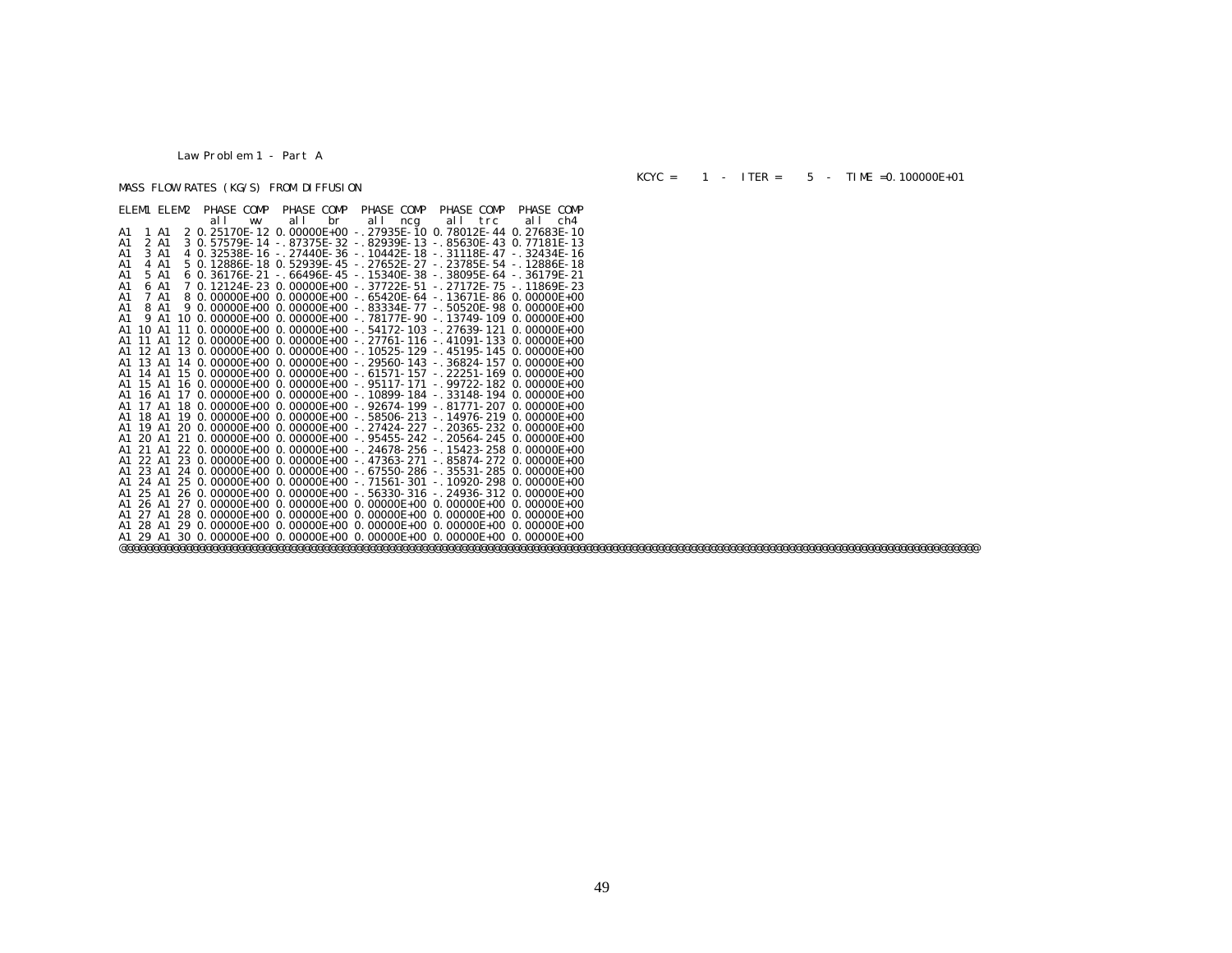MASS FLOW RATES (KG/S) FROM DIFFUSION

|    | ELEM1 ELEM2 | PHASE COMP | PHASE COMP                                                                  | PHASE COMP | PHASE COMP | PHASE COMP   |  |
|----|-------------|------------|-----------------------------------------------------------------------------|------------|------------|--------------|--|
|    |             | al l<br>WV | al l<br>br                                                                  | all ncg    | all trc    | all<br>- ch4 |  |
| A1 | 1 A 1       |            | 2 0.25170E-12 0.00000E+00 - 27935E-10 0.78012E-44 0.27683E-10               |            |            |              |  |
| A1 | 2 A1        |            | 3 0.57579E-14 - 87375E-32 - 82939E-13 - 85630E-43 0.77181E-13               |            |            |              |  |
| A1 | 3 A1        |            | 4 0. 32538E-16 - 27440E-36 - 10442E-18 - 31118E-47 - 32434E-16              |            |            |              |  |
| A1 | 4 A1        |            | 5 0.12886E-18 0.52939E-45 - 27652E-27 - 23785E-54 - 12886E-18               |            |            |              |  |
| A1 | 5 A1        |            | 6 0. 36176E-21 - 66496E-45 - 15340E-38 - 38095E-64 - 36179E-21              |            |            |              |  |
| A1 | 6 A1        |            | 7 0.12124E-23 0.00000E+00 - 37722E-51 - 27172E-75 - 11869E-23               |            |            |              |  |
| A1 | 7 A1        |            | 8 0.00000E+00 0.00000E+00 - 65420E-64 - 13671E-86 0.00000E+00               |            |            |              |  |
| A1 | 8 A1        |            | $9.0.00000E+00.00000E+00 - 83334E-77 - 50520E-98.0.00000E+00$               |            |            |              |  |
| A1 |             |            | 9 A1 10 0.00000E+00 0.00000E+00 - 78177E-90 - 13749-109 0.00000E+00         |            |            |              |  |
|    |             |            | A1 10 A1 11 0.00000E+00 0.00000E+00 - 54172-103 - 27639-121 0.00000E+00     |            |            |              |  |
|    |             |            | A1 11 A1 12 0.00000E+00 0.00000E+00 - 27761-116 - 41091-133 0.00000E+00     |            |            |              |  |
|    |             |            | A1 12 A1 13 0.00000E+00 0.00000E+00 -.10525-129 -.45195-145 0.00000E+00     |            |            |              |  |
|    |             |            | A1 13 A1 14 0.00000E+00 0.00000E+00 - 29560-143 - 36824-157 0.00000E+00     |            |            |              |  |
|    |             |            | A1 14 A1 15 0.00000E+00 0.00000E+00 - 61571-157 - 22251-169 0.00000E+00     |            |            |              |  |
|    |             |            | A1 15 A1 16 0.00000E+00 0.00000E+00 -.95117-171 -.99722-182 0.00000E+00     |            |            |              |  |
|    |             |            | A1 16 A1 17 0.00000E+00 0.00000E+00 - 10899-184 - 33148-194 0.00000E+00     |            |            |              |  |
|    |             |            | A1 17 A1 18 0.00000E+00 0.00000E+00 - 92674-199 - 81771-207 0.00000E+00     |            |            |              |  |
|    |             |            | A1 18 A1 19 0.00000E+00 0.00000E+00 - 58506-213 - 14976-219 0.00000E+00     |            |            |              |  |
|    |             |            | A1 19 A1 20 0.00000E+00 0.00000E+00 - 27424-227 - 20365-232 0.00000E+00     |            |            |              |  |
|    |             |            | A1 20 A1 21 0.00000E+00 0.00000E+00 - 95455-242 - 20564-245 0.00000E+00     |            |            |              |  |
|    |             |            | A1 21 A1 22 0.00000E+00 0.00000E+00 - 24678-256 - 15423-258 0.00000E+00     |            |            |              |  |
|    |             |            | A1 22 A1 23 0.00000E+00 0.00000E+00 - 47363-271 - 85874-272 0.00000E+00     |            |            |              |  |
|    |             |            | A1 23 A1 24 0.00000E+00 0.00000E+00 - 67550-286 - 35531-285 0.00000E+00     |            |            |              |  |
|    |             |            | A1 24 A1 25 0.00000E+00 0.00000E+00 - 71561-301 - 10920-298 0.00000E+00     |            |            |              |  |
|    |             |            | A1 25 A1 26 0.00000E+00 0.00000E+00 - 56330-316 - 24936-312 0.00000E+00     |            |            |              |  |
|    |             |            | A1 26 A1 27 0.00000E+00 0.00000E+00 0.00000E+00 0.00000E+00 0.00000E+00     |            |            |              |  |
|    |             |            | A1 27 A1 28 0.00000E+00 0.00000E+00 0.00000E+00 0.00000E+00 0.00000E+00     |            |            |              |  |
|    |             |            | $A1$ 28 $A1$ 29 0,00000E+00 0,00000E+00 0,00000E+00 0,00000E+00 0,00000E+00 |            |            |              |  |
|    |             |            | $A1$ 29 $A1$ 30 0,00000E+00 0,00000E+00 0,00000E+00 0,00000E+00 0,00000E+00 |            |            |              |  |
|    |             |            |                                                                             |            |            |              |  |

 $KCYC = 1 - ITER = 5 - TIME = 0.100000E+01$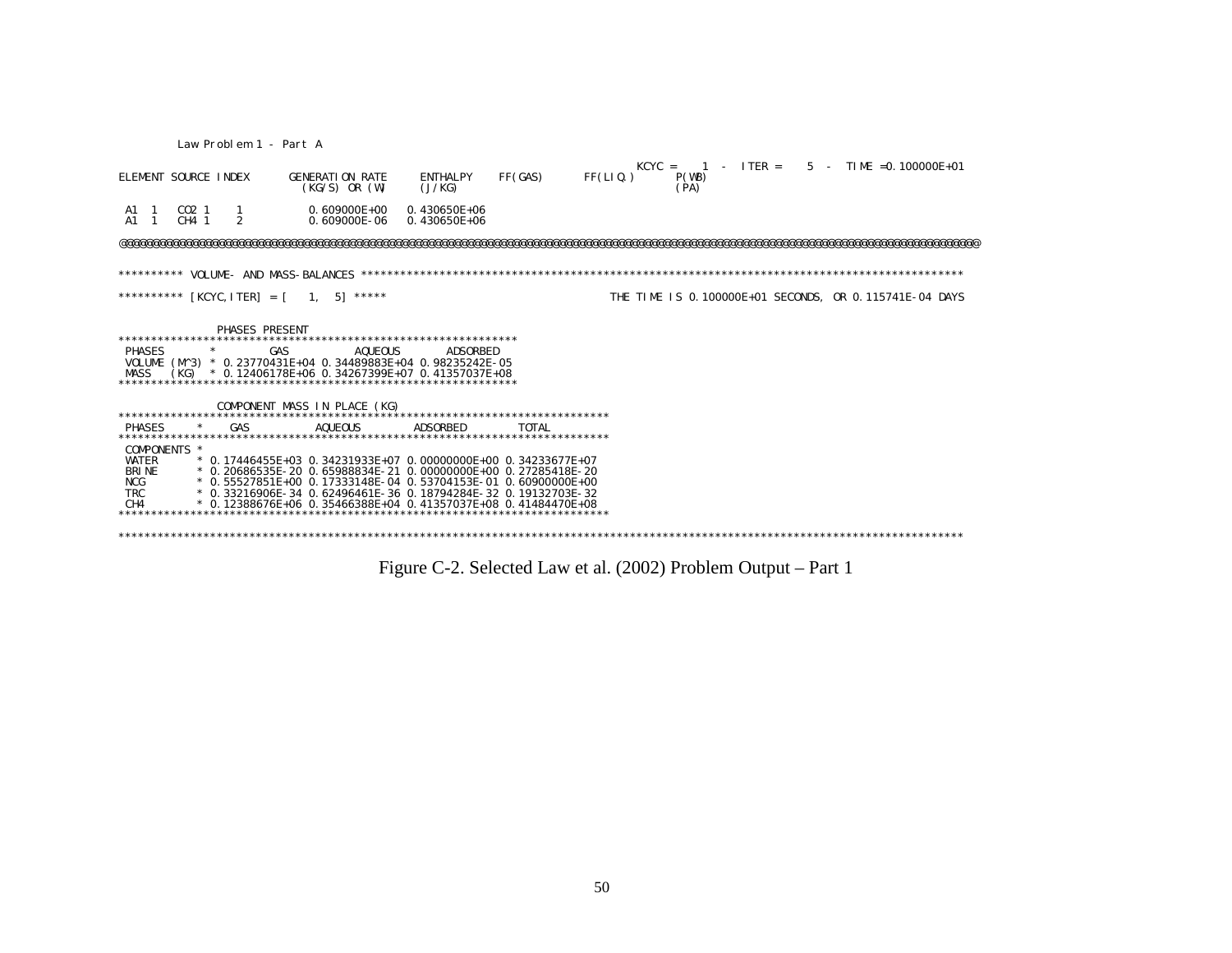Law Problem 1 - Part A  $KCYC = 1 - ITER = 5 - TIME = 0.100000E + 01$  $\overline{P(WB)}$ ELEMENT SOURCE INDEX **ENTHALPY**  $FF(LIQ. )$ **GENERATION RATE**  $FF(GAS)$  $(KG/S)$  OR  $(W)$  $(\hat{P}A)$  $(J/KG)$ A1 1 CO2 1  $0.609000E+00$  $0.430650E + 06$  $\overline{1}$ CH4 1 0.609000E-06 0.430650E+06  $A1 \quad 1$  $\boldsymbol{2}$ \*\*\*\*\*\*\*\*\*\* [KCYC, ITER] =  $[-1, 5]$  \*\*\*\*\* THE TIME IS 0.100000E+01 SECONDS, OR 0.115741E-04 DAYS PHASES PRESENT . . . . . . . . . . . . . . . **PHASES**  $\ast$ GAS **AQUEOUS ADSORBED** VOLUME (M°3) \* 0.23770431E+04 0.34489883E+04 0.98235242E-05<br>MASS (KG) \* 0.12406178E+06 0.34267399E+07 0.41357037E+08 COMPONENT MASS IN PLACE (KG) \*\*\*\*\*\*\*\*\*\*\*\*\* \*\*\*\*\*\*\*\*\*\*\*\*\*\*\*  $*$  GAS **AQUEOUS ADSORBED TOTAL PHASES** COMPONENTS \* \* 0.17446455E+03 0.34231933E+07 0.00000000E+00 0.34233677E+07 <br>\* 0.20686535E-20 0.65988834E-21 0.00000000E+00 0.27285418E-20 WATER **BRINE**  $0.55527851E+00$  0.17333148E-04 0.53704153E-01 0.60900000E+00<br>
\* 0.33216906E-34 0.62496461E-36 0.18794284E-32 0.19132703E-32<br>
\* 0.12388676E+06 0.35466388E+04 0.41357037E+08 0.41484470E+08  $NCG$ **TRC**  $CH4$ 

Figure C-2. Selected Law et al. (2002) Problem Output – Part 1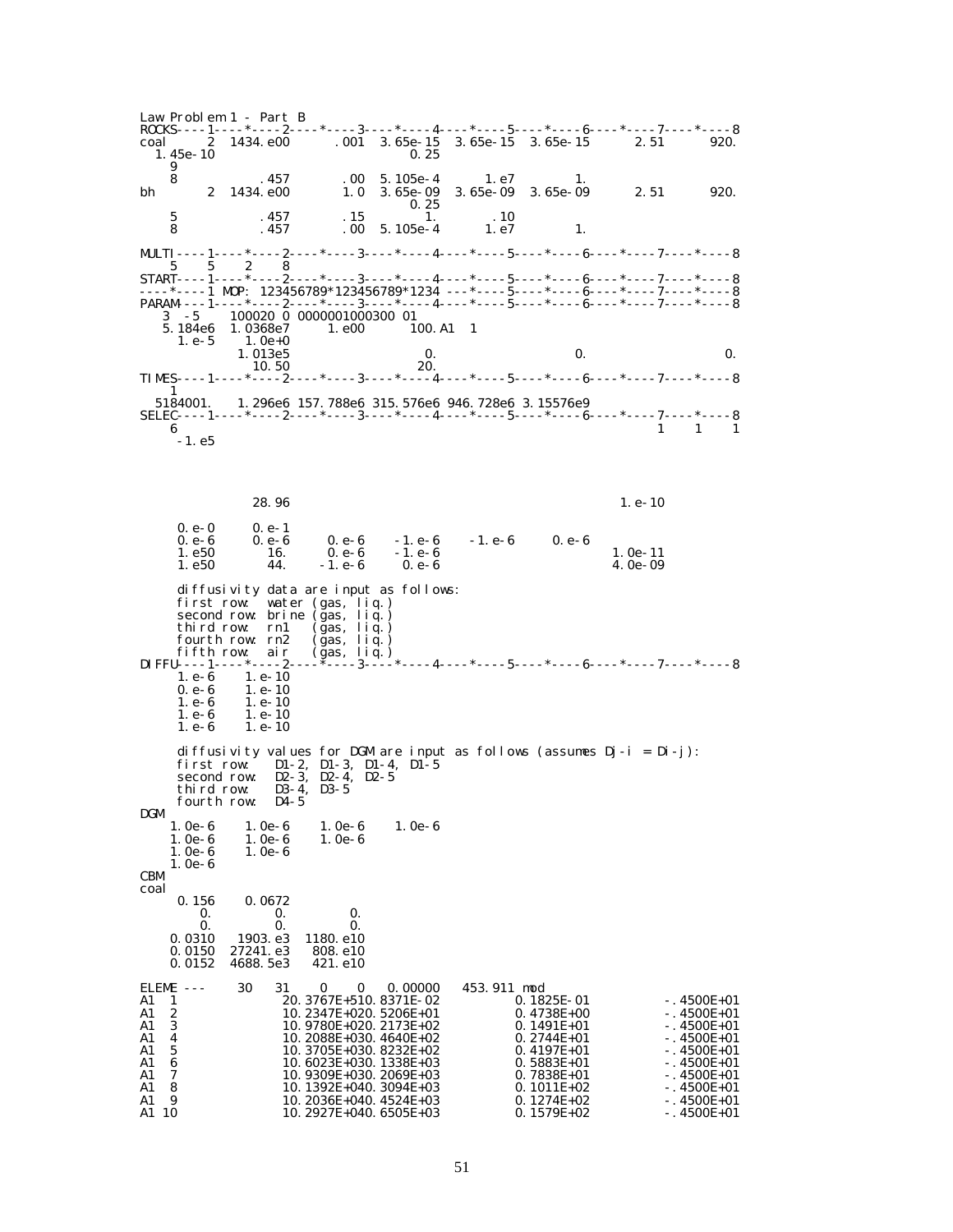Law Problem 1 - Part B ROCKS----1----\*----2----\*----3----\*----4----\*----5----\*----6----\*----7----\*----8 coal 2 1434.e00 .001 3.65e-15 3.65e-15 3.65e-15 2.51 920.<br>
1.45e-10 0.25 9 8 .457 .00 5.105e-4 1.e7 1. bh 2 1434.e00 1.0 3.65e-09 3.65e-09 3.65e-09 2.51 920.  $\begin{array}{ccccccc} & & & & & & 0.25 & & \ & & & .457 & & & .15 & & 1. & & & .10 \end{array}$ 8 .457 .00 5.105e-4 1.e7 1. MULTI----1----\*----2----\*----3----\*----4----\*----5----\*----6----\*----7----\*----8 5 5 2 8<br>START----1----\*----2----\*----3----\*----4----\*----5----\*----6----\*----7----\*----8 START----1----\*----2----\*----3----\*----4----\*----5----\*----6----\*----7----\*----8 ----\*----1 MOP: 123456789\*123456789\*1234 ---\*----5----\*----6----\*----7----\*----8 PARAM----1----\*----2----\*----3----\*----4----\*----5----\*----6----\*----7----\*----8 3 -5 100020 0 0000001000300 01 5.184e6 1.0368e7 1.e00 100.A1 1  $\begin{array}{r} 5.184e6 \\ 1.0368e7 \\ 1. e-5 \\ 1.013e5 \end{array}$ 1.013e5 0. 0. 0. 0. 0. 0. 0. 0. 10.50  $10.50$  20. 0. 0. 0. 10.50  $20$ . TIMES----1----\*----2----\*----3----\*----4----\*----5----\*----6----\*----7----\*----8 1 5184001. 1.296e6 157.788e6 315.576e6 946.728e6 3.15576e9 SELEC----1----\*----2----\*----3----\*----4----\*----5----\*----6----\*----7----\*----8  $6$ <br>1 1 1 1 1 1 1  $1$ 

28.96  $1. e-10$ 0. e-0  $0.$  e-1<br>0. e-6  $0.$  e-6 0.e-6 0.e-6 0.e-6 -1.e-6 -1.e-6 0.e-6 1.e50 16. 0.e-6 -1.e-6 1.0e-11 1.e50 44. -1.e-6 0.e-6 4.0e-09 diffusivity data are input as follows: first row: water (gas, liq.)<br>second row: brine (gas, liq.)<br>third row: rn1 (gas, liq.)<br>fourth row: rn2 (gas, liq.) fifth row: air (gas, liq.)<br>DIFFU----1----\*----2----\*----3----J----1----\*----2----<sup>-----</sup>----3----\*----4----\*----5----\*----6----\*----7----\*----8<br>1. e-6 1. e-10 1. e-6 1. e-10<br>0. e-6 1. e-10<br>1. e-6 1. e-10<br>1. e-6 1. e-10 1. e-6 1. e-10<br>1. e-6 1. e-10  $1. e-10$ diffusivity values for DGM are input as follows (assumes  $Dj - i = Di - j$ ): First row: D1-2, D1-3, D1-4, D1-5<br>second row: D2-3, D2-4, D2-5<br>third row: D3-4, D3-5<br>fourth row: D4-5 fourth row: DGM 1.0e-6 1.0e-6 1.0e-6 1.0e-6 1.  $0e-6$  1.  $0e-6$ <br>1.  $0e-6$  1.  $0e-6$  1.0e-6 CBM coal 0.156 0.0672<br>0.00  $\begin{array}{cccc} & 0. & 0. & 0. \ 0. & 0. & 0. \ 0.0310 & 1903. \text{ e3} & 1180. \text{ e10} \ 0.0150 & 27241. \text{ e3} & 808. \text{ e10} \end{array}$ 0.0150 27241.e3 808.e10<br>0.0152 4688.5e3 421.e10 ELEME --- 30 31 0 0 0.00000 453.911 mod<br>A1 1 20.3767E+510.8371E-02 0.1825E-01<br>A1 2 10.2347E+020.5206E+01 0.4738E+00  $\begin{array}{cccc}\n\overline{A1} & 1 & 2 \\
\overline{A1} & 2 & 10.2347E+0.8371E-0.0 \\
\end{array}$   $\begin{array}{cccc}\n\overline{A371E-0.8371E-0.0} & \overline{A1825E-0.0} & -.4500E+0.0 \\
\overline{A1825E-0.0} & 0.4738E+0.0 & -.4500E+0.0\n\end{array}$ A1 2 10.2347E+020.5206E+01 0.4738E+00 -.4500E+01<br>A1 3 10.9780E+020.2173E+02 0.1491E+01 -.4500E+01 A1 3 10.9780E+020.2173E+02 0.1491E+01 -.4500E+01<br>A1 4 10.2088E+030.4640E+02 0.2744E+01 -.4500E+01 A1 4 10.2088E+030.4640E+02 0.2744E+01 -.4500E+01<br>A1 5 10.3705E+030.8232E+02 0.4197E+01 -.4500E+01 A1 5 10.3705E+030.8232E+02 0.4197E+01 -.4500E+01<br>A1 6 10.6023E+030.1338E+03 0.5883E+01 -.4500E+01 A1 6 10.6023E+030.1338E+03 0.5883E+01 -.4500E+01<br>A1 7 10.9309E+030.2069E+03 0.7838E+01 -.4500E+01<br>A1 8 10.1392E+040.3094E+03 0.1011E+02 -.4500E+01 A1 7 10.9309E+030.2069E+03 0.7838E+01 -.4500E+01 A1 8 10.1392E+040.3094E+03 0.1011E+02 -.4500E+01 A1 9 10.2036E+040.4524E+03 0.1274E+02 -.4500E+01<br>A1 10 10.2927E+040.6505E+03 0.1579E+02 -.4500E+01 10.2927E+040.6505E+03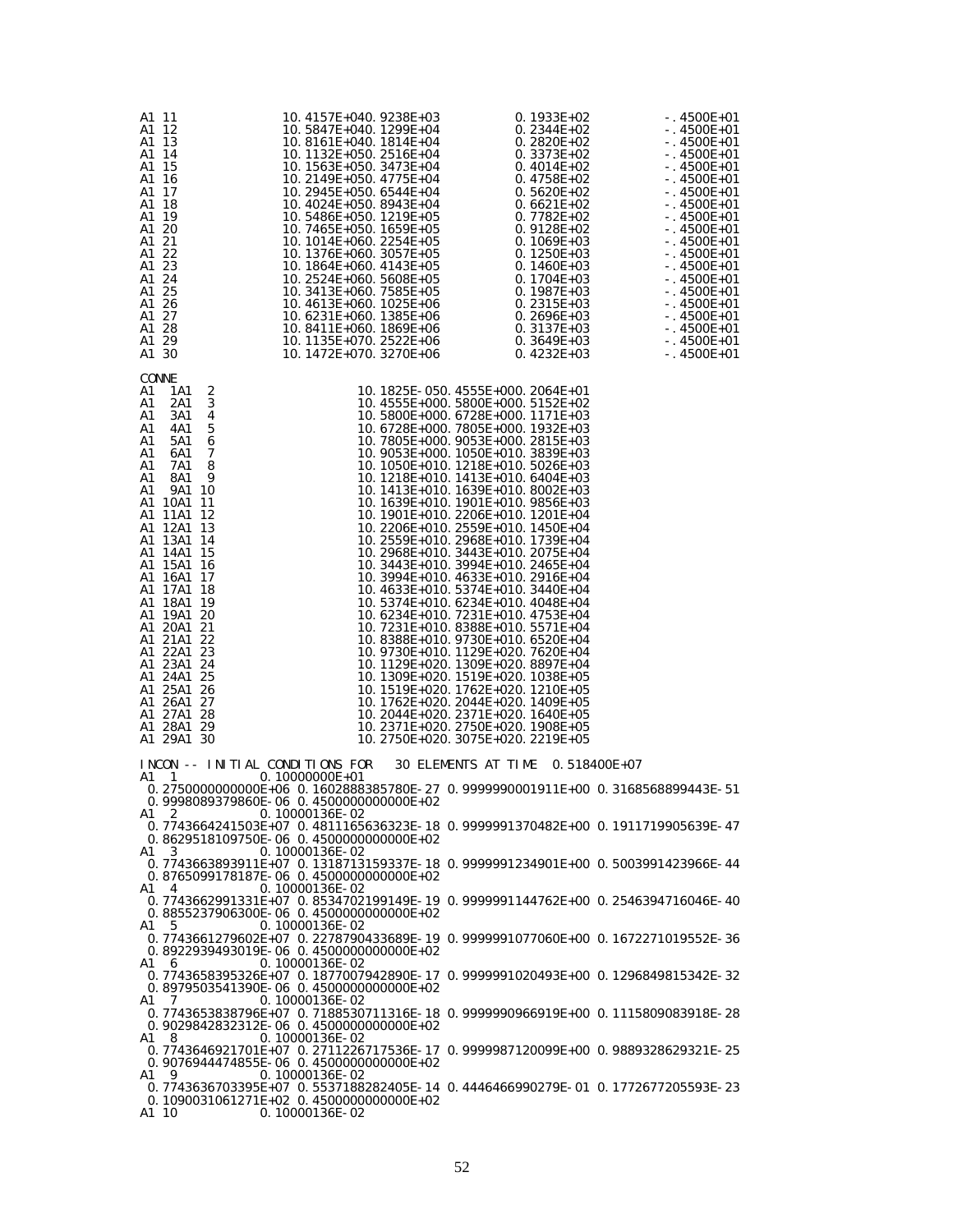| A1 11<br>A1 12 | 10. $4157E+040.9238E+03$<br>10. $5847E+040.$ 1299E+04                                                                           | $0.1933E+02$<br>$0.2344E+02$                                                   | - .4500E+01<br>- .4500E+01   |
|----------------|---------------------------------------------------------------------------------------------------------------------------------|--------------------------------------------------------------------------------|------------------------------|
| A1 13          | 10.8161E+040.1814E+04                                                                                                           | $0.2820E+02$                                                                   | - .4500E+01                  |
| A1 14<br>A1 15 | 10. $1132E+050.2516E+04$<br>10. $1563E+050.$ $3473E+04$                                                                         | $0.3373E+02$<br>$0.4014E+02$                                                   | - .4500E+01<br>$-.4500E+01$  |
| A1 16          | 10. 2149E+050. 4775E+04                                                                                                         | $0.4758E+02$                                                                   | - .4500E+01                  |
| A1 17<br>A1 18 | 10. $2945E+050.6544E+04$<br>10. $4024E+050.8943E+04$                                                                            | $0.5620E+02$<br>$0.6621E+02$                                                   | $-.4500E+01$<br>$-.4500E+01$ |
| A1 19          | 10. $5486E+050.$ 1219E $+05$                                                                                                    | $0.7782E+02$                                                                   | - .4500E+01                  |
| A1 20<br>A1 21 | 10. $7465E+050.1659E+05$<br>10. $1014E+060.$ $2254E+05$                                                                         | $0.9128E+02$<br>$0.1069E+03$                                                   | - .4500E+01<br>$-.4500E+01$  |
| A1 22          | 10. $1376E+060.3057E+05$                                                                                                        | $0.1250E+03$                                                                   | - .4500E+01                  |
| A1 23<br>A1 24 | 10. $1864E+060.$ $4143E+05$<br>10. $2524E+060.5608E+05$                                                                         | $0.1460E+03$<br>$0.1704E+03$                                                   | - .4500E+01<br>$-.4500E+01$  |
| A1 25          | 10. $3413E+060.7585E+05$                                                                                                        | $0.1987E+03$                                                                   | - .4500E+01                  |
| A1 26<br>A1 27 | 10.4613E+060.1025E+06<br>10. $6231E+060.1385E+06$                                                                               | $0.2315E+03$<br>$0.2696E+03$                                                   | - .4500E+01<br>$-.4500E+01$  |
| A1 28          | 10.8411E+060.1869E+06                                                                                                           | $0.3137E+03$                                                                   | - .4500E+01                  |
| A1 29          | 10. $1135E+070.2522E+06$                                                                                                        | $0.3649E+03$                                                                   | - .4500E+01                  |
| A1 30          | 10. 1472E+070. 3270E+06                                                                                                         | $0.4232E+03$                                                                   | - .4500E+01                  |
| <b>CONNE</b>   |                                                                                                                                 |                                                                                |                              |
| A1<br>A1       | 2<br>1A1<br>3<br>2A1                                                                                                            | 10. 1825E-050. 4555E+000. 2064E+01<br>10.4555E+000.5800E+000.5152E+02          |                              |
| A1             | 3A 1<br>4                                                                                                                       | 10.5800E+000.6728E+000.1171E+03                                                |                              |
| A1<br>A1       | 4A 1<br>5<br>5A1<br>6                                                                                                           | 10. 6728E+000. 7805E+000. 1932E+03<br>10.7805E+000.9053E+000.2815E+03          |                              |
| A1             | 7<br>6A1                                                                                                                        | 10. 9053E+000. 1050E+010. 3839E+03                                             |                              |
| A1<br>A1       | 8<br>7A 1<br>8A1<br>9                                                                                                           | 10. 1050E+010. 1218E+010. 5026E+03<br>10. 1218E+010. 1413E+010. 6404E+03       |                              |
| A1             | 9A1 10                                                                                                                          | 10. 1413E+010. 1639E+010. 8002E+03                                             |                              |
|                | A1 10A1 11<br>A1 11A1 12                                                                                                        | 10. $1639E+010.$ $1901E+010.$ $9856E+03$<br>10. 1901E+010. 2206E+010. 1201E+04 |                              |
|                | A1 12A1 13                                                                                                                      | 10. 2206E+010. 2559E+010. 1450E+04                                             |                              |
|                | A1 13A1 14<br>A1 14A1 15                                                                                                        | 10. 2559E+010. 2968E+010. 1739E+04<br>10. 2968E+010. 3443E+010. 2075E+04       |                              |
|                | A1 15A1 16                                                                                                                      | 10. 3443E+010. 3994E+010. 2465E+04                                             |                              |
|                | A1 16A1 17<br>A1 17A1 18                                                                                                        | 10. $3994E+010.4633E+010.2916E+04$<br>10. $4633E+010.5374E+010.3440E+04$       |                              |
|                | A1 18A1 19                                                                                                                      | 10.5374E+010.6234E+010.4048E+04                                                |                              |
|                | A1 19A1 20<br>A1 20A1 21                                                                                                        | 10. $6234E+010.7231E+010.4753E+04$<br>10. 7231E+010. 8388E+010. 5571E+04       |                              |
|                | A1 21A1 22                                                                                                                      | 10.8388E+010.9730E+010.6520E+04                                                |                              |
|                | A1 22A1 23<br>A1 23A1 24                                                                                                        | 10.9730E+010.1129E+020.7620E+04                                                |                              |
|                | A1 24A1 25                                                                                                                      | 10. 1129E+020. 1309E+020. 8897E+04<br>10. 1309E+020. 1519E+020. 1038E+05       |                              |
|                | A1 25A1 26                                                                                                                      | 10. $1519E+020.$ $1762E+020.$ $1210E+05$                                       |                              |
|                | A1 26A1 27<br>A1 27A1 28                                                                                                        | 10. $1762E+020.2044E+020.1409E+05$<br>10. $2044E+020.2371E+020.1640E+05$       |                              |
|                | A1 28A1 29                                                                                                                      | 10. 2371E+020. 2750E+020. 1908E+05                                             |                              |
|                | A1 29A1 30                                                                                                                      | 10. $2750E+020.3075E+020.2219E+05$                                             |                              |
| A1             | INCON -- INITIAL CONDITIONS FOR<br>$0.10000000E+01$<br>1                                                                        | 30 ELEMENTS AT TIME 0.518400E+07                                               |                              |
|                | $0.2750000000000E+06$ 0.1602888385780E-27 0.9999990001911E+00 0.3168568899443E-51                                               |                                                                                |                              |
| A1.            | 0.9998089379860E-06 0.4500000000000E+02<br>- 2<br>0.10000136E-02                                                                |                                                                                |                              |
|                | $0.7743664241503E+07$ $0.4811165636323E-18$ $0.9999991370482E+00$ $0.1911719905639E-47$                                         |                                                                                |                              |
| A1             | 0.8629518109750E-06 0.4500000000000E+02<br>0.10000136E-02<br>- 3                                                                |                                                                                |                              |
|                | 0.7743663893911E+07 0.1318713159337E-18 0.9999991234901E+00 0.5003991423966E-44                                                 |                                                                                |                              |
| A1             | 0.8765099178187E-06 0.4500000000000E+02<br>0.10000136E-02<br>$\overline{4}$                                                     |                                                                                |                              |
|                | 0.7743662991331E+07 0.8534702199149E-19 0.9999991144762E+00 0.2546394716046E-40                                                 |                                                                                |                              |
| A1             | 0.8855237906300E-06 0.4500000000000E+02<br>0.10000136E-02<br>- 5                                                                |                                                                                |                              |
|                | 0.7743661279602E+07 0.2278790433689E-19 0.9999991077060E+00 0.1672271019552E-36<br>0.8922939493019E-06 0.4500000000000E+02      |                                                                                |                              |
| A1 6           | 0.10000136E-02                                                                                                                  |                                                                                |                              |
|                | 0.7743658395326E+07 0.1877007942890E-17 0.9999991020493E+00 0.1296849815342E-32<br>0.8979503541390E-06 0.4500000000000E+02      |                                                                                |                              |
|                | 0.10000136E-02<br>A1 7                                                                                                          |                                                                                |                              |
|                | 0.7743653838796E+07 0.7188530711316E-18 0.9999990966919E+00 0.1115809083918E-28<br>0. 9029842832312E-06 0. 4500000000000E+02    |                                                                                |                              |
| A1 8           | 0.10000136E-02                                                                                                                  |                                                                                |                              |
|                | 0.7743646921701E+07 0.2711226717536E-17 0.9999987120099E+00 0.9889328629321E-25<br>0. 9076944474855E-06 0. 4500000000000E+02    |                                                                                |                              |
| A1 9           | 0.10000136E-02                                                                                                                  |                                                                                |                              |
|                | 0.7743636703395E+07 0.5537188282405E-14 0.4446466990279E-01 0.1772677205593E-23<br>0. $1090031061271E+02$ 0. $450000000000E+02$ |                                                                                |                              |
| A1 10          | 0.10000136E-02                                                                                                                  |                                                                                |                              |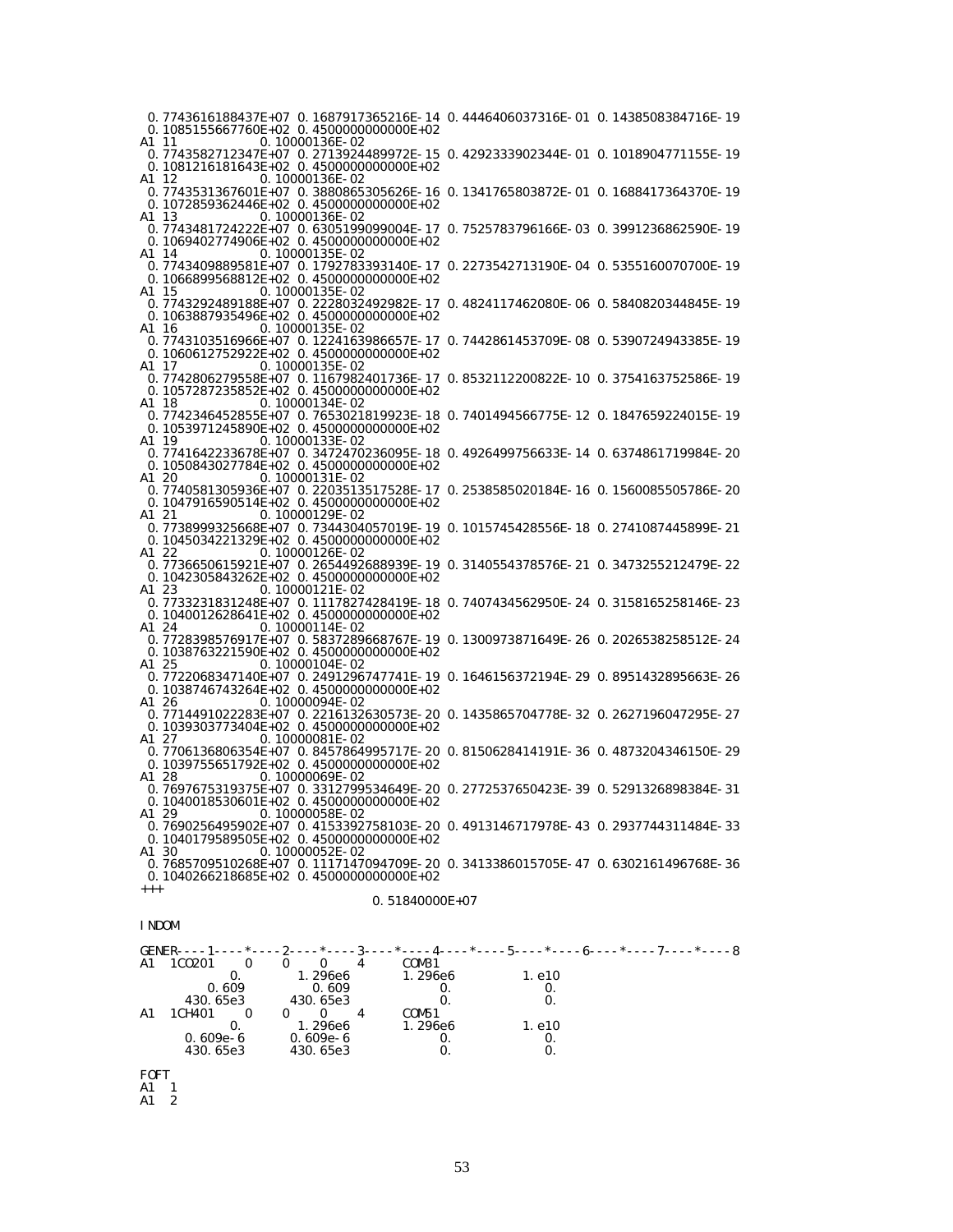0.7743616188437E+07 0.1687917365216E-14 0.4446406037316E-01 0.1438508384716E-19 0.1085155667760E+02 0.4500000000000E+02 A1 11 0.10000136E-02 0.7743582712347E+07 0.2713924489972E-15 0.4292333902344E-01 0.1018904771155E-19 0.1081216181643E+02 0.4500000000000E+02 A1 12 0.10000136E-02 0.7743531367601E+07 0.3880865305626E-16 0.1341765803872E-01 0.1688417364370E-19 0.1072859362446E+02 0.4500000000000E+02 A1 13 0.10000136E-02 0.7743481724222E+07 0.6305199099004E-17 0.7525783796166E-03 0.3991236862590E-19 0.1069402774906E+02 0.4500000000000E+02 A1 14 0.10000135E-02 0.7743409889581E+07 0.1792783393140E-17 0.2273542713190E-04 0.5355160070700E-19 0.1066899568812E+02 0.4500000000000E+02 A1 15 0.10000135E-02 0.7743292489188E+07 0.2228032492982E-17 0.4824117462080E-06 0.5840820344845E-19 0.1063887935496E+02 0.4500000000000E+02 A1 16 0.10000135E-02 0.7743103516966E+07 0.1224163986657E-17 0.7442861453709E-08 0.5390724943385E-19 0.1060612752922E+02 0.4500000000000E+02 A1 17 0.10000135E-02 0.7742806279558E+07 0.1167982401736E-17 0.8532112200822E-10 0.3754163752586E-19 0.1057287235852E+02 0.4500000000000E+02 A1 18 0.10000134E-02 0.7742346452855E+07 0.7653021819923E-18 0.7401494566775E-12 0.1847659224015E-19 0.1053971245890E+02 0.4500000000000E+02 A1 19 0.10000133E-02 0.7741642233678E+07 0.3472470236095E-18 0.4926499756633E-14 0.6374861719984E-20 0.1050843027784E+02 0.4500000000000E+02 A1 20 0.10000131E-02 0.7740581305936E+07 0.2203513517528E-17 0.2538585020184E-16 0.1560085505786E-20 0.1047916590514E+02 0.4500000000000E+02 A1 21 0.10000129E-02 0.7738999325668E+07 0.7344304057019E-19 0.1015745428556E-18 0.2741087445899E-21 0.1045034221329E+02 0.4500000000000E+02 A1 22 0.10000126E-02 0.7736650615921E+07 0.2654492688939E-19 0.3140554378576E-21 0.3473255212479E-22 0.1042305843262E+02 0.4500000000000E+02 A1 23 0.10000121E-02 0.7733231831248E+07 0.1117827428419E-18 0.7407434562950E-24 0.3158165258146E-23 0.1040012628641E+02 0.4500000000000E+02 A1 24 0.10000114E-02 0.7728398576917E+07 0.5837289668767E-19 0.1300973871649E-26 0.2026538258512E-24 0.1038763221590E+02 0.4500000000000E+02 A1 25 0.10000104E-02 0.7722068347140E+07 0.2491296747741E-19 0.1646156372194E-29 0.8951432895663E-26 0.1038746743264E+02 0.4500000000000E+02 A1 26 0.10000094E-02 0.7714491022283E+07 0.2216132630573E-20 0.1435865704778E-32 0.2627196047295E-27 0.1039303773404E+02 0.4500000000000E+02 A1 27 0.10000081E-02 0.7706136806354E+07 0.8457864995717E-20 0.8150628414191E-36 0.4873204346150E-29 0.1039755651792E+02 0.4500000000000E+02 A1 28 0.10000069E-02 0.7697675319375E+07 0.3312799534649E-20 0.2772537650423E-39 0.5291326898384E-31 0.1040018530601E+02 0.4500000000000E+02 A1 29 0.10000058E-02 0.7690256495902E+07 0.4153392758103E-20 0.4913146717978E-43 0.2937744311484E-33 0.1040179589505E+02 0.4500000000000E+02 A1 30 0.10000052E-02 0.7685709510268E+07 0.1117147094709E-20 0.3413386015705E-47 0.6302161496768E-36 0.1040266218685E+02 0.4500000000000E+02 +++ 0.51840000E+07 INDOM GENER----1----\*----2----\*----3----\*----4----\*----5----\*----6----\*----7----\*----8<br>A1 1C0201 0 0 0 4 COMB1<br>0.000 1.296e6 1.296e6 1 010 A1 1CO201 0 0 0 4 COM31 0. 1.296e6 1.296e6 1.e10 0.609 0.609 0. 0. 430.65e3 430.65e3 0. 0. 430.65e3 430.65e3 0.<br>A1 1CH401 0 0 0 4 COM51<br>0. 1.296e6 1.296e6 0. 1.296e6 1.296e6 1.e10 0.609e-6 0.609e-6 0. 0.  $\begin{array}{cccc} 0.609\text{e}-6 & 0.609\text{e}-6 & 0.609\text{e}-6 & 0.609\text{e}-6 & 0.609\text{e}-6 & 0.609\text{e}-6 & 0.609\text{e}-6 & 0.609\text{e}-6 & 0.609\text{e}-6 & 0.609\text{e}-6 & 0.609\text{e}-6 & 0.609\text{e}-6 & 0.609\text{e}-6 & 0.609\text{e}-6 & 0.609\text{e}-6 & 0.609\text{e}-6 & 0.60$ FOFT A1 1 A1 2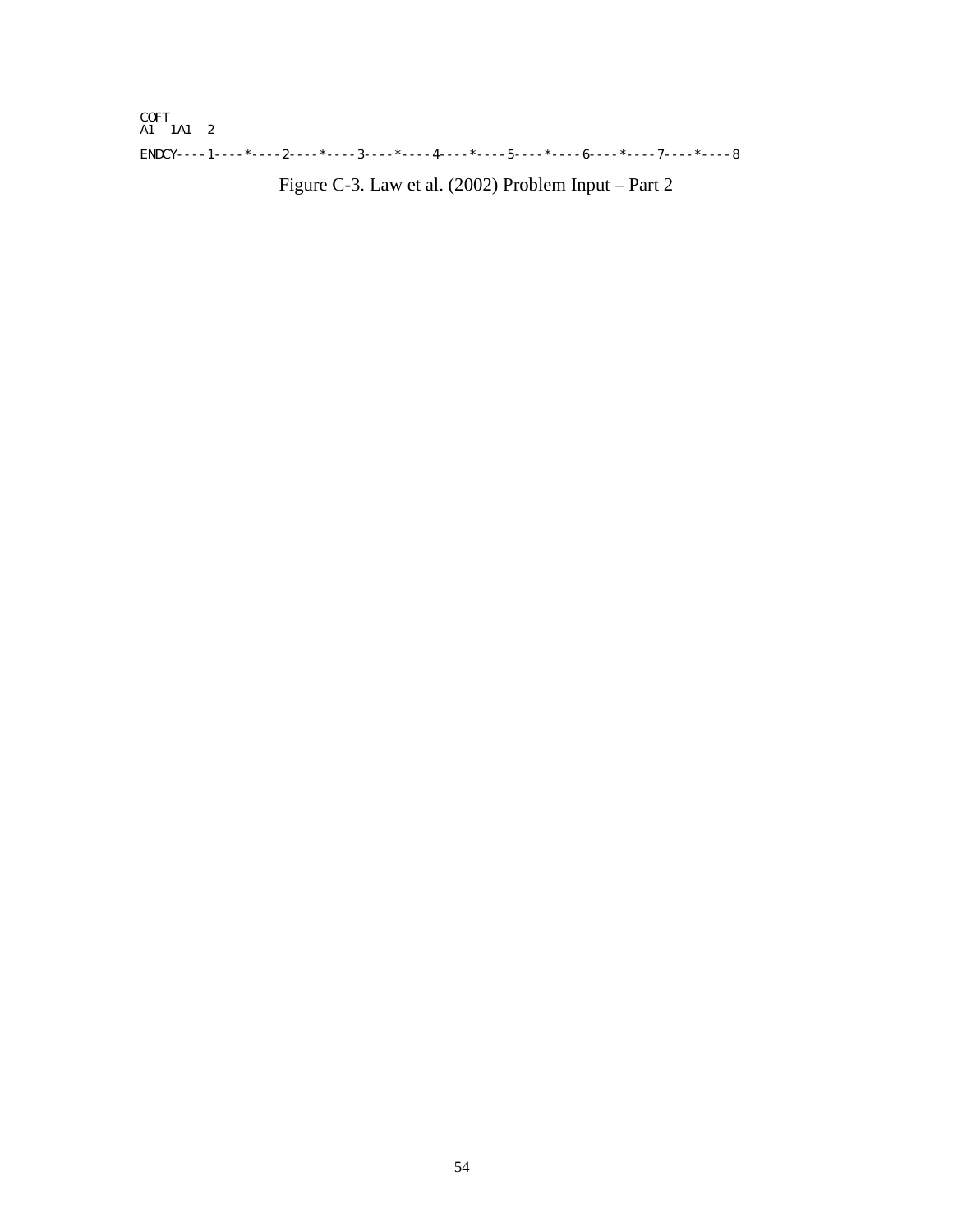COFT A1 1A1 2 ENDCY----1----\*----2----\*----3----\*----4----\*----5----\*----6----\*----7----\*----8

Figure C-3. Law et al. (2002) Problem Input – Part 2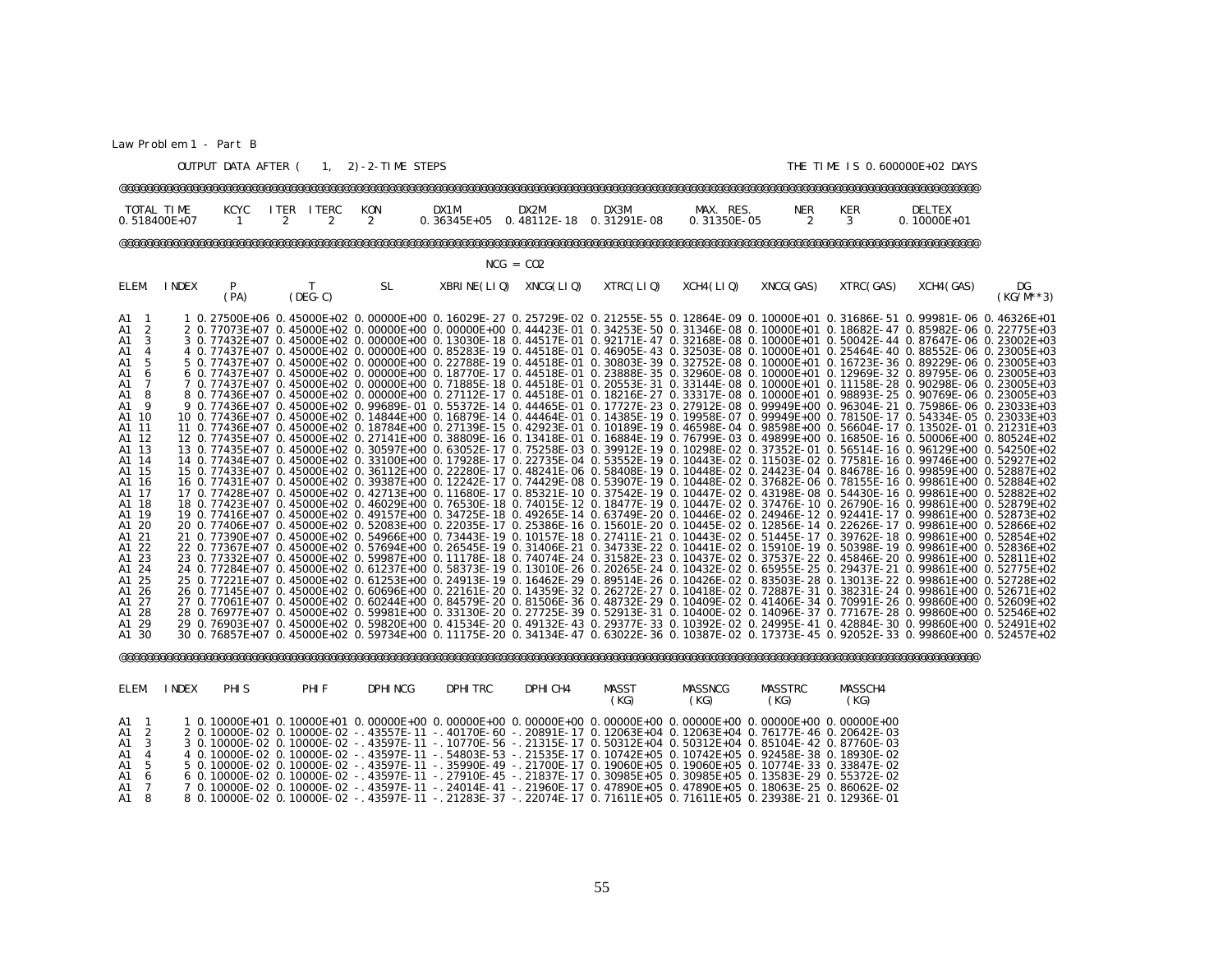| OUTPUT DATA AFTER (<br>$1.$ 2) $-2$ -TIME STEPS<br>THE TIME IS 0.600000E+02 DAYS                                                                                                                                                                                                                                                                                                                                                                                                                                                                                                                                                                                                                                                                                                                                                                                                                                                                                                                                                                                                                                                                                                                                                                                                                                                                                                                                                                                                                                                                                                                                                                                                                                                                                                                                                                                                                                                                                                                                                                                                                                                                                                                                                                                                                                                                                                                                                                                                                                                                                                                                                                                                                                                                                                                                                                                                                                                                                                                                                                                                                                                                                                                                                                                                                                                                                                                                                                                                                                                                                                                                                                                                                                                                                                                                                                                                                                                                                                                                                                                                                                                                                                                                                                                                                                                                                                                                                                                                                                                                                                                                                                    |                              |                                                |                     |                          |                         |                 |                                   |  |  |  |  |  |  |
|-----------------------------------------------------------------------------------------------------------------------------------------------------------------------------------------------------------------------------------------------------------------------------------------------------------------------------------------------------------------------------------------------------------------------------------------------------------------------------------------------------------------------------------------------------------------------------------------------------------------------------------------------------------------------------------------------------------------------------------------------------------------------------------------------------------------------------------------------------------------------------------------------------------------------------------------------------------------------------------------------------------------------------------------------------------------------------------------------------------------------------------------------------------------------------------------------------------------------------------------------------------------------------------------------------------------------------------------------------------------------------------------------------------------------------------------------------------------------------------------------------------------------------------------------------------------------------------------------------------------------------------------------------------------------------------------------------------------------------------------------------------------------------------------------------------------------------------------------------------------------------------------------------------------------------------------------------------------------------------------------------------------------------------------------------------------------------------------------------------------------------------------------------------------------------------------------------------------------------------------------------------------------------------------------------------------------------------------------------------------------------------------------------------------------------------------------------------------------------------------------------------------------------------------------------------------------------------------------------------------------------------------------------------------------------------------------------------------------------------------------------------------------------------------------------------------------------------------------------------------------------------------------------------------------------------------------------------------------------------------------------------------------------------------------------------------------------------------------------------------------------------------------------------------------------------------------------------------------------------------------------------------------------------------------------------------------------------------------------------------------------------------------------------------------------------------------------------------------------------------------------------------------------------------------------------------------------------------------------------------------------------------------------------------------------------------------------------------------------------------------------------------------------------------------------------------------------------------------------------------------------------------------------------------------------------------------------------------------------------------------------------------------------------------------------------------------------------------------------------------------------------------------------------------------------------------------------------------------------------------------------------------------------------------------------------------------------------------------------------------------------------------------------------------------------------------------------------------------------------------------------------------------------------------------------------------------------------------------------------------------------------------------------|------------------------------|------------------------------------------------|---------------------|--------------------------|-------------------------|-----------------|-----------------------------------|--|--|--|--|--|--|
|                                                                                                                                                                                                                                                                                                                                                                                                                                                                                                                                                                                                                                                                                                                                                                                                                                                                                                                                                                                                                                                                                                                                                                                                                                                                                                                                                                                                                                                                                                                                                                                                                                                                                                                                                                                                                                                                                                                                                                                                                                                                                                                                                                                                                                                                                                                                                                                                                                                                                                                                                                                                                                                                                                                                                                                                                                                                                                                                                                                                                                                                                                                                                                                                                                                                                                                                                                                                                                                                                                                                                                                                                                                                                                                                                                                                                                                                                                                                                                                                                                                                                                                                                                                                                                                                                                                                                                                                                                                                                                                                                                                                                                                     |                              |                                                |                     |                          |                         |                 |                                   |  |  |  |  |  |  |
| <b>KCYC</b><br>I TER I TERC<br>TOTAL TIME<br>$\boldsymbol{2}$<br>$\overline{2}$<br>$0.518400E+07$<br>-1                                                                                                                                                                                                                                                                                                                                                                                                                                                                                                                                                                                                                                                                                                                                                                                                                                                                                                                                                                                                                                                                                                                                                                                                                                                                                                                                                                                                                                                                                                                                                                                                                                                                                                                                                                                                                                                                                                                                                                                                                                                                                                                                                                                                                                                                                                                                                                                                                                                                                                                                                                                                                                                                                                                                                                                                                                                                                                                                                                                                                                                                                                                                                                                                                                                                                                                                                                                                                                                                                                                                                                                                                                                                                                                                                                                                                                                                                                                                                                                                                                                                                                                                                                                                                                                                                                                                                                                                                                                                                                                                             | KON<br>$\mathbf{2}^{\prime}$ | DX1M<br>DX2M<br>$0.36345E+05$<br>$0.48112E-18$ | DX3M<br>0.31291E-08 | MAX. RES.<br>0.31350E-05 | NER<br>$\boldsymbol{2}$ | <b>KER</b><br>3 | <b>DELTEX</b><br>$0.10000E+01$    |  |  |  |  |  |  |
|                                                                                                                                                                                                                                                                                                                                                                                                                                                                                                                                                                                                                                                                                                                                                                                                                                                                                                                                                                                                                                                                                                                                                                                                                                                                                                                                                                                                                                                                                                                                                                                                                                                                                                                                                                                                                                                                                                                                                                                                                                                                                                                                                                                                                                                                                                                                                                                                                                                                                                                                                                                                                                                                                                                                                                                                                                                                                                                                                                                                                                                                                                                                                                                                                                                                                                                                                                                                                                                                                                                                                                                                                                                                                                                                                                                                                                                                                                                                                                                                                                                                                                                                                                                                                                                                                                                                                                                                                                                                                                                                                                                                                                                     |                              |                                                |                     |                          |                         |                 |                                   |  |  |  |  |  |  |
|                                                                                                                                                                                                                                                                                                                                                                                                                                                                                                                                                                                                                                                                                                                                                                                                                                                                                                                                                                                                                                                                                                                                                                                                                                                                                                                                                                                                                                                                                                                                                                                                                                                                                                                                                                                                                                                                                                                                                                                                                                                                                                                                                                                                                                                                                                                                                                                                                                                                                                                                                                                                                                                                                                                                                                                                                                                                                                                                                                                                                                                                                                                                                                                                                                                                                                                                                                                                                                                                                                                                                                                                                                                                                                                                                                                                                                                                                                                                                                                                                                                                                                                                                                                                                                                                                                                                                                                                                                                                                                                                                                                                                                                     |                              | $NCG = CO2$                                    |                     |                          |                         |                 |                                   |  |  |  |  |  |  |
| T<br><b>I NDEX</b><br>P<br><b>ELEM</b><br>$(DEG-C)$<br>(PA)                                                                                                                                                                                                                                                                                                                                                                                                                                                                                                                                                                                                                                                                                                                                                                                                                                                                                                                                                                                                                                                                                                                                                                                                                                                                                                                                                                                                                                                                                                                                                                                                                                                                                                                                                                                                                                                                                                                                                                                                                                                                                                                                                                                                                                                                                                                                                                                                                                                                                                                                                                                                                                                                                                                                                                                                                                                                                                                                                                                                                                                                                                                                                                                                                                                                                                                                                                                                                                                                                                                                                                                                                                                                                                                                                                                                                                                                                                                                                                                                                                                                                                                                                                                                                                                                                                                                                                                                                                                                                                                                                                                         | <b>SL</b>                    | $XBRI NE(LIQ)$ $XNCG(LIQ)$                     | XTRC(LI0)           | XCH4(LI0)                | XNCG (GAS)              | XTRC(GAS)       | XCH4(GAS)<br>DG<br>$(KG/M^{*}*3)$ |  |  |  |  |  |  |
| $A1 \quad 1$<br>1 0.27500E+06 0.45000E+02 0.00000E+00 0.16029E-27 0.25729E-02 0.21255E-55 0.12864E-09 0.10000E+01 0.31686E-51 0.99981E-06 0.46326E+01<br>$\boldsymbol{2}$<br>2 0.77073E+07 0.45000E+02 0.00000E+00 0.00000E+00 0.44423E-01 0.34253E-50 0.31346E-08 0.10000E+01 0.18682E-47 0.85982E-06 0.22775E+03<br>A1<br>3<br>3 0.77432E+07 0.45000E+02 0.00000E+00 0.13030E-18 0.44517E-01 0.92171E-47 0.32168E-08 0.10000E+01 0.50042E-44 0.87647E-06 0.23002E+03<br>A1<br>$\overline{4}$<br>4 0.77437E+07 0.45000E+02 0.00000E+00 0.85283E-19 0.44518E-01 0.46905E-43 0.32503E-08 0.10000E+01 0.25464E-40 0.88552E-06 0.23005E+03<br>A1<br>5<br>5 0.77437E+07 0.45000E+02 0.00000E+00 0.22788E-19 0.44518E-01 0.30803E-39 0.32752E-08 0.10000E+01 0.16723E-36 0.89229E-06 0.23005E+03<br>A1<br>6<br>6 0.77437E+07 0.45000E+02 0.00000E+00 0.18770E-17 0.44518E-01 0.23888E-35 0.32960E-08 0.10000E+01 0.12969E-32 0.89795E-06 0.23005E+03<br>A1<br>$\mathbf{7}$<br>7 0.77437E+07 0.45000E+02 0.00000E+00 0.71885E-18 0.44518E-01 0.20553E-31 0.33144E-08 0.10000E+01 0.11158E-28 0.90298E-06 0.23005E+03<br>A1<br>8<br>8 0.77436E+07 0.45000E+02 0.00000E+00 0.27112E-17 0.44518E-01 0.18216E-27 0.33317E-08 0.10000E+01 0.98893E-25 0.90769E-06 0.23005E+03<br>A1<br>9 0.77436E+07 0.45000E+02 0.99689E-01 0.55372E-14 0.44465E-01 0.17727E-23 0.27912E-08 0.99949E+00 0.96304E-21 0.75986E-06 0.23033E+03<br>A1 9<br>A1 10<br>10 0.77436E+07 0.45000E+02 0.14844E+00 0.16879E-14 0.44464E-01 0.14385E-19 0.19958E-07 0.99949E+00 0.78150E-17 0.54334E-05 0.23033E+03<br>A1 11<br>11 0.77436E+07 0.45000E+02 0.18784E+00 0.27139E-15 0.42923E-01 0.10189E-19 0.46598E-04 0.98598E+00 0.56604E-17 0.13502E-01 0.21231E+03<br>12 0.77435E+07 0.45000E+02 0.27141E+00 0.38809E-16 0.13418E-01 0.16884E-19 0.76799E-03 0.49899E+00 0.16850E-16 0.50006E+00 0.80524E+02<br>A1 12<br>A1 13<br>13 0.77435E+07 0.45000E+02 0.30597E+00 0.63052E-17 0.75258E-03 0.39912E-19 0.10298E-02 0.37352E-01 0.56514E-16 0.96129E+00 0.54250E+02<br>14 0.77434E+07 0.45000E+02 0.33100E+00 0.17928E-17 0.22735E-04 0.53552E-19 0.10443E-02 0.11503E-02 0.77581E-16 0.99746E+00 0.52927E+02<br>A1 14<br>A1 15<br>15 0.77433E+07 0.45000E+02 0.36112E+00 0.22280E-17 0.48241E-06 0.58408E-19 0.10448E-02 0.24423E-04 0.84678E-16 0.99859E+00 0.52887E+02<br>16 0.77431E+07 0.45000E+02 0.39387E+00 0.12242E-17 0.74429E-08 0.53907E-19 0.10448E-02 0.37682E-06 0.78155E-16 0.99861E+00 0.52884E+02<br>A1 16<br>A1 17<br>17 0.77428E+07 0.45000E+02 0.42713E+00 0.11680E-17 0.85321E-10 0.37542E-19 0.10447E-02 0.43198E-08 0.54430E-16 0.99861E+00 0.52882E+02<br>A1 18<br>18 0.77423E+07 0.45000E+02 0.46029E+00 0.76530E-18 0.74015E-12 0.18477E-19 0.10447E-02 0.37476E-10 0.26790E-16 0.99861E+00 0.52879E+02<br>19 0.77416E+07 0.45000E+02 0.49157E+00 0.34725E-18 0.49265E-14 0.63749E-20 0.10446E-02 0.24946E-12 0.92441E-17 0.99861E+00 0.52873E+02<br>A1 19<br>A1 20<br>20 0.77406E+07 0.45000E+02 0.52083E+00 0.22035E-17 0.25386E-16 0.15601E-20 0.10445E-02 0.12856E-14 0.22626E-17 0.99861E+00 0.52866E+02<br>A1 21<br>21 0.77390E+07 0.45000E+02 0.54966E+00 0.73443E-19 0.10157E-18 0.27411E-21 0.10443E-02 0.51445E-17 0.39762E-18 0.99861E+00 0.52854E+02<br>A1 22<br>22 0.77367E+07 0.45000E+02 0.57694E+00 0.26545E-19 0.31406E-21 0.34733E-22 0.10441E-02 0.15910E-19 0.50398E-19 0.99861E+00 0.52836E+02<br>A1 23<br>23 0.77332E+07 0.45000E+02 0.59987E+00 0.11178E-18 0.74074E-24 0.31582E-23 0.10437E-02 0.37537E-22 0.45846E-20 0.99861E+00 0.52811E+02<br>A1 24<br>24 0. 77284E+07 0. 45000E+02 0. 61237E+00 0. 58373E-19 0. 13010E-26 0. 20265E-24 0. 10432E-02 0. 65955E-25 0. 29437E-21 0. 99861E+00 0. 52775E+02<br>A1 25<br>25 0.77221E+07 0.45000E+02 0.61253E+00 0.24913E-19 0.16462E-29 0.89514E-26 0.10426E-02 0.83503E-28 0.13013E-22 0.99861E+00 0.52728E+02<br>A1 26<br>26 0.77145E+07 0.45000E+02 0.60696E+00 0.22161E-20 0.14359E-32 0.26272E-27 0.10418E-02 0.72887E-31 0.38231E-24 0.99861E+00 0.52671E+02<br>A1 27<br>27 0.77061E+07 0.45000E+02 0.60244E+00 0.84579E-20 0.81506E-36 0.48732E-29 0.10409E-02 0.41406E-34 0.70991E-26 0.99860E+00 0.52609E+02<br>A1 28<br>28 0.76977E+07 0.45000E+02 0.59981E+00 0.33130E-20 0.27725E-39 0.52913E-31 0.10400E-02 0.14096E-37 0.77167E-28 0.99860E+00 0.52546E+02<br>A1 29<br>29 0.76903E+07 0.45000E+02 0.59820E+00 0.41534E-20 0.49132E-43 0.29377E-33 0.10392E-02 0.24995E-41 0.42884E-30 0.99860E+00 0.52491E+02<br>A1 30<br>30 0.76857E+07 0.45000E+02 0.59734E+00 0.11175E-20 0.34134E-47 0.63022E-36 0.10387E-02 0.17373E-45 0.92052E-33 0.99860E+00 0.52457E+02 |                              |                                                |                     |                          |                         |                 |                                   |  |  |  |  |  |  |

| ELEM.        | <b>I NDEX</b> |  | PHI S | PHI F<br>DPHI NCG |  | DPHI TRC | DPHI CH4                                                                                                                                   | <b>MASST</b><br>(KG) | MASSNCG<br>(KG) | MASSTRC<br>(KG) | MASSCH4<br>(KG) |
|--------------|---------------|--|-------|-------------------|--|----------|--------------------------------------------------------------------------------------------------------------------------------------------|----------------------|-----------------|-----------------|-----------------|
| A1 1         |               |  |       |                   |  |          | $1$ 0, $10000E+01$ 0, $10000E+01$ 0, $00000E+00$ 0, $00000E+00$ 0, $00000E+00$ 0, $00000E+00$ 0, $00000E+00$ 0, $00000E+00$ 0, $00000E+00$ |                      |                 |                 |                 |
| $A1 \quad 2$ |               |  |       |                   |  |          | 2 0.10000E-02 0.10000E-02 - 43557E-11 - 40170E-60 - 20891E-17 0.12063E+04 0.12063E+04 0.76177E-46 0.20642E-03                              |                      |                 |                 |                 |
| A1 3         |               |  |       |                   |  |          | 3 0.10000E-02 0.10000E-02 - 43597E-11 - 10770E-56 - 21315E-17 0.50312E+04 0.50312E+04 0.85104E-42 0.87760E-03                              |                      |                 |                 |                 |
| $A1 \quad 4$ |               |  |       |                   |  |          | 4 0.10000E-02 0.10000E-02 - 43597E-11 - 54803E-53 - 21535E-17 0.10742E+05 0.10742E+05 0.92458E-38 0.18930E-02                              |                      |                 |                 |                 |
| A1 5         |               |  |       |                   |  |          | 5 0.10000E-02 0.10000E-02 - 43597E-11 - 35990E-49 - 21700E-17 0.19060E+05 0.19060E+05 0.10774E-33 0.33847E-02                              |                      |                 |                 |                 |
| $A1 \quad 6$ |               |  |       |                   |  |          | 6 0.10000E-02 0.10000E-02 - 43597E-11 - 27910E-45 - 21837E-17 0.30985E+05 0.30985E+05 0.13583E-29 0.55372E-02                              |                      |                 |                 |                 |
| A1 7         |               |  |       |                   |  |          | 7 0.10000E-02 0.10000E-02 - 43597E-11 - 24014E-41 - 21960E-17 0.47890E+05 0.47890E+05 0.18063E-25 0.86062E-02                              |                      |                 |                 |                 |
| A1 8         |               |  |       |                   |  |          | 8 0.10000E-02 0.10000E-02 - 43597E-11 - 21283E-37 - 22074E-17 0.71611E+05 0.71611E+05 0.23938E-21 0.12936E-01                              |                      |                 |                 |                 |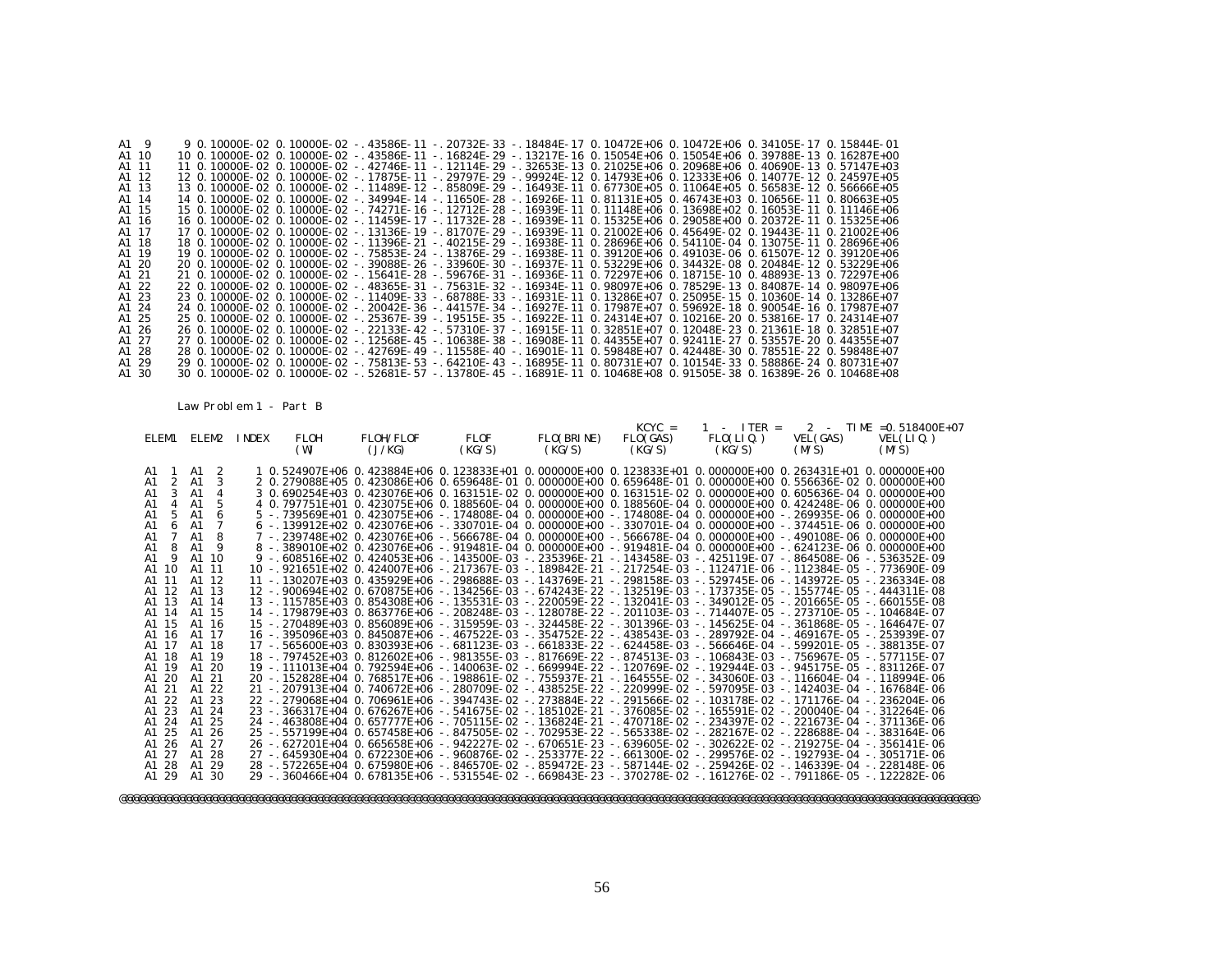| A 1                           | -9                |  |           |  |  |  |  |  | 9 0.10000E-02 0.10000E-02 - 43586E-11 - 20732E-33 - 18484E-17 0.10472E+06 0.10472E+06 0.34105E-17 0.15844E-01        |  |  |             |  |
|-------------------------------|-------------------|--|-----------|--|--|--|--|--|----------------------------------------------------------------------------------------------------------------------|--|--|-------------|--|
|                               | A <sub>1</sub> 10 |  |           |  |  |  |  |  | 10 0.10000E-02 0.10000E-02 - 43586E-11 - 16824E-29 - 13217E-16 0.15054E+06 0.15054E+06 0.39788E-13 0.16287E+00       |  |  |             |  |
| A <sub>1</sub> 11             |                   |  |           |  |  |  |  |  | 11 0.10000E-02 0.10000E-02 - 42746E-11 - 12114E-29 - 32653E-13 0.21025E+06 0.20968E+06 0.40690E-13 0.57147E+03       |  |  |             |  |
|                               | A <sub>1</sub> 12 |  |           |  |  |  |  |  | 12 0.10000E-02 0.10000E-02 - 17875E-11 - 29797E-29 - 99924E-12 0.14793E+06 0.12333E+06 0.14077E-12 0.24597E+05       |  |  |             |  |
|                               | A <sub>1</sub> 13 |  |           |  |  |  |  |  | 13 O. 10000E-02 O. 10000E-02 - 11489E-12 - 85809E-29 - 16493E-11 O. 67730E+05 O. 11064E+05 O. 56583E-12 O. 56666E+05 |  |  |             |  |
|                               | A1 14             |  |           |  |  |  |  |  | 14 0.10000E-02 0.10000E-02 - 34994E-14 - 11650E-28 - 16926E-11 0.81131E+05 0.46743E+03 0.10656E-11                   |  |  | 0.80663E+05 |  |
|                               | A <sub>1</sub> 15 |  |           |  |  |  |  |  | 15 0.10000E-02 0.10000E-02 - 74271E-16 - 12712E-28 - 16939E-11 0.11148E+06 0.13698E+02 0.16053E-11 0.11146E+06       |  |  |             |  |
|                               | A1 16             |  |           |  |  |  |  |  | 16 0.10000E-02 0.10000E-02 - 11459E-17 - 11732E-28 - 16939E-11 0.15325E+06 0.29058E+00 0.20372E-11 0.15325E+06       |  |  |             |  |
|                               | A1 17             |  |           |  |  |  |  |  | 10000E-02 0.10000E-02 - 13136E-19 - 81707E-29 - 16939E-11 0.21002E+06 0.45649E-02 0.19443E-11                        |  |  | 0.21002E+06 |  |
| A <sub>1</sub> 18             |                   |  |           |  |  |  |  |  | 18 0.10000E-02 0.10000E-02 - 11396E-21 - 40215E-29 - 16938E-11 0.28696E+06 0.54110E-04 0.13075E-11 0.28696E+06       |  |  |             |  |
|                               | A <sub>1</sub> 19 |  |           |  |  |  |  |  | 19 0.10000E-02 0.10000E-02 - 75853E-24 - 13876E-29 - 16938E-11 0.39120E+06 0.49103E-06 0.61507E-12 0.39120E+06       |  |  |             |  |
|                               | A1 20             |  |           |  |  |  |  |  | 10000E-02 0.10000E-02 - 39088E-26 - 33960E-30 - 16937E-11 0.53229E+06 0.34432E-08 0.20484E-12                        |  |  | 0.53229E+06 |  |
| A <sub>1</sub> 2 <sub>1</sub> |                   |  |           |  |  |  |  |  | 21 0.10000E-02 0.10000E-02 - 15641E-28 - 59676E-31 - 16936E-11 0.72297E+06 0.18715E-10 0.48893E-13 0.72297E+06       |  |  |             |  |
|                               | A1 22             |  |           |  |  |  |  |  | 22 0.10000E-02 0.10000E-02 - 48365E-31 - 75631E-32 - 16934E-11 0.98097E+06 0.78529E-13 0.84087E-14 0.98097E+06       |  |  |             |  |
|                               | A1 23             |  |           |  |  |  |  |  | 10000E-02 0.10000E-02 - 11409E-33 - 68788E-33 - 16931E-11 0.13286E+07 0.25095E-15 0.10360E-14 0.13286E+07            |  |  |             |  |
|                               | A1 24             |  |           |  |  |  |  |  | 24 0.10000E-02 0.10000E-02 - 20042E-36 - 44157E-34 - 16927E-11 0.17987E+07 0.59692E-18 0.90054E-16 0.17987E+07       |  |  |             |  |
|                               | A <sub>1</sub> 25 |  |           |  |  |  |  |  | 25 0.10000E-02 0.10000E-02 - 25367E-39 - 19515E-35 - 16922E-11 0.24314E+07 0.10216E-20 0.53816E-17 0.24314E+07       |  |  |             |  |
|                               | A1 26             |  |           |  |  |  |  |  | 26 0.10000E-02 0.10000E-02 - 22133E-42 - 57310E-37 - 16915E-11 0.32851E+07 0.12048E-23 0.21361E-18 0.32851E+07       |  |  |             |  |
| A1 27                         |                   |  |           |  |  |  |  |  | 27 0.10000E-02 0.10000E-02 - 12568E-45 - 10638E-38 - 16908E-11 0.44355E+07 0.92411E-27 0.53557E-20 0.44355E+07       |  |  |             |  |
|                               | A1 28             |  |           |  |  |  |  |  | 28 0.10000E-02 0.10000E-02 - 42769E-49 - 11558E-40 - 16901E-11 0.59848E+07 0.42448E-30 0.78551E-22 0.59848E+07       |  |  |             |  |
|                               | A1 29             |  |           |  |  |  |  |  | 29 0.10000E-02 0.10000E-02 -.75813E-53 -.64210E-43 -.16895E-11 0.80731E+07 0.10154E-33 0.58886E-24 0.80731E+07       |  |  |             |  |
|                               | A1 30             |  | 10000F-02 |  |  |  |  |  | 0. 10000E-02 - 52681E-57 - 13780E-45 - 16891E-11 0. 10468E+08 0. 91505E-38 0. 16389E-26                              |  |  | 10468E+08   |  |
|                               |                   |  |           |  |  |  |  |  |                                                                                                                      |  |  |             |  |

|                                                                                                                                                                                                                                                                                                                        | ELEM1 ELEM2 INDEX                                                                                                                                                                                                                                                                                                                                                | FLOH<br>(W) | FLOH/FLOF<br>(J/KG) | FLOF<br>(KG/S) | FLO(BRINE)<br>(KG/S) | $KCYC =$<br>FLO(GAS)<br>(KG/S) | $1 - ITER =$<br>FLO(LIQ.)<br>(KG/S) | $2 -$<br>VEL(GAS)<br>(M/S)                                                                                                                                                                                                                                                                                                                                                                                                                                                                                                                                                                                                                                                                                                                                                                                                                                                                                                                                                                                                                                                                                                                                                                                                                                                                                                                                                                                                                                                                                                                                                                                                                                                                                                                                                                                                                                                                                                                                                                                                                                                                                                                                                                                                                                                                                                                                                                                                                                                                                                                                                                                                                                                                                                                                                                                                                                                                                                                                                                                                                                                                                                                                                                                                                                                      | TIME $=0.518400E+07$<br>VEL(LIQ. )<br>(M/S) |
|------------------------------------------------------------------------------------------------------------------------------------------------------------------------------------------------------------------------------------------------------------------------------------------------------------------------|------------------------------------------------------------------------------------------------------------------------------------------------------------------------------------------------------------------------------------------------------------------------------------------------------------------------------------------------------------------|-------------|---------------------|----------------|----------------------|--------------------------------|-------------------------------------|---------------------------------------------------------------------------------------------------------------------------------------------------------------------------------------------------------------------------------------------------------------------------------------------------------------------------------------------------------------------------------------------------------------------------------------------------------------------------------------------------------------------------------------------------------------------------------------------------------------------------------------------------------------------------------------------------------------------------------------------------------------------------------------------------------------------------------------------------------------------------------------------------------------------------------------------------------------------------------------------------------------------------------------------------------------------------------------------------------------------------------------------------------------------------------------------------------------------------------------------------------------------------------------------------------------------------------------------------------------------------------------------------------------------------------------------------------------------------------------------------------------------------------------------------------------------------------------------------------------------------------------------------------------------------------------------------------------------------------------------------------------------------------------------------------------------------------------------------------------------------------------------------------------------------------------------------------------------------------------------------------------------------------------------------------------------------------------------------------------------------------------------------------------------------------------------------------------------------------------------------------------------------------------------------------------------------------------------------------------------------------------------------------------------------------------------------------------------------------------------------------------------------------------------------------------------------------------------------------------------------------------------------------------------------------------------------------------------------------------------------------------------------------------------------------------------------------------------------------------------------------------------------------------------------------------------------------------------------------------------------------------------------------------------------------------------------------------------------------------------------------------------------------------------------------------------------------------------------------------------------------------------------------|---------------------------------------------|
| A 1<br>$\mathbf{1}$<br>$\mathbf{2}^{\prime}$<br>A1<br>3<br>A1<br>A1<br>4<br>A1<br>5<br>6<br>A1<br>A1<br>7<br>8<br>A1<br>9<br>A1<br>A1 10<br>A1 11<br>A1 12<br>A1 13<br>A1 14<br>A1 15<br>A1 16<br>A1 17<br>A <sub>1</sub> 18<br>A1 19<br>A1 20<br>A1 21<br>A1 22<br>A1 23<br>A1 24<br>A1 25<br>A1 26<br>A1 27<br>A1 28 | A1<br>A1<br>3<br>A1<br>A1<br>A1<br>A1<br>A1<br>A1<br>A <sub>1</sub> 10<br>A <sub>1</sub> 11<br>A1 12<br>A <sub>1</sub> 13<br>A1 14<br>A <sub>1</sub> 15<br>$A1 \t16$<br>A1 17<br>A1 18<br>A <sub>1</sub> 19<br>A1 20<br>A <sub>1</sub> 2 <sub>1</sub><br>A1 22<br>A <sub>1</sub> 2 <sub>3</sub><br>A1 24<br>A1 25<br>A126<br>A1 27<br>A1 28<br>A <sub>1</sub> 29 |             |                     |                |                      |                                |                                     | 1 0.524907E+06 0.423884E+06 0.123833E+01 0.000000E+00 0.123833E+01 0.000000E+00 0.263431E+01 0.000000E+00<br>2 0.279088E+05 0.423086E+06 0.659648E-01 0.000000E+00 0.659648E-01 0.000000E+00 0.556636E-02 0.000000E+00<br>3 0.690254E+03 0.423076E+06 0.163151E-02 0.000000E+00 0.163151E-02 0.000000E+00 0.605636E-04 0.000000E+00<br>4 0.797751E+01 0.423075E+06 0.188560E-04 0.000000E+00 0.188560E-04 0.000000E+00 0.424248E-06 0.000000E+00<br>$5$ - 739569E+01 0.423075E+06 - 174808E-04 0.000000E+00 - 174808E-04 0.000000E+00 - 269935E-06 0.000000E+00<br>$6$ - 139912E+02 0.423076E+06 - 330701E-04 0.000000E+00 - 330701E-04 0.00000E+00 - 374451E-06 0.00000E+00<br>7 - 239748E+02 0 423076E+06 - 566678E-04 0 000000E+00 - 566678E-04 0 000000E+00 - 490108E-06 0 000000E+00<br>$8$ - 389010E+02 0.423076E+06 - 919481E-04 0.000000E+00 - 919481E-04 0.000000E+00 - 624123E-06 0.000000E+00<br>$9 - 608516E + 02$ $0.424053E + 06 - 143500E - 03 - 235396E - 21 - 143458E - 03 - 425119E - 07 - 864508E - 06 - 536352E - 09$<br>10 - 921651E+02 0 424007E+06 - 217367E-03 - 189842E-21 - 217254E-03 - 112471E-06 - 112384E-05 - 773690E-09<br>$11$ - 130207E+03 0 435929E+06 - 298688E-03 - 143769E-21 - 298158E-03 - 529745E-06 - 143972E-05 - 236334E-08<br>12 - 900694E+02 0 670875E+06 - 134256E-03 - 674243E-22 - 132519E-03 - 173735E-05 - 155774E-05 - 444311E-08<br>$13 - 115785E + 030.854308E + 06 - 135531E - 03 - 220059E - 22 - 132041E - 03 - 349012E - 05 - 201665E - 05 - 660155E - 08$<br>14 - 179879E+03 0.863776E+06 - 208248E-03 - 128078E-22 - 201103E-03 - 714407E-05 - 273710E-05 - 104684E-07<br>15 - 270489E+03 0 856089E+06 - 315959E-03 - 324458E-22 - 301396E-03 - 145625E-04 - 361868E-05 - 164647E-07<br>16 - 395096E+03 0.845087E+06 - 467522E-03 - 354752E-22 - 438543E-03 - 289792E-04 - 469167E-05 - 253939E-07<br>$17 - 565600E + 03$ 0.830393E+06 $- 681123E - 03$ $- 661833E - 22$ $- 624458E - 03$ $- 566646E - 04$ $- 599201E - 05$ $- 388135E - 07$<br>18 - 797452E+03 0.812602E+06 - 981355E-03 - 817669E-22 - 874513E-03 - 106843E-03 - 756967E-05 - 577115E-07<br>$19-.111013E+04$ 0.792594E+06 $-.140063E-02$ $-.669994E-22$ $-.120769E-02$ $-.192944E-03$ $-.945175E-05$ $-.831126E-07$<br>20 - 152828E+04 0.768517E+06 - 198861E-02 - 755937E-21 - 164555E-02 - 343060E-03 - 116604E-04 - 118994E-06<br>21 - 207913E+04 0.740672E+06 - 280709E-02 - 438525E-22 - 220999E-02 - 597095E-03 - 142403E-04 - 167684E-06<br>22 - 279068E+04 0 706961E+06 - 394743E-02 - 273884E-22 - 291566E-02 - 103178E-02 - 171176E-04 - 236204E-06<br>23 - 366317E+04 0.676267E+06 - 541675E-02 - 185102E-21 - 376085E-02 - 165591E-02 - 200040E-04 - 312264E-06<br>24 - 463808E+04 0.657777E+06 - 705115E-02 - 136824E-21 - 470718E-02 - 234397E-02 - 221673E-04 - 371136E-06<br>25 - 557199E+04 0.657458E+06 - 847505E-02 - 702953E-22 - 565338E-02 - 282167E-02 - 228688E-04 - 383164E-06<br>26 - 627201E+04 0.665658E+06 - 942227E-02 - 670651E-23 - 639605E-02 - 302622E-02 - 219275E-04 - 356141E-06<br>27 - 645930E+04 0 672230E+06 - 960876E-02 - 253377E-22 - 661300E-02 - 299576E-02 - 192793E-04 - 305171E-06<br>28 - 572265E+04 0.675980E+06 - 846570E-02 - 859472E-23 - 587144E-02 - 259426E-02 - 146339E-04 - 228148E-06 |                                             |
| A1 29                                                                                                                                                                                                                                                                                                                  | A1 30                                                                                                                                                                                                                                                                                                                                                            |             |                     |                |                      |                                |                                     | 29 - 360466E+04 0 678135E+06 - 531554E-02 - 669843E-23 - 370278E-02 - 161276E-02 - 791186E-05 - 122282E-06                                                                                                                                                                                                                                                                                                                                                                                                                                                                                                                                                                                                                                                                                                                                                                                                                                                                                                                                                                                                                                                                                                                                                                                                                                                                                                                                                                                                                                                                                                                                                                                                                                                                                                                                                                                                                                                                                                                                                                                                                                                                                                                                                                                                                                                                                                                                                                                                                                                                                                                                                                                                                                                                                                                                                                                                                                                                                                                                                                                                                                                                                                                                                                      |                                             |

@@@@@@@@@@@@@@@@@@@@@@@@@@@@@@@@@@@@@@@@@@@@@@@@@@@@@@@@@@@@@@@@@@@@@@@@@@@@@@@@@@@@@@@@@@@@@@@@@@@@@@@@@@@@@@@@@@@@@@@@@@@@@@@@@@@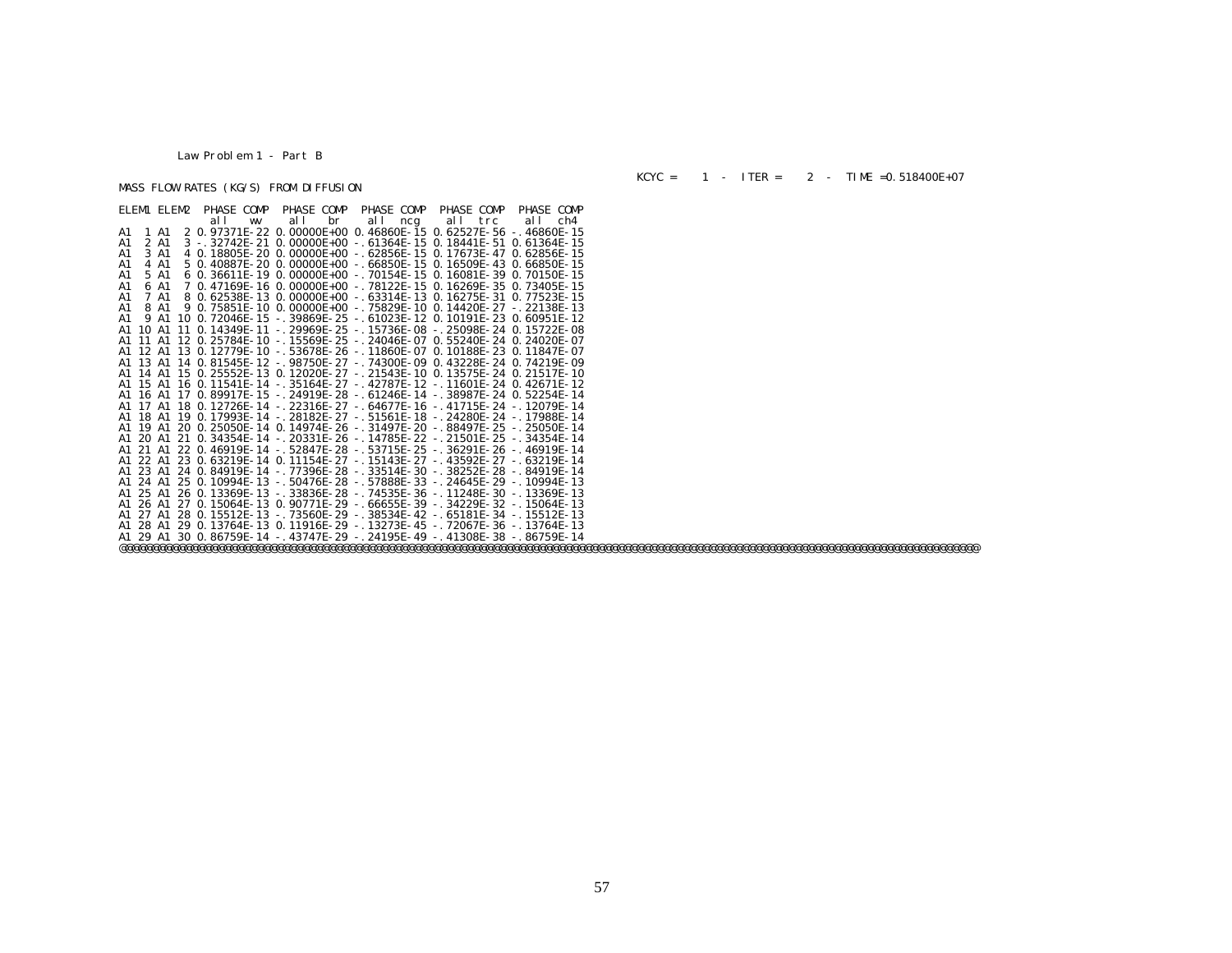MASS FLOW RATES (KG/S) FROM DIFFUSION

ELEM1 ELEM2 PHASE COMP PHASE COMP PHASE COMP PHASE COMP PHASE COMP all wv all br all ncg all trc all ch4 A1 1 A1 2 0.97371E-22 0.00000E+00 0.46860E-15 0.62527E-56 -.46860E-15 A1 2 A1 3 -.32742E-21 0.00000E+00 -.61364E-15 0.18441E-51 0.61364E-15 A1 3 A1 4 0. 18805E-20 0. 00000E+00 -. 62856E-15 0. 17673E-47 0. 62856E-15<br>A1 4 A1 5 0. 40887E-20 0. 00000E+00 -. 66850E-15 0. 16508E-43 0. 66850E-15<br>A1 5 A1 6 0. 36611E-19 0. 00000E+00 A1 6 A1 7 0.47169E-16 0.00000E+00 -.78122E-15 0.16269E-35 0.73405E-15 A1 7 A1 8 0.62538E-13 0.00000E+00 -.63314E-13 0.16275E-31 0.77523E-15 A1 8 A1 9 0.75851E-10 0.00000E+00 -.75829E-10 0.14420E-27 -.22138E-13 A1 9 A1 10 0. 72046E-15 -. 39869E-25 -. 61023E-12 0. 10191E-23 0. 60951E-12<br>A1 10 A1 11 0. 14349E-11 -. 29969E-25 -. 15736E-08 -. 25098E-24 0. 15722E-08<br>A1 11 A1 12 0. 25784E-10 -. 15569E-25 -. 24046 A1 12 A1 13 0.12779E-10 -.53678E-26 -.11860E-07 0.10188E-23 0.11847E-07<br>A1 13 A1 14 0.81545E-12 -.98750E-27 -.74300E-09 0.43228E-24 0.74219E-09<br>A1 14 A1 15 0.25552E-13 0.12020E-27 -.21543E-10 0.13575E-24 0.21517E-10 A1 15 A1 16 0.11541E-14 -.35164E-27 -.42787E-12 -.11601E-24 0.42671E-12<br>A1 16 A1 17 0.89917E-15 -.24919E-28 -.61246E-14 -.38987E-24 0.52254E-14<br>A1 17 A1 18 0.12726E-14 -.22316E-27 -.64677E-16 -.41715E-24 -.12079E-14 A1 18 A1 19 0.17993E-14 -.28182E-27 -.51561E-18 -.24280E-24 -.17988E-14 A1 19 A1 20 0.25050E-14 0.14974E-26 -.31497E-20 -.88497E-25 -.25050E-14<br>A1 20 A1 21 0.34354E-14 -.20331E-26 -.14785E-22 -.21501E-25 -.34354E-14<br>A1 21 A1 22 O.46919E-14 -.52847E-28 -.53715E-25 -.36291E-26 -.46919E-14<br>A1 22 A1 24 A1 25 0.10994E-13 -.50476E-28 -.57888E-33 -.24645E-29 -.10994E-13<br>A1 25 A1 26 0.13369E-13 -.33836E-28 -.74535E-36 -.11248E-30 -.13369E-13<br>A1 26 A1 27 0.15064E-13 0.90771E-29 -.66655E-39 -.34229E-32 -.15064E-13 A1 27 A1 28 0.15512E-13 -.73560E-29 -.38534E-42 -.65181E-34 -.15512E-13 A1 28 A1 29 0.13764E-13 0.11916E-29 -.13273E-45 -.72067E-36 -.13764E-13 A1 29 A1 30 0.86759E-14 -.43747E-29 -.24195E-49 -.41308E-38 -.86759E-14 @@@@@@@@@@@@@@@@@@@@@@@@@@@@@@@@@@@@@@@@@@@@@@@@@@@@@@@@@@@@@@@@@@@@@@@@@@@@@@@@@@@@@@@@@@@@@@@@@@@@@@@@@@@@@@@@@@@@@@@@@@@@@@@@@@@

#### $KCYC = 1 - I^TER = 2 - TIME = 0.518400E+07$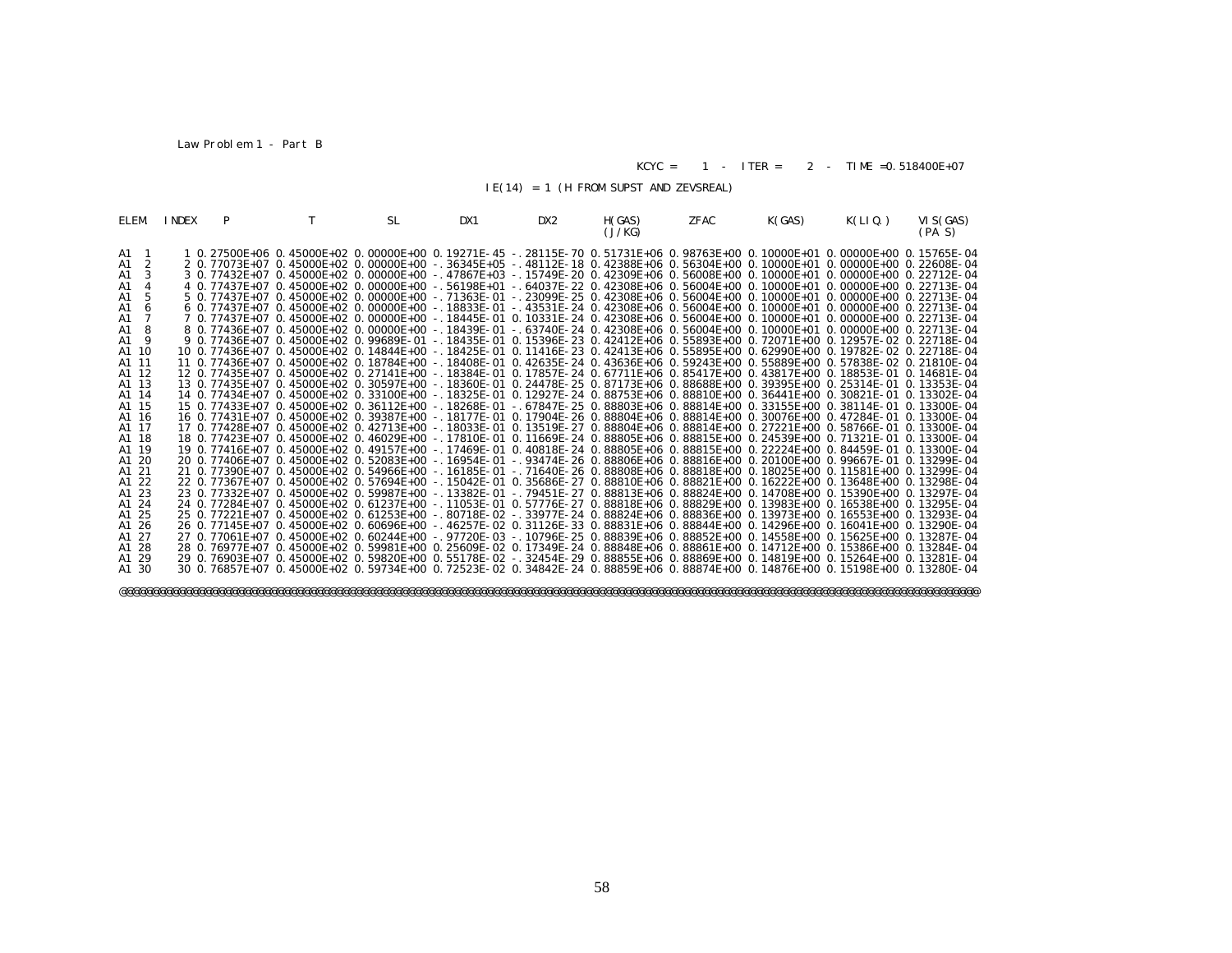#### KCYC =  $1 - ITER = 2 - TIME = 0.518400E+07$

 $IE(14) = 1$  (H FROM SUPST AND ZEVSREAL)

@@@@@@@@@@@@@@@@@@@@@@@@@@@@@@@@@@@@@@@@@@@@@@@@@@@@@@@@@@@@@@@@@@@@@@@@@@@@@@@@@@@@@@@@@@@@@@@@@@@@@@@@@@@@@@@@@@@@@@@@@@@@@@@@@@@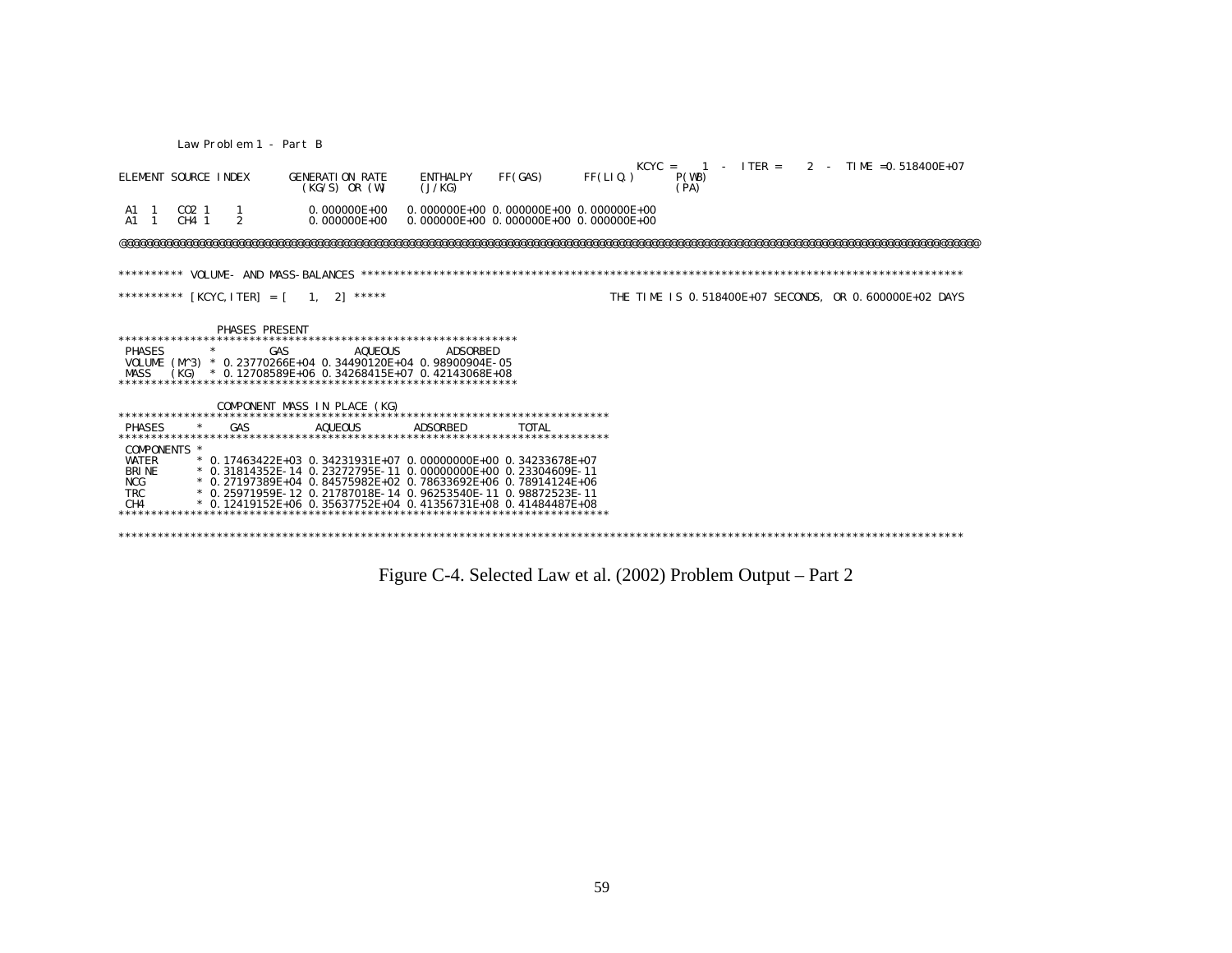Law Problem 1 - Part B  $KCYC =$ 1 - ITER =  $2$  - TIME = 0.518400E+07 ELEMENT SOURCE INDEX **ENTHALPY**  $FF(LIQ. )$  $P(WB)$ **GENERATION RATE**  $FF(GAS)$  $(KG/S)$  OR  $(W)$  $(J/KG)$  $(PA)$ A1 1 CO2 1  $0.000000E + 00$  $0.000000E+00$  0.000000E+00 0.000000E+00  $\overline{1}$  $0.000000E+00$  0.000000E+00 0.000000E+00 CH4 1  $0.000000E+00$  $A1 \quad 1$  $\boldsymbol{2}$ \*\*\*\*\*\*\*\*\*\* [KCYC, ITER] = [ 1, 2] \*\*\*\*\* THE TIME IS 0.518400E+07 SECONDS, OR 0.600000E+02 DAYS PHASES PRESENT . . . . . . . . . . . . . . . **PHASES**  $\ast$ GAS **AQUEOUS ADSORBED** VOLUME  $(M^3)$  \* 0. 23770266E+04 0. 34490120E+04 0. 98900904E-05 MSS (KG) \* 0.12708589E+06 0.34268415E+07 0.42143068E+08 COMPONENT MASS IN PLACE (KG) \*\*\*\*\*\*\*\*\*\*\*\*\*\* \*\*\*\*\*\*\*\*\*\*\*\*\*\*\*  $*$  GAS **AQUEOUS ADSORBED TOTAL PHASES** COMPONENTS \* \* 0.17463422E+03 0.34231931E+07 0.00000000E+00 0.34233678E+07 <br>\* 0.31814352E-14 0.23272795E-11 0.00000000E+00 0.23304609E-11 WATER **BRINE**  $NCG$ \* 0.27197389E+04 0.84575982E+02 0.78633692E+06 0.78914124E+06  $0.25971959E-12$  0.21787018E-14 0.96253540E-11 0.98872523E-11<br> $*$  0.12419152E+06 0.35637752E+04 0.41356731E+08 0.41484487E+08 **TRC**  $CH4$ 

Figure C-4. Selected Law et al. (2002) Problem Output – Part 2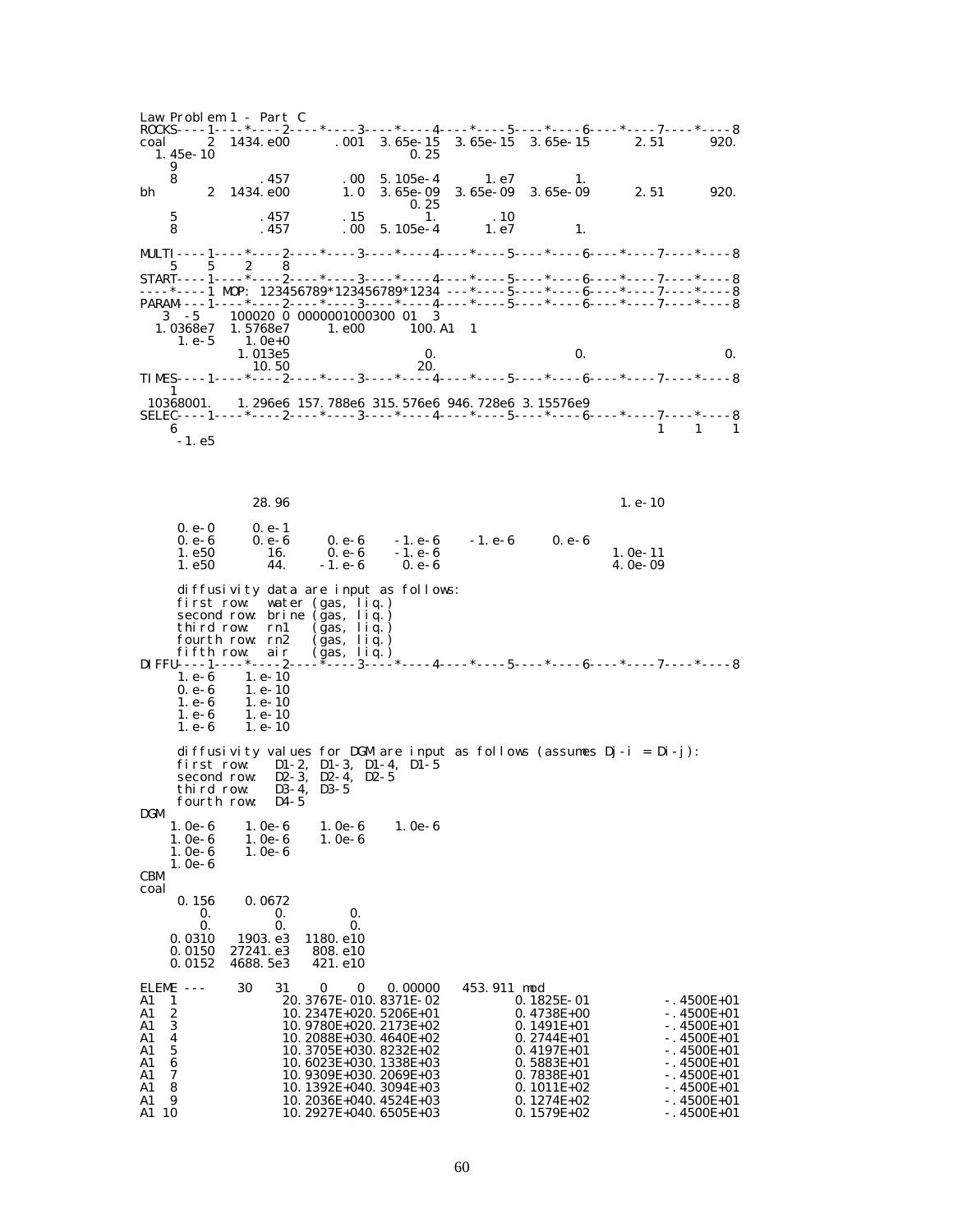Law Problem 1 - Part C ROCKS----1----\*----2----\*----3----\*----4----\*----5----\*----6----\*----7----\*----8 coal 2 1434.e00 .001 3.65e-15 3.65e-15 3.65e-15 2.51 920.<br>
1.45e-10 0.25 9 8 .457 .00 5.105e-4 1.e7 1. bh 2 1434.e00 1.0 3.65e-09 3.65e-09 3.65e-09 2.51 920.  $\begin{array}{ccccccc} & & & & & & 0.25 & & \ & & & .457 & & & .15 & & 1. & & & .10 \end{array}$ 8 .457 .00 5.105e-4 1.e7 1. MULTI----1----\*----2----\*----3----\*----4----\*----5----\*----6----\*----7----\*----8 5 5 2 8<br>START----1----\*----2----\*----3----\*----4----\*----5----\*----6----\*----7----\*----8 START----1----\*----2----\*----3----\*----4----\*----5----\*----6----\*----7----\*----8 ----\*----1 MOP: 123456789\*123456789\*1234 ---\*----5----\*----6----\*----7----\*----8 PARAM----1----\*----2----\*----3----\*----4----\*----5----\*----6----\*----7----\*----8 3 -5 100020 0 0000001000300 01 3 1.0368e7 1.5768e7 1.e00 100.A1 1  $1.0368e7$   $1.5768e7$ <br> $1. e-5$   $1.0e+0$ <br> $1.013e5$  $1.013e5$  0. 0. 0. 0. 0. TIMES----1----\*----2----\*----3----\*----4----\*----5----\*----6----\*----7----\*----8 1 10368001. 1.296e6 157.788e6 315.576e6 946.728e6 3.15576e9 SELEC----1----\*----2----\*----3----\*----4----\*----5----\*----6----\*----7----\*----8  $6$ <br>1 1 1 1 1 1 1  $1$ 

28.96  $1. e-10$ 0. e-0  $0.$  e-1<br>0. e-6  $0.$  e-6 0.e-6 0.e-6 0.e-6 -1.e-6 -1.e-6 0.e-6 1.e50 16. 0.e-6 -1.e-6 1.0e-11 1.e50 44. -1.e-6 0.e-6 4.0e-09 diffusivity data are input as follows: first row: water (gas, liq.)<br>second row: brine (gas, liq.)<br>third row: rn1 (gas, liq.)<br>fourth row: rn2 (gas, liq.) fifth row: air (gas, liq.)<br>DIFFU----1----\*----2----\*----3----J----1----\*----2----<sup>-----</sup>----3----\*----4----\*----5----\*----6----\*----7----\*----8<br>1. e-6 1. e-10 1. e-6 1. e-10<br>0. e-6 1. e-10<br>1. e-6 1. e-10<br>1. e-6 1. e-10 1. e-6 1. e-10<br>1. e-6 1. e-10  $1. e-10$ diffusivity values for DGM are input as follows (assumes  $Dj - i = Di - j$ ): First row: D1-2, D1-3, D1-4, D1-5<br>second row: D2-3, D2-4, D2-5<br>third row: D3-4, D3-5<br>fourth row: D4-5 fourth row: DGM 1.0e-6 1.0e-6 1.0e-6 1.0e-6 1.0e-6 1.0e-6<br>1.0e-6 1.0e-6 1.0e-6 CBM coal  $0.156$  0.0672<br>0.00  $\begin{array}{cccc} & 0. & 0. & 0. \ 0. & 0. & 0. \ 0.0310 & 1903. \text{ e}3 & 1180. \text{ e}10 \ 0.0150 & 27241. \text{ e}3 & 808. \text{ e}10 \end{array}$ 0.0150 27241.e3 808.e10<br>0.0152 4688.5e3 421.e10 ELEME --- 30 31 0 0 0.00000 453.911 mod<br>A1 1 20.3767E-010.8371E-02 0.1825E-01<br>A1 2 10.2347E+020.5206E+01 0.4738E+00  $\begin{array}{cccc}\n\text{A1} & 1 & 0.2347 \text{E} - 0.0 & 0.8371 \text{E} - 0.0 & 0.1825 \text{E} - 0.0 & -0.4500 \text{E} + 0.0 & -0.4500 \text{E} + 0.0 & -0.4500 \text{E} + 0.0 & -0.4500 \text{E} + 0.0 & -0.4500 \text{E} + 0.0 & -0.4500 \text{E} + 0.0 & -0.4500 \text{E} + 0.0 & -0.4500 \text{E} + 0.0 & -0.4$ A1 2 10.2347E+020.5206E+01 0.4738E+00 -.4500E+01<br>A1 3 10.9780E+020.2173E+02 0.1491E+01 -.4500E+01 A1 3 10.9780E+020.2173E+02 0.1491E+01 -.4500E+01<br>A1 4 10.2088E+030.4640E+02 0.2744E+01 -.4500E+01 A1 4 10.2088E+030.4640E+02 0.2744E+01 -.4500E+01<br>A1 5 10.3705E+030.8232E+02 0.4197E+01 -.4500E+01 A1 5 10.3705E+030.8232E+02 0.4197E+01 -.4500E+01<br>A1 6 10.6023E+030.1338E+03 0.5883E+01 -.4500E+01 A1 6 10.6023E+030.1338E+03 0.5883E+01 -.4500E+01<br>A1 7 10.9309E+030.2069E+03 0.7838E+01 -.4500E+01<br>A1 8 10.1392E+040.3094E+03 0.1011E+02 -.4500E+01 A1 7 10.9309E+030.2069E+03 0.7838E+01 -.4500E+01 A1 8 10.1392E+040.3094E+03 0.1011E+02 -.4500E+01 A1 9 10.2036E+040.4524E+03 0.1274E+02 -.4500E+01<br>A1 10 10.2927E+040.6505E+03 0.1579E+02 -.4500E+01 10.2927E+040.6505E+03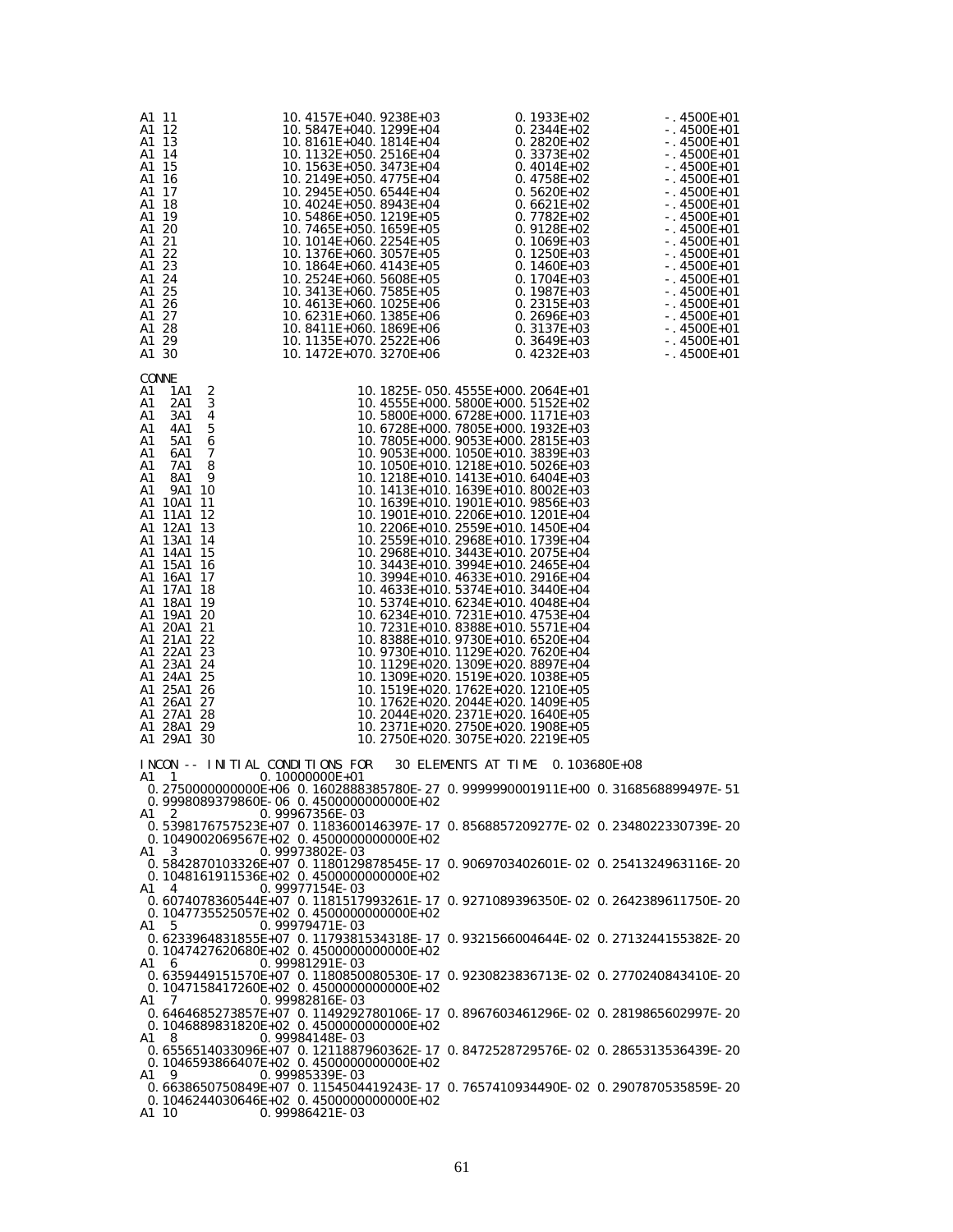| A1 11<br>A1 12<br>A1 13<br>A1 14<br>A1 15<br>A1 16<br>A1 17<br>A1 18<br>A1 19<br>A1 20<br>A1 21<br>A1 22<br>A1 23<br>A1 24<br>A1 25<br>A1 26<br>A1 27<br>A1 28<br>A1 29 | A1 30                                                                                                                                                                                                                                                                                                                                                                                                                                                                                                                                                                                                                                                                                                                                                                                                                                                                                                                                                                                                                                                                                                                                                                                                                                                                                                                                                                                                                                                                                                                                            | 10. $4157E+040.9238E+03$<br>10. $5847E+040.$ 1299E+04<br>10.8161E+040.1814E+04<br>10. $1132E+050.2516E+04$<br>10. $1563E+050.$ $3473E+04$<br>10. $2149E+050.$ $4775E+04$<br>10. $2945E+050.6544E+04$<br>10. $4024E+050.8943E+04$<br>10. $5486E+050.$ 1219E+05<br>10. $7465E+050.1659E+05$<br>10. $1014E+060.2254E+05$<br>10. $1376E+060.3057E+05$<br>10. $1864E+060.$ $4143E+05$<br>10. $2524E+060.5608E+05$<br>10. $3413E+060.7585E+05$<br>10. $4613E+060.1025E+06$<br>10. $6231E+060.1385E+06$<br>10.8411E+060.1869E+06<br>10. $1135E+070.2522E+06$<br>10. $1472E+070.$ 3270E+06 | $0.1933E+02$<br>$0.2344E+02$<br>$0.2820E+02$<br>$0.3373E+02$<br>$0.4014E+02$<br>$0.4758E+02$<br>$0.5620E+02$<br>$0.6621E+02$<br>$0.7782E+02$<br>$0.9128E+02$<br>$0.1069E+03$<br>$0.1250E+03$<br>$0.1460E+03$<br>$0.1704E+03$<br>$0.1987E+03$<br>$0.2315E+03$<br>$0.2696E+03$<br>$0.3137E+03$<br>$0.3649E+03$<br>$0.4232E+03$                                                                                                                                                                                                                                                                                                                                                                                                                                                                                                                                                                                                                                                                                                                                                                                                                                          | - .4500E+01<br>- .4500E+01<br>- .4500E+01<br>- .4500E+01<br>- .4500E+01<br>- .4500E+01<br>- . 4500E+01<br>- .4500E+01<br>- .4500E+01<br>- . 4500E+01<br>- .4500E+01<br>- .4500E+01<br>- . 4500E+01<br>$-.4500E+01$<br>$-.4500E+01$<br>- .4500E+01<br>- .4500E+01<br>$-.4500E+01$<br>- .4500E+01<br>- .4500E+01 |
|-------------------------------------------------------------------------------------------------------------------------------------------------------------------------|--------------------------------------------------------------------------------------------------------------------------------------------------------------------------------------------------------------------------------------------------------------------------------------------------------------------------------------------------------------------------------------------------------------------------------------------------------------------------------------------------------------------------------------------------------------------------------------------------------------------------------------------------------------------------------------------------------------------------------------------------------------------------------------------------------------------------------------------------------------------------------------------------------------------------------------------------------------------------------------------------------------------------------------------------------------------------------------------------------------------------------------------------------------------------------------------------------------------------------------------------------------------------------------------------------------------------------------------------------------------------------------------------------------------------------------------------------------------------------------------------------------------------------------------------|------------------------------------------------------------------------------------------------------------------------------------------------------------------------------------------------------------------------------------------------------------------------------------------------------------------------------------------------------------------------------------------------------------------------------------------------------------------------------------------------------------------------------------------------------------------------------------|-----------------------------------------------------------------------------------------------------------------------------------------------------------------------------------------------------------------------------------------------------------------------------------------------------------------------------------------------------------------------------------------------------------------------------------------------------------------------------------------------------------------------------------------------------------------------------------------------------------------------------------------------------------------------------------------------------------------------------------------------------------------------------------------------------------------------------------------------------------------------------------------------------------------------------------------------------------------------------------------------------------------------------------------------------------------------------------------------------------------------------------------------------------------------|----------------------------------------------------------------------------------------------------------------------------------------------------------------------------------------------------------------------------------------------------------------------------------------------------------------|
| A1<br>A1<br>A1<br>A1<br>A1<br>A1<br>A1<br>A1<br>A1                                                                                                                      | <b>CONNE</b><br>2<br>1A1<br>3<br>2A 1<br>3A 1<br>4<br>4A 1<br>5<br>5A1<br>6<br>7<br>6A1<br>7A 1<br>8<br>8A 1<br>9<br>9A1 10<br>A1 10A1 11<br>A1 11A1 12<br>A1 12A1 13<br>A1 13A1 14<br>A1 14A1 15<br>A1 15A1 16<br>A1 16A1 17<br>A1 17A1 18<br>A1 18A1 19<br>A1 19A1 20<br>A1 20A1 21<br>A1 21A1 22<br>A1 22A1 23<br>A1 23A1 24<br>A1 24A1 25<br>A1 25A1 26<br>A1 26A1 27<br>A1 27A1 28<br>A1 28A1 29<br>A1 29A1 30                                                                                                                                                                                                                                                                                                                                                                                                                                                                                                                                                                                                                                                                                                                                                                                                                                                                                                                                                                                                                                                                                                                              |                                                                                                                                                                                                                                                                                                                                                                                                                                                                                                                                                                                    | 10. 1825E-050. 4555E+000. 2064E+01<br>10. 4555E+000. 5800E+000. 5152E+02<br>10. 5800E+000. 6728E+000. 1171E+03<br>10.6728E+000.7805E+000.1932E+03<br>10. $7805E+000.9053E+000.2815E+03$<br>10. 9053E+000. 1050E+010. 3839E+03<br>10. $1050E+010.$ $1218E+010.$ $5026E+03$<br>10. $1218E+010.$ $1413E+010.$ $6404E+03$<br>10. 1413E+010. 1639E+010. 8002E+03<br>10. $1639E+010.$ $1901E+010.$ $9856E+03$<br>10. 1901E+010. 2206E+010. 1201E+04<br>10. 2206E+010. 2559E+010. 1450E+04<br>10. 2559E+010. 2968E+010. 1739E+04<br>10. 2968E+010. 3443E+010. 2075E+04<br>10. 3443E+010. 3994E+010. 2465E+04<br>10. 3994E+010. 4633E+010. 2916E+04<br>10. $4633E+010.5374E+010.3440E+04$<br>10. $5374E+010.6234E+010.4048E+04$<br>10. 6234E+010. 7231E+010. 4753E+04<br>10. $7231E+010.8388E+010.5571E+04$<br>10.8388E+010.9730E+010.6520E+04<br>10.9730E+010.1129E+020.7620E+04<br>10. 1129E+020. 1309E+020. 8897E+04<br>10. $1309E+020.$ $1519E+020.$ $1038E+05$<br>10. $1519E+020.$ $1762E+020.$ $1210E+05$<br>10. $1762E+020.2044E+020.1409E+05$<br>10. $2044E+020.2371E+020.1640E+05$<br>10. $2371E+020.$ $2750E+020.$ $1908E+05$<br>10. 2750E+020. 3075E+020. 2219E+05 |                                                                                                                                                                                                                                                                                                                |
| A1                                                                                                                                                                      | INCON -- INITIAL CONDITIONS FOR<br>1<br>$0.10000000E+01$<br>0. 2750000000000E+06 0. 1602888385780E-27 0. 9999990001911E+00 0. 3168568899497E-51<br>0. 9998089379860E-06 0. 4500000000000E+02<br>A1 2<br>0.99967356E-03<br>0.5398176757523E+07 0.1183600146397E-17 0.8568857209277E-02 0.2348022330739E-20<br>0. $1049002069567E+02$ 0. $450000000000E+02$<br>0.99973802E-03<br>A1 3<br>$0.5842870103326E+07$ 0.1180129878545E-17 0.9069703402601E-02 0.2541324963116E-20<br>0. $1048161911536E+02$ 0. $450000000000E+02$<br>0. 99977154E-03<br>A1 4<br>$0.6074078360544E+07$ $0.1181517993261E-17$ $0.9271089396350E-02$ $0.2642389611750E-20$<br>0. $1047735525057E+02$ 0. $450000000000E+02$<br>0.99979471E-03<br>A1 5<br>0.6233964831855E+07 0.1179381534318E-17 0.9321566004644E-02 0.2713244155382E-20<br>0. $1047427620680E+02$ 0. $450000000000E+02$<br>0.99981291E-03<br>A1 6<br>$0.6359449151570E+07$ 0.1180850080530E-17 0.9230823836713E-02 0.2770240843410E-20<br>0. $1047158417260E+02$ 0. $450000000000E+02$<br>0.99982816E-03<br>A1 7<br>0.6464685273857E+07 0.1149292780106E-17 0.8967603461296E-02 0.2819865602997E-20<br>0. $1046889831820E+02$ 0. $450000000000E+02$<br>0. 99984148E-03<br>A1 8<br>0.6556514033096E+07 0.1211887960362E-17 0.8472528729576E-02 0.2865313536439E-20<br>0. $1046593866407E+02$ 0. $450000000000E+02$<br>0. 99985339E-03<br>A1 9<br>$0.6638650750849E+07$ 0.1154504419243E-17 0.7657410934490E-02 0.2907870535859E-20<br>0. $1046244030646E+02$ 0. $450000000000E+02$<br>0.99986421E-03<br>A1 10 |                                                                                                                                                                                                                                                                                                                                                                                                                                                                                                                                                                                    | 30 ELEMENTS AT TIME 0. 103680E+08                                                                                                                                                                                                                                                                                                                                                                                                                                                                                                                                                                                                                                                                                                                                                                                                                                                                                                                                                                                                                                                                                                                                     |                                                                                                                                                                                                                                                                                                                |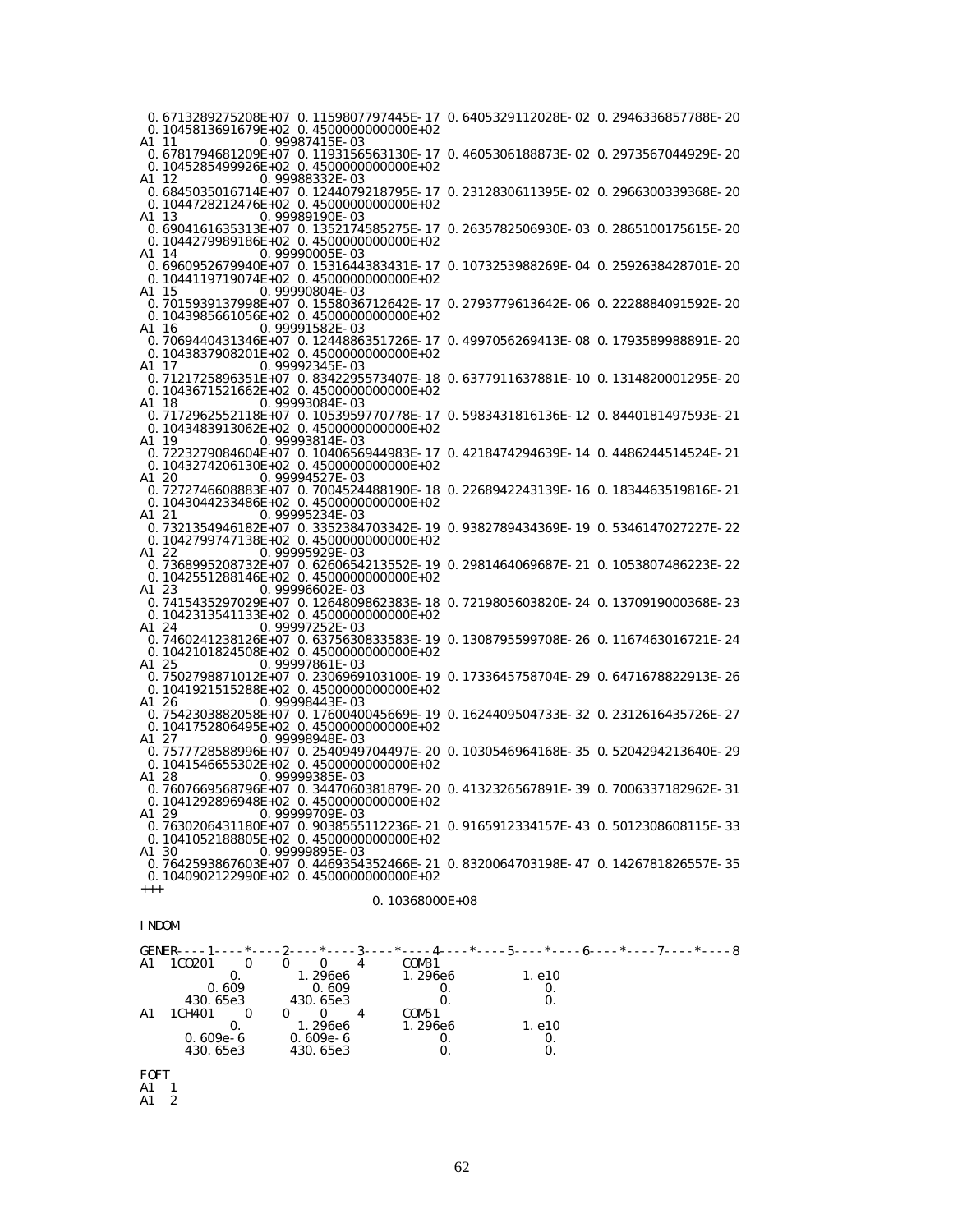```
0.6713289275208E+07 0.1159807797445E-17 0.6405329112028E-02 0.2946336857788E-20
0.1045813691679E+02 0.4500000000000E+02
A1 11 0.99987415E-03
 0.6781794681209E+07 0.1193156563130E-17 0.4605306188873E-02 0.2973567044929E-20
 0.1045285499926E+02 0.4500000000000E+02
A1 12 0.99988332E-03
 0.6845035016714E+07 0.1244079218795E-17 0.2312830611395E-02 0.2966300339368E-20
 0.1044728212476E+02 0.4500000000000E+02
A1 13 0.99989190E-03
 0.6904161635313E+07 0.1352174585275E-17 0.2635782506930E-03 0.2865100175615E-20
 0.1044279989186E+02 0.4500000000000E+02
A1 14 0.99990005E-03
 0.6960952679940E+07 0.1531644383431E-17 0.1073253988269E-04 0.2592638428701E-20
 0.1044119719074E+02 0.4500000000000E+02
A1 15 0.99990804E-03
 0.7015939137998E+07 0.1558036712642E-17 0.2793779613642E-06 0.2228884091592E-20
 0.1043985661056E+02 0.4500000000000E+02
A1 16 0.99991582E-03
 0.7069440431346E+07 0.1244886351726E-17 0.4997056269413E-08 0.1793589988891E-20
 0.1043837908201E+02 0.4500000000000E+02
A1 17 0.99992345E-03
 0.7121725896351E+07 0.8342295573407E-18 0.6377911637881E-10 0.1314820001295E-20
 0.1043671521662E+02 0.4500000000000E+02
A1 18 0.99993084E-03
 0.7172962552118E+07 0.1053959770778E-17 0.5983431816136E-12 0.8440181497593E-21
 0.1043483913062E+02 0.4500000000000E+02
A1 19 0.99993814E-03
 0.7223279084604E+07 0.1040656944983E-17 0.4218474294639E-14 0.4486244514524E-21
 0.1043274206130E+02 0.4500000000000E+02
A1 20 0.99994527E-03
 0.7272746608883E+07 0.7004524488190E-18 0.2268942243139E-16 0.1834463519816E-21
 0.1043044233486E+02 0.4500000000000E+02
A1 21 0.99995234E-03
 0.7321354946182E+07 0.3352384703342E-19 0.9382789434369E-19 0.5346147027227E-22
0.1042799747138E+02 0.4500000000000E+02
A1 22 0.99995929E-03
 0.7368995208732E+07 0.6260654213552E-19 0.2981464069687E-21 0.1053807486223E-22
 0.1042551288146E+02 0.4500000000000E+02
A1 23 0.99996602E-03
 0.7415435297029E+07 0.1264809862383E-18 0.7219805603820E-24 0.1370919000368E-23
 0.1042313541133E+02 0.4500000000000E+02
A1 24 0.99997252E-03
 0.7460241238126E+07 0.6375630833583E-19 0.1308795599708E-26 0.1167463016721E-24
 0.1042101824508E+02 0.4500000000000E+02
A1 25 0.99997861E-03
 0.7502798871012E+07 0.2306969103100E-19 0.1733645758704E-29 0.6471678822913E-26
 0.1041921515288E+02 0.4500000000000E+02
A1 26 0.99998443E-03
 0.7542303882058E+07 0.1760040045669E-19 0.1624409504733E-32 0.2312616435726E-27
 0.1041752806495E+02 0.4500000000000E+02
A1 27 0.99998948E-03
 0.7577728588996E+07 0.2540949704497E-20 0.1030546964168E-35 0.5204294213640E-29
 0.1041546655302E+02 0.4500000000000E+02
A1 28 0.99999385E-03
 0.7607669568796E+07 0.3447060381879E-20 0.4132326567891E-39 0.7006337182962E-31
 0.1041292896948E+02 0.4500000000000E+02
A1 29 0.99999709E-03
 0.7630206431180E+07 0.9038555112236E-21 0.9165912334157E-43 0.5012308608115E-33
 0.1041052188805E+02 0.4500000000000E+02
A1 30 0.99999895E-03
 0.7642593867603E+07 0.4469354352466E-21 0.8320064703198E-47 0.1426781826557E-35
 0.1040902122990E+02 0.4500000000000E+02
+++ 
                                 0.10368000E+08
INDOM
GENER----1----*----2----*----3----*----4----*----5----*----6----*----7----*----8<br>A1 1CO2O1 0 0 0 4 COMB1
A1 1CO201 0 0 0 4 COM31
0. 1.296e6 1.296e6 1.e10
 0.609 0.609 0. 0. 430.65e3 430.65e3 0. 0.
430.65e3 430.65e3 0.<br>A1 1CH401 0 0 0 4 COM51<br>0. 1.296e6 1.296e6
 0. 1.296e6 1.296e6 1.e10 0.609e-6 0.609e-6 0. 0.
      \begin{array}{cccc} 0.609\text{e}-6 & 0.609\text{e}-6 & 0.609\text{e}-6 & 0.609\text{e}-6 & 0.609\text{e}-6 & 0.609\text{e}-6 & 0.609\text{e}-6 & 0.609\text{e}-6 & 0.609\text{e}-6 & 0.609\text{e}-6 & 0.609\text{e}-6 & 0.609\text{e}-6 & 0.609\text{e}-6 & 0.609\text{e}-6 & 0.609\text{e}-6 & 0.609\text{e}-6 & 0.60FOFT
A1 1
```
A1 2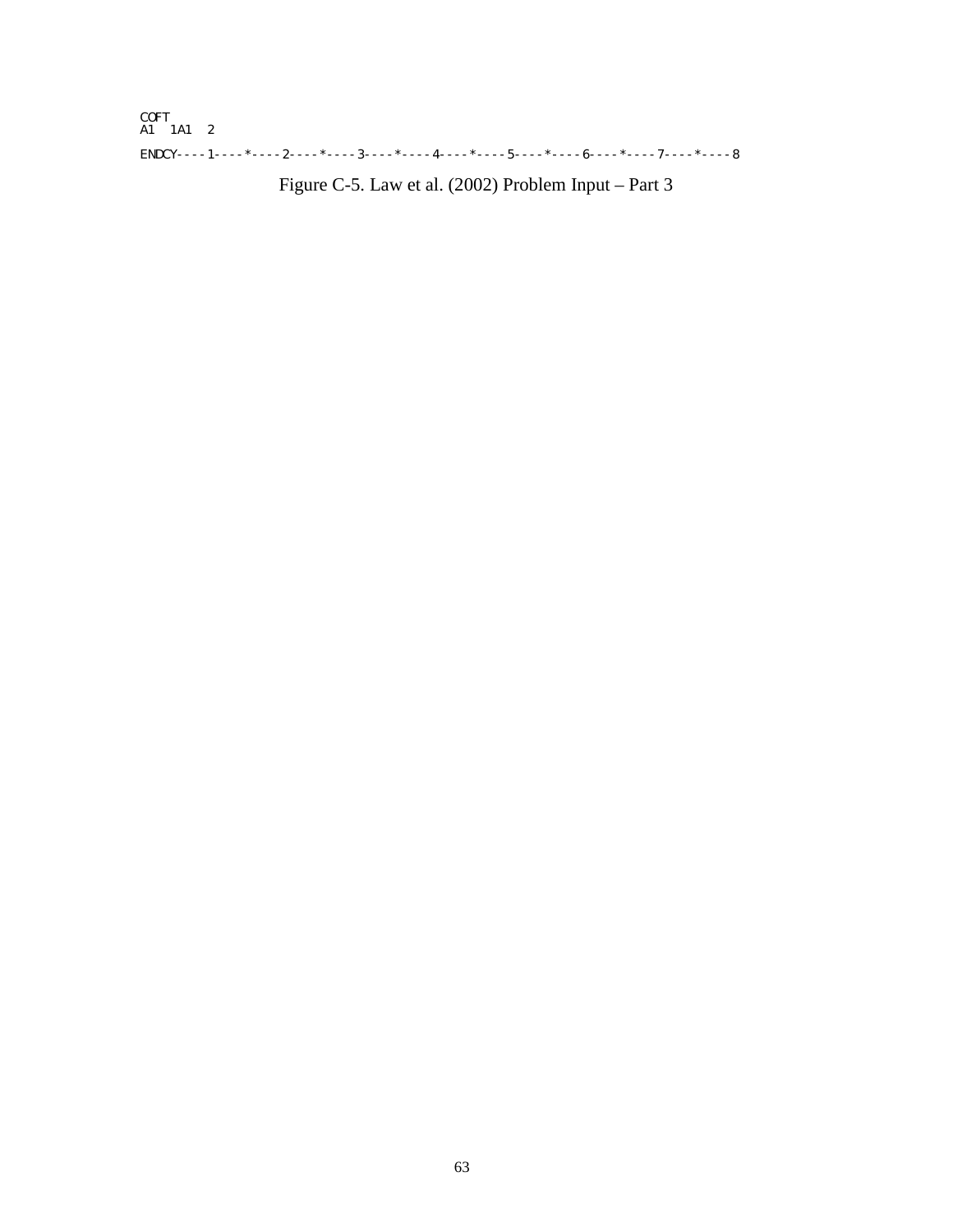COFT A1 1A1 2 ENDCY----1----\*----2----\*----3----\*----4----\*----5----\*----6----\*----7----\*----8

Figure C-5. Law et al. (2002) Problem Input – Part 3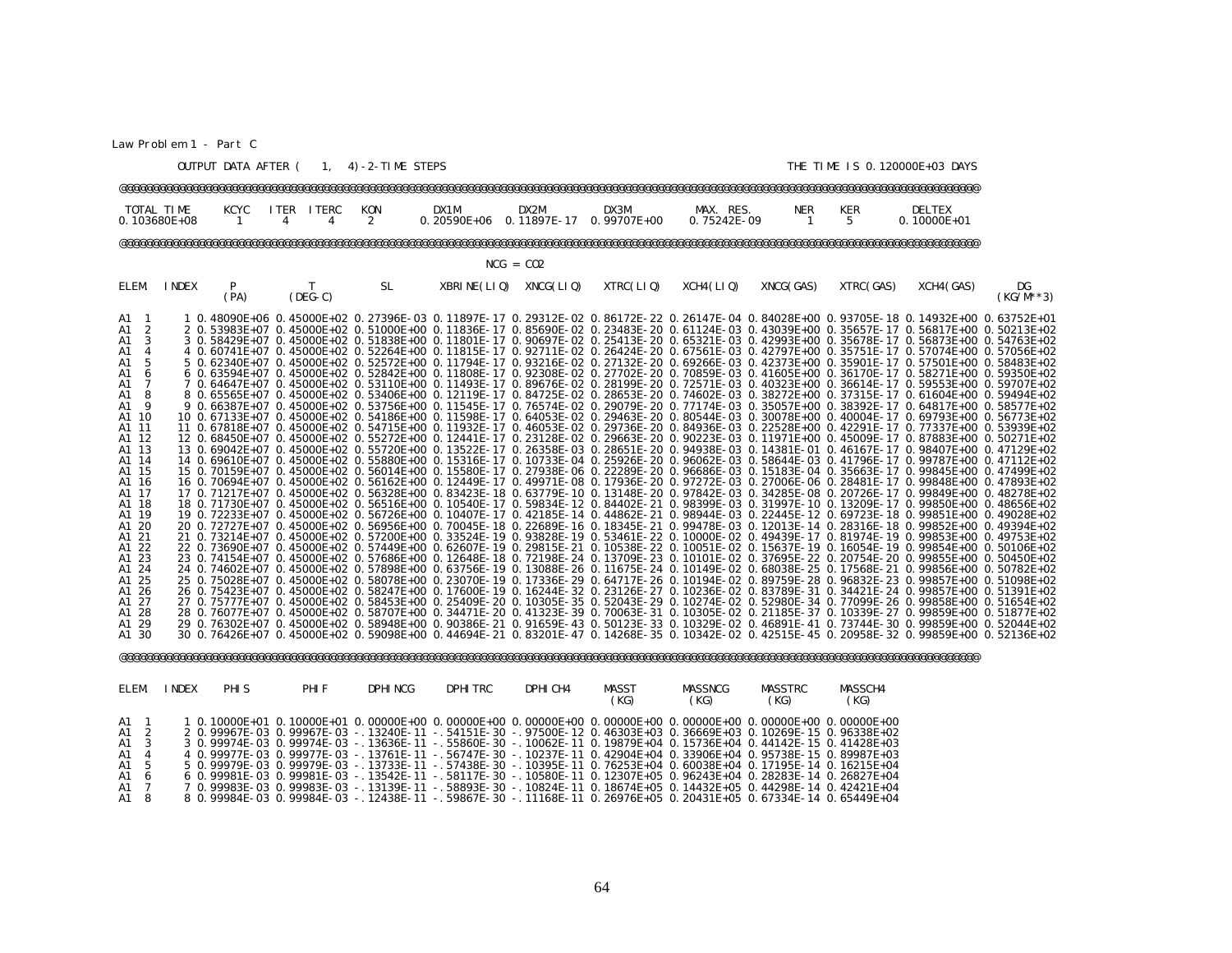| OUTPUT DATA AFTER (                                                                                                                                                                                                                                                                                                               | $1.4$ ) - 2-TIME STEPS<br>THE TIME IS 0.120000E+03 DAYS                                                                                                                                                                                                                                                                                                                                                                                                                                                                                                                                                                                                                                                                                                                                                                                                                                                                                                                                                                                                                                                                                                                                                                                                                                                                                                                                                                                                                                                                                                                                                                                                                                                                                                                                                                                                                                                                                                                                                                                                                                                                                                                                                                                                                                                                                                                                                                                                                                                                                                                                                                                                                                                                                                                                                                                                                                                                                                                                                                                                                                                                                                                                                                                                                                                                                                                                                                                                                                                                                                                                                                                                                                                                                                                                                                                                                                                                                                                                                                                                                                                                                                                                                                                                                                         |                                               |                                                |  |  |  |  |  |  |  |  |  |
|-----------------------------------------------------------------------------------------------------------------------------------------------------------------------------------------------------------------------------------------------------------------------------------------------------------------------------------|-------------------------------------------------------------------------------------------------------------------------------------------------------------------------------------------------------------------------------------------------------------------------------------------------------------------------------------------------------------------------------------------------------------------------------------------------------------------------------------------------------------------------------------------------------------------------------------------------------------------------------------------------------------------------------------------------------------------------------------------------------------------------------------------------------------------------------------------------------------------------------------------------------------------------------------------------------------------------------------------------------------------------------------------------------------------------------------------------------------------------------------------------------------------------------------------------------------------------------------------------------------------------------------------------------------------------------------------------------------------------------------------------------------------------------------------------------------------------------------------------------------------------------------------------------------------------------------------------------------------------------------------------------------------------------------------------------------------------------------------------------------------------------------------------------------------------------------------------------------------------------------------------------------------------------------------------------------------------------------------------------------------------------------------------------------------------------------------------------------------------------------------------------------------------------------------------------------------------------------------------------------------------------------------------------------------------------------------------------------------------------------------------------------------------------------------------------------------------------------------------------------------------------------------------------------------------------------------------------------------------------------------------------------------------------------------------------------------------------------------------------------------------------------------------------------------------------------------------------------------------------------------------------------------------------------------------------------------------------------------------------------------------------------------------------------------------------------------------------------------------------------------------------------------------------------------------------------------------------------------------------------------------------------------------------------------------------------------------------------------------------------------------------------------------------------------------------------------------------------------------------------------------------------------------------------------------------------------------------------------------------------------------------------------------------------------------------------------------------------------------------------------------------------------------------------------------------------------------------------------------------------------------------------------------------------------------------------------------------------------------------------------------------------------------------------------------------------------------------------------------------------------------------------------------------------------------------------------------------------------------------------------------------------------------|-----------------------------------------------|------------------------------------------------|--|--|--|--|--|--|--|--|--|
|                                                                                                                                                                                                                                                                                                                                   |                                                                                                                                                                                                                                                                                                                                                                                                                                                                                                                                                                                                                                                                                                                                                                                                                                                                                                                                                                                                                                                                                                                                                                                                                                                                                                                                                                                                                                                                                                                                                                                                                                                                                                                                                                                                                                                                                                                                                                                                                                                                                                                                                                                                                                                                                                                                                                                                                                                                                                                                                                                                                                                                                                                                                                                                                                                                                                                                                                                                                                                                                                                                                                                                                                                                                                                                                                                                                                                                                                                                                                                                                                                                                                                                                                                                                                                                                                                                                                                                                                                                                                                                                                                                                                                                                                 |                                               |                                                |  |  |  |  |  |  |  |  |  |
| I TERC<br>TOTAL TIME<br><b>KCYC</b><br><b>I TER</b><br>$\overline{4}$<br>$0.103680E+08$<br>$\overline{1}$<br>4                                                                                                                                                                                                                    | DX1M<br>DX2M<br>KON<br>$0.20590E+06$<br>$0.11897E-17$ 0.99707E+00<br>$\mathbf{2}$                                                                                                                                                                                                                                                                                                                                                                                                                                                                                                                                                                                                                                                                                                                                                                                                                                                                                                                                                                                                                                                                                                                                                                                                                                                                                                                                                                                                                                                                                                                                                                                                                                                                                                                                                                                                                                                                                                                                                                                                                                                                                                                                                                                                                                                                                                                                                                                                                                                                                                                                                                                                                                                                                                                                                                                                                                                                                                                                                                                                                                                                                                                                                                                                                                                                                                                                                                                                                                                                                                                                                                                                                                                                                                                                                                                                                                                                                                                                                                                                                                                                                                                                                                                                               | DX3M<br>MAX. RES.<br>NER<br>0.75242E-09<br>-1 | KER<br><b>DELTEX</b><br>$0.10000E+01$<br>5     |  |  |  |  |  |  |  |  |  |
|                                                                                                                                                                                                                                                                                                                                   |                                                                                                                                                                                                                                                                                                                                                                                                                                                                                                                                                                                                                                                                                                                                                                                                                                                                                                                                                                                                                                                                                                                                                                                                                                                                                                                                                                                                                                                                                                                                                                                                                                                                                                                                                                                                                                                                                                                                                                                                                                                                                                                                                                                                                                                                                                                                                                                                                                                                                                                                                                                                                                                                                                                                                                                                                                                                                                                                                                                                                                                                                                                                                                                                                                                                                                                                                                                                                                                                                                                                                                                                                                                                                                                                                                                                                                                                                                                                                                                                                                                                                                                                                                                                                                                                                                 |                                               |                                                |  |  |  |  |  |  |  |  |  |
|                                                                                                                                                                                                                                                                                                                                   | $NCG = CO2$                                                                                                                                                                                                                                                                                                                                                                                                                                                                                                                                                                                                                                                                                                                                                                                                                                                                                                                                                                                                                                                                                                                                                                                                                                                                                                                                                                                                                                                                                                                                                                                                                                                                                                                                                                                                                                                                                                                                                                                                                                                                                                                                                                                                                                                                                                                                                                                                                                                                                                                                                                                                                                                                                                                                                                                                                                                                                                                                                                                                                                                                                                                                                                                                                                                                                                                                                                                                                                                                                                                                                                                                                                                                                                                                                                                                                                                                                                                                                                                                                                                                                                                                                                                                                                                                                     |                                               |                                                |  |  |  |  |  |  |  |  |  |
| ELEM INDEX<br>P<br>T<br>(PA)<br>$(DEG-C)$                                                                                                                                                                                                                                                                                         | <b>SL</b><br>$XBRINE(LIQ)$ $XNCG(LIQ)$                                                                                                                                                                                                                                                                                                                                                                                                                                                                                                                                                                                                                                                                                                                                                                                                                                                                                                                                                                                                                                                                                                                                                                                                                                                                                                                                                                                                                                                                                                                                                                                                                                                                                                                                                                                                                                                                                                                                                                                                                                                                                                                                                                                                                                                                                                                                                                                                                                                                                                                                                                                                                                                                                                                                                                                                                                                                                                                                                                                                                                                                                                                                                                                                                                                                                                                                                                                                                                                                                                                                                                                                                                                                                                                                                                                                                                                                                                                                                                                                                                                                                                                                                                                                                                                          | XTRC(LIQ)<br>XCH4(LIQ)<br>XNCG (GAS)          | XTRC(GAS)<br>XCH4(GAS)<br>DG<br>$(KG/M^{*}*3)$ |  |  |  |  |  |  |  |  |  |
| $A1 \quad 1$<br>$A1 \quad 2$<br>-3<br>A1<br>$\overline{4}$<br>A1<br>5<br>A1<br>-6<br>A1<br>$\overline{7}$<br>A1<br>- 8<br>A1<br>A1 9<br>A1 10<br>A1 11<br>A1 12<br>A1 13<br>A1 14<br>A1 15<br>A1 16<br>A1 17<br>A1 18<br>A1 19<br>A1 20<br>A1 21<br>A1 22<br>A1 23<br>A1 24<br>A1 25<br>A1 26<br>A1 27<br>A1 28<br>A1 29<br>A1 30 | 1 0.48090E+06 0.45000E+02 0.27396E-03 0.11897E-17 0.29312E-02 0.86172E-22 0.26147E-04 0.84028E+00 0.93705E-18 0.14932E+00 0.63752E+01<br>2 0.53983E+07 0.45000E+02 0.51000E+00 0.11836E-17 0.85690E-02 0.23483E-20 0.61124E-03 0.43039E+00 0.35657E-17 0.56817E+00 0.50213E+02<br>3 0.58429E+07 0.45000E+02 0.51838E+00 0.11801E-17 0.90697E-02 0.25413E-20 0.65321E-03 0.42993E+00 0.35678E-17 0.56873E+00 0.54763E+02<br>4 0.60741E+07 0.45000E+02 0.52264E+00 0.11815E-17 0.92711E-02 0.26424E-20 0.67561E-03 0.42797E+00 0.35751E-17 0.57074E+00 0.57056E+02<br>5 0.62340E+07 0.45000E+02 0.52572E+00 0.11794E-17 0.93216E-02 0.27132E-20 0.69266E-03 0.42373E+00 0.35901E-17 0.57501E+00 0.58483E+02<br>6 0.63594E+07 0.45000E+02 0.52842E+00 0.11808E-17 0.92308E-02 0.27702E-20 0.70859E-03 0.41605E+00 0.36170E-17 0.58271E+00 0.59350E+02<br>7 0.64647E+07 0.45000E+02 0.53110E+00 0.11493E-17 0.89676E-02 0.28199E-20 0.72571E-03 0.40323E+00 0.36614E-17 0.59553E+00 0.59707E+02<br>8 0.65565E+07 0.45000E+02 0.53406E+00 0.12119E-17 0.84725E-02 0.28653E-20 0.74602E-03 0.38272E+00 0.37315E-17 0.61604E+00 0.59494E+02<br>9 0.66387E+07 0.45000E+02 0.53756E+00 0.11545E-17 0.76574E-02 0.29079E-20 0.77174E-03 0.35057E+00 0.38392E-17 0.64817E+00 0.58577E+02<br>10 0.67133E+07 0.45000E+02 0.54186E+00 0.11598E-17 0.64053E-02 0.29463E-20 0.80544E-03 0.30078E+00 0.40004E-17 0.69793E+00 0.56773E+02<br>11 0.67818E+07 0.45000E+02 0.54715E+00 0.11932E-17 0.46053E-02 0.29736E-20 0.84936E-03 0.22528E+00 0.42291E-17 0.77337E+00 0.53939E+02<br>12 0.68450E+07 0.45000E+02 0.55272E+00 0.12441E-17 0.23128E-02 0.29663E-20 0.90223E-03 0.11971E+00 0.45009E-17 0.87883E+00 0.50271E+02<br>13 0.69042E+07 0.45000E+02 0.55720E+00 0.13522E-17 0.26358E-03 0.28651E-20 0.94938E-03 0.14381E-01 0.46167E-17 0.98407E+00 0.47129E+02<br>14 0.69610E+07 0.45000E+02 0.55880E+00 0.15316E-17 0.10733E-04 0.25926E-20 0.96062E-03 0.58644E-03 0.41796E-17 0.99787E+00 0.47112E+02<br>15 0.70159E+07 0.45000E+02 0.56014E+00 0.15580E-17 0.27938E-06 0.22289E-20 0.96686E-03 0.15183E-04 0.35663E-17 0.99845E+00 0.47499E+02<br>16 0.70694E+07 0.45000E+02 0.56162E+00 0.12449E-17 0.49971E-08 0.17936E-20 0.97272E-03 0.27006E-06 0.28481E-17 0.99848E+00 0.47893E+02<br>17 0.71217E+07 0.45000E+02 0.56328E+00 0.83423E-18 0.63779E-10 0.13148E-20 0.97842E-03 0.34285E-08 0.20726E-17 0.99849E+00 0.48278E+02<br>18 0.71730E+07 0.45000E+02 0.56516E+00 0.10540E-17 0.59834E-12 0.84402E-21 0.98399E-03 0.31997E-10 0.13209E-17 0.99850E+00 0.48656E+02<br>19 0.72233E+07 0.45000E+02 0.56726E+00 0.10407E-17 0.42185E-14 0.44862E-21 0.98944E-03 0.22445E-12 0.69723E-18 0.99851E+00 0.49028E+02<br>20 0.72727E+07 0.45000E+02 0.56956E+00 0.70045E-18 0.22689E-16 0.18345E-21 0.99478E-03 0.12013E-14 0.28316E-18 0.99852E+00 0.49394E+02<br>21 0.73214E+07 0.45000E+02 0.57200E+00 0.33524E-19 0.93828E-19 0.53461E-22 0.10000E-02 0.49439E-17 0.81974E-19 0.99853E+00 0.49753E+02<br>22 0.73690E+07 0.45000E+02 0.57449E+00 0.62607E-19 0.29815E-21 0.10538E-22 0.10051E-02 0.15637E-19 0.16054E-19 0.99854E+00 0.50106E+02<br>23 0.74154E+07 0.45000E+02 0.57686E+00 0.12648E-18 0.72198E-24 0.13709E-23 0.10101E-02 0.37695E-22 0.20754E-20 0.99855E+00 0.50450E+02<br>24 0.74602E+07 0.45000E+02 0.57898E+00 0.63756E-19 0.13088E-26 0.11675E-24 0.10149E-02 0.68038E-25 0.17568E-21 0.99856E+00 0.50782E+02<br>25 0.75028E+07 0.45000E+02 0.58078E+00 0.23070E-19 0.17336E-29 0.64717E-26 0.10194E-02 0.89759E-28 0.96832E-23 0.99857E+00 0.51098E+02<br>26 0.75423E+07 0.45000E+02 0.58247E+00 0.17600E-19 0.16244E-32 0.23126E-27 0.10236E-02 0.83789E-31 0.34421E-24 0.99857E+00 0.51391E+02<br>27 0.75777E+07 0.45000E+02 0.58453E+00 0.25409E-20 0.10305E-35 0.52043E-29 0.10274E-02 0.52980E-34 0.77099E-26 0.99858E+00 0.51654E+02<br>28 0.76077E+07 0.45000E+02 0.58707E+00 0.34471E-20 0.41323E-39 0.70063E-31 0.10305E-02 0.21185E-37 0.10339E-27 0.99859E+00 0.51877E+02<br>29 0.76302E+07 0.45000E+02 0.58948E+00 0.90386E-21 0.91659E-43 0.50123E-33 0.10329E-02 0.46891E-41 0.73744E-30 0.99859E+00 0.52044E+02<br>30 0.76426E+07 0.45000E+02 0.59098E+00 0.44694E-21 0.83201E-47 0.14268E-35 0.10342E-02 0.42515E-45 0.20958E-32 0.99859E+00 0.52136E+02 |                                               |                                                |  |  |  |  |  |  |  |  |  |

| ELEM.        | <b>I NDEX</b> | PHI S | PHI F | DPHI NCG | DPHI TRC | DPHI CH4                                                                                                      | <b>MASST</b><br>(KG) | MASSNCG<br>(KG) | MASSTRC<br>(KG) | <b>MASSCH4</b><br>(KG) |
|--------------|---------------|-------|-------|----------|----------|---------------------------------------------------------------------------------------------------------------|----------------------|-----------------|-----------------|------------------------|
| $A1 \quad 1$ |               |       |       |          |          | 1 0.10000E+01 0.10000E+01 0.00000E+00 0.00000E+00 0.00000E+00 0.00000E+00 0.0000E+00 0.00000E+00 0.00000E+00  |                      |                 |                 |                        |
| A1 2         |               |       |       |          |          | 2 0.99967E-03 0.99967E-03 - 13240E-11 - 54151E-30 - 97500E-12 0.46303E+03 0.36669E+03 0.10269E-15 0.96338E+02 |                      |                 |                 |                        |
| $A1 \quad 3$ |               |       |       |          |          | 3 0.99974E-03 0.99974E-03 - 13636E-11 - 55860E-30 - 10062E-11 0.19879E+04 0.15736E+04 0.44142E-15 0.41428E+03 |                      |                 |                 |                        |
| $A1 \quad 4$ |               |       |       |          |          | 4 0.99977E-03 0.99977E-03 - 13761E-11 - 56747E-30 - 10237E-11 0.42904E+04 0.33906E+04 0.95738E-15 0.89987E+03 |                      |                 |                 |                        |
| A1 5         |               |       |       |          |          | 5 0.99979E-03 0.99979E-03 - 13733E-11 - 57438E-30 - 10395E-11 0.76253E+04 0.60038E+04 0.17195E-14 0.16215E+04 |                      |                 |                 |                        |
| $A1 \quad 6$ |               |       |       |          |          | 6 0.99981E-03 0.99981E-03 - 13542E-11 - 58117E-30 - 10580E-11 0.12307E+05 0.96243E+04 0.28283E-14 0.26827E+04 |                      |                 |                 |                        |
| A1 7         |               |       |       |          |          | 7 0.99983E-03 0.99983E-03 - 13139E-11 - 58893E-30 - 10824E-11 0.18674E+05 0.14432E+05 0.44298E-14 0.42421E+04 |                      |                 |                 |                        |
| A1 8         |               |       |       |          |          | 8 0.99984E-03 0.99984E-03 - 12438E-11 - 59867E-30 - 11168E-11 0.26976E+05 0.20431E+05 0.67334E-14 0.65449E+04 |                      |                 |                 |                        |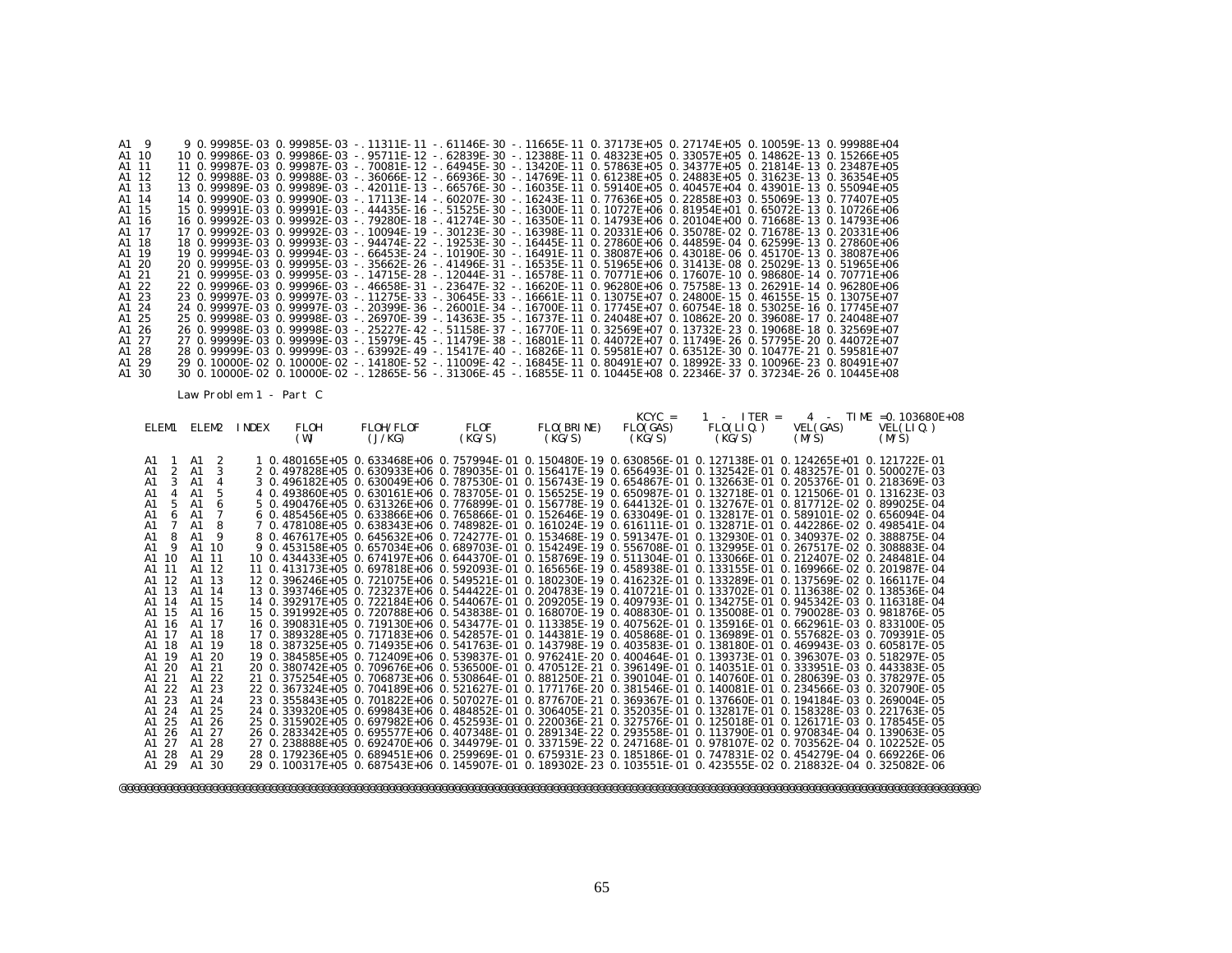| A1                            | 9 |      |  |  |  |  |  | 9 0.99985E-03 0.99985E-03 - 11311E-11 - 61146E-30 - 11665E-11 0.37173E+05 0.27174E+05 0.10059E-13 0.99988E+04  |  |  |
|-------------------------------|---|------|--|--|--|--|--|----------------------------------------------------------------------------------------------------------------|--|--|
| A <sub>1</sub> 10             |   |      |  |  |  |  |  | 99986E-03 0.99986E-03 - 95711E-12 - 62839E-30 - 12388E-11 0.48323E+05 0.33057E+05 0.14862E-13 0.15266E+05      |  |  |
| A <sub>1</sub> 11             |   |      |  |  |  |  |  | 99987E-03 0.99987E-03 - 70081E-12 - 64945E-30 - 13420E-11 0.57863E+05 0.34377E+05 0.21814E-13 0.23487E+05      |  |  |
| A <sub>1</sub> 12             |   |      |  |  |  |  |  | 99988E-03 0.99988E-03 - 36066E-12 - 66936E-30 - 14769E-11 0.61238E+05 0.24883E+05 0.31623E-13 0.36354E+05      |  |  |
| A <sub>1</sub> 13             |   | 130. |  |  |  |  |  | 99989E-03 0.99989E-03 - 42011E-13 - 66576E-30 - 16035E-11 0.59140E+05 0.40457E+04 0.43901E-13 0.55094E+05      |  |  |
| A1 14                         |   |      |  |  |  |  |  | 99990E-03 0.99990E-03 - 17113E-14 - 60207E-30 - 16243E-11 0.77636E+05 0.22858E+03 0.55069E-13 0.77407E+05      |  |  |
| A <sub>1</sub> 15             |   | 15 O |  |  |  |  |  | 99991E-03 0.99991E-03 - 44435E-16 - 51525E-30 - 16300E-11 0.10727E+06 0.81954E+01 0.65072E-13 0.10726E+06      |  |  |
| A1 16                         |   | 160. |  |  |  |  |  | 99992E-03 0.99992E-03 -.79280E-18 -.41274E-30 -.16350E-11 0.14793E+06 0.20104E+00 0.71668E-13 0.14793E+06      |  |  |
| A <sub>1</sub> 17             |   |      |  |  |  |  |  | 99992E-03 0.99992E-03 - 10094E-19 - 30123E-30 - 16398E-11 0.20331E+06 0.35078E-02 0.71678E-13 0.20331E+06      |  |  |
| A <sub>1</sub> 18             |   |      |  |  |  |  |  | 99993E-03 0.99993E-03 - 94474E-22 - 19253E-30 - 16445E-11 0.27860E+06 0.44859E-04 0.62599E-13 0.27860E+06      |  |  |
| A <sub>1</sub> 19             |   | 190. |  |  |  |  |  | .99994E-03 0.99994E-03 - 66453E-24 - 10190E-30 - 16491E-11 0.38087E+06 0.43018E-06 0.45170E-13 0.38087E+06     |  |  |
| A <sub>1</sub> 20             |   |      |  |  |  |  |  | 99995E-03 0.99995E-03 - 35662E-26 - 41496E-31 - 16535E-11 0.51965E+06 0.31413E-08 0.25029E-13 0.51965E+06      |  |  |
| A <sub>1</sub> 2 <sub>1</sub> |   |      |  |  |  |  |  | 99995E-03 0.99995E-03 - 14715E-28 - 12044E-31 - 16578E-11 0.70771E+06 0.17607E-10 0.98680E-14 0.70771E+06      |  |  |
| A1 22                         |   | 22 O |  |  |  |  |  | 99996E-03 0.99996E-03 - 46658E-31 - 23647E-32 - 16620E-11 0.96280E+06 0.75758E-13 0.26291E-14 0.96280E+06      |  |  |
| A <sub>1</sub> 2 <sub>3</sub> |   |      |  |  |  |  |  | 23 0.99997E-03 0.99997E-03 - 11275E-33 - 30645E-33 - 16661E-11 0.13075E+07 0.24800E-15 0.46155E-15 0.13075E+07 |  |  |
| A <sub>1</sub> 24             |   |      |  |  |  |  |  | 99997E-03 0.99997E-03 - 20399E-36 - 26001E-34 - 16700E-11 0.17745E+07 0.60754E-18 0.53025E-16 0.17745E+07      |  |  |
| A <sub>1</sub> 25             |   |      |  |  |  |  |  | 25 0.99998E-03 0.99998E-03 - 26970E-39 - 14363E-35 - 16737E-11 0.24048E+07 0.10862E-20 0.39608E-17 0.24048E+07 |  |  |
| A1 26                         |   |      |  |  |  |  |  | 26 0.99998E-03 0.99998E-03 - 25227E-42 - 51158E-37 - 16770E-11 0.32569E+07 0.13732E-23 0.19068E-18 0.32569E+07 |  |  |
| A1 27                         |   |      |  |  |  |  |  | 99999E-03 0.99999E-03 - 15979E-45 - 11479E-38 - 16801E-11 0.44072E+07 0.11749E-26 0.57795E-20 0.44072E+07      |  |  |
| A1 28                         |   |      |  |  |  |  |  | 28 0.99999E-03 0.99999E-03 - 63992E-49 - 15417E-40 - 16826E-11 0.59581E+07 0.63512E-30 0.10477E-21 0.59581E+07 |  |  |
| A <sub>1</sub> 29             |   | 29 O |  |  |  |  |  | 10000E-02 0.10000E-02 - 14180E-52 - 11009E-42 - 16845E-11 0.80491E+07 0.18992E-33 0.10096E-23 0.80491E+07      |  |  |
| A <sub>1</sub> 30             |   |      |  |  |  |  |  | 10000E-02 0.10000E-02 - 12865E-56 - 31306E-45 - 16855E-11 0.10445E+08 0.22346E-37 0.37234E-26 0.10445E+08      |  |  |

| <b>ELEM1</b>                                                                                                                                                                                                                                                   | ELEM2                                                                                                               | <b>I NDEX</b> | <b>FLOH</b><br><b>FLOH/FLOF</b><br>(W)<br>(J/KG)                                                                                                                                                                                                                                                                                                                                                                                                                                                                                                                                                                                                                                                                                                                                                                                                                                                                                                                                                                                                                                                                                                                                                                                                                                                                                                                                                                                                                                                                                                                                                                                                                                                                                                                                                                                                                                                                                          | <b>FLOF</b><br>(KG/S) | FLO(BRI NE)<br>(KG/S) | $KCYC =$<br>FLO(GAS)<br>(KG/S) | $ITER =$<br>FLO(LIQ.<br>(KG/S) | $4 -$<br>VEL(GAS)<br>(M/S) | TIME $=0.103680E+08$<br>VEL(LIQ. )<br>(M/S) |
|----------------------------------------------------------------------------------------------------------------------------------------------------------------------------------------------------------------------------------------------------------------|---------------------------------------------------------------------------------------------------------------------|---------------|-------------------------------------------------------------------------------------------------------------------------------------------------------------------------------------------------------------------------------------------------------------------------------------------------------------------------------------------------------------------------------------------------------------------------------------------------------------------------------------------------------------------------------------------------------------------------------------------------------------------------------------------------------------------------------------------------------------------------------------------------------------------------------------------------------------------------------------------------------------------------------------------------------------------------------------------------------------------------------------------------------------------------------------------------------------------------------------------------------------------------------------------------------------------------------------------------------------------------------------------------------------------------------------------------------------------------------------------------------------------------------------------------------------------------------------------------------------------------------------------------------------------------------------------------------------------------------------------------------------------------------------------------------------------------------------------------------------------------------------------------------------------------------------------------------------------------------------------------------------------------------------------------------------------------------------------|-----------------------|-----------------------|--------------------------------|--------------------------------|----------------------------|---------------------------------------------|
| A1<br>A 1<br>$\overline{1}$<br>$\mathbf{2}$<br>A1<br>A1<br>A1<br>A1<br>3<br>A1<br>4<br>A1<br>5<br>A1<br>A1<br>6<br>A1<br>A1<br>7<br>A1<br>A1<br>A1<br>8<br>A1<br>A1<br>9<br>A1 10<br>A1 11<br>A1 12<br>A <sub>1</sub> 13<br>A1 14<br>A1 15<br>$A1$ 16<br>A1 17 | 2<br>3<br>8<br>9<br>A1 10<br>A1 11<br>A1 12<br>A1 13<br>A1 14<br>A1 15<br>A1 16<br>A1 17<br>A <sub>1</sub> 18       |               | 1 0.480165E+05 0.633468E+06 0.757994E-01 0.150480E-19 0.630856E-01 0.127138E-01 0.124265E+01 0.121722E-01<br>2 0.497828E+05 0.630933E+06 0.789035E-01 0.156417E-19 0.656493E-01 0.132542E-01 0.483257E-01 0.500027E-03<br>3 0.496182E+05 0.630049E+06 0.787530E-01 0.156743E-19 0.654867E-01 0.132663E-01 0.205376E-01 0.218369E-03<br>4 0.493860E+05 0.630161E+06 0.783705E-01 0.156525E-19 0.650987E-01 0.132718E-01 0.121506E-01 0.131623E-03<br>5 0.490476E+05 0.631326E+06 0.776899E-01 0.156778E-19 0.644132E-01 0.132767E-01 0.817712E-02 0.899025E-04<br>6 0.485456E+05 0.633866E+06 0.765866E-01 0.152646E-19 0.633049E-01 0.132817E-01 0.589101E-02 0.656094E-04<br>7 0.478108E+05 0.638343E+06 0.748982E-01 0.161024E-19 0.616111E-01 0.132871E-01 0.442286E-02 0.498541E-04<br>8 0.467617E+05 0.645632E+06 0.724277E-01 0.153468E-19 0.591347E-01 0.132930E-01 0.340937E-02 0.388875E-04<br>9 0.453158E+05 0.657034E+06 0.689703E-01 0.154249E-19 0.556708E-01 0.132995E-01 0.267517E-02 0.308883E-04<br>10 0.434433E+05 0.674197E+06 0.644370E-01 0.158769E-19 0.511304E-01 0.133066E-01 0.212407E-02 0.248481E-04<br>11 0.413173E+05 0.697818E+06 0.592093E-01 0.165656E-19 0.458938E-01 0.133155E-01 0.169966E-02 0.201987E-04<br>12 0.396246E+05 0.721075E+06 0.549521E-01 0.180230E-19 0.416232E-01 0.133289E-01 0.137569E-02 0.166117E-04<br>13 0.393746E+05 0.723237E+06 0.544422E-01 0.204783E-19 0.410721E-01 0.133702E-01 0.113638E-02 0.138536E-04<br>14 0.392917E+05 0.722184E+06 0.544067E-01 0.209205E-19 0.409793E-01 0.134275E-01 0.945342E-03 0.116318E-04<br>15 0.391992E+05 0.720788E+06 0.543838E-01 0.168070E-19 0.408830E-01 0.135008E-01 0.790028E-03 0.981876E-05<br>16 0.390831E+05 0.719130E+06 0.543477E-01 0.113385E-19 0.407562E-01 0.135916E-01 0.662961E-03 0.833100E-05<br>17 0. 389328E+05 0. 717183E+06 0. 542857E-01 0. 144381E-19 0. 405868E-01 0. 136989E-01 0. 557682E-03 0. 709391E-05 |                       |                       |                                |                                |                            |                                             |
| A1 18<br>A1 19<br>A <sub>1</sub> 2 <sub>0</sub><br>A1 21<br>A1 22<br>A1 23<br>A1 24<br>A1 25<br>A1 26<br>A1 27<br>A1 28<br>A1 29                                                                                                                               | A1 19<br>A <sub>1</sub> 20<br>A1 21<br>A1 22<br>A1 23<br>A1 24<br>A1 25<br>A126<br>A1 27<br>A1 28<br>A1 29<br>A1 30 |               | 18 0. 387325E+05 0. 714935E+06 0. 541763E-01 0. 143798E-19 0. 403583E-01 0. 138180E-01 0. 469943E-03 0. 605817E-05<br>19 0. 384585E+05 0. 712409E+06 0. 539837E-01 0. 976241E-20 0. 400464E-01 0. 139373E-01 0. 396307E-03 0. 518297E-05<br>20 0.380742E+05 0.709676E+06 0.536500E-01 0.470512E-21 0.396149E-01 0.140351E-01 0.333951E-03 0.443383E-05<br>21 0.375254E+05 0.706873E+06 0.530864E-01 0.881250E-21 0.390104E-01 0.140760E-01 0.280639E-03 0.378297E-05<br>22 0.367324E+05 0.704189E+06 0.521627E-01 0.177176E-20 0.381546E-01 0.140081E-01 0.234566E-03 0.320790E-05<br>23 0.355843E+05 0.701822E+06 0.507027E-01 0.877670E-21 0.369367E-01 0.137660E-01 0.194184E-03 0.269004E-05<br>24 0.339320E+05 0.699843E+06 0.484852E-01 0.306405E-21 0.352035E-01 0.132817E-01 0.158328E-03 0.221763E-05<br>25 0.315902E+05 0.697982E+06 0.452593E-01 0.220036E-21 0.327576E-01 0.125018E-01 0.126171E-03 0.178545E-05<br>26 0.283342E+05 0.695577E+06 0.407348E-01 0.289134E-22 0.293558E-01 0.113790E-01 0.970834E-04 0.139063E-05<br>27 0. 238888E+05 0. 692470E+06 0. 344979E-01 0. 337159E-22 0. 247168E-01 0. 978107E-02 0. 703562E-04 0. 102252E-05<br>28 0.179236E+05 0.689451E+06 0.259969E-01 0.675931E-23 0.185186E-01 0.747831E-02 0.454279E-04 0.669226E-06<br>29 0.100317E+05 0.687543E+06 0.145907E-01 0.189302E-23 0.103551E-01 0.423555E-02 0.218832E-04 0.325082E-06                                                                                                                                                                                                                                                                                                                                                                                                                                                                                                                                              |                       |                       |                                |                                |                            |                                             |

@@@@@@@@@@@@@@@@@@@@@@@@@@@@@@@@@@@@@@@@@@@@@@@@@@@@@@@@@@@@@@@@@@@@@@@@@@@@@@@@@@@@@@@@@@@@@@@@@@@@@@@@@@@@@@@@@@@@@@@@@@@@@@@@@@@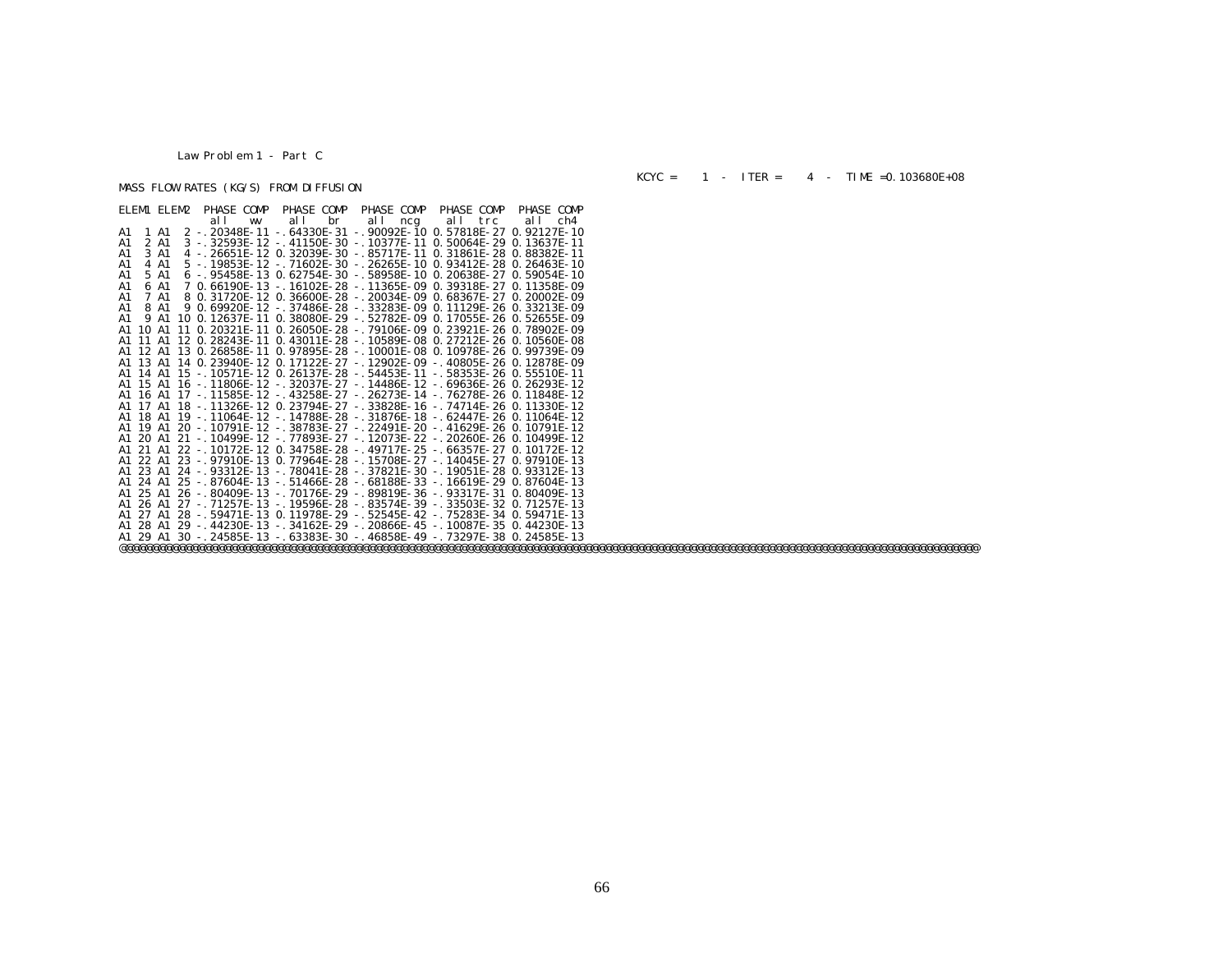MASS FLOW RATES (KG/S) FROM DIFFUSION

ELEM1 ELEM2 PHASE COMP PHASE COMP PHASE COMP PHASE COMP PHASE COMP all wv all br all ncg all trc all ch4 A1 1 A1 2 -.20348E-11 -.64330E-31 -.90092E-10 0.57818E-27 0.92127E-10 A1 2 A1 3 -.32593E-12 -.41150E-30 -.10377E-11 0.50064E-29 0.13637E-11 A1 3 A1 4 -.26651E-12 0.32039E-30 -.85717E-11 0.31861E-28 0.88382E-11<br>A1 4 A1 5 -.19853E-12 -.71602E-30 -.26265E-10 0.93412E-28 0.26463E-10<br>A1 5 A1 6 -.95458E-13 0.62754E-30 -.58958E-10 0.20638E-27 0.59054E-10 A1 6 A1 7 0.66190E-13 -.16102E-28 -.11365E-09 0.39318E-27 0.11358E-09 A1 7 A1 8 0.31720E-12 0.36600E-28 -.20034E-09 0.68367E-27 0.20002E-09 A1 8 A1 9 0.69920E-12 -.37486E-28 -.33283E-09 0.11129E-26 0.33213E-09 A1 9 A1 10 0. 12637E- 11 0. 38080E- 29 -. 52782E- 09 0. 17055E- 26 0. 52655E- 09<br>A1 10 A1 11 0. 20321E- 11 0. 26050E- 28 -. 79106E- 09 0. 23921E- 26 0. 78902E- 09<br>A1 11 A1 12 0. 28243E- 11 0. 43011E- A1 12 A1 13 0.26858E-11 0.97895E-28 -.10001E-08 0.10978E-26 0.99739E-09<br>A1 13 A1 14 0.23940E-12 0.17122E-27 -.12902E-09 -.40805E-26 0.12878E-09<br>A1 14 A1 15 -.10571E-12 0.26137E-28 -.54453E-11 -.58353E-26 0.55510E-11 A1 15 A1 16 -.11806E-12 -.32037E-27 -.14486E-12 -.69636E-26 0.26293E-12<br>A1 16 A1 17 -.11585E-12 -.43258E-27 -.26273E-14 -.76278E-26 0.11848E-12<br>A1 17 A1 18 -.11326E-12 0.23794E-27 -.33828E-16 -.74714E-26 0.11330E-12 A1 18 A1 19 - 11064E-12 - 14788E-28 - 31876E-18 - 62447E-26 0 11064E-12<br>A1 19 A1 20 - 10791E-12 - 38783E-27 - 22491E-20 - 41629E-26 0 10791E-12<br>A1 21 A1 22 - 10172E-12 0 34758E-27 - 12073E-22 - 20260E-26 0 10499E-12<br>A1 21 A1 24 A1 25 -.87604E-13 -.51466E-28 -.68188E-33 -.16619E-29 0.87604E-13<br>A1 25 A1 26 -.80409E-13 -.70176E-29 -.89819E-36 -.93317E-31 0.80409E-13<br>A1 26 A1 27 -.71257E-13 -.19596E-28 -.83574E-39 -.33503E-32 0.71257E-13 A1 27 A1 28 -.59471E-13 0.11978E-29 -.52545E-42 -.75283E-34 0.59471E-13 A1 28 A1 29 -.44230E-13 -.34162E-29 -.20866E-45 -.10087E-35 0.44230E-13 A1 29 A1 30 -.24585E-13 -.63383E-30 -.46858E-49 -.73297E-38 0.24585E-13 @@@@@@@@@@@@@@@@@@@@@@@@@@@@@@@@@@@@@@@@@@@@@@@@@@@@@@@@@@@@@@@@@@@@@@@@@@@@@@@@@@@@@@@@@@@@@@@@@@@@@@@@@@@@@@@@@@@@@@@@@@@@@@@@@@@

 $KCYC = 1 - ITER = 4 - TIME = 0.103680E + 08$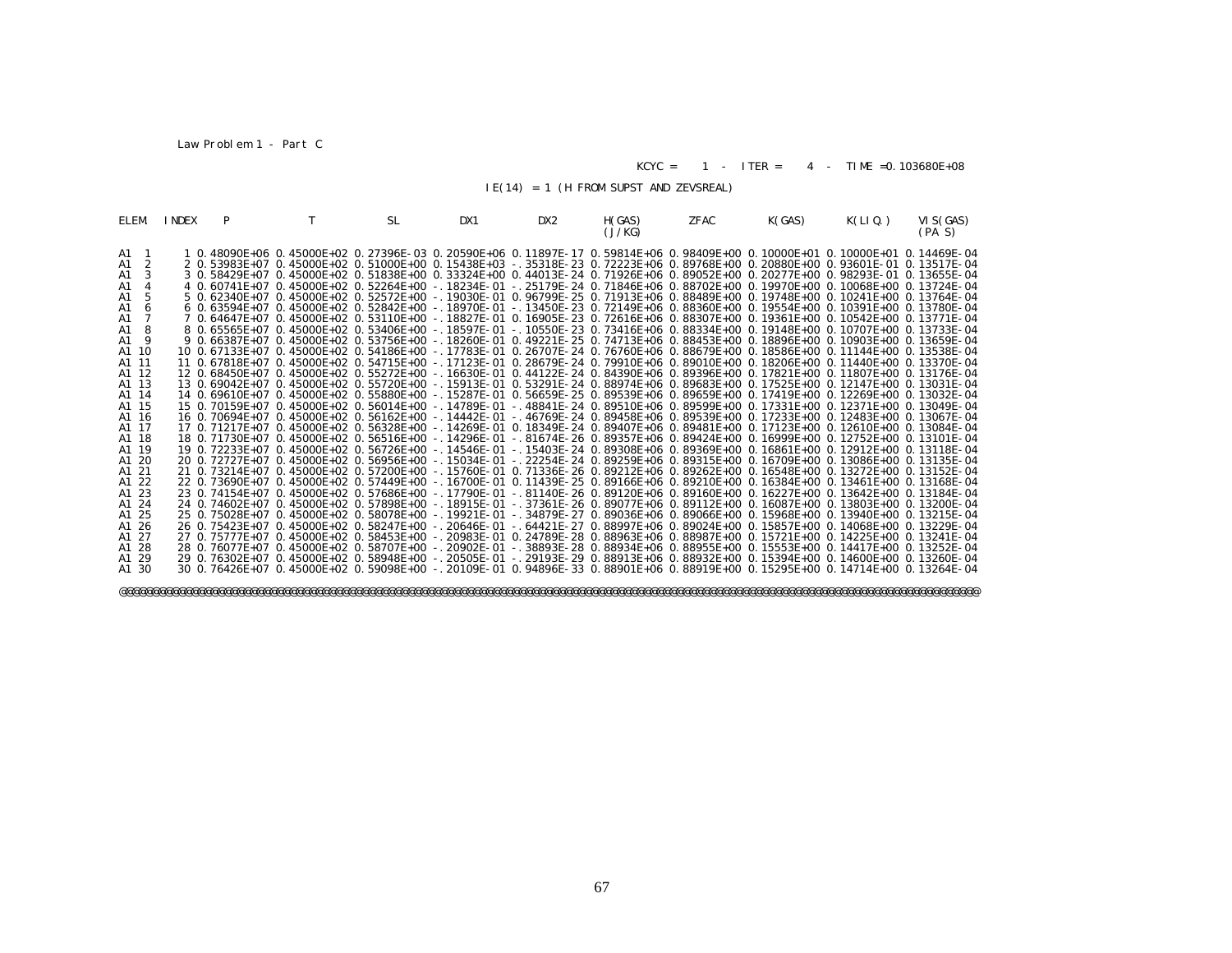#### $KCYC = 1 - ITER = 4 - TIME = 0.103680E + 08$

 $IE(14) = 1$  (H FROM SUPST AND ZEVSREAL)

@@@@@@@@@@@@@@@@@@@@@@@@@@@@@@@@@@@@@@@@@@@@@@@@@@@@@@@@@@@@@@@@@@@@@@@@@@@@@@@@@@@@@@@@@@@@@@@@@@@@@@@@@@@@@@@@@@@@@@@@@@@@@@@@@@@

67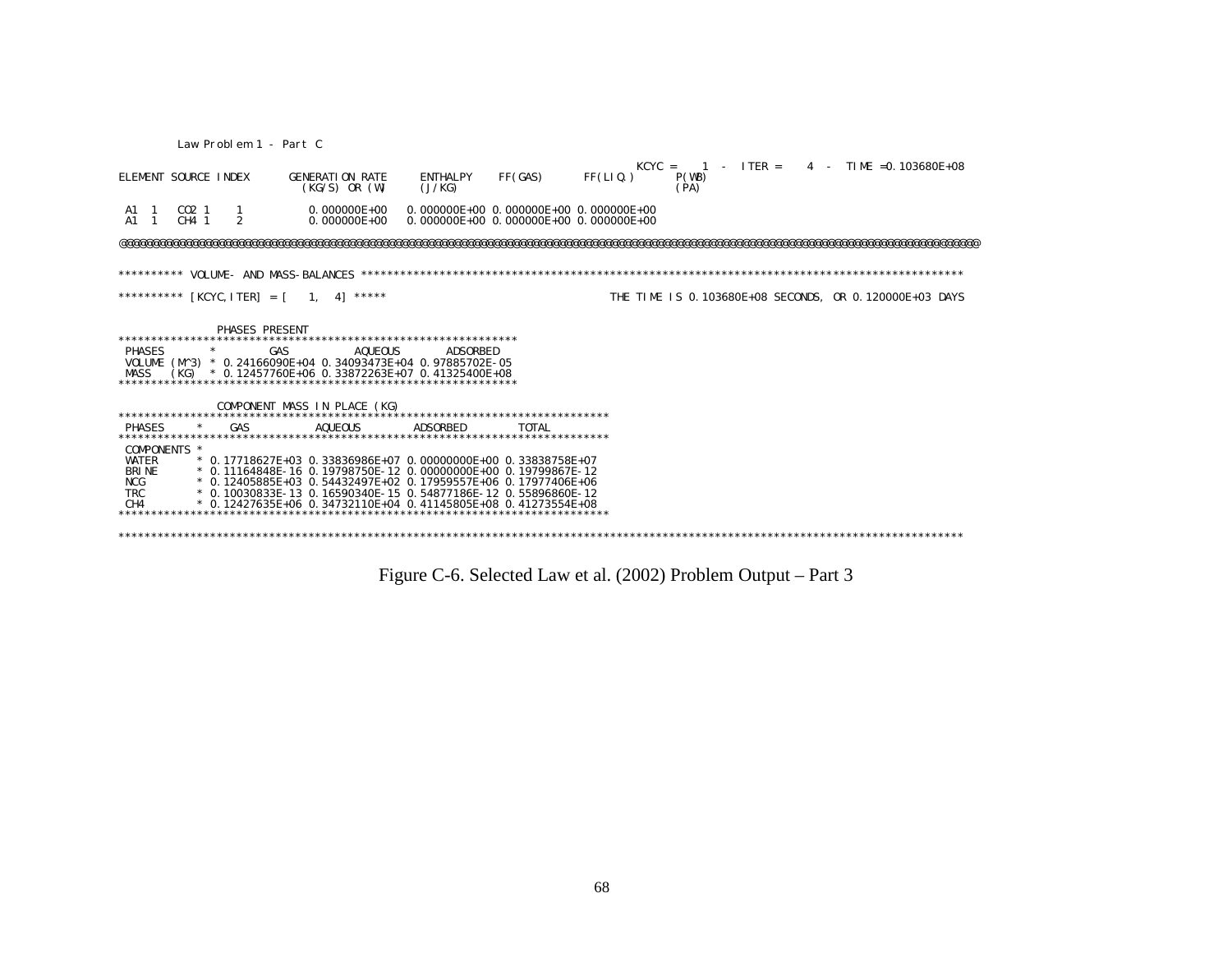Law Problem 1 - Part C  $KCYC =$  $1 - ITER = 4 - TIME = 0.103680E + 08$ ELEMENT SOURCE INDEX **ENTHALPY**  $FF(LIQ. )$  $P(WB)$ **GENERATION RATE**  $FF(GAS)$  $(KG/S)$  OR  $(W)$  $(J/KG)$  $(PA)$ A1 1 CO2 1  $0.000000E+00$  $0.000000E+00.000000E+00.000000E+00$  $\overline{1}$ CH4 1  $0.000000E+00$ 0. 000000E+00 0. 000000E+00 0. 000000E+00  $A1 \quad 1$  $\boldsymbol{2}$ \*\*\*\*\*\*\*\*\*\* [KCYC, ITER] = [ 1, 4] \*\*\*\*\* THE TIME IS 0.103680E+08 SECONDS, OR 0.120000E+03 DAYS PHASES PRESENT . . . . . . . . . . . . . . .  $\ast$ **PHASES** GAS **AQUEOUS ADSORBED** VOLUME (M<sup>x</sup>3) \* 0.24166090E+04 0.34093473E+04 0.97885702E-05<br>MASS (KG) \* 0.12457760E+06 0.33872263E+07 0.41325400E+08 COMPONENT MASS IN PLACE (KG) \*\*\*\*\*\*\*\*\*\*\*\*\* \*\*\*\*\*\*\*\*\*\*\*\*\*\*\*  $*$  GAS **AQUEOUS ADSORBED TOTAL PHASES** COMPONENTS \* \* 0.17718627E+03 0.33836986E+07 0.00000000E+00 0.33838758E+07 <br>\* 0.11164848E-16 0.19798750E-12 0.00000000E+00 0.19799867E-12 WATER **BRINE**  $NCG$ \* 0.12405885E+03 0.54432497E+02 0.17959557E+06 0.17977406E+06 0.12427635E-13 0.16590340E-15 0.54877186E-12 0.55896860E-12<br>
\* 0.10030833E-13 0.16590340E-15 0.54877186E-12 0.55896860E-12<br>
\* 0.12427635E+06 0.34732110E+04 0.41145805E+08 0.41273554E+08 **TRC**  $CH4$ 

Figure C-6. Selected Law et al. (2002) Problem Output – Part 3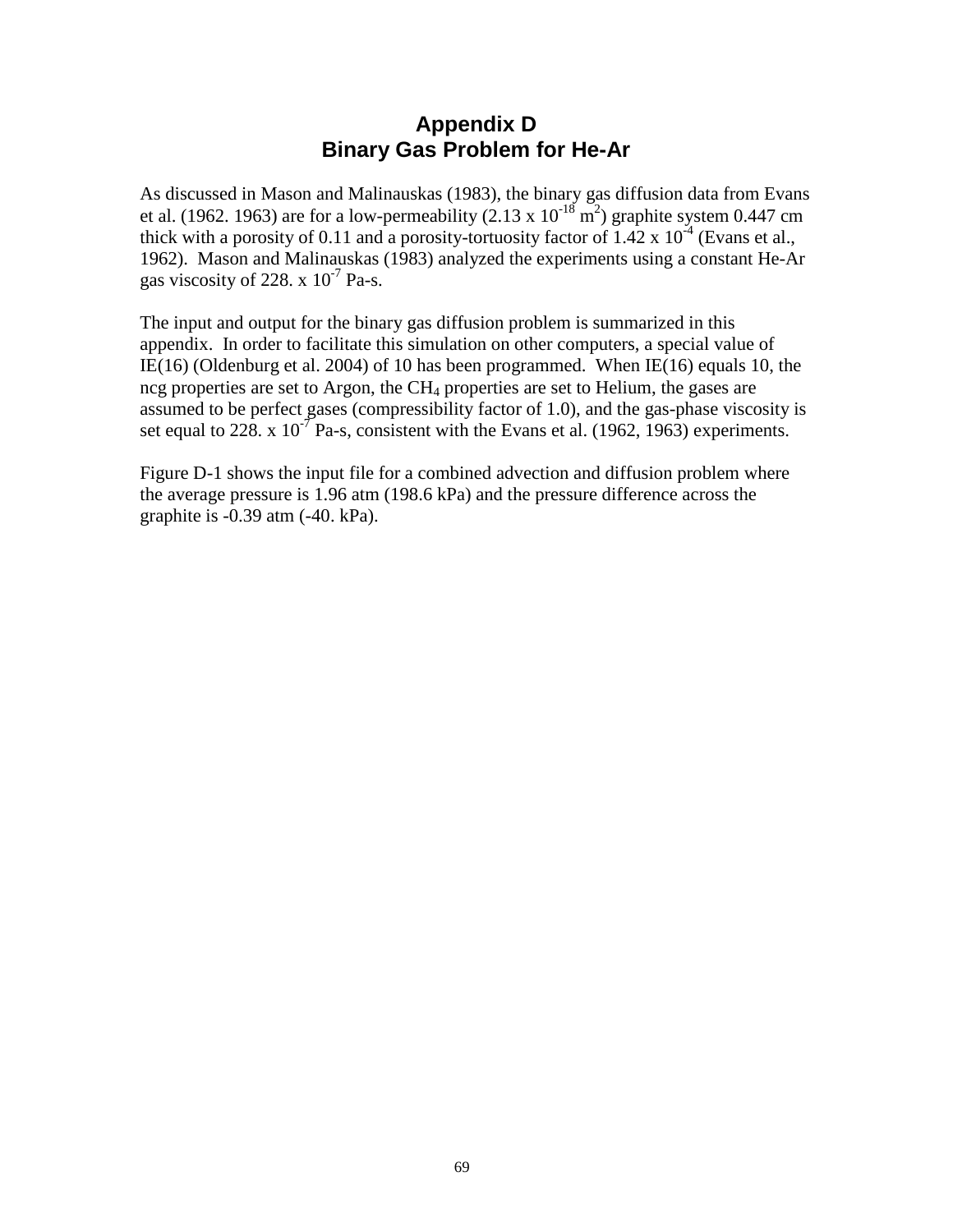# **Appendix D Binary Gas Problem for He-Ar**

As discussed in Mason and Malinauskas (1983), the binary gas diffusion data from Evans et al. (1962. 1963) are for a low-permeability (2.13 x  $10^{-18}$  m<sup>2</sup>) graphite system 0.447 cm thick with a porosity of 0.11 and a porosity-tortuosity factor of 1.42 x  $10^{-4}$  (Evans et al., 1962). Mason and Malinauskas (1983) analyzed the experiments using a constant He-Ar gas viscosity of 228. x  $10^{-7}$  Pa-s.

The input and output for the binary gas diffusion problem is summarized in this appendix. In order to facilitate this simulation on other computers, a special value of IE(16) (Oldenburg et al. 2004) of 10 has been programmed. When IE(16) equals 10, the ncg properties are set to Argon, the CH<sub>4</sub> properties are set to Helium, the gases are assumed to be perfect gases (compressibility factor of 1.0), and the gas-phase viscosity is set equal to 228. x  $10^{-7}$  Pa-s, consistent with the Evans et al. (1962, 1963) experiments.

Figure D-1 shows the input file for a combined advection and diffusion problem where the average pressure is 1.96 atm (198.6 kPa) and the pressure difference across the graphite is -0.39 atm (-40. kPa).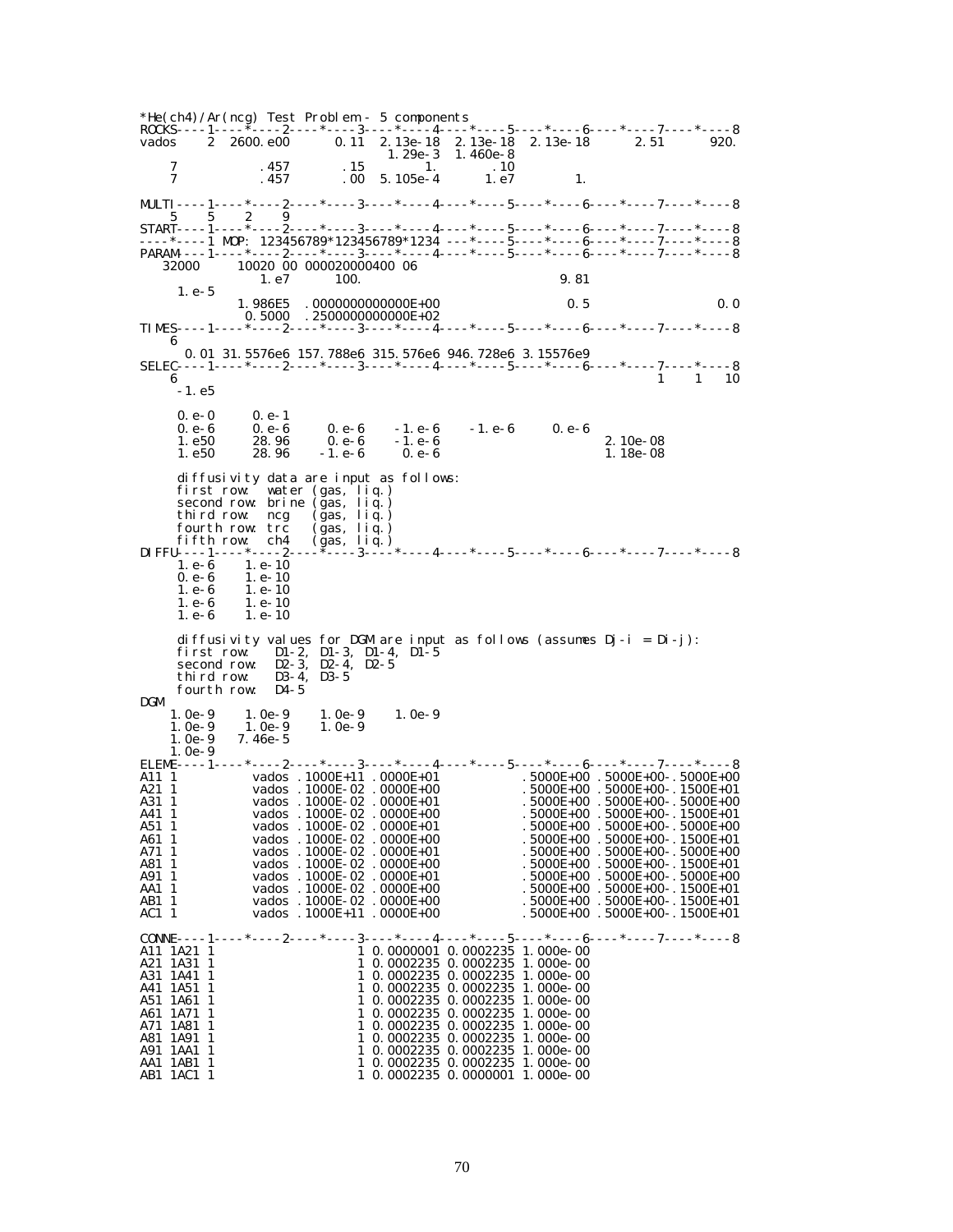\*He(ch4)/Ar(ncg) Test Problem - 5 components ROCKS----1----<sup>\*</sup>----2----\*----3----\*----4----\*----5----\*----6----\*----7----\*----8<br>vados 2 2600.e00 0.11 2.13e-18 2.13e-18 2.13e-18 2.51 920.<br>1.29e-3 1.460e-8 7 .457 .15 1. .10 7 .457 .00 5.105e-4 1.e7 1. MULTI---- 1---- \*---- 2---- \*---- 3---- \*---- 4---- \*---- 5---- \*---- 6---- \*---- 7---- \*---- 8<br>5 5 2 9 START----1----\*----2----\*----3----\*----4----\*----5----\*----6----\*----7----\*----8 ----\*----1 MOP: 123456789\*123456789\*1234 ---\*----5----\*----6----\*----7----\*----8<br>PARAM----1----\*----2----\*----3----\*----4----\*----5----\*----6----\*----7----\*----8 32000 10020 00 000020000400 06<br>1. e<sup>7</sup> 100. 9.81<br>1. e<sup>-5</sup>  $1.986E5$   $.000000000000E+00$  0.5 0.0 0.5000 .2500000000000E+02 TIMES----1----\*----2----\*----3----\*----4----\*----5----\*----6----\*----7----\*----8 6 0.01 31.5576e6 157.788e6 315.576e6 946.728e6 3.15576e9 SELEC----1----\*----2----\*----3----\*----4----\*----5----\*----6----\*----7----\*----8  $6$ <br>1 1 1 10 0. e-0  $0.$  e-1<br>0. e-6  $0.$  e-6 0.e-6 0.e-6 0.e-6 -1.e-6 -1.e-6 0.e-6 1.e50 28.96 0.e-6 -1.e-6 2.10e-08 1.e50 28.96 -1.e-6 0.e-6 1.18e-08 diffusivity data are input as follows: first row: water (gas, liq.) second row: brine (gas, liq.)<br>third row: ncg (gas, liq.) third row: ncg (gas, liq.)<br>fourth row: trc (gas, liq.)  $f$ ifth row: ch4<br>DIFFU----1----\*----2fifth row: ch4  $(gas, 1i\dot{q}.)$ <br>  $J=--1---*---2---*---3---*--4---*--5---*--6---*---7---*---8$ <br>
1. e-6 1. e-10 1. e-6 1. e-10<br>0. e-6 1. e-10 1. e-6 1. e-10<br>1. e-6 1. e-10<br>1. e-6 1. e-10 1.  $e-10$  diffusivity values for DGM are input as follows (assumes Dj-i = Di-j): first row: D1-2, D1-3, D1-4, D1-5 second row: D2-3, D2-4, D2-5 third row: D3-4, D3-5 fourth row: D4-5 DGM 1.0e-9 1.0e-9 1.0e-9 1.0e-9 1.0e-9  $7.46e-5$  1.0e-9 ELEME----1----\*----2----\*----3----\*----4----\*----5----\*----6----\*----7----\*----8<br>A11 1 vados . 1000E+11 . 0000E+01 . 5000E+00 . 5000E+00 . 5000E+00 A11 1 vados .1000E+11 .0000E+01 .5000E+00 .5000E+00-.5000E+00 A21 1 vados .1000E-02 .0000E+00 .5000E+00 .5000E+00-.1500E+01 A31 1 vados .1000E-02 .0000E+01 .5000E+00 .5000E+00-.5000E+00 A41 1 vados .1000E-02 .0000E+00 .5000E+00 .5000E+00-.1500E+01 A51 1 vados .1000E-02 .0000E+01 .5000E+00 .5000E+00-.5000E+00 A61 1 vados .1000E-02 .0000E+00 .5000E+00 .5000E+00-.1500E+01 A71 1 vados .1000E-02 .0000E+01 .5000E+00 .5000E+00-.5000E+00 A81 1 vados .1000E-02 .0000E+00 .5000E+00 .5000E+00-.1500E+01 A91 1 vados .1000E-02 .0000E+01 .5000E+00 .5000E+00-.5000E+00 AA1 1 vados .1000E-02 .0000E+00 .5000E+00 .5000E+00-.1500E+01 AB1 1 vados .1000E-02 .0000E+00 .5000E+00 .5000E+00-.1500E+01 AC1 1 vados .1000E+11 .0000E+00 .5000E+00 .5000E+00-.1500E+01 CONNE----1----\*----2----\*----3----\*----4----\*----5----\*----6----\*----7----\*----8<br>A11 1A21 1 1 1 1 1 1 1 1 1 1 1 1 0 0000001 0.0002235 1.000e-00 A11 1A21 1<br>
A21 1A21 1<br>
A21 1A31 1<br>
A21 1A31 1<br>
A31 1A41 1<br>
1 0.0002235 0.0002235 1.000e-00<br>
A31 1A41 1<br>
1 0.0002235 0.0002235 1.000e-00 A21 1A31 1 1 0.0002235 0.0002235 1.000e-00 A31 1A41 1 1 1 0.0002235 0.0002235 1.000e-00 A41 1A51 1 1 0.0002235 0.0002235 1.000e-00 A51 1A61 1 1 0.0002235 0.0002235 1.000e-00 A61 1A71 1 1 1 0.0002235 0.0002235 1.000e-00 A71 1A81 1 1 0.0002235 0.0002235 1.000e-00 A81 1A91 1 1 0.0002235 0.0002235 1.000e-00 A91 1AA1 1 1 1 0.0002235 0.0002235 1.000e-00 AA1 1AB1 1 1 1 1 1 1 0.0002235 0.0002235 1.000e-00 AB1 1AC1 1 1 0.0002235 0.0000001 1.000e-00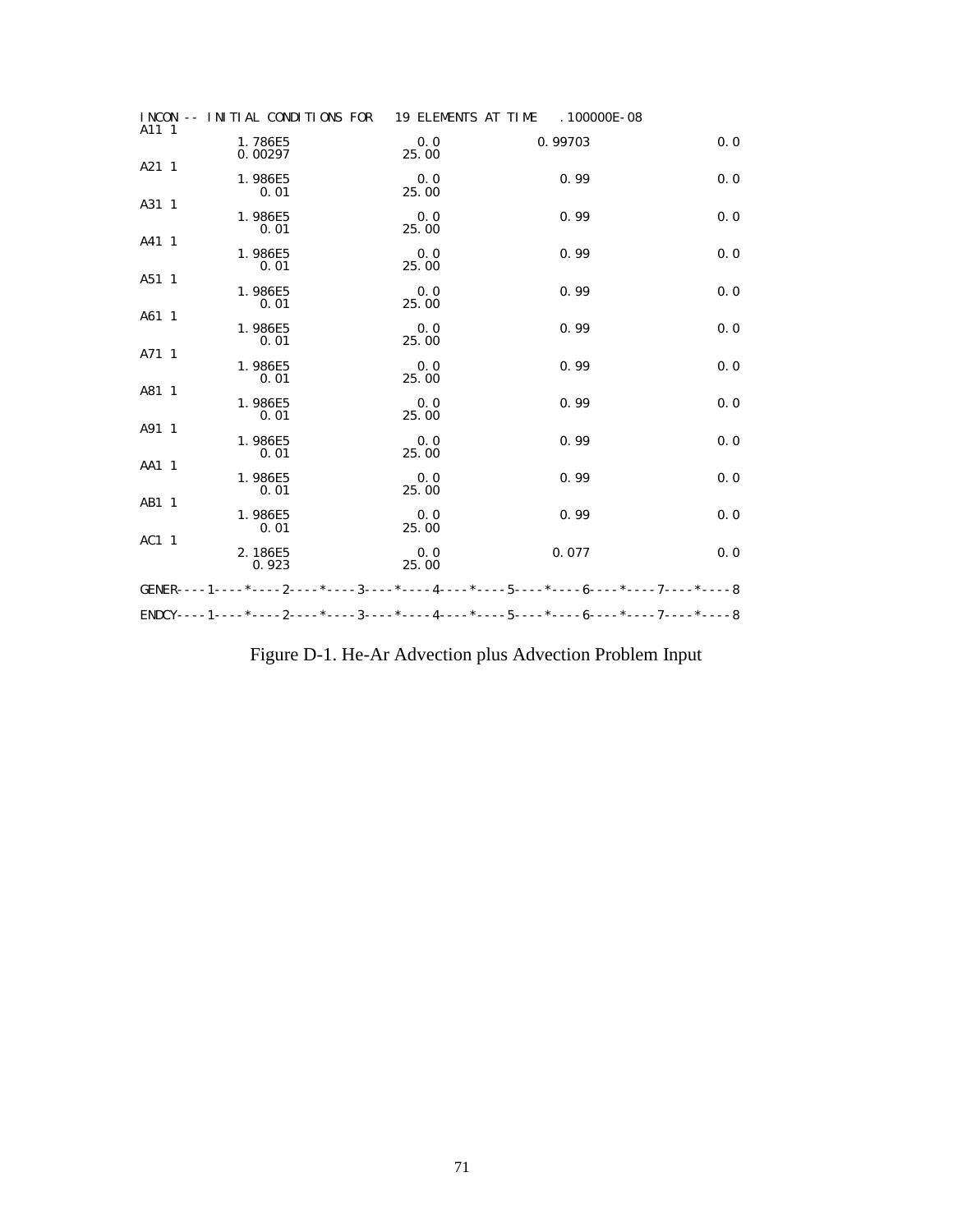| A11 1 | INCON -- INITIAL CONDITIONS FOR | 19 ELEMENTS AT TIME | $.100000E-08$                                                                    |     |
|-------|---------------------------------|---------------------|----------------------------------------------------------------------------------|-----|
|       | 1.786E5                         | 0.0                 | 0.99703                                                                          | 0.0 |
|       | 0.00297                         | 25.00               |                                                                                  |     |
| A21 1 |                                 |                     |                                                                                  |     |
|       | 1.986E5                         | 0.0                 | 0.99                                                                             | 0.0 |
|       | 0.01                            | 25.00               |                                                                                  |     |
| A31 1 |                                 |                     |                                                                                  |     |
|       | 1.986E5                         | 0.0                 | 0.99                                                                             | 0.0 |
|       | 0.01                            | 25.00               |                                                                                  |     |
| A41 1 |                                 |                     |                                                                                  |     |
|       | 1.986E5                         | 0.0                 | 0.99                                                                             | 0.0 |
|       | 0.01                            | 25.00               |                                                                                  |     |
| A51 1 |                                 |                     |                                                                                  |     |
|       | 1.986E5                         | 0.0                 | 0.99                                                                             | 0.0 |
|       | 0.01                            | 25.00               |                                                                                  |     |
| A61 1 |                                 |                     |                                                                                  |     |
|       | 1.986E5                         | 0.0                 | 0.99                                                                             | 0.0 |
|       | 0.01                            | 25.00               |                                                                                  |     |
| A71 1 |                                 |                     |                                                                                  |     |
|       | 1.986E5                         | 0.0                 | 0.99                                                                             | 0.0 |
|       | 0.01                            | 25.00               |                                                                                  |     |
| A81 1 |                                 |                     |                                                                                  |     |
|       | 1.986E5                         | 0.0                 | 0.99                                                                             | 0.0 |
|       | 0.01                            | 25.00               |                                                                                  |     |
| A91 1 | 1.986E5                         | 0.0                 | 0.99                                                                             | 0.0 |
|       | 0.01                            | 25.00               |                                                                                  |     |
| AA1 1 |                                 |                     |                                                                                  |     |
|       | 1.986E5                         | 0.0                 | 0.99                                                                             | 0.0 |
|       | 0.01                            | 25.00               |                                                                                  |     |
| AB1 1 |                                 |                     |                                                                                  |     |
|       | 1.986E5                         | 0.0                 | 0.99                                                                             | 0.0 |
|       | 0.01                            | 25.00               |                                                                                  |     |
| AC11  |                                 |                     |                                                                                  |     |
|       | 2.186E5                         | 0.0                 | 0.077                                                                            | 0.0 |
|       | 0.923                           | 25.00               |                                                                                  |     |
|       |                                 |                     |                                                                                  |     |
|       |                                 |                     | GENER----1----*----2----*----3----*----4----*----5----*----6----*----7----*----8 |     |
|       |                                 |                     | ENDCY----1----*----2----*----3----*----4----*----5----*----6----*----7----*----8 |     |

Figure D-1. He-Ar Advection plus Advection Problem Input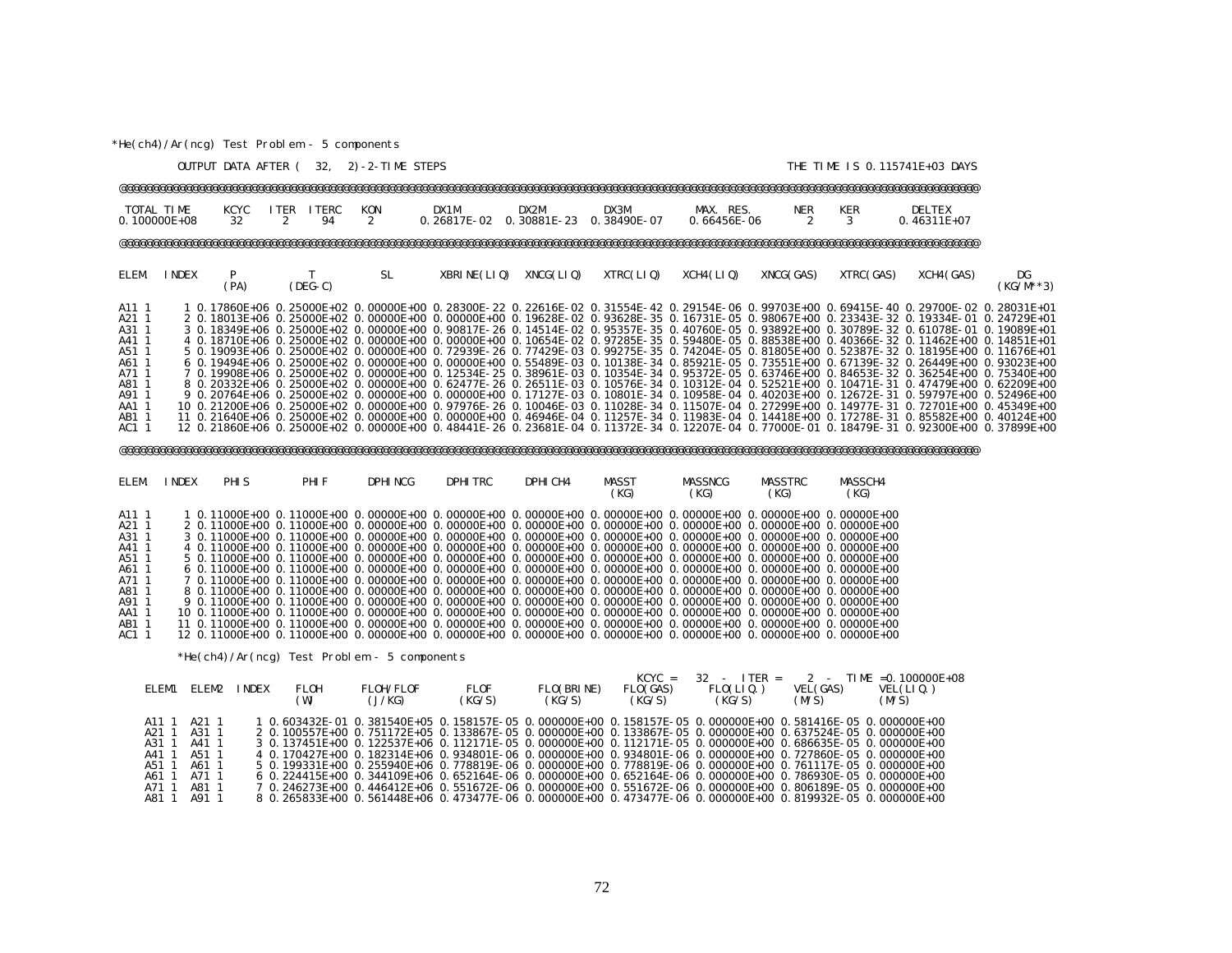\*He(ch4)/ $Ar(ncg)$  Test Problem - 5 components

| OUTPUT DATA AFTER ( |  |  |  | $32, 2) - 2 - TIME STEPS$ |  |
|---------------------|--|--|--|---------------------------|--|
|---------------------|--|--|--|---------------------------|--|

#### THE TIME IS 0.115741E+03 DAYS

|                                                                                                                              | TOTAL TIME<br>$0.100000E+08$ | <b>KCYC</b><br>32 | I TER<br>2 | <b>TTERC</b><br>94 | KON<br>2  | DX <sub>1</sub> M<br>$0.26817E-02$ |  | DX2M<br>0.30881E-23 | DX3M<br>0.38490E-07 | RES.<br>MAX.<br>$0.66456E-06$ | NER<br>$\mathbf{2}$ | <b>KER</b><br>3 | <b>DELTEX</b><br>$0.46311E+07$                                                                                                                                                                                                                                                                                                                                                                                                                                                                                                                                                                                                                                                                                                                                                                                                                                                                                                                                                                                                                                                                                                                                                                                                                                                                                                                                                                                                                                                                                                                                                                                                                                                                           |                      |
|------------------------------------------------------------------------------------------------------------------------------|------------------------------|-------------------|------------|--------------------|-----------|------------------------------------|--|---------------------|---------------------|-------------------------------|---------------------|-----------------|----------------------------------------------------------------------------------------------------------------------------------------------------------------------------------------------------------------------------------------------------------------------------------------------------------------------------------------------------------------------------------------------------------------------------------------------------------------------------------------------------------------------------------------------------------------------------------------------------------------------------------------------------------------------------------------------------------------------------------------------------------------------------------------------------------------------------------------------------------------------------------------------------------------------------------------------------------------------------------------------------------------------------------------------------------------------------------------------------------------------------------------------------------------------------------------------------------------------------------------------------------------------------------------------------------------------------------------------------------------------------------------------------------------------------------------------------------------------------------------------------------------------------------------------------------------------------------------------------------------------------------------------------------------------------------------------------------|----------------------|
|                                                                                                                              |                              |                   |            |                    |           |                                    |  |                     |                     |                               |                     |                 |                                                                                                                                                                                                                                                                                                                                                                                                                                                                                                                                                                                                                                                                                                                                                                                                                                                                                                                                                                                                                                                                                                                                                                                                                                                                                                                                                                                                                                                                                                                                                                                                                                                                                                          |                      |
| <b>ELEM</b>                                                                                                                  | <b>I NDEX</b>                | P<br>(PA)         |            | $(DEG-C)$          | <b>SL</b> | XBRINE(LIQ)                        |  | XNCG(LIQ)           | XTRC(LIQ)           | XCH4(LIQ)                     | XNCG (GAS)          | XTRC(GAS)       | XCH4(GAS)                                                                                                                                                                                                                                                                                                                                                                                                                                                                                                                                                                                                                                                                                                                                                                                                                                                                                                                                                                                                                                                                                                                                                                                                                                                                                                                                                                                                                                                                                                                                                                                                                                                                                                | DG<br>$(KG/M^{*}*3)$ |
| A <sub>11</sub> 1<br>$A21$ 1<br>A31 1<br>A41 1<br>A51 1<br>$A61$ 1<br>A71 1<br>A81 1<br>A91 1<br>$AA1$ 1<br>$AB1$ 1<br>AC1 1 |                              |                   |            |                    |           |                                    |  |                     |                     |                               |                     |                 | 1 0.17860E+06 0.25000E+02 0.00000E+00 0.28300E-22 0.22616E-02 0.31554E-42 0.29154E-06 0.99703E+00 0.69415E-40 0.29700E-02 0.28031E+01<br>2 0.18013E+06 0.25000E+02 0.00000E+00 0.00000E+00 0.19628E-02 0.93628E-35 0.16731E-05 0.98067E+00 0.23343E-32 0.19334E-01 0.24729E+01<br>3 0.18349E+06 0.25000E+02 0.00000E+00 0.90817E-26 0.14514E-02 0.95357E-35 0.40760E-05 0.93892E+00 0.30789E-32 0.61078E-01 0.19089E+01<br>4 0.18710E+06 0.25000E+02 0.00000E+00 0.0000E+00 0.10654E-02 0.97285E-35 0.59480E-05 0.88538E+00 0.40366E-32 0.11462E+00 0.14851E+01<br>5 0.19093E+06 0.25000E+02 0.00000E+00 0.72939E-26 0.77429E-03 0.99275E-35 0.74204E-05 0.81805E+00 0.52387E-32 0.18195E+00 0.11676E+01<br>6 0.19494E+06 0.25000E+02 0.00000E+00 0.0000E+00 0.55489E-03 0.10138E-34 0.85921E-05 0.73551E+00 0.67139E-32 0.26449E+00 0.93023E+00<br>7 0.19908E+06 0.25000E+02 0.0000DE+00 0.12534E-25 0.38961E-03 0.10354E-34 0.95372E-05 0.63746E+00 0.84653E-32 0.36254E+00 0.75340E+00<br>8 0.20332E+06 0.25000E+02 0.00000E+00 0.62477E-26 0.26511E-03 0.10576E-34 0.10312E-04 0.52521E+00 0.10471E-31 0.47479E+00 0.62209E+00<br>9 0.20764E+06 0.25000E+02 0.00000E+00 0.00000E+00 0.17127E-03 0.10801E-34 0.10958E-04 0.40203E+00 0.12672E-31 0.59797E+00 0.52496E+00<br>10 0.21200E+06 0.25000E+02 0.00000E+00 0.97976E-26 0.10046E-03 0.11028E-34 0.11507E-04 0.27299E+00 0.14977E-31 0.72701E+00 0.45349E+00<br>11 0.21640E+06 0.25000E+02 0.0000E+00 0.00000E+00 0.46946E-04 0.11257E-34 0.11983E-04 0.14418E+00 0.17278E-31 0.85582E+00 0.40124E+00<br>12 0.21860E+06 0.25000E+02 0.00000E+00 0.48441E-26 0.23681E-04 0.11372E-34 0.12207E-04 0.77000E-01 0.18479E-31 0.92300E+00 0.37899E+00 |                      |
|                                                                                                                              |                              |                   |            |                    |           |                                    |  |                     |                     |                               |                     |                 |                                                                                                                                                                                                                                                                                                                                                                                                                                                                                                                                                                                                                                                                                                                                                                                                                                                                                                                                                                                                                                                                                                                                                                                                                                                                                                                                                                                                                                                                                                                                                                                                                                                                                                          |                      |

| ELEM.             | I NDFX | <b>PHIS</b> | PHI F | <b>DPHINCG</b> | <b>DPHI TRC</b> | DPHI CH4                                                                                                                                   | <b>MASST</b><br>(KG) | <b>MASSNCG</b><br>(KG) | <b>MASSTRC</b><br>(KG) | <b>MASSCH4</b><br>(KG) |
|-------------------|--------|-------------|-------|----------------|-----------------|--------------------------------------------------------------------------------------------------------------------------------------------|----------------------|------------------------|------------------------|------------------------|
|                   |        |             |       |                |                 |                                                                                                                                            |                      |                        |                        |                        |
| A <sub>11</sub> 1 |        |             |       |                |                 | $1$ 0, $11000E+00$ 0, $11000E+00$ 0, $00000E+00$ 0, $00000E+00$ 0, $00000E+00$ 0, $00000E+00$ 0, $00000E+00$ 0, $00000E+00$ 0, $00000E+00$ |                      |                        |                        |                        |
| A211              |        |             |       |                |                 | 2 0.11000E+00 0.11000E+00 0.00000E+00 0.00000E+00 0.00000E+00 0.00000E+00 0.0000E+00 0.00000E+00 0.00000E+00                               |                      |                        |                        |                        |
| A31 1             |        |             |       |                |                 | 3 0.11000E+00 0.11000E+00 0.00000E+00 0.00000E+00 0.00000E+00 0.00000E+00 0.0000E+00 0.00000E+00 0.00000E+00                               |                      |                        |                        |                        |
| A411              |        |             |       |                |                 | 4 0.11000E+00 0.11000E+00 0.00000E+00 0.00000E+00 0.00000E+00 0.00000E+00 0.00000E+00 0.00000E+00 0.00000E+00                              |                      |                        |                        |                        |
| A51 1             |        |             |       |                |                 | 5 0 11000E+00 0 11000E+00 0 00000E+00 0 00000E+00 0 00000E+00 0 00000E+00 0 00000E+00 0 00000E+00 0 00000E+00                              |                      |                        |                        |                        |
| A61 1             |        |             |       |                |                 | 6 0.11000E+00 0.11000E+00 0.0000E+00 0.00000E+00 0.0000E+00 0.0000E+00 0.0000E+00 0.0000E+00 0.0000E+00 0.0000E+00                         |                      |                        |                        |                        |
| A71 1             |        |             |       |                |                 | 7 0.11000E+00 0.11000E+00 0.00000E+00 0.00000E+00 0.0000E+00 0.00000E+00 0.0000E+00 0.0000E+00 0.0000E+00 0.0000E+00                       |                      |                        |                        |                        |
| A81 1             |        |             |       |                |                 | 8 0.11000E+00 0.11000E+00 0.0000E+00 0.00000E+00 0.0000E+00 0.0000E+00 0.0000E+00 0.0000E+00 0.0000E+00 0.0000E+00                         |                      |                        |                        |                        |
| A91 1             |        |             |       |                |                 | 9 0.11000E+00 0.11000E+00 0.0000E+00 0.00000E+00 0.0000E+00 0.0000E+00 0.0000E+00 0.0000E+00 0.0000E+00 0.0000E+00                         |                      |                        |                        |                        |
| AA1 1             |        |             |       |                |                 | 10 0 11000E+00 0 11000E+00 0 00000E+00 0 00000E+00 0 00000E+00 0 00000E+00 0 00000E+00 0 00000E+00 0 00000E+00                             |                      |                        |                        |                        |
| AB1 1             |        |             |       |                |                 | 11 0 11000E+00 0 11000E+00 0 00000E+00 0 00000E+00 0 00000E+00 0 00000E+00 0 00000E+00 0 00000E+00 0 00000E+00                             |                      |                        |                        |                        |
| AC11              |        |             |       |                |                 | 12 Ω 11ΩΩΩF+ΩΩ Ω 11ΩΩΩF+ΩΩ Ω ΩΩΩΩΩF+ΩΩ Ω ΩΩΩΩΩF+ΩΩ Ω ΩΩΩΩΩF+ΩΩ Ω ΩΩΩΩΩΡΩΩΩ Ω ΩΩΩΩΩΓΩΩΩΩΩΩΩΩΩΩΩΡ+ΩΩ                                         |                      |                        |                        |                        |

 $*He(ch4)/Ar(ncg)$  Test Problem - 5 components

| ELEM1             | FLFM2 | <b>I NDEX</b><br>FLOH<br>(W) | FLOH/FLOF<br>(J/KG)                                                                                        | FLOF<br>(KG/S) | FLO(BRINE)<br>(KG/S) | $KCYC =$<br>FLO(GAS)<br>(KG/S) | $ITER =$<br>32.<br>FLO(LIO.)<br>(KG/S) | VEL(GAS)<br>(M/S) | TI ME = $0.100000E+08$<br>VEL(LIO. )<br>(M/S) |
|-------------------|-------|------------------------------|------------------------------------------------------------------------------------------------------------|----------------|----------------------|--------------------------------|----------------------------------------|-------------------|-----------------------------------------------|
| A <sub>11</sub> 1 | A211  |                              | 1_0.603432E-01_0.381540E+05_0.158157E-05_0.000000E+00_0.158157E-05_0.000000E+00_0.581416E-05_0.000000E+00_ |                |                      |                                |                                        |                   |                                               |
| $A21$ 1           | A31 1 |                              | 2 0.100557E+00 0.751172E+05 0.133867E-05 0.00000E+00 0.133867E-05 0.000000E+00 0.637524E-05 0.000000E+00   |                |                      |                                |                                        |                   |                                               |
| A31 1             | A41 1 |                              | 3 0.137451E+00 0.122537E+06 0.112171E-05 0.000000E+00 0.112171E-05 0.000000E+00 0.686635E-05 0.000000E+00  |                |                      |                                |                                        |                   |                                               |
| A41 1             | A511  |                              | 4 0.170427E+00 0.182314E+06 0.934801E-06 0.000000E+00 0.934801E-06 0.000000E+00 0.727860E-05 0.000000E+00  |                |                      |                                |                                        |                   |                                               |
| A51               | A61 1 |                              | 5 0.199331E+00 0.255940E+06 0.778819E-06 0.000000E+00 0.778819E-06 0.000000E+00 0.761117E-05 0.000000E+00  |                |                      |                                |                                        |                   |                                               |
| A61.              | A71 1 |                              | 6 0.224415E+00 0.344109E+06 0.652164E-06 0.000000E+00 0.652164E-06 0.000000E+00 0.786930E-05 0.000000E+00  |                |                      |                                |                                        |                   |                                               |
| A71               | A81 1 |                              | 7 0.246273E+00 0.446412E+06 0.551672E-06 0.000000E+00 0.551672E-06 0.000000E+00 0.806189E-05 0.000000E+00  |                |                      |                                |                                        |                   |                                               |
| A81 1             | A91   |                              | 8 0.265833E+00 0.561448E+06 0.473477E-06 0.000000E+00 0.473477E-06 0.000000E+00 0.819932E-05 0.000000E+00  |                |                      |                                |                                        |                   |                                               |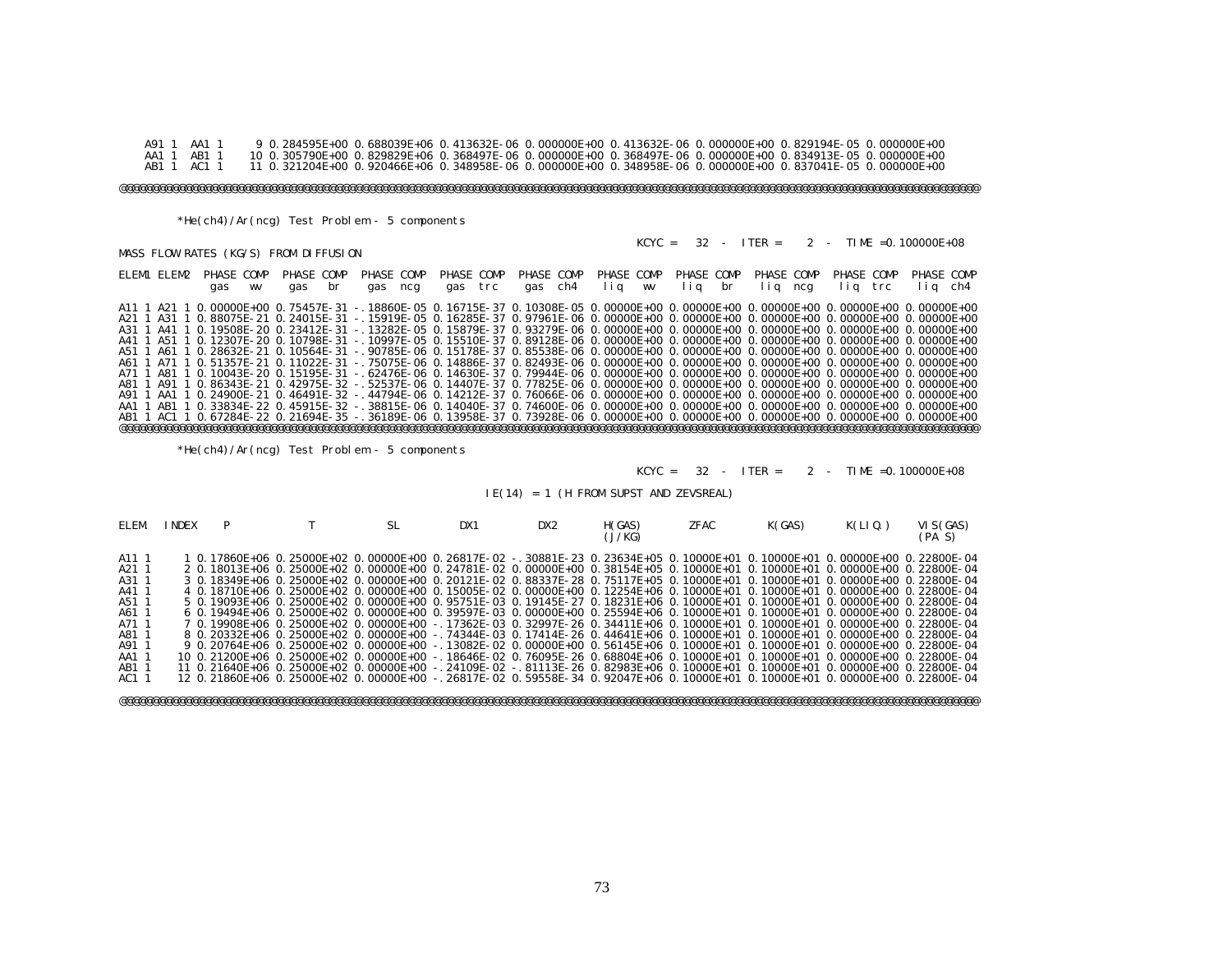491 1 AA1 1 9 0. 284595E+00 0. 688039E+06 0. 413632E- 06 0. 000000E+00 0. 413632E- 06 0. 000000E+00 0. 829194E- 05 0. 000000E+00<br>AA1 1 AB1 1 10 0. 305790E+00 0. 829829E+06 0. 368497E- 06 0. 000000E+00 0. 3684

| *He(ch4)/ $Ar(ncg)$ Test Problem - 5 components                                                                                                                                                                                                                                                                                                                                                                                                                                                                                                                                                                                                                                                                                                                                                                                                                                                                                                                                                                                                                                                                                                                                                                                                                                                                                                                                                                                                                        |  |  |  |  |  |  |  |  |  |  |  |  |  |
|------------------------------------------------------------------------------------------------------------------------------------------------------------------------------------------------------------------------------------------------------------------------------------------------------------------------------------------------------------------------------------------------------------------------------------------------------------------------------------------------------------------------------------------------------------------------------------------------------------------------------------------------------------------------------------------------------------------------------------------------------------------------------------------------------------------------------------------------------------------------------------------------------------------------------------------------------------------------------------------------------------------------------------------------------------------------------------------------------------------------------------------------------------------------------------------------------------------------------------------------------------------------------------------------------------------------------------------------------------------------------------------------------------------------------------------------------------------------|--|--|--|--|--|--|--|--|--|--|--|--|--|
| $KCYC =$<br>$ITER =$<br>$32 -$<br>TIME $= 0.100000E + 0.8$<br>$2 -$<br>MASS FLOW RATES (KG/S)<br><b>FROM DIFFUSION</b>                                                                                                                                                                                                                                                                                                                                                                                                                                                                                                                                                                                                                                                                                                                                                                                                                                                                                                                                                                                                                                                                                                                                                                                                                                                                                                                                                 |  |  |  |  |  |  |  |  |  |  |  |  |  |
| PHASE COMP<br>ELEM1 ELEM2<br>PHASE COMP<br>PHASE COMP<br>PHASE COMP<br>PHASE COMP<br>PHASE COMP<br>PHASE<br>COMP<br>PHASE COMP<br>PHASE<br><b>COMP</b><br>PHASE COMP<br>ch4<br>liq<br>liq<br>liq<br>liq ch4<br>br<br>liq<br>br<br>trc<br>gas<br>WV<br>ncg<br>trc<br>gas<br>gas<br>WV<br>gas<br>gas<br>ncg                                                                                                                                                                                                                                                                                                                                                                                                                                                                                                                                                                                                                                                                                                                                                                                                                                                                                                                                                                                                                                                                                                                                                              |  |  |  |  |  |  |  |  |  |  |  |  |  |
| 1 A21 1 0.00000E+00 0.75457E-31 -.18860E-05 0.16715E-37 0.10308E-05 0.00000E+00 0.00000E+00 0.00000E+00 0.00000E+00 0.00000E+00<br>A 11<br>1 A31 1 0.88075E-21 0.24015E-31 - 15919E-05 0.16285E-37 0.97961E-06 0.00000E+00 0.00000E+00 0.0000E+00 0.0000E+00 0.0000E+00 0.0000E+00<br>A21<br>$1\,$ 0.19508E-20 0.23412E-31 - .13282E-05 0.15879E-37 0.93279E-06 0.00000E+00 0.00000E+00 0.00000E+00 0.00000E+00 0.0000E+00 0.0000E+00<br>A31<br>A41<br>$A51$ 1 0.12307E-20 0.10798E-31 -.10997E-05 0.15510E-37 0.89128E-06 0.00000E+00 0.00000E+00 0.00000E+00 0.0000E+00 0.0000E+00 0.0000E+00<br>A41<br>1 A61 1 0.28632E-21 0.10564E-31 - 90785E-06 0.15178E-37 0.85538E-06 0.00000E+00 0.00000E+00 0.00000E+00 0.00000E+00 0.00000E+00<br>A51<br>l A71 1 0.51357E-21 0.11022E-31 - .75075E-06 0.14886E-37 0.82493E-06 0.00000E+00 0.00000E+00 0.00000E+00 0.00000E+00 0.0000E+00<br>A61<br>A81 1 0.10043E-20 0.15195E-31 -.62476E-06 0.14630E-37 0.79944E-06 0.00000E+00 0.00000E+00 0.00000E+00 0.00000E+00 0.00000E+00<br>A71<br>A91 1 0.86343E-21 0.42975E-32 - 52537E-06 0.14407E-37 0.77825E-06 0.00000E+00 0.00000E+00 0.00000E+00 0.00000E+00 0.0000E+00 0.0000E+00<br>A81<br>1 AA1 1 0.24900E-21 0.46491E-32 -.44794E-06 0.14212E-37 0.76066E-06 0.00000E+00 0.00000E+00 0.00000E+00 0.00000E+00 0.00000E+00<br>A91<br>AB1 1 0.33834E-22 0.45915E-32 - 38815E-06 0.14040E-37 0.74600E-06 0.00000E+00 0.00000E+00 0.00000E+00 0.0000E+00 0.00000E+00<br>AA 1 |  |  |  |  |  |  |  |  |  |  |  |  |  |
| -1-0-67284E-22-0-21694E-35---36189E-06-0-13958E-37-0-73928E-06-0-00000E+00-0-00000E+00-0-00000E+00-0-00000E+00-0-00000E+00-0-<br>AB 1<br>1 AC 1                                                                                                                                                                                                                                                                                                                                                                                                                                                                                                                                                                                                                                                                                                                                                                                                                                                                                                                                                                                                                                                                                                                                                                                                                                                                                                                        |  |  |  |  |  |  |  |  |  |  |  |  |  |

 $*He(ch4)/Ar(ncg)$  Test Problem - 5 components

 $KCYC = 32 - ITER = 2 - TIME = 0.100000E + 08$ 

 $IE(14) = 1$  (H FROM SUPST AND ZEVSREAL)

| 1 0.17860E+06 0.25000E+02 0.00000E+00 0.26817E-02 - 30881E-23 0.23634E+05 0.10000E+01 0.10000E+01 0.0000DE+00 0.22800E-04<br>A <sub>11</sub> 1<br>A21<br>2 0.18013E+06 0.25000E+02 0.00000E+00 0.24781E-02 0.00000E+00 0.38154E+05 0.10000E+01 0.10000E+01 0.0000E+00 0.22800E-04                                                                                                                                                                                                                                                                                                                                                                                                                                                                                                                                                                                                                                                                                                                                                                                                                                                                                                                                                                                                                                                                                                     |  |
|---------------------------------------------------------------------------------------------------------------------------------------------------------------------------------------------------------------------------------------------------------------------------------------------------------------------------------------------------------------------------------------------------------------------------------------------------------------------------------------------------------------------------------------------------------------------------------------------------------------------------------------------------------------------------------------------------------------------------------------------------------------------------------------------------------------------------------------------------------------------------------------------------------------------------------------------------------------------------------------------------------------------------------------------------------------------------------------------------------------------------------------------------------------------------------------------------------------------------------------------------------------------------------------------------------------------------------------------------------------------------------------|--|
| A31<br>3 0.18349E+06 0.25000E+02 0.00000E+00 0.20121E-02 0.88337E-28 0.75117E+05 0.10000E+01 0.10000E+01 0.00000E+00 0.22800E-04<br>A41<br>4 0 18710E+06 0 25000E+02 0 00000E+00 0 15005E-02 0 00000E+00 0 12254E+06 0 10000E+01 0 10000E+01 0 00000E+00 0 22800E-04<br>A51<br>5 0.19093E+06 0.25000E+02 0.00000E+00 0.95751E-03 0.19145E-27 0.18231E+06 0.10000E+01 0.10000E+01 0.0000E+00 0.22800E-04<br>A61 1<br>6 0.19494E+06 0.25000E+02 0.00000E+00 0.39597E-03 0.00000E+00 0.25594E+06 0.10000E+01 0.10000E+01 0.0000E+00 0.22800E-04<br>A71 1<br>7 0.19908E+06 0.25000E+02 0.00000E+00 - 17362E-03 0.32997E-26 0.34411E+06 0.10000E+01 0.10000E+01 0.00000E+00 0.22800E-04<br>A81 1<br>8 0.20332E+06 0.25000E+02 0.00000E+00 - 74344E-03 0.17414E-26 0.44641E+06 0.10000E+01 0.10000E+01 0.00000E+00 0.22800E-04<br>A91<br>9 0.20764E+06 0.25000E+02 0.00000E+00 - 13082E-02 0.00000E+00 0.56145E+06 0.10000E+01 0.10000E+01 0.0000E+00 0.22800E-04<br>AA1<br>10 0.21200E+06 0.25000E+02 0.00000E+00 - 18646E-02 0.76095E-26 0.68804E+06 0.10000E+01 0.10000E+01 0.0000E+00 0.22800E-04<br><b>AB1</b> 1<br>11 0 21640E+06 0 25000E+02 0 00000E+00 - 24109E-02 - 81113E-26 0 82983E+06 0 10000E+01 0 10000E+01 0 00000E+00 0 22800E-04<br>$AC1$ 1<br>12 0.21860E+06 0.25000E+02 0.00000E+00 - 26817E-02 0.59558E-34 0.92047E+06 0.10000E+01 0.10000E+01 0.0000E+00 0.22800E-04 |  |

@@@@@@@@@@@@@@@@@@@@@@@@@@@@@@@@@@@@@@@@@@@@@@@@@@@@@@@@@@@@@@@@@@@@@@@@@@@@@@@@@@@@@@@@@@@@@@@@@@@@@@@@@@@@@@@@@@@@@@@@@@@@@@@@@@@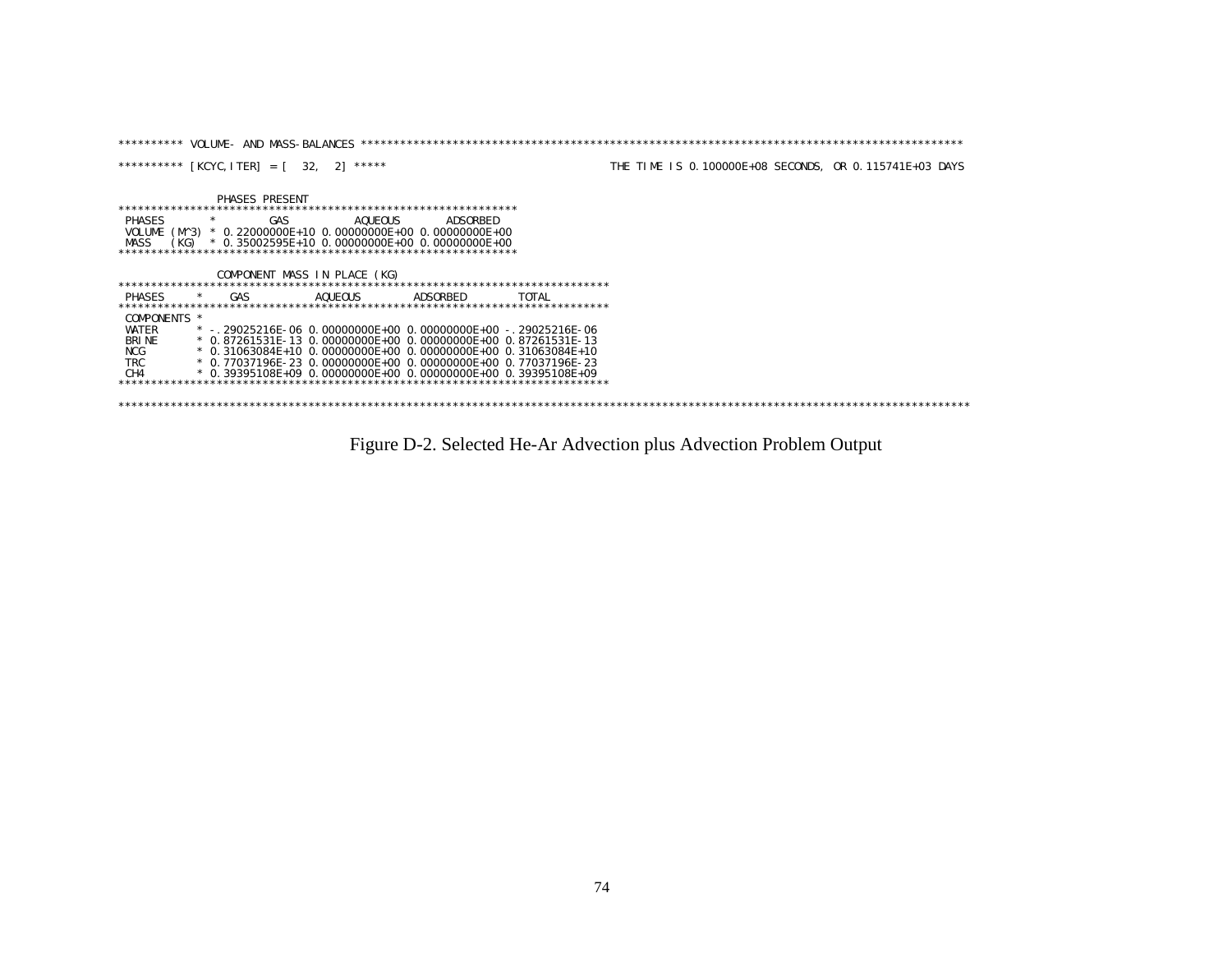| **********<br>VOLUME- AND MASS-BALANCES ****************                          | ********************************                       |
|-----------------------------------------------------------------------------------|--------------------------------------------------------|
| $[KCYC, ITER] = [32,$<br>**********<br>$2^{****}$                                 | THE TIME IS 0.100000E+08 SECONDS, OR 0.115741E+03 DAYS |
| PHASES PRESENT                                                                    |                                                        |
|                                                                                   |                                                        |
| <b>PHASES</b><br>GAS<br><b>AQUEOUS</b><br>ADSORBED                                |                                                        |
| VOLUME $(M^3)$ * 0. 22000000E+10 0. 00000000E+00 0. 00000000E+00                  |                                                        |
| MASS<br>$(KG)$ * 0.35002595E+10 0.0000000E+00 0.0000000E+00                       |                                                        |
|                                                                                   |                                                        |
|                                                                                   |                                                        |
| COMPONENT MASS IN PLACE (KG)                                                      |                                                        |
|                                                                                   |                                                        |
| PHASES<br>GAS<br><b>AQUEOUS</b><br><b>TOTAL</b><br>ADSORBED                       |                                                        |
| COMPONENTS *                                                                      |                                                        |
| WATER<br>* -.29025216E-06 0.00000000E+00 0.00000000E+00 -.29025216E-06            |                                                        |
| <b>BRINE</b><br>$*$ 0.87261531E-13 0.00000000E+00 0.00000000E+00 0.87261531E-13   |                                                        |
| NCG<br>$*$ 0.31063084E+10 0.00000000E+00 0.00000000E+00 0.31063084E+10            |                                                        |
| TRC<br>$*$ 0. 77037196E-23 0. 00000000E+00 0. 00000000E+00 0. 77037196E-23        |                                                        |
| CH <sub>4</sub><br>$*$ 0.39395108E+09 0.00000000E+00 0.0000000E+00 0.39395108E+09 |                                                        |
|                                                                                   |                                                        |
|                                                                                   |                                                        |
|                                                                                   |                                                        |

Figure D-2. Selected He-Ar Advection plus Advection Problem Output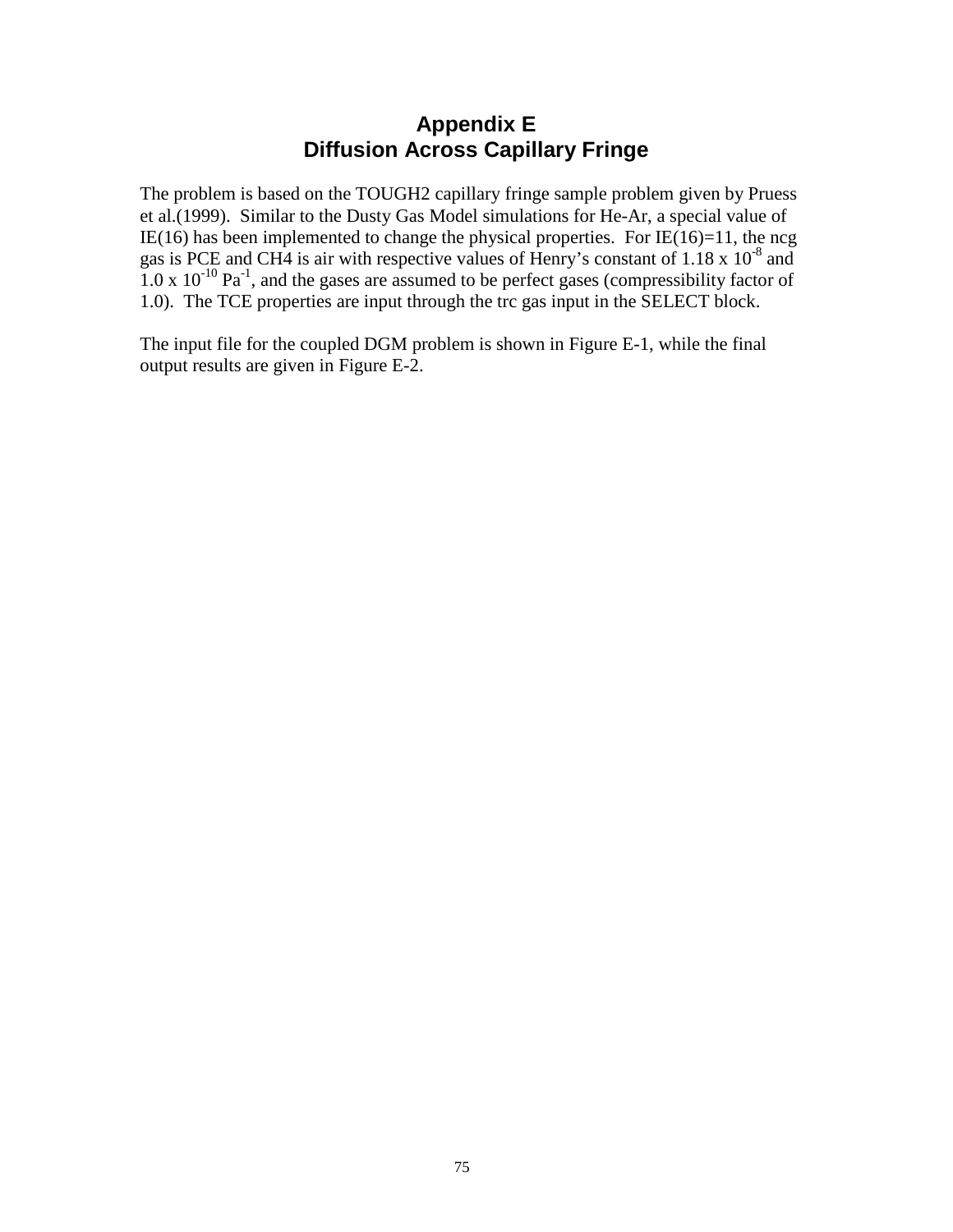## **Appendix E Diffusion Across Capillary Fringe**

The problem is based on the TOUGH2 capillary fringe sample problem given by Pruess et al.(1999). Similar to the Dusty Gas Model simulations for He-Ar, a special value of IE(16) has been implemented to change the physical properties. For IE(16)=11, the ncg gas is PCE and CH4 is air with respective values of Henry's constant of  $1.18 \times 10^{-8}$  and  $1.0 \times 10^{-10}$  Pa<sup>-1</sup>, and the gases are assumed to be perfect gases (compressibility factor of 1.0). The TCE properties are input through the trc gas input in the SELECT block.

The input file for the coupled DGM problem is shown in Figure E-1, while the final output results are given in Figure E-2.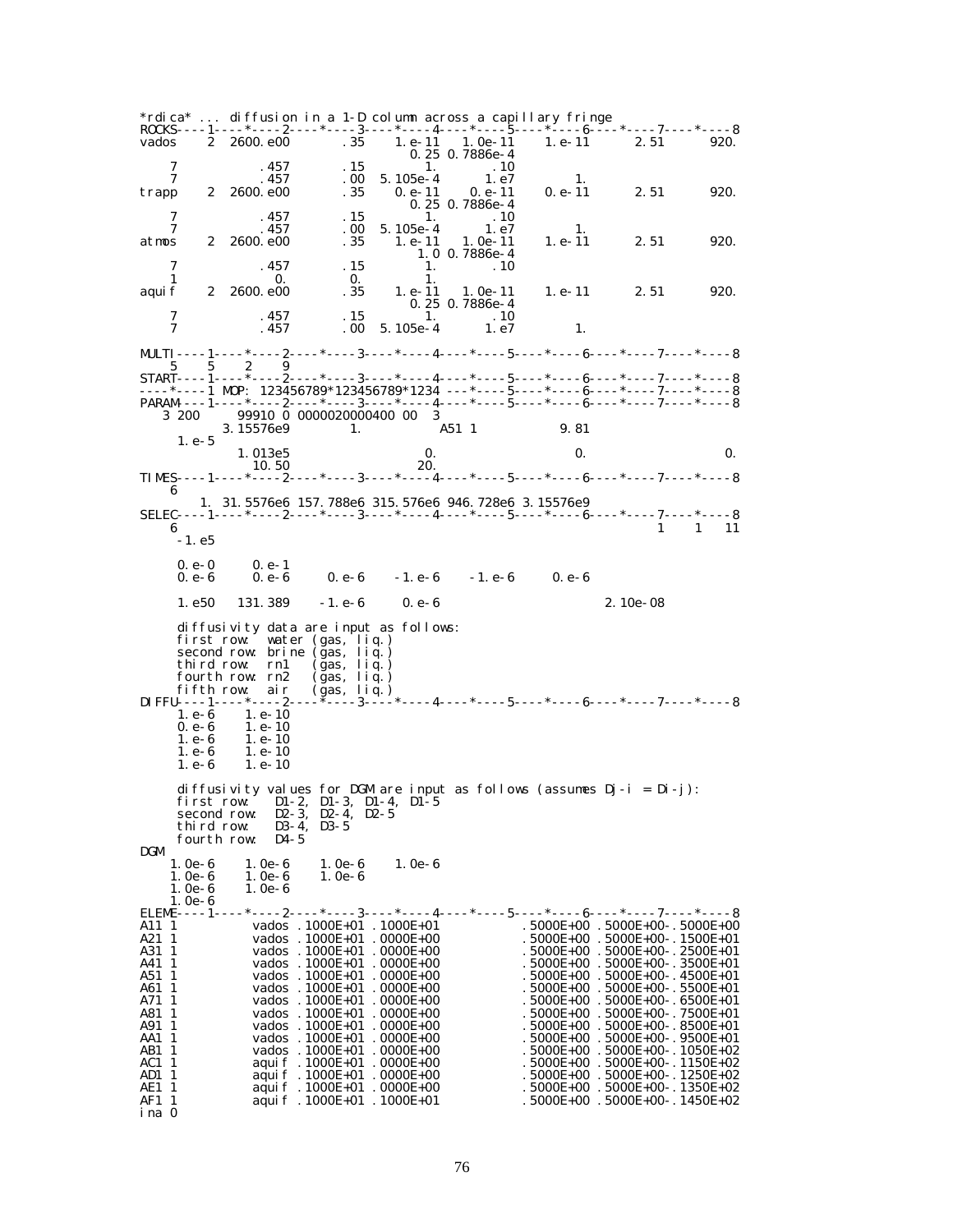\*rdica\* ... diffusion in a 1-D column across a capillary fringe ROCKS----1----\*----2----\*----3----\*----4----\*----5----\*----6--<br>vados 2 2600. e00 .35 1. e-11 1. 0e-11 1. e-11 - - \* - - - - 7 - - - - \* - - - - 8 2.51 920.  $0.25$  0. 7886e-4  $1.$   $10$  $\mathcal I$  $.457$  $.15$  $\overline{7}$ .457  $.00$ 5. 105e-4 1. e7 2  $2600. e00$  $0. e-11$  0. e-11  $0. e-11$ trapp 2.51 920 .35  $0.25$  0. 7886e-4 .15  $.457$ 7  $5.105e-4$  $\mathcal{I}$  $.457$  $.00$  $\mathbf{1}$ 2 2600. e00  $1. e-11$  1.0e-11  $\cdot$  35  $1. e-11$ 2.51 920. atmos 1.0 0.7886e-4  $.10$  $\overline{7}$  $.457$ . 15 1.  $\mathbf{1}$  $\Omega$  $\mathbf{0}$ .  $\mathbf{1}$ . 2 2600. e00  $1.0e-11$ aqui f  $.35$  $1. e-11$  $1. e-11$ 2.51 920.  $0.25$  0.7886e-4  $.15$  $.457$  $\overline{\mathcal{U}}$  $\overline{1}$ .  $\ldots$ 10  $.00 \quad 5.105e-4$  $\overline{7}$  $.457$ 1. e7  $\overline{1}$ . MULTI - - - - 1 - - - - \* - - - 2 - - - \* - - - 3 - - - \* - - - 4 - - - \* - - - 5 - - - \* - - - 6 - - - \* - - - 7 - - - \* - - - 8  $START---1---*---2---*---3---*---4---*---5---*---6---*---7---*---7---*---8$ 3.15576e9 A51 1  $\overline{1}$ . 9.81  $1. e-5$ 1.013e5  $\mathbf{0}$ .  $\mathbf{0}$ .  $\mathbf{0}$ .  $20.$ 10.50 TIMES----1----\*----2----\*----3----\*----4----\*----5----\*----6----\*----7----\*-----8 6 1. 31.5576e6 157.788e6 315.576e6 946.728e6 3.15576e9<br>SELEC----1----\*---2----\*----3----\*----4----\*----5----\*----6----\*----7----\*----8  $\overline{1}$ 6  $\mathbf{1}$  $-1. e5$  $0. e-0$  $0. e-1$  $0. e-6$  $0. e-6$  $0. e-6$  $-1. e-6$  $-1. e-6$  $0. e-6$ 131.389  $2.10e-08$ 1. e50  $-1. e-6$  $0. e-6$ diffusivity data are input as follows: first row: water (gas,  $\[\text{liq.})\]$ <br>second row: brine (gas,  $\[\text{liq.})\]$  $(gas, 1iq.)$ <br>(gas, 1iq.) third row: rn1 fourth row: rn2  $\left(\frac{3}{9}as, 1\right)\left(\frac{1}{9}\right)$ fifth row: air \*----4----\*----5----\*----6----\*----7----\*----8 DI FFU- $- - 1 - - -- 2.$ - - - - 3- - - $1. e-10$  $1. e-6$  $0. e-6$  $1. e-10$  $1. e-6$  $1. e-10$  $1. e-6$  $1. e-10$  $1. e-10$  $1. e-6$ diffusivity values for DGM are input as follows (assumes  $Dj - i = Di - j$ ): first row:  $D1-2$ ,  $D1-3$ ,  $D1-4$ ,  $D1-5$  $D2 - 3$ ,  $D2 - 4$ ,  $D2 - 5$ <br>D3-4, D3-5 second row: third row  $\overline{D4}$ - 5 fourth row: **DGM**  $1.0e-6$  $1.0e-6$  $1.0e-6$  $1.0e-6$  $1.0e-6$  $1.0e-6$  $1.0e-6$  $1.0e-6$  $1.0e-6$  $1.0e-6$ ---\*----2----\*----3----\*----4----\*----5----\*----6----\*----7----\*----8 ELEME- $- - 1$  $.5000E+00$   $.5000E+00$   $.5000E+00$  $vados$  .  $1000E+01$  .  $1000E+01$ A11 1 vados . 1000E+01 . 0000E+00<br>vados . 1000E+01 . 0000E+00 .  $5000E+00$  .  $5000E+00$ -.  $1500E+01$  $A211$ .  $5000E+00$  .  $5000E+00$ -.  $2500E+01$ A31 1  $\begin{array}{c} \rm vados \, \, . \, 1000E+01 \, \, . \, 0000E+00 \\ \rm vados \, \, . \, 1000E+01 \, \, . \, 0000E+00 \end{array}$  $.5000E+00\phantom{000} .5000E+00\phantom{0000} .3500E+01\phantom{00000000} .5000E+00\phantom{00000000000} .4500E+01$  $\begin{matrix} \mathbf{A41} & \mathbf{1} \\ \mathbf{A51} & \mathbf{1} \end{matrix}$ A61 1 vados . 1000E+01 . 0000E+00  $.5000E+00$   $.5000E+00$   $.5500E+01$ A71 1 vados . 1000E+01 . 0000E+00  $.5000E+00$   $.5000E+00$   $.6500E+01$ .  $5000E+00$  .  $5000E+00$ -.  $7500E+01$ A81 1 vados . 1000E+01 . 0000E+00 A91 1 vados . 1000E+01 . 0000E+00  $.5000E+00$   $.5000E+00$   $.8500E+01$ AA1 1 vados . 1000E+01 . 0000E+00  $.5000E+00$   $.5000E+00$   $.9500E+01$ AB1 1 vados . 1000E+01 . 0000E+00 .  $5000E+00$  .  $5000E+00$ -.  $1050E+02$ vadus : 1000E+01 . 0000E+00<br>
aqui f . 1000E+01 . 0000E+00<br>
aqui f . 1000E+01 . 0000E+00<br>
aqui f . 1000E+01 . 0000E+00<br>
aqui f . 1000E+01 . 1000E+01 AC1 1  $.5000E+00$   $.5000E+00$   $.1150E+02$ .5000E+00 .5000E+00 .1250E+02<br>.5000E+00 .5000E+00 .1350E+02 AD1 1 AE1 1  $AF1$  1  $.5000E+00$   $.5000E+00$   $.1450E+02$ ina 0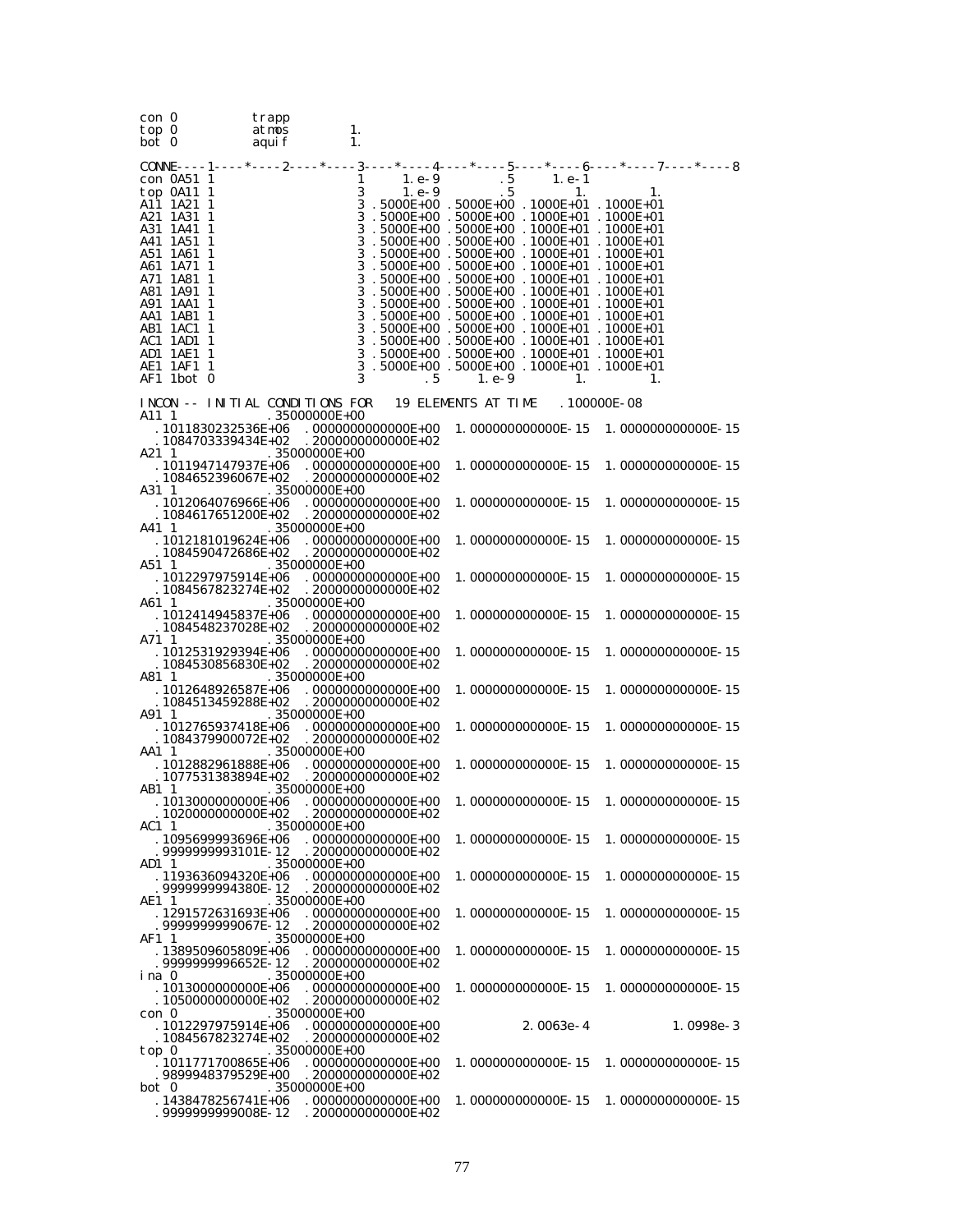| con <sub>0</sub><br>top 0<br>bot 0                                                                                                                                                                             | trapp<br>atmos<br>aqui f         | 1.<br>1.                                                                                         |                                                                                                                                                                                                                                                                                                                                                                                                                                                                                                                                                                                                                                                                                                                                                                                             |                    |
|----------------------------------------------------------------------------------------------------------------------------------------------------------------------------------------------------------------|----------------------------------|--------------------------------------------------------------------------------------------------|---------------------------------------------------------------------------------------------------------------------------------------------------------------------------------------------------------------------------------------------------------------------------------------------------------------------------------------------------------------------------------------------------------------------------------------------------------------------------------------------------------------------------------------------------------------------------------------------------------------------------------------------------------------------------------------------------------------------------------------------------------------------------------------------|--------------------|
| con 0A51 1<br>top 0A11 1<br>A11 1A21 1<br>A21 1A31 1<br>A31 1A41 1<br>A41 1A51 1<br>A51 1A61 1<br>A61 1A71 1<br>A71 1A81 1<br>A81 1A91 1<br>A91 1AA1 1<br>AA1 1AB1 1<br>AB1 1AC1 1<br>AC1 1AD1 1<br>AD1 1AE1 1 |                                  | 1. $e-9$<br>1. $e-9$<br>$\mathbf{1}$<br>3<br>3<br>3<br>3<br>3<br>3<br>3<br>3<br>3<br>3<br>3<br>3 | CONNE----1----*----2----*----3----*----4----*----5----*----6----*----7----*----8<br>.5<br>$1. e-1$<br>.5<br>1.<br>3 .5000E+00 .5000E+00 .1000E+01 .1000E+01<br>$.5000E+00$ $.5000E+00$ $.1000E+01$ $.1000E+01$<br>$.5000E+00$ $.5000E+00$ $.1000E+01$ $.1000E+01$<br>$.5000E+00$ $.5000E+00$ $.1000E+01$ $.1000E+01$<br>$.5000E+00$ $.5000E+00$ $.1000E+01$ $.1000E+01$<br>. $5000E+00$ . $5000E+00$ . $1000E+01$ . $1000E+01$<br>$.5000E+00$ $.5000E+00$ $.1000E+01$ $.1000E+01$<br>$.5000E+00$ $.5000E+00$ $.1000E+01$ $.1000E+01$<br>.5000E+00 .5000E+00 .1000E+01 .1000E+01<br>$.5000E+00$ $.5000E+00$ $.1000E+01$ $.1000E+01$<br>$.5000E+00$ $.5000E+00$ $.1000E+01$ $.1000E+01$<br>$.5000E+00$ $.5000E+00$ $.1000E+01$ $.1000E+01$<br>$.5000E+00$ $.5000E+00$ $.1000E+01$ $.1000E+01$ |                    |
| AE1 1AF1 1<br>AF1 1bot 0<br>INCON -- INITIAL CONDITIONS FOR                                                                                                                                                    |                                  | 3<br>3<br>. 5                                                                                    | $3.5000E+00.5000E+00.1000E+01.1000E+01$<br>$1. e-9$<br>1.<br>19 ELEMENTS AT TIME . 100000E-08                                                                                                                                                                                                                                                                                                                                                                                                                                                                                                                                                                                                                                                                                               | 1.                 |
| A11 1                                                                                                                                                                                                          | $.35000000E+00$                  |                                                                                                  |                                                                                                                                                                                                                                                                                                                                                                                                                                                                                                                                                                                                                                                                                                                                                                                             |                    |
| .1011830232536E+06<br>$.1084703339434E+02$                                                                                                                                                                     |                                  | $.0000000000000E+00$<br>$.2000000000000E+02$                                                     | 1.000000000000E-15                                                                                                                                                                                                                                                                                                                                                                                                                                                                                                                                                                                                                                                                                                                                                                          | 1.000000000000E-15 |
| A21 1<br>$.1011947147937E+06$<br>.1084652396067E+02                                                                                                                                                            | . 35000000E+00                   | $.0000000000000E+00$<br>. 2000000000000E+02                                                      | 1.000000000000E-15                                                                                                                                                                                                                                                                                                                                                                                                                                                                                                                                                                                                                                                                                                                                                                          | 1.000000000000E-15 |
| A31 1<br>$.1012064076966E+06$<br>$.1084617651200E+02$<br>A41 1                                                                                                                                                 | . 35000000E+00<br>. 35000000E+00 | 00000000000000000000<br>$.2000000000000E+02$                                                     | 1.000000000000E-15                                                                                                                                                                                                                                                                                                                                                                                                                                                                                                                                                                                                                                                                                                                                                                          | 1.000000000000E-15 |
| $.1012181019624E+06$<br>.1084590472686E+02<br>A51 1                                                                                                                                                            | $.35000000E + 00$                | $.2000000000000E+02$                                                                             | 1.000000000000E-15                                                                                                                                                                                                                                                                                                                                                                                                                                                                                                                                                                                                                                                                                                                                                                          | 1.000000000000E-15 |
| $.1012297975914E+06$<br>.1084567823274E+02                                                                                                                                                                     |                                  | $.2000000000000E+02$                                                                             | 1.000000000000E-15                                                                                                                                                                                                                                                                                                                                                                                                                                                                                                                                                                                                                                                                                                                                                                          | 1.000000000000E-15 |
| A61 1<br>$.1012414945837E+06$<br>.1084548237028E+02                                                                                                                                                            | $.35000000E + 00$                | 00000000000000000000<br>$.2000000000000E+02$                                                     | 1.000000000000E-15                                                                                                                                                                                                                                                                                                                                                                                                                                                                                                                                                                                                                                                                                                                                                                          | 1.000000000000E-15 |
| A71 1<br>$.1012531929394E+06$<br>$.1084530856830E+02$                                                                                                                                                          | . 35000000E+00                   | 00000000000000000000<br>$.2000000000000E+02$                                                     | 1.000000000000E-15                                                                                                                                                                                                                                                                                                                                                                                                                                                                                                                                                                                                                                                                                                                                                                          | 1.000000000000E-15 |
| A81 1<br>$.1012648926587E+06$<br>.1084513459288E+02<br>A91 1                                                                                                                                                   | . 35000000E+00<br>. 35000000E+00 | 00000000000000000000<br>$.2000000000000E+02$                                                     | 1.000000000000E-15                                                                                                                                                                                                                                                                                                                                                                                                                                                                                                                                                                                                                                                                                                                                                                          | 1.000000000000E-15 |
| $.1012765937418E+06$<br>.1084379900072E+02<br>AA1 1                                                                                                                                                            |                                  | 00000000000000000000<br>$.2000000000000E+02$                                                     | 1.000000000000E-15                                                                                                                                                                                                                                                                                                                                                                                                                                                                                                                                                                                                                                                                                                                                                                          | 1.000000000000E-15 |
| .1012882961888E+06<br>.1077531383894E+02                                                                                                                                                                       | . 35000000E+00                   | $.2000000000000E+02$                                                                             | 1.000000000000E-15                                                                                                                                                                                                                                                                                                                                                                                                                                                                                                                                                                                                                                                                                                                                                                          | 1.000000000000E-15 |
| AB1 1                                                                                                                                                                                                          | $.35000000E+00$<br>.35000000E+00 | $.1020000000000E+02$ . 2000000000000E+02                                                         | . $1013000000000E+06$ . $000000000000E+00$ 1. $000000000000E-15$ 1. $00000000000E-15$                                                                                                                                                                                                                                                                                                                                                                                                                                                                                                                                                                                                                                                                                                       |                    |
| AC1 1<br>.1095699993696E+06<br>. 9999999993101E-12<br>AD1 1                                                                                                                                                    | .35000000E+00                    | $.0000000000000E+00$<br>$.2000000000000E+02$                                                     | 1.000000000000E-15                                                                                                                                                                                                                                                                                                                                                                                                                                                                                                                                                                                                                                                                                                                                                                          | 1.000000000000E-15 |
| .1193636094320E+06<br>. 9999999994380E- 12<br>AE1 1                                                                                                                                                            | .35000000E+00                    | 0000000000000000000<br>$.2000000000000E+02$                                                      | 1.000000000000E-15                                                                                                                                                                                                                                                                                                                                                                                                                                                                                                                                                                                                                                                                                                                                                                          | 1.000000000000E-15 |
| $.1291572631693E+06$<br>.999999999067E-12<br>AF1 1                                                                                                                                                             | $.35000000E+00$                  | $.2000000000000E+02$                                                                             | 1.000000000000E-15                                                                                                                                                                                                                                                                                                                                                                                                                                                                                                                                                                                                                                                                                                                                                                          | 1.000000000000E-15 |
| .1389509605809E+06<br>. 9999999996652E-12                                                                                                                                                                      |                                  | $.0000000000000E+00$<br>$.2000000000000E+02$                                                     | 1.000000000000E-15                                                                                                                                                                                                                                                                                                                                                                                                                                                                                                                                                                                                                                                                                                                                                                          | 1.000000000000E-15 |
| ina 0<br>$.1013000000000E+06$<br>$.1050000000000E+02$                                                                                                                                                          | $.35000000E+00$                  | $.0000000000000E+00$<br>$.2000000000000E+02$                                                     | 1.000000000000E-15                                                                                                                                                                                                                                                                                                                                                                                                                                                                                                                                                                                                                                                                                                                                                                          | 1.000000000000E-15 |
| con <sub>0</sub><br>$.1012297975914E+06$<br>. 1084567823274E+02                                                                                                                                                | .35000000E+00                    | $.0000000000000E+00$<br>$.2000000000000E+02$                                                     | $2.0063e-4$                                                                                                                                                                                                                                                                                                                                                                                                                                                                                                                                                                                                                                                                                                                                                                                 | $1.0998e-3$        |
| top 0<br>$.1011771700865E+06$<br>. 9899948379529E+00                                                                                                                                                           | $.35000000E+00$                  | $.0000000000000E+00$<br>$.2000000000000E+02$                                                     | 1.000000000000E-15                                                                                                                                                                                                                                                                                                                                                                                                                                                                                                                                                                                                                                                                                                                                                                          | 1.000000000000E-15 |
| bot 0<br>.1438478256741E+06<br>. 9999999999008E- 12                                                                                                                                                            | $.35000000E+00$                  | $.0000000000000E+00$<br>$.2000000000000E+02$                                                     | 1.000000000000E-15                                                                                                                                                                                                                                                                                                                                                                                                                                                                                                                                                                                                                                                                                                                                                                          | 1.000000000000E-15 |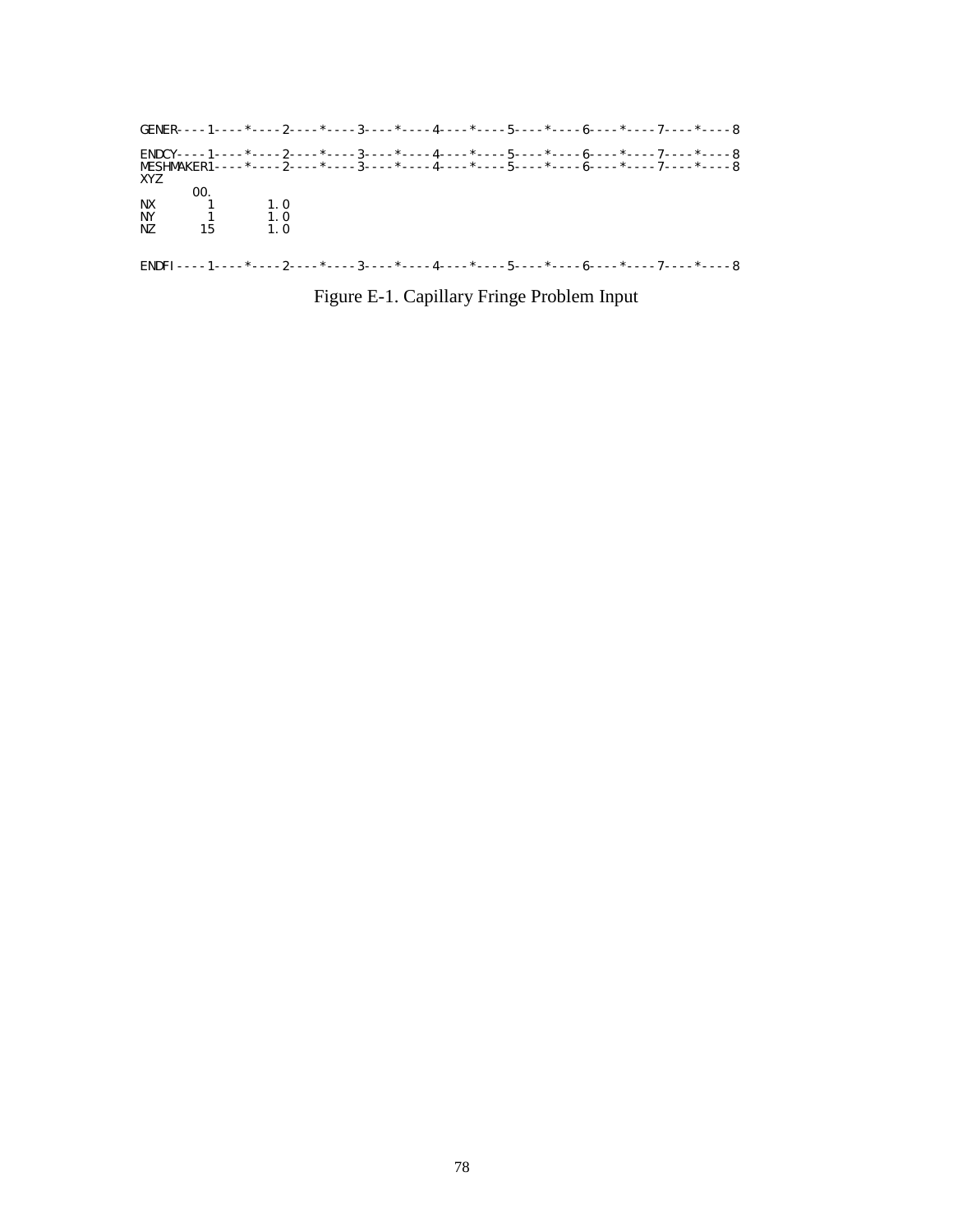|           |                                                                              |     |  |  |  |  |  | GENER----1----*----2----*----3----*----4----*----5----*----6----*----7----*----8 |
|-----------|------------------------------------------------------------------------------|-----|--|--|--|--|--|----------------------------------------------------------------------------------|
|           |                                                                              |     |  |  |  |  |  | ENDCY----1----*----2----*----3----*----4----*----5----*----6----*----7----*----8 |
|           |                                                                              |     |  |  |  |  |  | MESHMAKER1----*----2----*----3----*----4----*----5----*----6----*----7----*----8 |
| XYZ.      |                                                                              |     |  |  |  |  |  |                                                                                  |
|           | 00.                                                                          |     |  |  |  |  |  |                                                                                  |
|           |                                                                              |     |  |  |  |  |  |                                                                                  |
|           | $\begin{array}{ccc} & & 00. & & & 1.0 \ \text{NY} & & 1 & & 1.0 \end{array}$ |     |  |  |  |  |  |                                                                                  |
| $NZ = 15$ |                                                                              | 1.0 |  |  |  |  |  |                                                                                  |
|           |                                                                              |     |  |  |  |  |  |                                                                                  |
|           |                                                                              |     |  |  |  |  |  | ENDFI----1----*----2----*----3----*----4----*----5----*----6----*----7----*----8 |

Figure E-1. Capillary Fringe Problem Input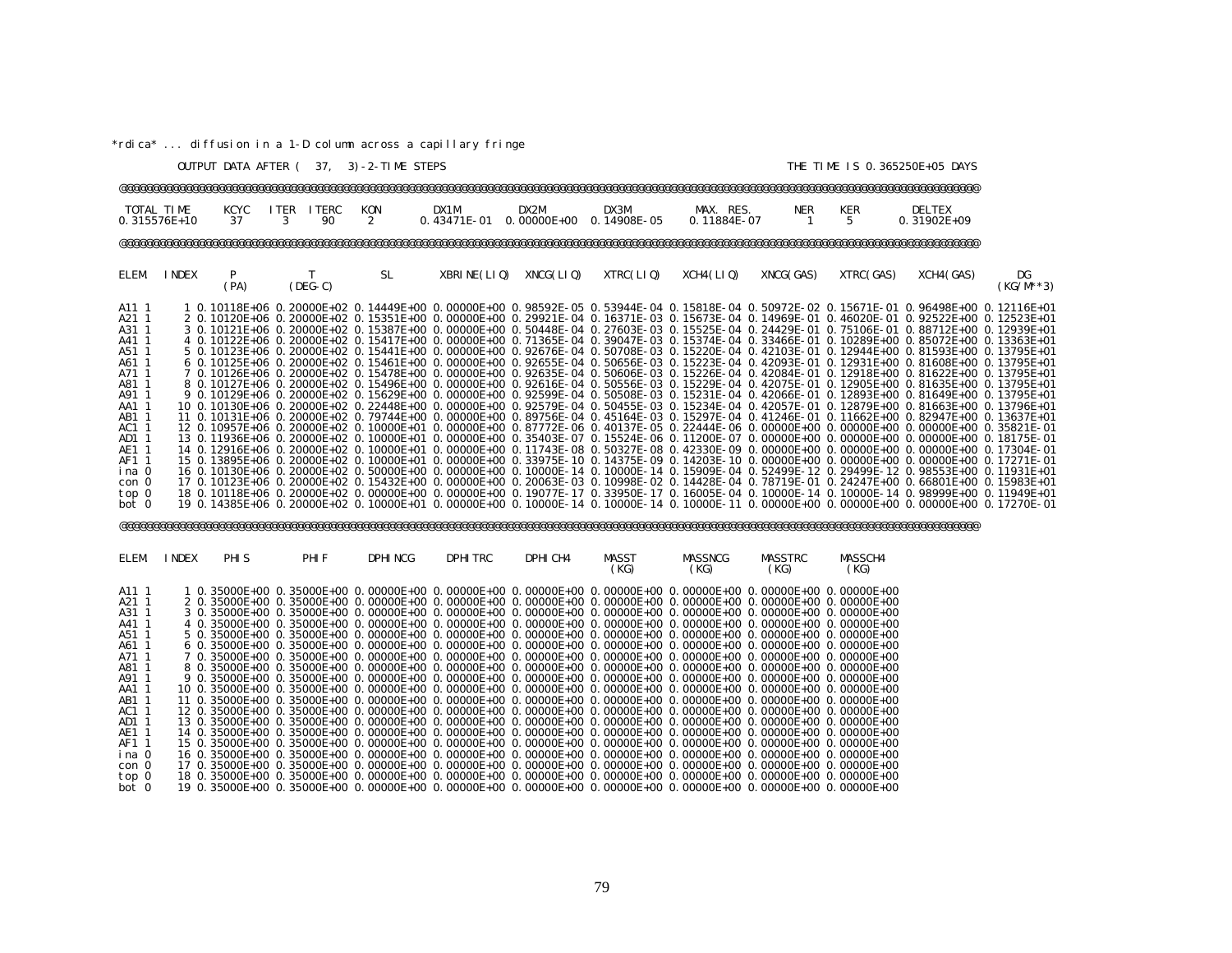\*rdica\* ... diffusion in a 1-D column across a capillary fringe

|                                                                                                                                                                                          |                              |                   | OUTPUT DATA AFTER (37,                   | $3) - 2 - TIME$ STEPS |                     |                       |                                                                                                                                                                                                                                                                                                                                                                                                                                                                                                                                                                                                                                                                                                                                                                                                                                                                                                                                                                                                                                                                                                                                                                                                                                                                                                                                                                                                                                                                                                                                                                                                                                                                                                                                                                                                                                                                                                                                                                                                                                                                                                                                                                                                                                                                                                                                                                                                                                                                                                                                                                                                                                                                                                               |                          |            |           | THE TIME IS 0.365250E+05 DAYS  |                      |  |
|------------------------------------------------------------------------------------------------------------------------------------------------------------------------------------------|------------------------------|-------------------|------------------------------------------|-----------------------|---------------------|-----------------------|---------------------------------------------------------------------------------------------------------------------------------------------------------------------------------------------------------------------------------------------------------------------------------------------------------------------------------------------------------------------------------------------------------------------------------------------------------------------------------------------------------------------------------------------------------------------------------------------------------------------------------------------------------------------------------------------------------------------------------------------------------------------------------------------------------------------------------------------------------------------------------------------------------------------------------------------------------------------------------------------------------------------------------------------------------------------------------------------------------------------------------------------------------------------------------------------------------------------------------------------------------------------------------------------------------------------------------------------------------------------------------------------------------------------------------------------------------------------------------------------------------------------------------------------------------------------------------------------------------------------------------------------------------------------------------------------------------------------------------------------------------------------------------------------------------------------------------------------------------------------------------------------------------------------------------------------------------------------------------------------------------------------------------------------------------------------------------------------------------------------------------------------------------------------------------------------------------------------------------------------------------------------------------------------------------------------------------------------------------------------------------------------------------------------------------------------------------------------------------------------------------------------------------------------------------------------------------------------------------------------------------------------------------------------------------------------------------------|--------------------------|------------|-----------|--------------------------------|----------------------|--|
| @@@@@@@@@@@@@@@@@@@@@@@@@@@@@@@@                                                                                                                                                         |                              |                   |                                          |                       |                     |                       |                                                                                                                                                                                                                                                                                                                                                                                                                                                                                                                                                                                                                                                                                                                                                                                                                                                                                                                                                                                                                                                                                                                                                                                                                                                                                                                                                                                                                                                                                                                                                                                                                                                                                                                                                                                                                                                                                                                                                                                                                                                                                                                                                                                                                                                                                                                                                                                                                                                                                                                                                                                                                                                                                                               |                          |            |           |                                |                      |  |
|                                                                                                                                                                                          | TOTAL TIME<br>$0.315576E+10$ | <b>KCYC</b><br>37 | <b>I TERC</b><br><b>I TER</b><br>3<br>90 | KON<br>$\mathbf{2}$   | DX1M<br>0.43471E-01 | DX2M<br>$0.00000E+00$ | DX3M<br>0.14908E-05                                                                                                                                                                                                                                                                                                                                                                                                                                                                                                                                                                                                                                                                                                                                                                                                                                                                                                                                                                                                                                                                                                                                                                                                                                                                                                                                                                                                                                                                                                                                                                                                                                                                                                                                                                                                                                                                                                                                                                                                                                                                                                                                                                                                                                                                                                                                                                                                                                                                                                                                                                                                                                                                                           | MAX. RES.<br>0.11884E-07 | <b>NER</b> | KER<br>5  | <b>DELTEX</b><br>$0.31902E+09$ |                      |  |
|                                                                                                                                                                                          |                              |                   |                                          |                       |                     |                       |                                                                                                                                                                                                                                                                                                                                                                                                                                                                                                                                                                                                                                                                                                                                                                                                                                                                                                                                                                                                                                                                                                                                                                                                                                                                                                                                                                                                                                                                                                                                                                                                                                                                                                                                                                                                                                                                                                                                                                                                                                                                                                                                                                                                                                                                                                                                                                                                                                                                                                                                                                                                                                                                                                               |                          |            |           |                                |                      |  |
| ELEM.                                                                                                                                                                                    | <b>I NDEX</b>                | P<br>(PA)         | Т<br>$(DEG-C)$                           | SL.                   | XBRINE(LIQ)         | XNCG(LIQ)             | XTRC(LIQ)                                                                                                                                                                                                                                                                                                                                                                                                                                                                                                                                                                                                                                                                                                                                                                                                                                                                                                                                                                                                                                                                                                                                                                                                                                                                                                                                                                                                                                                                                                                                                                                                                                                                                                                                                                                                                                                                                                                                                                                                                                                                                                                                                                                                                                                                                                                                                                                                                                                                                                                                                                                                                                                                                                     | XCH4(LIQ)                | XNCG (GAS) | XTRC(GAS) | XCH4(GAS)                      | DG<br>$(KG/M^{*}*3)$ |  |
| A11 1<br>A21 1<br>A31 1<br>A41 1<br>A51 1<br>A61 1<br>A711<br>A81 1<br>A91 1<br>$AA1$ 1<br>$AB1$ 1<br>AC11<br>$AD1$ 1<br>AE1 1<br>$AF1$ 1<br>ina 0<br>con <sub>0</sub><br>top 0<br>bot 0 |                              |                   |                                          |                       |                     |                       | 1 0.10118E+06 0.20000E+02 0.14449E+00 0.00000E+00 0.98592E-05 0.53944E-04 0.15818E-04 0.50972E-02 0.15671E-01 0.96498E+00 0.12116E+01<br>2 0.10120E+06 0.20000E+02 0.15351E+00 0.00000E+00 0.29921E-04 0.16371E-03 0.15673E-04 0.14969E-01 0.46020E-01 0.92522E+00 0.12523E+01<br>3 0.10121E+06 0.20000E+02 0.15387E+00 0.00000E+00 0.50448E-04 0.27603E-03 0.15525E-04 0.24429E-01 0.75106E-01 0.88712E+00 0.12939E+01<br>4 0.10122E+06 0.20000E+02 0.15417E+00 0.00000E+00 0.71365E-04 0.39047E-03 0.15374E-04 0.33466E-01 0.10289E+00 0.85072E+00 0.13363E+01<br>5 0.10123E+06 0.20000E+02 0.15441E+00 0.0000E+00 0.92676E-04 0.50708E-03 0.15220E-04 0.42103E-01 0.12944E+00 0.81593E+00 0.13795E+01<br>6 0.10125E+06 0.20000E+02 0.15461E+00 0.00000E+00 0.92655E-04 0.50656E-03 0.15223E-04 0.42093E-01 0.12931E+00 0.81608E+00 0.13795E+01<br>7 0.10126E+06 0.20000E+02 0.15478E+00 0.0000E+00 0.92635E-04 0.50606E-03 0.15226E-04 0.42084E-01 0.12918E+00 0.81622E+00 0.13795E+01<br>8 0.10127E+06 0.20000E+02 0.15496E+00 0.00000E+00 0.92616E-04 0.50556E-03 0.15229E-04 0.42075E-01 0.12905E+00 0.81635E+00 0.13795E+01<br>9 0.10129E+06 0.20000E+02 0.15629E+00 0.0000E+00 0.92599E-04 0.50508E-03 0.15231E-04 0.42066E-01 0.12893E+00 0.81649E+00 0.13795E+01<br>10 0.10130E+06 0.20000E+02 0.22448E+00 0.00000E+00 0.92579E-04 0.50455E-03 0.15234E-04 0.42057E-01 0.12879E+00 0.81663E+00 0.13796E+01<br>11 0.10131E+06 0.20000E+02 0.79744E+00 0.00000E+00 0.89756E-04 0.45164E-03 0.15297E-04 0.41246E-01 0.11662E+00 0.82947E+00 0.13637E+01<br>12 0.10957E+06 0.20000E+02 0.10000E+01 0.00000E+00 0.87772E-06 0.40137E-05 0.22444E-06 0.00000E+00 0.00000E+00 0.00000E+00 0.35821E-01<br>13 0.11936E+06 0.20000E+02 0.10000E+01 0.00000E+00 0.35403E-07 0.15524E-06 0.11200E-07 0.00000E+00 0.00000E+00 0.0000E+00 0.18175E-01<br>14 0.12916E+06 0.20000E+02 0.10000E+01 0.00000E+00 0.11743E-08 0.50327E-08 0.42330E-09 0.00000E+00 0.00000E+00 0.00000E+00 0.17304E-01<br>15 0.13895E+06 0.20000E+02 0.10000E+01 0.00000E+00 0.33975E-10 0.14375E-09 0.14203E-10 0.00000E+00 0.00000E+00 0.00000E+00 0.17271E-01<br>16 0.10130E+06 0.20000E+02 0.50000E+00 0.00000E+00 0.10000E-14 0.10000E-14 0.15909E-04 0.52499E-12 0.29499E-12 0.98553E+00 0.11931E+01<br>17 0.10123E+06 0.20000E+02 0.15432E+00 0.00000E+00 0.20063E-03 0.10998E-02 0.14428E-04 0.78719E-01 0.24247E+00 0.66801E+00 0.15983E+01<br>18 0.10118E+06 0.20000E+02 0.00000E+00 0.00000E+00 0.19077E-17 0.33950E-17 0.16005E-04 0.10000E-14 0.10000E-14 0.98999E+00 0.11949E+01<br>19 0.14385E+06 0.20000E+02 0.10000E+01 0.00000E+00 0.10000E-14 0.10000E-14 0.10000E-11 0.00000E+00 0.00000E+00 0.00000E+00 0.17270E-01 |                          |            |           |                                |                      |  |

| <b>ELEM</b>       | <b>I NDEX</b> | <b>PHIS</b> | PHI F                                                                                                                    | DPHI NCG | <b>DPHITRC</b> | DPHI CH4 | <b>MASST</b><br>(KG) | <b>MASSNCG</b><br>(KG) | <b>MASSTRC</b><br>(KG) | <b>MASSCH4</b><br>(KG) |
|-------------------|---------------|-------------|--------------------------------------------------------------------------------------------------------------------------|----------|----------------|----------|----------------------|------------------------|------------------------|------------------------|
| A <sub>11</sub> 1 |               |             | 1 0 35000E+00 0 35000E+00 0 00000E+00 0 00000E+00 0 00000E+00 0 00000E+00 0 00000E+00 0 00000E+00 0 00000E+00            |          |                |          |                      |                        |                        |                        |
| $A21$ 1           |               |             | 2 0 35000E+00 0 35000E+00 0 00000E+00 0 00000E+00 0 00000E+00 0 00000E+00 0 00000E+00 0 00000E+00 0 00000E+00            |          |                |          |                      |                        |                        |                        |
| A31 1             |               |             | $3$ 0.35000E+00 0.35000E+00 0.00000E+00 0.00000E+00 0.00000E+00 0.00000E+00 0.0000E+00 0.0000E+00 0.0000E+00 0.00000E+00 |          |                |          |                      |                        |                        |                        |
| A41 1             |               |             | 4 0.35000E+00 0.35000E+00 0.00000E+00 0.00000E+00 0.00000E+00 0.0000E+00 0.0000E+00 0.0000E+00 0.00000E+00 0.00000E+00   |          |                |          |                      |                        |                        |                        |
| A51 1             |               |             | 5 0.35000E+00 0.35000E+00 0.00000E+00 0.00000E+00 0.00000E+00 0.0000E+00 0.0000E+00 0.0000E+00 0.00000E+00 0.0000        |          |                |          |                      |                        |                        |                        |
| A61 1             |               |             | $6$ 0, 35000E+00 0, 35000E+00 0, 00000E+00 0, 00000E+00 0, 00000E+00 0, 00000E+00 0, 00000E+00 0, 00000E+00 0, 00000E+00 |          |                |          |                      |                        |                        |                        |
| A71 1             |               |             | 7 0.35000E+00 0.35000E+00 0.00000E+00 0.00000E+00 0.00000E+00 0.0000E+00 0.0000E+00 0.0000E+00 0.00000E+00 0.0000        |          |                |          |                      |                        |                        |                        |
| A81 1             |               |             | 8 0.35000E+00 0.35000E+00 0.00000E+00 0.00000E+00 0.00000E+00 0.00000E+00 0.00000E+00 0.00000E+00 0.00000E+00            |          |                |          |                      |                        |                        |                        |
| A91 1             |               |             | $9$ 0, 35000E+00 0, 35000E+00 0, 00000E+00 0, 00000E+00 0, 00000E+00 0, 00000E+00 0, 00000E+00 0, 00000E+00 0, 00000E+00 |          |                |          |                      |                        |                        |                        |
| $AA1$ 1           |               |             | 10 0.35000E+00 0.35000E+00 0.00000E+00 0.00000E+00 0.00000E+00 0.0000E+00 0.0000E+00 0.0000E+00 0.0000E+00 0.00000E+00   |          |                |          |                      |                        |                        |                        |
| $AB1$ 1           |               |             | 11 0 35000E+00 0 35000E+00 0 00000E+00 0 00000E+00 0 00000E+00 0 00000E+00 0 00000E+00 0 00000E+00 0 00000E+00           |          |                |          |                      |                        |                        |                        |
| $AC1$ 1           |               |             | 12 0.35000E+00 0.35000E+00 0.00000E+00 0.00000E+00 0.00000E+00 0.0000E+00 0.0000E+00 0.0000E+00 0.0000E+00 0.00000E+00   |          |                |          |                      |                        |                        |                        |
| $AD1$ 1           |               |             | 13 0 35000E+00 0 35000E+00 0 00000E+00 0 00000E+00 0 00000E+00 0 00000E+00 0 00000E+00 0 00000E+00 0 00000E+00           |          |                |          |                      |                        |                        |                        |
| AE1 1             |               |             | 14 0 35000E+00 0 35000E+00 0 00000E+00 0 00000E+00 0 00000E+00 0 00000E+00 0 00000E+00 0 00000E+00 0 00000E+00           |          |                |          |                      |                        |                        |                        |
| $AF1$ 1           |               |             | 15 0 35000E+00 0 35000E+00 0 00000E+00 0 00000E+00 0 00000E+00 0 00000E+00 0 00000E+00 0 00000E+00 0 00000E+00           |          |                |          |                      |                        |                        |                        |
| ina 0             |               |             | 16 0.35000E+00 0.35000E+00 0.00000E+00 0.00000E+00 0.00000E+00 0.0000E+00 0.0000E+00 0.0000E+00 0.0000E+00 0.00000E+00   |          |                |          |                      |                        |                        |                        |
| con <sub>0</sub>  |               |             | 17 0.35000E+00 0.35000E+00 0.00000E+00 0.00000E+00 0.00000E+00 0.00000E+00 0.00000E+00 0.00000E+00                       |          |                |          |                      |                        |                        | .00000E+00             |
| top 0             |               |             | 18 0.35000E+00 0.35000E+00 0.00000E+00 0.00000E+00 0.00000E+00 0.0000E+00 0.0000E+00 0.0000E+00 0.0000E+00 0.00000E+00   |          |                |          |                      |                        |                        |                        |
| bot 0             |               |             | 19 0.35000E+00 0.35000E+00 0.00000E+00 0.00000E+00 0.00000E+00 0.00000E+00 0.0000E+00 0.0000E+00 0.00000E+00 0           |          |                |          |                      |                        |                        |                        |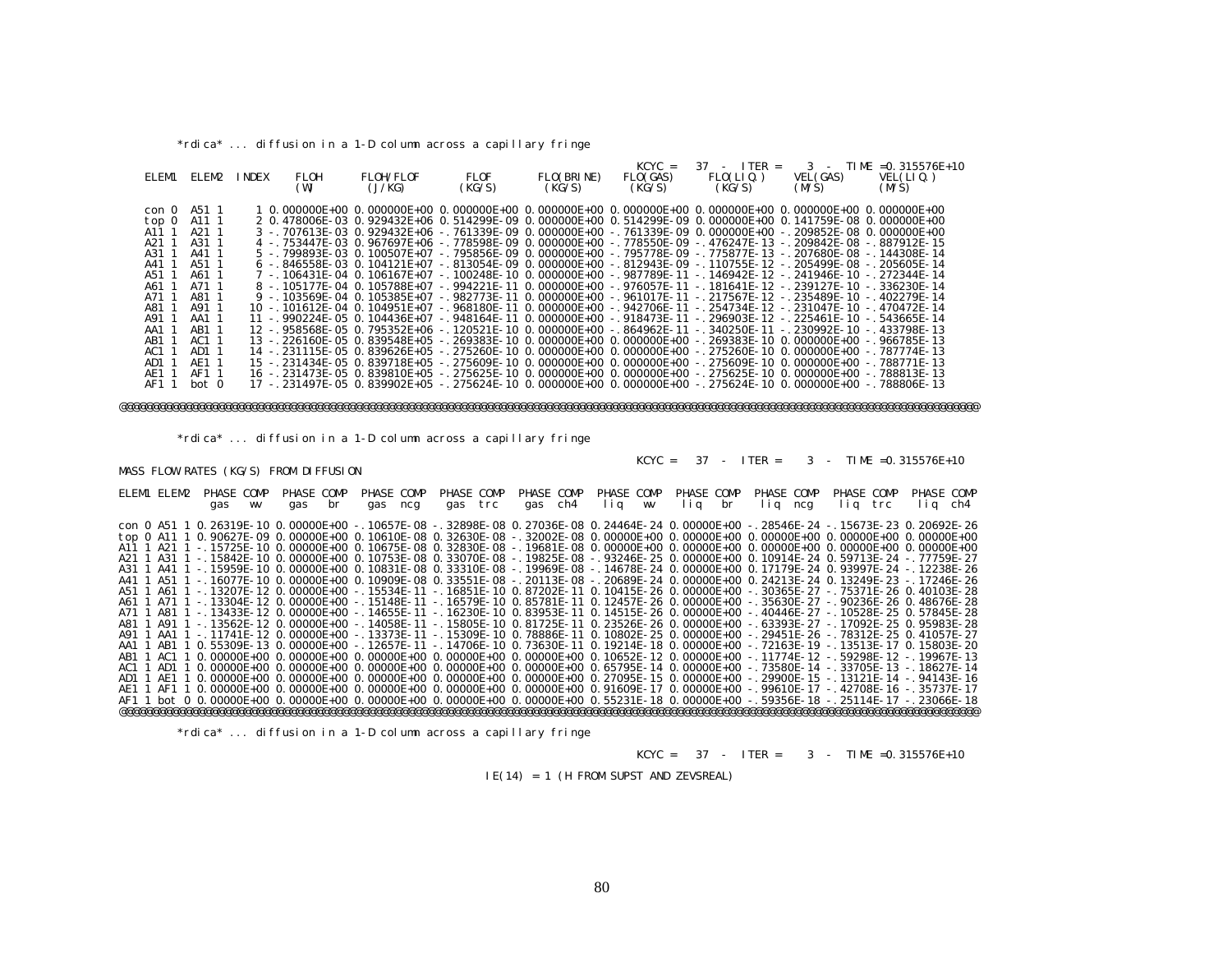\*rdica\* ... diffusion in a 1-D column across a capillary fringe

| ELEM1                                                                                                                                                         | ELEM2                                                                                                                                                     | <b>I NDEX</b> | FLOH<br>(W) | FLOH/FLOF<br>(J/KG) | FLOF<br>(KG/S)                                                                                                                                                                                                                                                                                                                                                                                                                                                                                                                                                                                                                                                                                                                                                                                                                                                                                                                                                                                                                                                                                                                                                                                                                                                                                                                                                                                                                                                                                                                                                                                                                                                                                                                                                                                                                              | FLO(BRINE)<br>(KG/S) | $KCYC =$<br>FLO(GAS)<br>(KG/S) | $37 - ITER =$<br>$FLO(LIQ.$ )<br>(KG/S) | 3.<br>VEL(GAS)<br>(M/S) | TIME = 0. 315576E+10<br>VEL(LIQ. )<br>(M/S) |
|---------------------------------------------------------------------------------------------------------------------------------------------------------------|-----------------------------------------------------------------------------------------------------------------------------------------------------------|---------------|-------------|---------------------|---------------------------------------------------------------------------------------------------------------------------------------------------------------------------------------------------------------------------------------------------------------------------------------------------------------------------------------------------------------------------------------------------------------------------------------------------------------------------------------------------------------------------------------------------------------------------------------------------------------------------------------------------------------------------------------------------------------------------------------------------------------------------------------------------------------------------------------------------------------------------------------------------------------------------------------------------------------------------------------------------------------------------------------------------------------------------------------------------------------------------------------------------------------------------------------------------------------------------------------------------------------------------------------------------------------------------------------------------------------------------------------------------------------------------------------------------------------------------------------------------------------------------------------------------------------------------------------------------------------------------------------------------------------------------------------------------------------------------------------------------------------------------------------------------------------------------------------------|----------------------|--------------------------------|-----------------------------------------|-------------------------|---------------------------------------------|
| con 0<br>top 0<br>A <sub>11</sub> 1<br>$A21 \; 1$<br>A31 1<br>A41 1<br>A51 1<br>A61 1<br>A71 1<br>A81 1<br>A91 1<br>AA 1<br>AB1 1<br>AC 1<br>AD1 1<br>$AF1$ 1 | A51 1<br>A11 1<br>$A21 \; 1$<br>A31 1<br>A41 1<br>A51 1<br>A61 1<br>A71 1<br>A81 1<br>A91 1<br>AA1 1<br>$AB1$ 1<br>$AC1-1$<br>AD1 1<br>$AF1$ 1<br>$AF1$ 1 |               |             |                     | 1 0. 000000E+00 0. 000000E+00 0. 000000E+00 0. 000000E+00 0. 000000E+00 0. 000000E+00 0. 000000E+00 0. 000000E+00<br>$2$ 0, 478006E-03 0, 929432E+06 0, 514299E-09 0, 000000E+00 0, 514299E-09 0, 000000E+00 0, 141759E-08 0, 000000E+00<br>3 - 707613E-03 0.929432E+06 - 761339E-09 0.000000E+00 - 761339E-09 0.000000E+00 - 209852E-08 0.000000E+00<br>4 - 753447E-03 0.967697E+06 - 778598E-09 0.000000E+00 - 778550E-09 - 476247E-13 - 209842E-08 - 887912E-15<br>5 - 799893E-03 0.100507E+07 - 795856E-09 0.000000E+00 - 795778E-09 - 775877E-13 - 207680E-08 - 144308E-14<br>$6 - 846558$ E-03 0.104121E+07 - 813054E-09 0.000000E+00 - 812943E-09 - 110755E-12 - 205499E-08 - 205605E-14<br>7 - 106431E-04 0.106167E+07 - 100248E-10 0.000000E+00 - 987789E-11 - 146942E-12 - 241946E-10 - 272344E-14<br>8 - 105177E-04 0.105788E+07 - 994221E-11 0.000000E+00 - 976057E-11 - 181641E-12 - 239127E-10 - 336230E-14<br>$9 - 103569$ E-04 0.105385E+07 - 982773E-11 0.000000E+00 - 961017E-11 - 217567E-12 - 235489E-10 - 402279E-14<br>10 - 101612E-04 0 104951E+07 - 968180E-11 0 000000E+00 - 942706E-11 - 254734E-12 - 231047E-10 - 470472E-14<br>11 - 990224E-05 0 104436E+07 - 948164E-11 0 000000E+00 - 918473E-11 - 296903E-12 - 225461E-10 - 543665E-14<br>12 - 958568E-05 0.795352E+06 - 120521E-10 0.000000E+00 - 864962E-11 - 340250E-11 - 230992E-10 - 433798E-13<br>13 - 226160E-05 0.839548E+05 - 269383E-10 0.000000E+00 0.000000E+00 - 269383E-10 0.000000E+00 - 966785E-13<br>14 - 231115E-05 0.839626E+05 - 275260E-10 0.000000E+00 0.000000E+00 - 275260E-10 0.000000E+00 - 787774E-13<br>15 - 231434E-05 0.839718E+05 - 275609E-10 0.000000E+00 0.000000E+00 - 275609E-10 0.000000E+00 - 788771E-13<br>16 - 231473E-05 0.839810E+05 - 275625E-10 0.000000E+00 0.000000E+00 - 275625E-10 0.000000E+00 - 788813E-13 |                      |                                |                                         |                         |                                             |
| AF11                                                                                                                                                          | bot 0                                                                                                                                                     |               |             |                     | 17 - 231497E-05 0.839902E+05 - 275624E-10 0.000000E+00 0.000000E+00 - 275624E-10 0.000000E+00 - 788806E-13                                                                                                                                                                                                                                                                                                                                                                                                                                                                                                                                                                                                                                                                                                                                                                                                                                                                                                                                                                                                                                                                                                                                                                                                                                                                                                                                                                                                                                                                                                                                                                                                                                                                                                                                  |                      |                                |                                         |                         |                                             |

\*rdica\* ... diffusion in a 1-D column across a capillary fringe

MASS FLOW RATES (KG/S) FROM DIFFUSION

ELEMI ELEM2 PHASE COMP PHASE COMP PHASE COMP PHASE COMP PHASE COMP PHASE COMP PHASE COMP PHASE COMP PHASE COMP gas wv gas br gas ncg gas trc gas ch4  $liq$  wv lig br  $liq$  ncg lig trc  $\ln a$  ch4 con 0 A51 1 0.26319E-10 0.00000E+00 -.10657E-08 -.32898E-08 0.27036E-08 0.24464E-24 0.00000E+00 -.28546E-24 -.15673E-23 0.20692E-26 top 0 411 1 0.90627E-09 0.00000E+00 0.10610E-08 0.32630E-08 - 32002E-08 0.00000E+00 0.00000E+00 0.00000E+00 0.00000E+00 0.00000E+00 0.00000E+00 A11 1 A21 1 - 15725E-10 0.00000E+00 0.10675E-08 0.32830E-08 - 19681E-08 0.00000E+00 0.00000E+00 0.00000E+00 0.00000E+00 0.00000E+00 0.00000E+00 A21 1 A31 1 - 15842E-10 0.00000E+00 0.10753E-08 0.33070E-08 - 19825E-08 - 93246E-25 0.00000E+00 0.10914E-24 0.59713E-24 - 77759E-27<br>A31 1 A41 1 - 15959E-10 0.00000E+00 0.10831E-08 0.33310E-08 - 19969E-08 - 14678E-24 0.0000 A41 1 A51 1 -. 16077E-10 0.00000E+00 0.10909E-08 0.33551E-08 -.20113E-08 -.20689E-24 0.00000E+00 0.24213E-24 0.13249E-23 -.17246E-26 A51 1 A61 1 -.13207E-12 0.00000E+00 -.15534E-11 -.16851E-10 0.87202E-11 0.10415E-26 0.00000E+00 -.30365E-27 -.75371E-26 0.40103E-28<br>A61 1 A71 1 -.13304E-12 0.00000E+00 -.15148E-11 -.16579E-10 0.85781E-11 0.12457E-26 0.0000 A01 1 A81 1 -.13338E-12 0.00000E+00 -.14655E-11 -.16230E-10 0.83953E-11 0.14515E-26 0.00000E+00 -.40446E-27 -.10528E-25 0.57845E-28<br>A81 1 A91 1 -.13562E-12 0.00000E+00 -.14058E-11 -.15805E-10 0.81725E-11 0.23526E-26 0.0000 ABI 1 ABI 1 0.55309E-13 0.00000E+00 -.13557E-11 -.14706E-10 0.73630E-11 0.19214E-18 0.00000E+00 -.22163E-19 -.13513E-17 0.15803E-20<br>ABI 1 ABI 1 0.55309E-13 0.00000E+00 -.12657E-11 -.14706E-10 0.73630E-11 0.19214E-18 0.0000 AC1 1 AD1 1 0.00000E+00 0.00000E+00 0.00000E+00 0.00000E+00 0.00000E+00 0.65795E-14 0.00000E+00 -.73580E-14 -.33705E-13 -.18627E-14 ADI 1 AEI 1 0.00000E+00 0.00000E+00 0.00000E+00 0.00000E+00 0.00000E+00 0.27095E-15 0.00000E+00 -.29900E-15 -.1312IE-14 -.94143E-16 AE1 1 AF1 1 0.00000E+00 0.00000E+00 0.00000E+00 0.00000E+00 0.00000E+00 0.91609E-17 0.00000E+00 -.99610E-17 -.42708E-16 -.35737E-17 AF1 1 bot 0 0.00000E+00 0.00000E+00 0.00000E+00 0.00000E+00 0.00000E+00 0.55231E-18 0.00000E+00 - 59356E-18 - 25114E-17 - 23066E-18 

\*rdica\* ... diffusion in a 1-D column across a capillary fringe

 $KCYC = 37 - ITER = 3 - TIME = 0.315576E+10$ 

3 - TIME = 0.315576E+10

 $IE(14) = 1$  (H FROM SUPST AND ZEVSREAL)

 $KCYC =$ 

 $37 - ITER =$